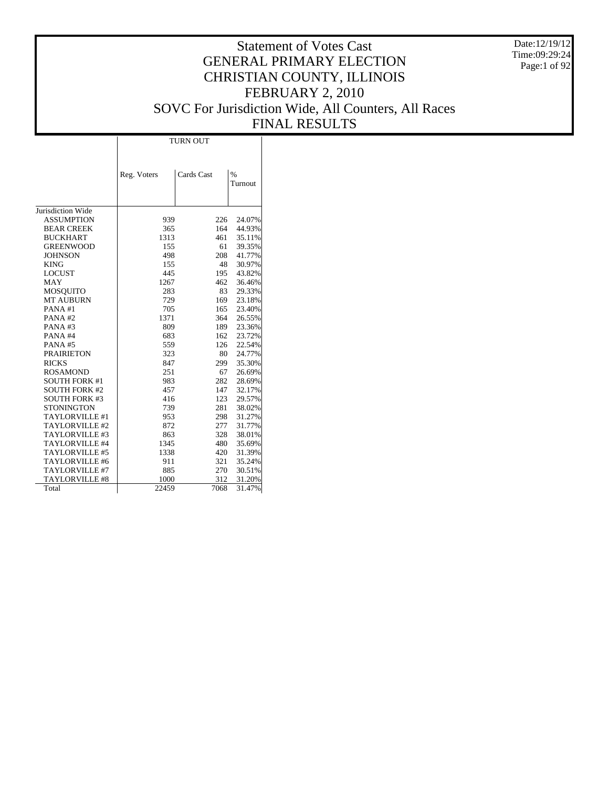Date:12/19/12 Time:09:29:24 Page:1 of 92

# Statement of Votes Cast GENERAL PRIMARY ELECTION CHRISTIAN COUNTY, ILLINOIS FEBRUARY 2, 2010 SOVC For Jurisdiction Wide, All Counters, All Races FINAL RESULTS

|                       | <b>TURN OUT</b> |            |                          |  |  |  |  |  |
|-----------------------|-----------------|------------|--------------------------|--|--|--|--|--|
|                       |                 |            |                          |  |  |  |  |  |
|                       | Reg. Voters     | Cards Cast | $\frac{0}{0}$<br>Turnout |  |  |  |  |  |
|                       |                 |            |                          |  |  |  |  |  |
| Jurisdiction Wide     |                 |            |                          |  |  |  |  |  |
| <b>ASSUMPTION</b>     | 939             | 226        | 24.07%                   |  |  |  |  |  |
| <b>BEAR CREEK</b>     | 365             | 164        | 44.93%                   |  |  |  |  |  |
| <b>BUCKHART</b>       | 1313            | 461        | 35.11%                   |  |  |  |  |  |
| <b>GREENWOOD</b>      | 155             | 61         | 39.35%                   |  |  |  |  |  |
| <b>JOHNSON</b>        | 498             | 208        | 41.77%                   |  |  |  |  |  |
| <b>KING</b>           | 155             | 48         | 30.97%                   |  |  |  |  |  |
| <b>LOCUST</b>         | 445             | 195        | 43.82%                   |  |  |  |  |  |
| MAY                   | 1267            | 462        | 36.46%                   |  |  |  |  |  |
| <b>MOSQUITO</b>       | 283             | 83         | 29.33%                   |  |  |  |  |  |
| <b>MT AUBURN</b>      | 729             | 169        | 23.18%                   |  |  |  |  |  |
| PANA#1                | 705             | 165        | 23.40%                   |  |  |  |  |  |
| PANA#2                | 1371            | 364        | 26.55%                   |  |  |  |  |  |
| PANA#3                | 809             | 189        | 23.36%                   |  |  |  |  |  |
| PANA#4                | 683             | 162        | 23.72%                   |  |  |  |  |  |
| PANA#5                | 559             | 126        | 22.54%                   |  |  |  |  |  |
| <b>PRAIRIETON</b>     | 323             | 80         | 24.77%                   |  |  |  |  |  |
| <b>RICKS</b>          | 847             | 299        | 35.30%                   |  |  |  |  |  |
| <b>ROSAMOND</b>       | 251             | 67         | 26.69%                   |  |  |  |  |  |
| <b>SOUTH FORK #1</b>  | 983             | 282        | 28.69%                   |  |  |  |  |  |
| <b>SOUTH FORK #2</b>  | 457             | 147        | 32.17%                   |  |  |  |  |  |
| <b>SOUTH FORK #3</b>  | 416             | 123        | 29.57%                   |  |  |  |  |  |
| <b>STONINGTON</b>     | 739             | 281        | 38.02%                   |  |  |  |  |  |
| TAYLORVILLE #1        | 953             | 298        | 31.27%                   |  |  |  |  |  |
| TAYLORVILLE #2        | 872             | 277        | 31.77%                   |  |  |  |  |  |
| TAYLORVILLE #3        | 863             | 328        | 38.01%                   |  |  |  |  |  |
| TAYLORVILLE #4        | 1345            | 480        | 35.69%                   |  |  |  |  |  |
| TAYLORVILLE #5        | 1338            | 420        | 31.39%                   |  |  |  |  |  |
| TAYLORVILLE #6        | 911             | 321        | 35.24%                   |  |  |  |  |  |
| TAYLORVILLE #7        | 885             | 270        | 30.51%                   |  |  |  |  |  |
| <b>TAYLORVILLE #8</b> | 1000            | 312        | 31.20%                   |  |  |  |  |  |
| Total                 | 22459           | 7068       | 31.47%                   |  |  |  |  |  |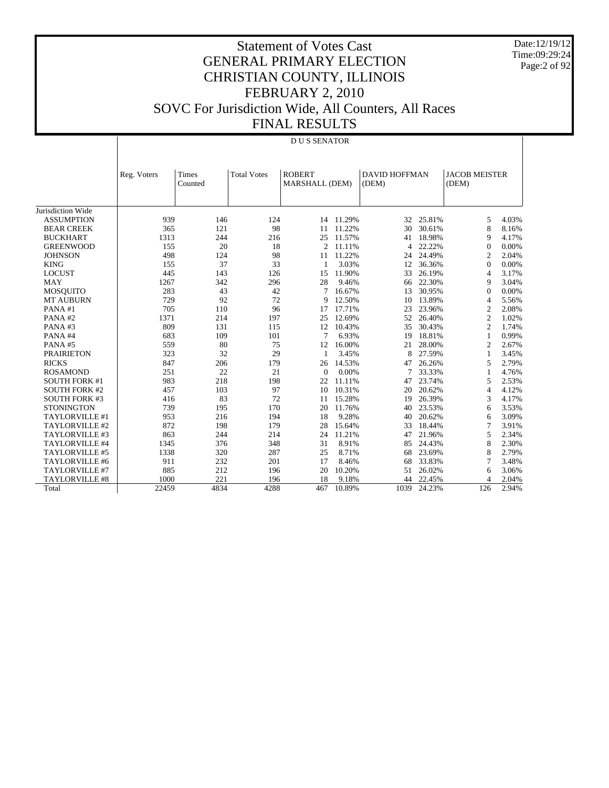Date:12/19/12 Time:09:29:24 Page:2 of 92

|                       |             | <b>DUS SENATOR</b>                     |      |                                 |        |                               |        |                               |       |  |  |  |
|-----------------------|-------------|----------------------------------------|------|---------------------------------|--------|-------------------------------|--------|-------------------------------|-------|--|--|--|
|                       | Reg. Voters | Times<br><b>Total Votes</b><br>Counted |      | <b>ROBERT</b><br>MARSHALL (DEM) |        | <b>DAVID HOFFMAN</b><br>(DEM) |        | <b>JACOB MEISTER</b><br>(DEM) |       |  |  |  |
| Jurisdiction Wide     |             |                                        |      |                                 |        |                               |        |                               |       |  |  |  |
| <b>ASSUMPTION</b>     | 939         | 146                                    | 124  | 14                              | 11.29% | 32                            | 25.81% | 5                             | 4.03% |  |  |  |
| <b>BEAR CREEK</b>     | 365         | 121                                    | 98   | 11                              | 11.22% | 30                            | 30.61% | 8                             | 8.16% |  |  |  |
| <b>BUCKHART</b>       | 1313        | 244                                    | 216  | 25                              | 11.57% | 41                            | 18.98% | 9                             | 4.17% |  |  |  |
| <b>GREENWOOD</b>      | 155         | 20                                     | 18   | $\overline{c}$                  | 11.11% | 4                             | 22.22% | $\mathbf{0}$                  | 0.00% |  |  |  |
| <b>JOHNSON</b>        | 498         | 124                                    | 98   | 11                              | 11.22% | 24                            | 24.49% | 2                             | 2.04% |  |  |  |
| <b>KING</b>           | 155         | 37                                     | 33   | 1                               | 3.03%  | 12                            | 36.36% | $\Omega$                      | 0.00% |  |  |  |
| <b>LOCUST</b>         | 445         | 143                                    | 126  | 15                              | 11.90% | 33                            | 26.19% | 4                             | 3.17% |  |  |  |
| <b>MAY</b>            | 1267        | 342                                    | 296  | 28                              | 9.46%  | 66                            | 22.30% | 9                             | 3.04% |  |  |  |
| <b>MOSQUITO</b>       | 283         | 43                                     | 42   | 7                               | 16.67% | 13                            | 30.95% | $\Omega$                      | 0.00% |  |  |  |
| <b>MT AUBURN</b>      | 729         | 92                                     | 72   | 9                               | 12.50% | 10                            | 13.89% | 4                             | 5.56% |  |  |  |
| PANA#1                | 705         | 110                                    | 96   | 17                              | 17.71% | 23                            | 23.96% | $\overline{c}$                | 2.08% |  |  |  |
| PANA#2                | 1371        | 214                                    | 197  | 25                              | 12.69% | 52                            | 26.40% | $\mathfrak{2}$                | 1.02% |  |  |  |
| PANA#3                | 809         | 131                                    | 115  | 12                              | 10.43% | 35                            | 30.43% | $\overline{c}$                | 1.74% |  |  |  |
| PANA#4                | 683         | 109                                    | 101  | $\tau$                          | 6.93%  | 19                            | 18.81% | 1                             | 0.99% |  |  |  |
| PANA#5                | 559         | 80                                     | 75   | 12                              | 16.00% | 21                            | 28.00% | 2                             | 2.67% |  |  |  |
| <b>PRAIRIETON</b>     | 323         | 32                                     | 29   | 1                               | 3.45%  | 8                             | 27.59% | 1                             | 3.45% |  |  |  |
| <b>RICKS</b>          | 847         | 206                                    | 179  | 26                              | 14.53% | 47                            | 26.26% | 5                             | 2.79% |  |  |  |
| <b>ROSAMOND</b>       | 251         | 22                                     | 21   | $\Omega$                        | 0.00%  | 7                             | 33.33% |                               | 4.76% |  |  |  |
| <b>SOUTH FORK #1</b>  | 983         | 218                                    | 198  | 22                              | 11.11% | 47                            | 23.74% | 5                             | 2.53% |  |  |  |
| <b>SOUTH FORK #2</b>  | 457         | 103                                    | 97   | 10                              | 10.31% | 20                            | 20.62% | 4                             | 4.12% |  |  |  |
| <b>SOUTH FORK #3</b>  | 416         | 83                                     | 72   | 11                              | 15.28% | 19                            | 26.39% | 3                             | 4.17% |  |  |  |
| <b>STONINGTON</b>     | 739         | 195                                    | 170  | 20                              | 11.76% | 40                            | 23.53% | 6                             | 3.53% |  |  |  |
| TAYLORVILLE #1        | 953         | 216                                    | 194  | 18                              | 9.28%  | 40                            | 20.62% | 6                             | 3.09% |  |  |  |
| TAYLORVILLE #2        | 872         | 198                                    | 179  | 28                              | 15.64% | 33                            | 18.44% | 7                             | 3.91% |  |  |  |
| TAYLORVILLE #3        | 863         | 244                                    | 214  | 24                              | 11.21% | 47                            | 21.96% | 5                             | 2.34% |  |  |  |
| TAYLORVILLE #4        | 1345        | 376                                    | 348  | 31                              | 8.91%  | 85                            | 24.43% | 8                             | 2.30% |  |  |  |
| TAYLORVILLE #5        | 1338        | 320                                    | 287  | 25                              | 8.71%  | 68                            | 23.69% | 8                             | 2.79% |  |  |  |
| TAYLORVILLE #6        | 911         | 232                                    | 201  | 17                              | 8.46%  | 68                            | 33.83% | 7                             | 3.48% |  |  |  |
| TAYLORVILLE #7        | 885         | 212                                    | 196  | 20                              | 10.20% | 51                            | 26.02% | 6                             | 3.06% |  |  |  |
| <b>TAYLORVILLE #8</b> | 1000        | 221                                    | 196  | 18                              | 9.18%  | 44                            | 22.45% | 4                             | 2.04% |  |  |  |
| Total                 | 22459       | 4834                                   | 4288 | 467                             | 10.89% | 1039                          | 24.23% | 126                           | 2.94% |  |  |  |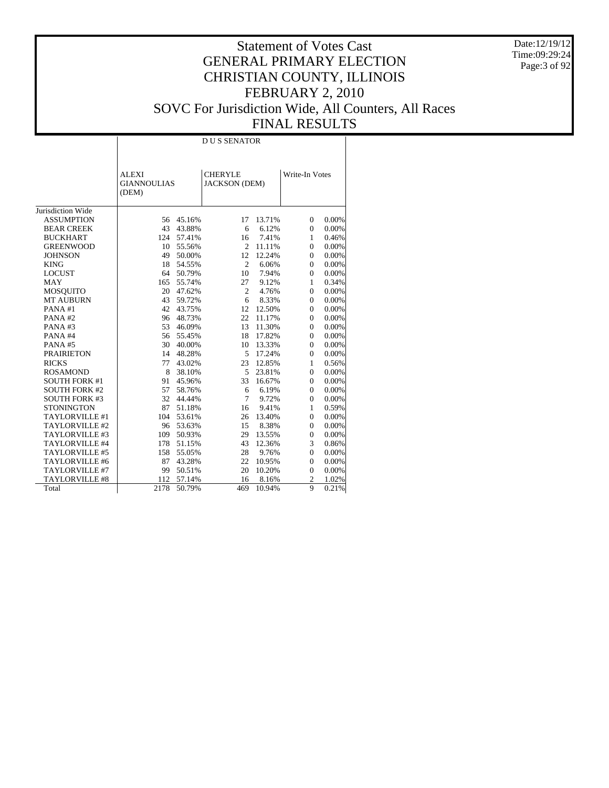Date:12/19/12 Time:09:29:24 Page:3 of 92

# Statement of Votes Cast GENERAL PRIMARY ELECTION CHRISTIAN COUNTY, ILLINOIS FEBRUARY 2, 2010 SOVC For Jurisdiction Wide, All Counters, All Races FINAL RESULTS

 $\mathbb{R}$ 

|                      | <b>ALEXI</b><br><b>GIANNOULIAS</b><br>(DEM) |        | <b>CHERYLE</b><br><b>JACKSON</b> (DEM) |        | Write-In Votes |          |  |
|----------------------|---------------------------------------------|--------|----------------------------------------|--------|----------------|----------|--|
| Jurisdiction Wide    |                                             |        |                                        |        |                |          |  |
| <b>ASSUMPTION</b>    | 56                                          | 45.16% | 17                                     | 13.71% | $\Omega$       | 0.00%    |  |
| <b>BEAR CREEK</b>    | 43                                          | 43.88% | 6                                      | 6.12%  | $\Omega$       | 0.00%    |  |
| <b>BUCKHART</b>      | 124                                         | 57.41% | 16                                     | 7.41%  | 1              | 0.46%    |  |
| <b>GREENWOOD</b>     | 10                                          | 55.56% | 2                                      | 11.11% | $\theta$       | $0.00\%$ |  |
| <b>JOHNSON</b>       | 49                                          | 50.00% | 12                                     | 12.24% | $\Omega$       | 0.00%    |  |
| <b>KING</b>          | 18                                          | 54.55% | $\overline{c}$                         | 6.06%  | $\theta$       | 0.00%    |  |
| <b>LOCUST</b>        | 64                                          | 50.79% | 10                                     | 7.94%  | $\theta$       | 0.00%    |  |
| <b>MAY</b>           | 165                                         | 55.74% | 27                                     | 9.12%  | $\mathbf{1}$   | 0.34%    |  |
| <b>MOSQUITO</b>      | 20                                          | 47.62% | $\overline{c}$                         | 4.76%  | $\mathbf{0}$   | 0.00%    |  |
| <b>MT AUBURN</b>     | 43                                          | 59.72% | 6                                      | 8.33%  | $\mathbf{0}$   | 0.00%    |  |
| PANA#1               | 42                                          | 43.75% | 12                                     | 12.50% | $\mathbf{0}$   | 0.00%    |  |
| PANA#2               | 96                                          | 48.73% | 22                                     | 11.17% | $\overline{0}$ | 0.00%    |  |
| PANA#3               | 53                                          | 46.09% | 13                                     | 11.30% | $\overline{0}$ | 0.00%    |  |
| PANA#4               | 56                                          | 55.45% | 18                                     | 17.82% | $\overline{0}$ | 0.00%    |  |
| PANA#5               | 30                                          | 40.00% | 10                                     | 13.33% | $\overline{0}$ | 0.00%    |  |
| <b>PRAIRIETON</b>    | 14                                          | 48.28% | 5                                      | 17.24% | $\overline{0}$ | 0.00%    |  |
| <b>RICKS</b>         | 77                                          | 43.02% | 23                                     | 12.85% | $\mathbf{1}$   | 0.56%    |  |
| <b>ROSAMOND</b>      | 8                                           | 38.10% | 5                                      | 23.81% | $\overline{0}$ | 0.00%    |  |
| <b>SOUTH FORK #1</b> | 91                                          | 45.96% | 33                                     | 16.67% | $\overline{0}$ | 0.00%    |  |
| <b>SOUTH FORK #2</b> | 57                                          | 58.76% | 6                                      | 6.19%  | $\overline{0}$ | 0.00%    |  |
| <b>SOUTH FORK #3</b> | 32                                          | 44.44% | $\tau$                                 | 9.72%  | $\overline{0}$ | 0.00%    |  |
| <b>STONINGTON</b>    | 87                                          | 51.18% | 16                                     | 9.41%  | $\mathbf{1}$   | 0.59%    |  |
| TAYLORVILLE #1       | 104                                         | 53.61% | 26                                     | 13.40% | $\overline{0}$ | 0.00%    |  |
| TAYLORVILLE #2       | 96                                          | 53.63% | 15                                     | 8.38%  | $\overline{0}$ | 0.00%    |  |
| TAYLORVILLE #3       | 109                                         | 50.93% | 29                                     | 13.55% | $\overline{0}$ | 0.00%    |  |
| TAYLORVILLE #4       | 178                                         | 51.15% | 43                                     | 12.36% | 3              | 0.86%    |  |
| TAYLORVILLE #5       | 158                                         | 55.05% | 28                                     | 9.76%  | $\overline{0}$ | 0.00%    |  |
| TAYLORVILLE #6       | 87                                          | 43.28% | 22                                     | 10.95% | $\mathbf{0}$   | 0.00%    |  |
| TAYLORVILLE #7       | 99                                          | 50.51% | 20                                     | 10.20% | $\mathbf{0}$   | 0.00%    |  |
| TAYLORVILLE #8       | 112                                         | 57.14% | 16                                     | 8.16%  | $\overline{c}$ | 1.02%    |  |
| Total                | 2178                                        | 50.79% | 469                                    | 10.94% | 9              | 0.21%    |  |

 $\overline{\phantom{a}}$ 

D U S SENATOR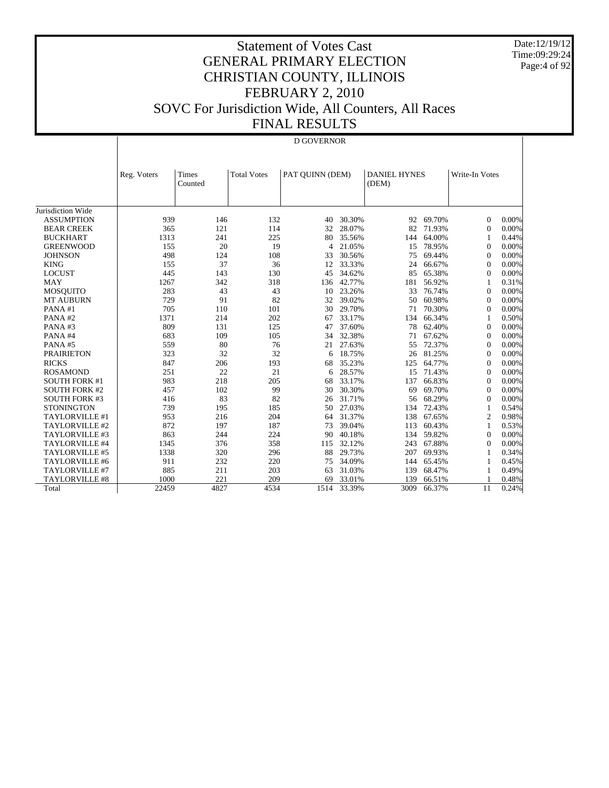Date:12/19/12 Time:09:29:24 Page:4 of 92

# Statement of Votes Cast GENERAL PRIMARY ELECTION CHRISTIAN COUNTY, ILLINOIS FEBRUARY 2, 2010 SOVC For Jurisdiction Wide, All Counters, All Races FINAL RESULTS

# D GOVERNOR

|                       | Reg. Voters | Times<br>Counted | <b>Total Votes</b> | PAT OUINN (DEM) |        | <b>DANIEL HYNES</b><br>(DEM) |        | Write-In Votes |       |
|-----------------------|-------------|------------------|--------------------|-----------------|--------|------------------------------|--------|----------------|-------|
|                       |             |                  |                    |                 |        |                              |        |                |       |
| Jurisdiction Wide     |             |                  |                    |                 |        |                              |        |                |       |
| <b>ASSUMPTION</b>     | 939         | 146              | 132                | 40              | 30.30% | 92                           | 69.70% | $\Omega$       | 0.00% |
| <b>BEAR CREEK</b>     | 365         | 121              | 114                | 32              | 28.07% | 82                           | 71.93% | $\Omega$       | 0.00% |
| <b>BUCKHART</b>       | 1313        | 241              | 225                | 80              | 35.56% | 144                          | 64.00% | -1             | 0.44% |
| <b>GREENWOOD</b>      | 155         | 20               | 19                 | $\overline{4}$  | 21.05% | 15                           | 78.95% | $\Omega$       | 0.00% |
| <b>JOHNSON</b>        | 498         | 124              | 108                | 33              | 30.56% | 75                           | 69.44% | $\theta$       | 0.00% |
| <b>KING</b>           | 155         | 37               | 36                 | 12              | 33.33% | 24                           | 66.67% | $\Omega$       | 0.00% |
| <b>LOCUST</b>         | 445         | 143              | 130                | 45              | 34.62% | 85                           | 65.38% | $\Omega$       | 0.00% |
| <b>MAY</b>            | 1267        | 342              | 318                | 136             | 42.77% | 181                          | 56.92% | 1              | 0.31% |
| <b>MOSQUITO</b>       | 283         | 43               | 43                 | 10              | 23.26% | 33                           | 76.74% | $\Omega$       | 0.00% |
| <b>MT AUBURN</b>      | 729         | 91               | 82                 | 32              | 39.02% | 50                           | 60.98% | $\theta$       | 0.00% |
| PANA#1                | 705         | 110              | 101                | 30              | 29.70% | 71                           | 70.30% | $\Omega$       | 0.00% |
| PANA#2                | 1371        | 214              | 202                | 67              | 33.17% | 134                          | 66.34% | 1              | 0.50% |
| PANA#3                | 809         | 131              | 125                | 47              | 37.60% | 78                           | 62.40% | $\Omega$       | 0.00% |
| PANA#4                | 683         | 109              | 105                | 34              | 32.38% | 71                           | 67.62% | $\theta$       | 0.00% |
| PANA#5                | 559         | 80               | 76                 | 21              | 27.63% | 55                           | 72.37% | $\theta$       | 0.00% |
| <b>PRAIRIETON</b>     | 323         | 32               | 32                 | 6               | 18.75% | 26                           | 81.25% | $\theta$       | 0.00% |
| <b>RICKS</b>          | 847         | 206              | 193                | 68              | 35.23% | 125                          | 64.77% | $\theta$       | 0.00% |
| <b>ROSAMOND</b>       | 251         | 22               | 21                 | 6               | 28.57% | 15                           | 71.43% | $\Omega$       | 0.00% |
| <b>SOUTH FORK #1</b>  | 983         | 218              | 205                | 68              | 33.17% | 137                          | 66.83% | $\theta$       | 0.00% |
| <b>SOUTH FORK #2</b>  | 457         | 102              | 99                 | 30              | 30.30% | 69                           | 69.70% | $\Omega$       | 0.00% |
| <b>SOUTH FORK #3</b>  | 416         | 83               | 82                 | 26              | 31.71% | 56                           | 68.29% | $\theta$       | 0.00% |
| <b>STONINGTON</b>     | 739         | 195              | 185                | 50              | 27.03% | 134                          | 72.43% | 1              | 0.54% |
| TAYLORVILLE #1        | 953         | 216              | 204                | 64              | 31.37% | 138                          | 67.65% | $\overline{2}$ | 0.98% |
| TAYLORVILLE #2        | 872         | 197              | 187                | 73              | 39.04% | 113                          | 60.43% | 1              | 0.53% |
| TAYLORVILLE #3        | 863         | 244              | 224                | 90              | 40.18% | 134                          | 59.82% | $\theta$       | 0.00% |
| TAYLORVILLE #4        | 1345        | 376              | 358                | 115             | 32.12% | 243                          | 67.88% | $\theta$       | 0.00% |
| TAYLORVILLE #5        | 1338        | 320              | 296                | 88              | 29.73% | 207                          | 69.93% | 1              | 0.34% |
| <b>TAYLORVILLE #6</b> | 911         | 232              | 220                | 75              | 34.09% | 144                          | 65.45% | 1              | 0.45% |
| TAYLORVILLE #7        | 885         | 211              | 203                | 63              | 31.03% | 139                          | 68.47% | 1              | 0.49% |
| <b>TAYLORVILLE #8</b> | 1000        | 221              | 209                | 69              | 33.01% | 139                          | 66.51% |                | 0.48% |
| Total                 | 22459       | 4827             | 4534               | 1514            | 33.39% | 3009                         | 66.37% | 11             | 0.24% |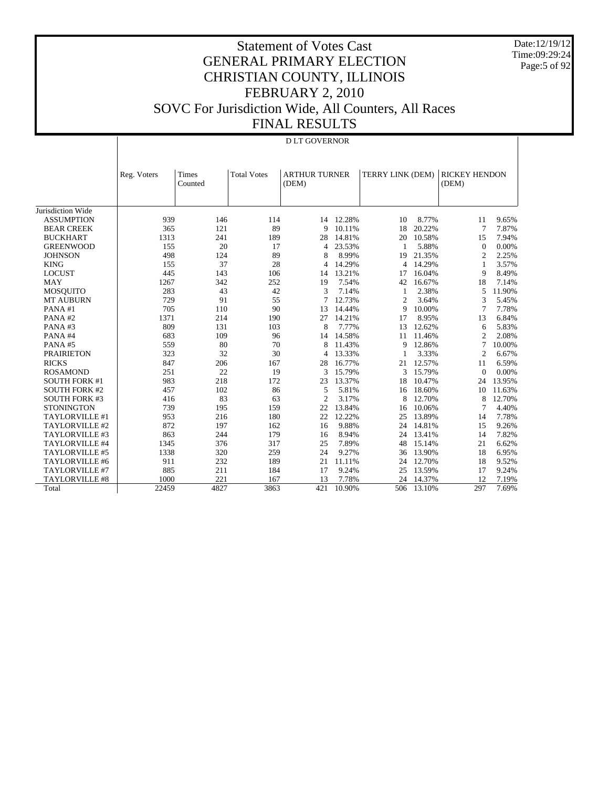Date:12/19/12 Time:09:29:24 Page:5 of 92

|                      |                                 |      |                    | <b>DLT GOVERNOR</b>           |           |                  |        |                               |        |
|----------------------|---------------------------------|------|--------------------|-------------------------------|-----------|------------------|--------|-------------------------------|--------|
|                      | Times<br>Reg. Voters<br>Counted |      | <b>Total Votes</b> | <b>ARTHUR TURNER</b><br>(DEM) |           | TERRY LINK (DEM) |        | <b>RICKEY HENDON</b><br>(DEM) |        |
| Jurisdiction Wide    |                                 |      |                    |                               |           |                  |        |                               |        |
| <b>ASSUMPTION</b>    | 939                             | 146  | 114                |                               | 14 12.28% | 10               | 8.77%  | 11                            | 9.65%  |
| <b>BEAR CREEK</b>    | 365                             | 121  | 89                 | 9                             | 10.11%    | 18               | 20.22% | $\overline{7}$                | 7.87%  |
| <b>BUCKHART</b>      | 1313                            | 241  | 189                | 28                            | 14.81%    | 20               | 10.58% | 15                            | 7.94%  |
| <b>GREENWOOD</b>     | 155                             | 20   | 17                 | 4                             | 23.53%    | 1                | 5.88%  | $\mathbf{0}$                  | 0.00%  |
| <b>JOHNSON</b>       | 498                             | 124  | 89                 | 8                             | 8.99%     | 19               | 21.35% | 2                             | 2.25%  |
| <b>KING</b>          | 155                             | 37   | 28                 | $\overline{4}$                | 14.29%    | 4                | 14.29% | 1                             | 3.57%  |
| <b>LOCUST</b>        | 445                             | 143  | 106                | 14                            | 13.21%    | 17               | 16.04% | 9                             | 8.49%  |
| <b>MAY</b>           | 1267                            | 342  | 252                | 19                            | 7.54%     | 42               | 16.67% | 18                            | 7.14%  |
| <b>MOSQUITO</b>      | 283                             | 43   | 42                 | 3                             | 7.14%     | 1                | 2.38%  | 5                             | 11.90% |
| <b>MT AUBURN</b>     | 729                             | 91   | 55                 | 7                             | 12.73%    | 2                | 3.64%  | 3                             | 5.45%  |
| PANA#1               | 705                             | 110  | 90                 | 13                            | 14.44%    | 9                | 10.00% | 7                             | 7.78%  |
| PANA#2               | 1371                            | 214  | 190                | 27                            | 14.21%    | 17               | 8.95%  | 13                            | 6.84%  |
| PANA#3               | 809                             | 131  | 103                | 8                             | 7.77%     | 13               | 12.62% | 6                             | 5.83%  |
| PANA#4               | 683                             | 109  | 96                 | 14                            | 14.58%    | 11               | 11.46% | $\overline{2}$                | 2.08%  |
| PANA#5               | 559                             | 80   | 70                 | 8                             | 11.43%    | 9                | 12.86% | 7                             | 10.00% |
| <b>PRAIRIETON</b>    | 323                             | 32   | 30                 | $\overline{4}$                | 13.33%    | 1                | 3.33%  | $\overline{c}$                | 6.67%  |
| <b>RICKS</b>         | 847                             | 206  | 167                | 28                            | 16.77%    | 21               | 12.57% | 11                            | 6.59%  |
| <b>ROSAMOND</b>      | 251                             | 22   | 19                 | 3                             | 15.79%    | 3                | 15.79% | $\Omega$                      | 0.00%  |
| <b>SOUTH FORK #1</b> | 983                             | 218  | 172                | 23                            | 13.37%    | 18               | 10.47% | 24                            | 13.95% |
| <b>SOUTH FORK #2</b> | 457                             | 102  | 86                 | 5                             | 5.81%     | 16               | 18.60% | 10                            | 11.63% |
| <b>SOUTH FORK #3</b> | 416                             | 83   | 63                 | $\overline{2}$                | 3.17%     | 8                | 12.70% | 8                             | 12.70% |
| <b>STONINGTON</b>    | 739                             | 195  | 159                | 22                            | 13.84%    | 16               | 10.06% | 7                             | 4.40%  |
| TAYLORVILLE #1       | 953                             | 216  | 180                | 22                            | 12.22%    | 25               | 13.89% | 14                            | 7.78%  |
| TAYLORVILLE #2       | 872                             | 197  | 162                | 16                            | 9.88%     | 24               | 14.81% | 15                            | 9.26%  |
| TAYLORVILLE #3       | 863                             | 244  | 179                | 16                            | 8.94%     | 24               | 13.41% | 14                            | 7.82%  |
| TAYLORVILLE #4       | 1345                            | 376  | 317                | 25                            | 7.89%     | 48               | 15.14% | 21                            | 6.62%  |
| TAYLORVILLE #5       | 1338                            | 320  | 259                | 24                            | 9.27%     | 36               | 13.90% | 18                            | 6.95%  |
| TAYLORVILLE #6       | 911                             | 232  | 189                | 21                            | 11.11%    | 24               | 12.70% | 18                            | 9.52%  |
| TAYLORVILLE #7       | 885                             | 211  | 184                | 17                            | 9.24%     | 25               | 13.59% | 17                            | 9.24%  |
| TAYLORVILLE #8       | 1000                            | 221  | 167                | 13                            | 7.78%     | 24               | 14.37% | 12                            | 7.19%  |
| Total                | 22459                           | 4827 | 3863               | 421                           | 10.90%    | 506              | 13.10% | 297                           | 7.69%  |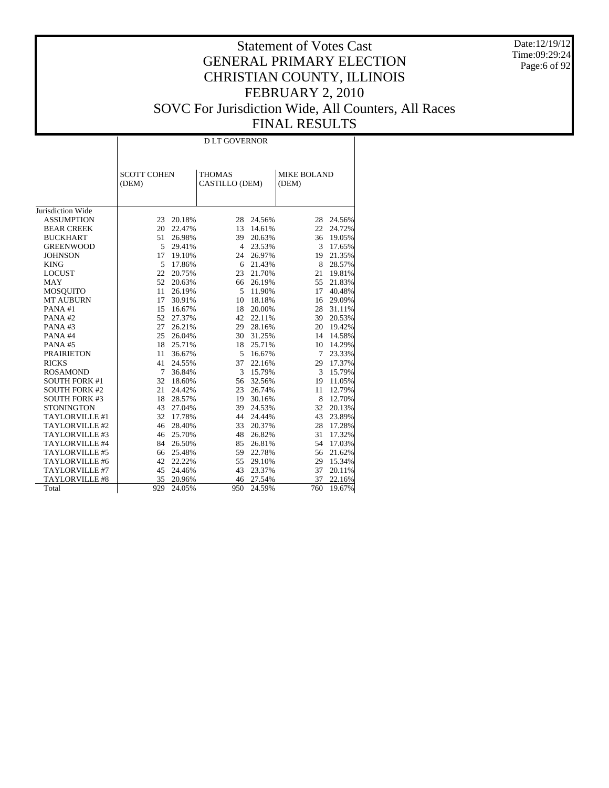Date:12/19/12 Time:09:29:24 Page:6 of 92

|                      |                             | <b>DLT GOVERNOR</b> |                                 |        |                             |        |  |  |  |  |  |
|----------------------|-----------------------------|---------------------|---------------------------------|--------|-----------------------------|--------|--|--|--|--|--|
|                      |                             |                     |                                 |        |                             |        |  |  |  |  |  |
|                      | <b>SCOTT COHEN</b><br>(DEM) |                     | <b>THOMAS</b><br>CASTILLO (DEM) |        | <b>MIKE BOLAND</b><br>(DEM) |        |  |  |  |  |  |
| Jurisdiction Wide    |                             |                     |                                 |        |                             |        |  |  |  |  |  |
| <b>ASSUMPTION</b>    | 23                          | 20.18%              | 28                              | 24.56% | 28                          | 24.56% |  |  |  |  |  |
| <b>BEAR CREEK</b>    | 20                          | 22.47%              | 13                              | 14.61% | 22                          | 24.72% |  |  |  |  |  |
| <b>BUCKHART</b>      | 51                          | 26.98%              | 39                              | 20.63% | 36                          | 19.05% |  |  |  |  |  |
| <b>GREENWOOD</b>     | 5                           | 29.41%              | $\overline{4}$                  | 23.53% | 3                           | 17.65% |  |  |  |  |  |
| <b>JOHNSON</b>       | 17                          | 19.10%              | 24                              | 26.97% | 19                          | 21.35% |  |  |  |  |  |
| <b>KING</b>          | 5                           | 17.86%              | 6                               | 21.43% | 8                           | 28.57% |  |  |  |  |  |
| <b>LOCUST</b>        | 22                          | 20.75%              | 23                              | 21.70% | 21                          | 19.81% |  |  |  |  |  |
| <b>MAY</b>           | 52                          | 20.63%              | 66                              | 26.19% | 55                          | 21.83% |  |  |  |  |  |
| <b>MOSQUITO</b>      | 11                          | 26.19%              | 5                               | 11.90% | 17                          | 40.48% |  |  |  |  |  |
| <b>MT AUBURN</b>     | 17                          | 30.91%              | 10                              | 18.18% | 16                          | 29.09% |  |  |  |  |  |
| PANA#1               | 15                          | 16.67%              | 18                              | 20.00% | 28                          | 31.11% |  |  |  |  |  |
| PANA#2               | 52                          | 27.37%              | 42                              | 22.11% | 39                          | 20.53% |  |  |  |  |  |
| PANA#3               | 27                          | 26.21%              | 29                              | 28.16% | 20                          | 19.42% |  |  |  |  |  |
| PANA#4               | 25                          | 26.04%              | 30                              | 31.25% | 14                          | 14.58% |  |  |  |  |  |
| PANA#5               | 18                          | 25.71%              | 18                              | 25.71% | 10                          | 14.29% |  |  |  |  |  |
| <b>PRAIRIETON</b>    | 11                          | 36.67%              | 5                               | 16.67% | 7                           | 23.33% |  |  |  |  |  |
| <b>RICKS</b>         | 41                          | 24.55%              | 37                              | 22.16% | 29                          | 17.37% |  |  |  |  |  |
| <b>ROSAMOND</b>      | 7                           | 36.84%              | 3                               | 15.79% | 3                           | 15.79% |  |  |  |  |  |
| <b>SOUTH FORK #1</b> | 32                          | 18.60%              | 56                              | 32.56% | 19                          | 11.05% |  |  |  |  |  |
| <b>SOUTH FORK #2</b> | 21                          | 24.42%              | 23                              | 26.74% | 11                          | 12.79% |  |  |  |  |  |
| <b>SOUTH FORK #3</b> | 18                          | 28.57%              | 19                              | 30.16% | 8                           | 12.70% |  |  |  |  |  |
| <b>STONINGTON</b>    | 43                          | 27.04%              | 39                              | 24.53% | 32                          | 20.13% |  |  |  |  |  |
| TAYLORVILLE #1       | 32                          | 17.78%              | 44                              | 24.44% | 43                          | 23.89% |  |  |  |  |  |
| TAYLORVILLE #2       | 46                          | 28.40%              | 33                              | 20.37% | 28                          | 17.28% |  |  |  |  |  |
| TAYLORVILLE #3       | 46                          | 25.70%              | 48                              | 26.82% | 31                          | 17.32% |  |  |  |  |  |
| TAYLORVILLE #4       | 84                          | 26.50%              | 85                              | 26.81% | 54                          | 17.03% |  |  |  |  |  |
| TAYLORVILLE #5       | 66                          | 25.48%              | 59                              | 22.78% | 56                          | 21.62% |  |  |  |  |  |
| TAYLORVILLE #6       | 42                          | 22.22%              | 55                              | 29.10% | 29                          | 15.34% |  |  |  |  |  |
| TAYLORVILLE #7       | 45                          | 24.46%              | 43                              | 23.37% | 37                          | 20.11% |  |  |  |  |  |
| TAYLORVILLE #8       | 35                          | 20.96%              | 46                              | 27.54% | 37                          | 22.16% |  |  |  |  |  |
| Total                | 929                         | 24.05%              | 950                             | 24.59% | 760                         | 19.67% |  |  |  |  |  |
|                      |                             |                     |                                 |        |                             |        |  |  |  |  |  |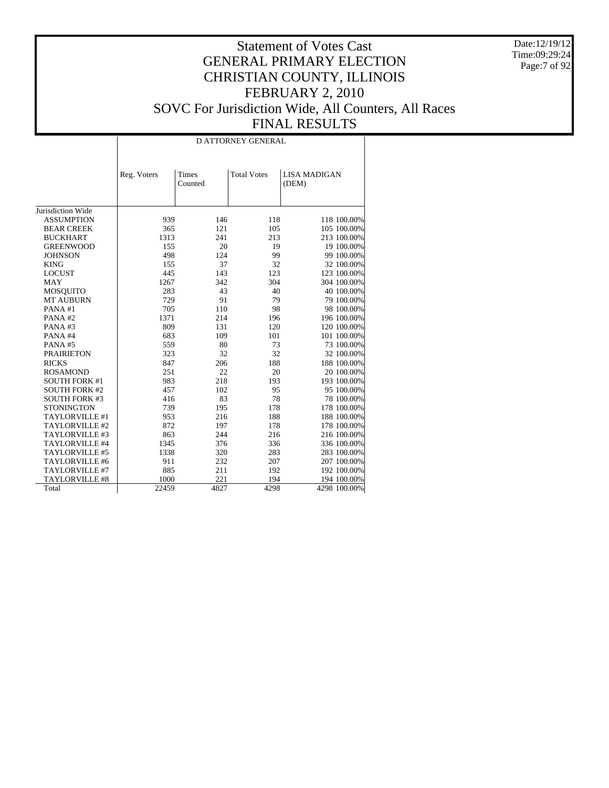Date:12/19/12 Time:09:29:24 Page:7 of 92

|                      |             | <b>D ATTORNEY GENERAL</b> |                    |                              |  |  |  |  |  |  |
|----------------------|-------------|---------------------------|--------------------|------------------------------|--|--|--|--|--|--|
|                      |             |                           |                    |                              |  |  |  |  |  |  |
|                      | Reg. Voters | Times<br>Counted          | <b>Total Votes</b> | <b>LISA MADIGAN</b><br>(DEM) |  |  |  |  |  |  |
|                      |             |                           |                    |                              |  |  |  |  |  |  |
|                      |             |                           |                    |                              |  |  |  |  |  |  |
| Jurisdiction Wide    |             |                           |                    |                              |  |  |  |  |  |  |
| <b>ASSUMPTION</b>    | 939         | 146                       | 118                | 118 100.00%                  |  |  |  |  |  |  |
| <b>BEAR CREEK</b>    | 365         | 121                       | 105                | 105 100.00%                  |  |  |  |  |  |  |
| <b>BUCKHART</b>      | 1313        | 241                       | 213                | 213 100.00%                  |  |  |  |  |  |  |
| <b>GREENWOOD</b>     | 155         | 20                        | 19                 | 19 100.00%                   |  |  |  |  |  |  |
| <b>JOHNSON</b>       | 498         | 124                       | 99                 | 99 100.00%                   |  |  |  |  |  |  |
| <b>KING</b>          | 155         | 37                        | 32                 | 32 100.00%                   |  |  |  |  |  |  |
| <b>LOCUST</b>        | 445         | 143                       | 123                | 123 100.00%                  |  |  |  |  |  |  |
| <b>MAY</b>           | 1267        | 342                       | 304                | 304 100.00%                  |  |  |  |  |  |  |
| <b>MOSQUITO</b>      | 283         | 43                        | 40                 | 40 100.00%                   |  |  |  |  |  |  |
| <b>MT AUBURN</b>     | 729         | 91                        | 79                 | 79 100.00%                   |  |  |  |  |  |  |
| PANA#1               | 705         | 110                       | 98                 | 98 100.00%                   |  |  |  |  |  |  |
| PANA#2               | 1371        | 214                       | 196                | 196 100.00%                  |  |  |  |  |  |  |
| PANA#3               | 809         | 131                       | 120                | 120 100.00%                  |  |  |  |  |  |  |
| PANA#4               | 683         | 109                       | 101                | 101 100.00%                  |  |  |  |  |  |  |
| PANA#5               | 559         | 80                        | 73                 | 73 100.00%                   |  |  |  |  |  |  |
| <b>PRAIRIETON</b>    | 323         | 32                        | 32                 | 32 100.00%                   |  |  |  |  |  |  |
| <b>RICKS</b>         | 847         | 206                       | 188                | 188 100.00%                  |  |  |  |  |  |  |
| <b>ROSAMOND</b>      | 251         | 22                        | 20                 | 20 100.00%                   |  |  |  |  |  |  |
| <b>SOUTH FORK #1</b> | 983         | 218                       | 193                | 193 100.00%                  |  |  |  |  |  |  |
| <b>SOUTH FORK #2</b> | 457         | 102                       | 95                 | 95 100.00%                   |  |  |  |  |  |  |
| <b>SOUTH FORK #3</b> | 416         | 83                        | 78                 | 78 100.00%                   |  |  |  |  |  |  |
| <b>STONINGTON</b>    | 739         | 195                       | 178                | 178 100.00%                  |  |  |  |  |  |  |
| TAYLORVILLE #1       | 953         | 216                       | 188                | 188 100.00%                  |  |  |  |  |  |  |
| TAYLORVILLE #2       | 872         | 197                       | 178                | 178 100.00%                  |  |  |  |  |  |  |
| TAYLORVILLE #3       | 863         | 244                       | 216                | 216 100.00%                  |  |  |  |  |  |  |
| TAYLORVILLE #4       | 1345        | 376                       | 336                | 336 100.00%                  |  |  |  |  |  |  |
| TAYLORVILLE #5       | 1338        | 320                       | 283                | 283 100.00%                  |  |  |  |  |  |  |
| TAYLORVILLE #6       | 911         | 232                       | 207                | 207 100.00%                  |  |  |  |  |  |  |
| TAYLORVILLE #7       | 885         | 211                       | 192                | 192 100.00%                  |  |  |  |  |  |  |
| TAYLORVILLE #8       | 1000        | 221                       | 194                | 194 100.00%                  |  |  |  |  |  |  |
| Total                | 22459       | 4827                      | 4298               | 4298 100.00%                 |  |  |  |  |  |  |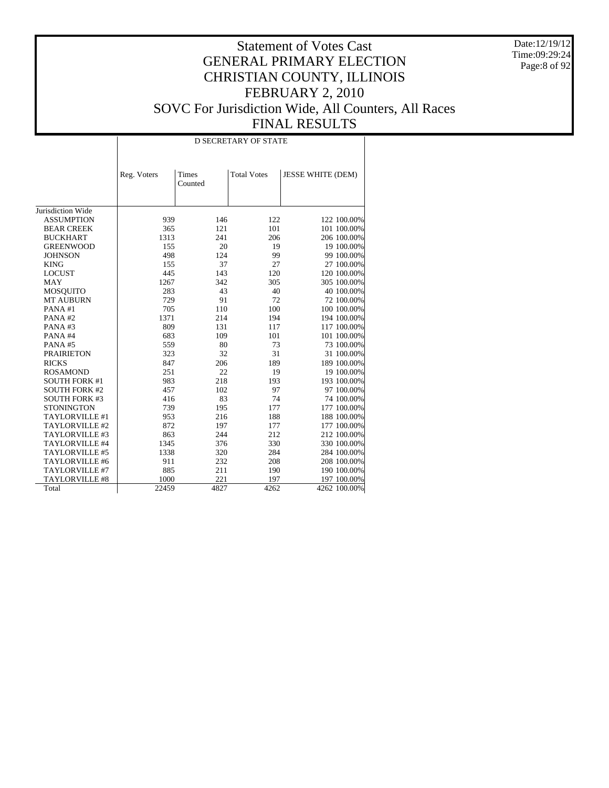Date:12/19/12 Time:09:29:24 Page:8 of 92

|                      |             |                  | <b>D SECRETARY OF STATE</b> |                          |
|----------------------|-------------|------------------|-----------------------------|--------------------------|
|                      | Reg. Voters | Times<br>Counted | <b>Total Votes</b>          | <b>JESSE WHITE (DEM)</b> |
| Jurisdiction Wide    |             |                  |                             |                          |
| <b>ASSUMPTION</b>    | 939         | 146              | 122                         | 122 100.00%              |
| <b>BEAR CREEK</b>    | 365         | 121              | 101                         | 101 100.00%              |
| <b>BUCKHART</b>      | 1313        | 241              | 206                         | 206 100.00%              |
| <b>GREENWOOD</b>     | 155         | 20               | 19                          | 19 100.00%               |
| <b>JOHNSON</b>       | 498         | 124              | 99                          | 99 100.00%               |
| <b>KING</b>          | 155         | 37               | 27                          | 27 100.00%               |
| <b>LOCUST</b>        | 445         | 143              | 120                         | 120 100.00%              |
| <b>MAY</b>           | 1267        | 342              | 305                         | 305 100.00%              |
| <b>MOSQUITO</b>      | 283         | 43               | 40                          | 40 100.00%               |
| <b>MT AUBURN</b>     | 729         | 91               | 72                          | 72 100.00%               |
| PANA#1               | 705         | 110              | 100                         | 100 100.00%              |
| PANA#2               | 1371        | 214              | 194                         | 194 100.00%              |
| PANA#3               | 809         | 131              | 117                         | 117 100.00%              |
| PANA#4               | 683         | 109              | 101                         | 101 100.00%              |
| PANA#5               | 559         | 80               | 73                          | 73 100.00%               |
| <b>PRAIRIETON</b>    | 323         | 32               | 31                          | 31 100.00%               |
| <b>RICKS</b>         | 847         | 206              | 189                         | 189 100.00%              |
| <b>ROSAMOND</b>      | 251         | 22               | 19                          | 19 100.00%               |
| <b>SOUTH FORK #1</b> | 983         | 218              | 193                         | 193 100.00%              |
| <b>SOUTH FORK #2</b> | 457         | 102              | 97                          | 97 100.00%               |
| <b>SOUTH FORK #3</b> | 416         | 83               | 74                          | 74 100.00%               |
| <b>STONINGTON</b>    | 739         | 195              | 177                         | 177 100.00%              |
| TAYLORVILLE #1       | 953         | 216              | 188                         | 188 100.00%              |
| TAYLORVILLE #2       | 872         | 197              | 177                         | 177 100.00%              |
| TAYLORVILLE #3       | 863         | 244              | 212                         | 212 100.00%              |
| TAYLORVILLE #4       | 1345        | 376              | 330                         | 330 100.00%              |
| TAYLORVILLE #5       | 1338        | 320              | 284                         | 284 100.00%              |
| TAYLORVILLE #6       | 911         | 232              | 208                         | 208 100.00%              |
| TAYLORVILLE #7       | 885         | 211              | 190                         | 190 100.00%              |
| TAYLORVILLE #8       | 1000        | 221              | 197                         | 197 100.00%              |
| Total                | 22459       | 4827             | 4262                        | 4262 100.00%             |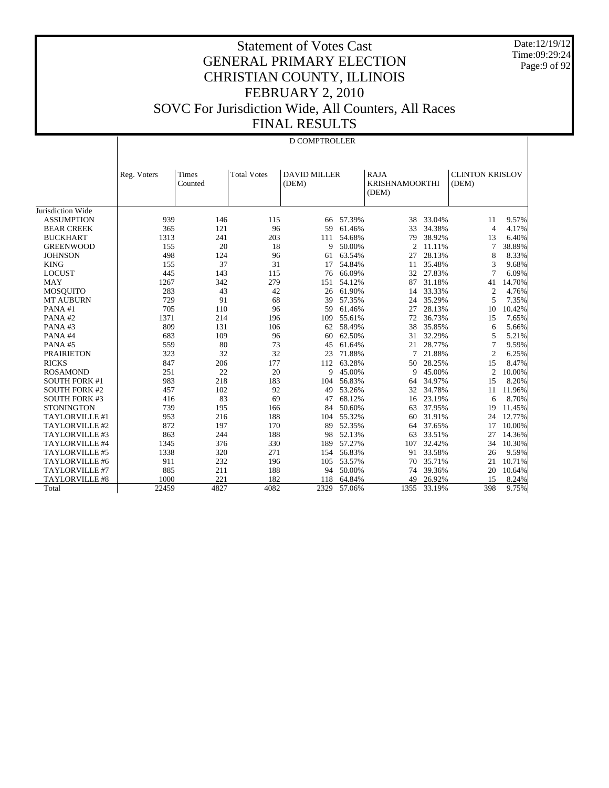Date:12/19/12 Time:09:29:24 Page:9 of 92

|                       |             | <b>D COMPTROLLER</b> |                    |                              |        |                                               |        |                                 |        |  |  |  |
|-----------------------|-------------|----------------------|--------------------|------------------------------|--------|-----------------------------------------------|--------|---------------------------------|--------|--|--|--|
|                       | Reg. Voters | Times<br>Counted     | <b>Total Votes</b> | <b>DAVID MILLER</b><br>(DEM) |        | <b>RAJA</b><br><b>KRISHNAMOORTHI</b><br>(DEM) |        | <b>CLINTON KRISLOV</b><br>(DEM) |        |  |  |  |
| Jurisdiction Wide     |             |                      |                    |                              |        |                                               |        |                                 |        |  |  |  |
| <b>ASSUMPTION</b>     | 939         | 146                  | 115                | 66                           | 57.39% | 38                                            | 33.04% | 11                              | 9.57%  |  |  |  |
| <b>BEAR CREEK</b>     | 365         | 121                  | 96                 | 59                           | 61.46% | 33                                            | 34.38% | $\overline{4}$                  | 4.17%  |  |  |  |
| <b>BUCKHART</b>       | 1313        | 241                  | 203                | 111                          | 54.68% | 79                                            | 38.92% | 13                              | 6.40%  |  |  |  |
| <b>GREENWOOD</b>      | 155         | 20                   | 18                 | 9                            | 50.00% | $\mathfrak{2}$                                | 11.11% | 7                               | 38.89% |  |  |  |
| <b>JOHNSON</b>        | 498         | 124                  | 96                 | 61                           | 63.54% | 27                                            | 28.13% | 8                               | 8.33%  |  |  |  |
| <b>KING</b>           | 155         | 37                   | 31                 | 17                           | 54.84% | 11                                            | 35.48% | 3                               | 9.68%  |  |  |  |
| <b>LOCUST</b>         | 445         | 143                  | 115                | 76                           | 66.09% | 32                                            | 27.83% | 7                               | 6.09%  |  |  |  |
| <b>MAY</b>            | 1267        | 342                  | 279                | 151                          | 54.12% | 87                                            | 31.18% | 41                              | 14.70% |  |  |  |
| <b>MOSQUITO</b>       | 283         | 43                   | 42                 | 26                           | 61.90% | 14                                            | 33.33% | 2                               | 4.76%  |  |  |  |
| <b>MT AUBURN</b>      | 729         | 91                   | 68                 | 39                           | 57.35% | 24                                            | 35.29% | 5                               | 7.35%  |  |  |  |
| PANA#1                | 705         | 110                  | 96                 | 59                           | 61.46% | 27                                            | 28.13% | 10                              | 10.42% |  |  |  |
| PANA#2                | 1371        | 214                  | 196                | 109                          | 55.61% | 72                                            | 36.73% | 15                              | 7.65%  |  |  |  |
| PANA#3                | 809         | 131                  | 106                | 62                           | 58.49% | 38                                            | 35.85% | 6                               | 5.66%  |  |  |  |
| PANA#4                | 683         | 109                  | 96                 | 60                           | 62.50% | 31                                            | 32.29% | 5                               | 5.21%  |  |  |  |
| PANA#5                | 559         | 80                   | 73                 | 45                           | 61.64% | 21                                            | 28.77% | 7                               | 9.59%  |  |  |  |
| <b>PRAIRIETON</b>     | 323         | 32                   | 32                 | 23                           | 71.88% | 7                                             | 21.88% | $\mathfrak{2}$                  | 6.25%  |  |  |  |
| <b>RICKS</b>          | 847         | 206                  | 177                | 112                          | 63.28% | 50                                            | 28.25% | 15                              | 8.47%  |  |  |  |
| <b>ROSAMOND</b>       | 251         | 22                   | 20                 | 9                            | 45.00% | 9                                             | 45.00% | 2                               | 10.00% |  |  |  |
| <b>SOUTH FORK #1</b>  | 983         | 218                  | 183                | 104                          | 56.83% | 64                                            | 34.97% | 15                              | 8.20%  |  |  |  |
| <b>SOUTH FORK #2</b>  | 457         | 102                  | 92                 | 49                           | 53.26% | 32                                            | 34.78% | 11                              | 11.96% |  |  |  |
| <b>SOUTH FORK #3</b>  | 416         | 83                   | 69                 | 47                           | 68.12% | 16                                            | 23.19% | 6                               | 8.70%  |  |  |  |
| <b>STONINGTON</b>     | 739         | 195                  | 166                | 84                           | 50.60% | 63                                            | 37.95% | 19                              | 11.45% |  |  |  |
| TAYLORVILLE #1        | 953         | 216                  | 188                | 104                          | 55.32% | 60                                            | 31.91% | 24                              | 12.77% |  |  |  |
| TAYLORVILLE #2        | 872         | 197                  | 170                | 89                           | 52.35% | 64                                            | 37.65% | 17                              | 10.00% |  |  |  |
| TAYLORVILLE #3        | 863         | 244                  | 188                | 98                           | 52.13% | 63                                            | 33.51% | 27                              | 14.36% |  |  |  |
| TAYLORVILLE #4        | 1345        | 376                  | 330                | 189                          | 57.27% | 107                                           | 32.42% | 34                              | 10.30% |  |  |  |
| TAYLORVILLE #5        | 1338        | 320                  | 271                | 154                          | 56.83% | 91                                            | 33.58% | 26                              | 9.59%  |  |  |  |
| TAYLORVILLE #6        | 911         | 232                  | 196                | 105                          | 53.57% | 70                                            | 35.71% | 21                              | 10.71% |  |  |  |
| TAYLORVILLE #7        | 885         | 211                  | 188                | 94                           | 50.00% | 74                                            | 39.36% | 20                              | 10.64% |  |  |  |
| <b>TAYLORVILLE #8</b> | 1000        | 221                  | 182                | 118                          | 64.84% | 49                                            | 26.92% | 15                              | 8.24%  |  |  |  |
| Total                 | 22459       | 4827                 | 4082               | 2329                         | 57.06% | 1355                                          | 33.19% | 398                             | 9.75%  |  |  |  |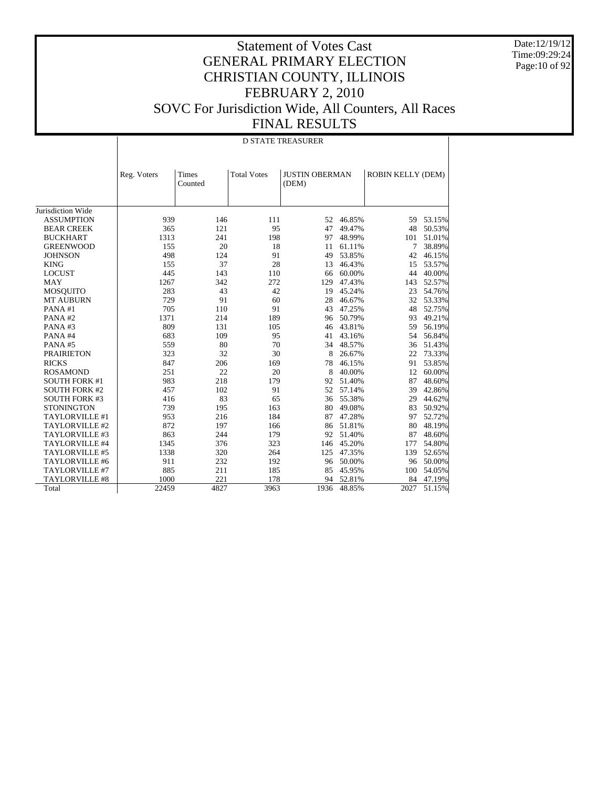Date:12/19/12 Time:09:29:24 Page:10 of 92

|                       |             |                  |                    | <b>D STATE TREASURER</b>       |        |                   |        |
|-----------------------|-------------|------------------|--------------------|--------------------------------|--------|-------------------|--------|
|                       | Reg. Voters | Times<br>Counted | <b>Total Votes</b> | <b>JUSTIN OBERMAN</b><br>(DEM) |        | ROBIN KELLY (DEM) |        |
| Jurisdiction Wide     |             |                  |                    |                                |        |                   |        |
| <b>ASSUMPTION</b>     | 939         | 146              | 111                | 52                             | 46.85% | 59                | 53.15% |
| <b>BEAR CREEK</b>     | 365         | 121              | 95                 | 47                             | 49.47% | 48                | 50.53% |
| <b>BUCKHART</b>       | 1313        | 241              | 198                | 97                             | 48.99% | 101               | 51.01% |
| <b>GREENWOOD</b>      | 155         | 20               | 18                 | 11                             | 61.11% | 7                 | 38.89% |
| <b>JOHNSON</b>        | 498         | 124              | 91                 | 49                             | 53.85% | 42                | 46.15% |
| <b>KING</b>           | 155         | 37               | 28                 | 13                             | 46.43% | 15                | 53.57% |
| <b>LOCUST</b>         | 445         | 143              | 110                | 66                             | 60.00% | 44                | 40.00% |
| <b>MAY</b>            | 1267        | 342              | 272                | 129                            | 47.43% | 143               | 52.57% |
| <b>MOSQUITO</b>       | 283         | 43               | 42                 | 19                             | 45.24% | 23                | 54.76% |
| <b>MT AUBURN</b>      | 729         | 91               | 60                 | 28                             | 46.67% | 32                | 53.33% |
| PANA#1                | 705         | 110              | 91                 | 43                             | 47.25% | 48                | 52.75% |
| PANA#2                | 1371        | 214              | 189                | 96                             | 50.79% | 93                | 49.21% |
| PANA#3                | 809         | 131              | 105                | 46                             | 43.81% | 59                | 56.19% |
| PANA#4                | 683         | 109              | 95                 | 41                             | 43.16% | 54                | 56.84% |
| PANA#5                | 559         | 80               | 70                 | 34                             | 48.57% | 36                | 51.43% |
| <b>PRAIRIETON</b>     | 323         | 32               | 30                 | 8                              | 26.67% | 22                | 73.33% |
| <b>RICKS</b>          | 847         | 206              | 169                | 78                             | 46.15% | 91                | 53.85% |
| <b>ROSAMOND</b>       | 251         | 22               | 20                 | 8                              | 40.00% | 12                | 60.00% |
| <b>SOUTH FORK #1</b>  | 983         | 218              | 179                | 92                             | 51.40% | 87                | 48.60% |
| <b>SOUTH FORK #2</b>  | 457         | 102              | 91                 | 52                             | 57.14% | 39                | 42.86% |
| <b>SOUTH FORK #3</b>  | 416         | 83               | 65                 | 36                             | 55.38% | 29                | 44.62% |
| <b>STONINGTON</b>     | 739         | 195              | 163                | 80                             | 49.08% | 83                | 50.92% |
| TAYLORVILLE #1        | 953         | 216              | 184                | 87                             | 47.28% | 97                | 52.72% |
| TAYLORVILLE #2        | 872         | 197              | 166                | 86                             | 51.81% | 80                | 48.19% |
| TAYLORVILLE #3        | 863         | 244              | 179                | 92                             | 51.40% | 87                | 48.60% |
| TAYLORVILLE #4        | 1345        | 376              | 323                | 146                            | 45.20% | 177               | 54.80% |
| TAYLORVILLE #5        | 1338        | 320              | 264                | 125                            | 47.35% | 139               | 52.65% |
| TAYLORVILLE #6        | 911         | 232              | 192                | 96                             | 50.00% | 96                | 50.00% |
| TAYLORVILLE #7        | 885         | 211              | 185                | 85                             | 45.95% | 100               | 54.05% |
| <b>TAYLORVILLE #8</b> | 1000        | 221              | 178                | 94                             | 52.81% | 84                | 47.19% |
| Total                 | 22459       | 4827             | 3963               | 1936                           | 48.85% | 2027              | 51.15% |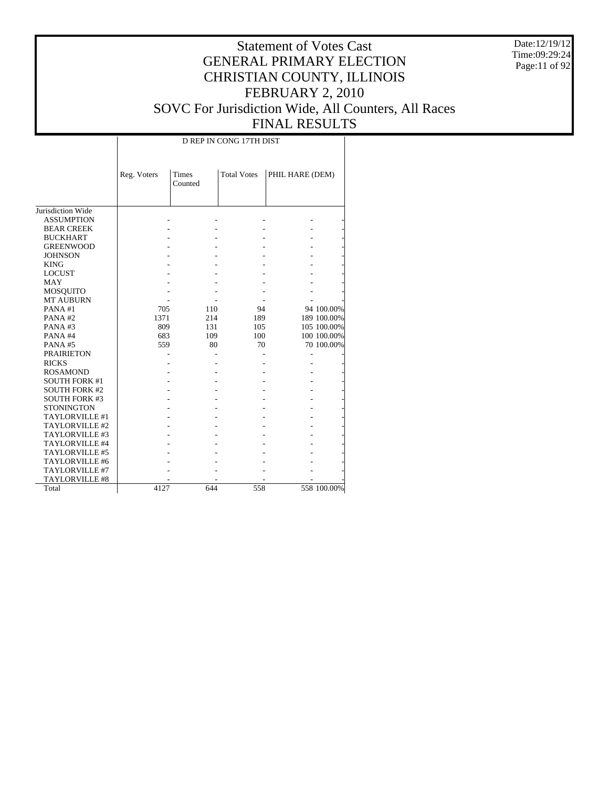Date:12/19/12 Time:09:29:24 Page:11 of 92

#### Statement of Votes Cast GENERAL PRIMARY ELECTION CHRISTIAN COUNTY, ILLINOIS FEBRUARY 2, 2010 SOVC For Jurisdiction Wide, All Counters, All Races FINAL RESULTS

Jurisdiction Wide ASSUMPTION BEAR CREEK BUCKHART GREENWOOD JOHNSON KING LOCUST MAY MOSQUITO MT AUBURN PANA #1 PANA #2 PANA #3 PANA #4 PANA #5 PRAIRIETON RICKS ROSAMOND SOUTH FORK #1 SOUTH FORK #2 SOUTH FORK #3 **STONINGTON**  TAYLORVILLE #1 TAYLORVILLE #2 TAYLORVILLE #3 TAYLORVILLE #4 TAYLORVILLE #5 TAYLORVILLE #6 TAYLORVILLE #7 TAYLORVILLE #8 Total Reg. Voters Times Counted Total Votes | PHIL HARE (DEM) D REP IN CONG 17TH DIST - - - - - - - - - - - - - - - - - - - - - - - - - - - - - - - - - - - - - - - - - - - - - - - - - - 705 110 94 94 100.00%<br>1371 214 189 189 100.00% 1371 214 189 189 100.00%<br>
809 131 105 105 100.00% 809 131 105 105 100.00%<br>683 109 100 100.000% 683 109 100 100 100.00% 70 100.00% - - - - - - - - - - - - - - - - - - - - - - - - - - - - - - - - - - - - - - - - - - - - - - - - - - - - - - - - - - - - - - - - - - - - - - - - - - - 4127 644 558 558 100.00%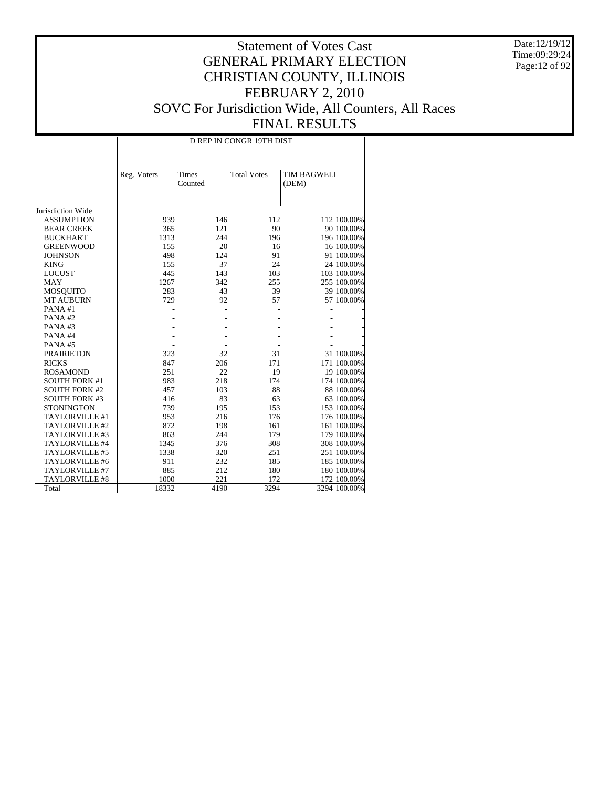Date:12/19/12 Time:09:29:24 Page:12 of 92

|                       |             | D REP IN CONGR 19TH DIST |                    |                      |  |  |  |  |  |  |
|-----------------------|-------------|--------------------------|--------------------|----------------------|--|--|--|--|--|--|
|                       | Reg. Voters | Times<br>Counted         | <b>Total Votes</b> | TIM BAGWELL<br>(DEM) |  |  |  |  |  |  |
|                       |             |                          |                    |                      |  |  |  |  |  |  |
| Jurisdiction Wide     |             |                          |                    |                      |  |  |  |  |  |  |
| <b>ASSUMPTION</b>     | 939         | 146                      | 112                | 112 100.00%          |  |  |  |  |  |  |
| <b>BEAR CREEK</b>     | 365         | 121                      | 90                 | 90 100.00%           |  |  |  |  |  |  |
| <b>BUCKHART</b>       | 1313        | 244                      | 196                | 196 100.00%          |  |  |  |  |  |  |
| <b>GREENWOOD</b>      | 155         | 20                       | 16                 | 16 100.00%           |  |  |  |  |  |  |
| <b>JOHNSON</b>        | 498         | 124                      | 91                 | 91 100.00%           |  |  |  |  |  |  |
| <b>KING</b>           | 155         | 37                       | 24                 | 24 100.00%           |  |  |  |  |  |  |
| <b>LOCUST</b>         | 445         | 143                      | 103                | 103 100.00%          |  |  |  |  |  |  |
| <b>MAY</b>            | 1267        | 342                      | 255                | 255 100.00%          |  |  |  |  |  |  |
| <b>MOSQUITO</b>       | 283         | 43                       | 39                 | 39 100.00%           |  |  |  |  |  |  |
| <b>MT AUBURN</b>      | 729         | 92                       | 57                 | 57 100.00%           |  |  |  |  |  |  |
| PANA#1                |             |                          |                    |                      |  |  |  |  |  |  |
| PANA#2                |             |                          |                    |                      |  |  |  |  |  |  |
| PANA#3                |             |                          |                    |                      |  |  |  |  |  |  |
| PANA#4                |             |                          |                    |                      |  |  |  |  |  |  |
| PANA#5                |             |                          |                    |                      |  |  |  |  |  |  |
| <b>PRAIRIETON</b>     | 323         | 32                       | 31                 | 31 100.00%           |  |  |  |  |  |  |
| <b>RICKS</b>          | 847         | 206                      | 171                | 171 100.00%          |  |  |  |  |  |  |
| <b>ROSAMOND</b>       | 251         | 22                       | 19                 | 19 100.00%           |  |  |  |  |  |  |
| <b>SOUTH FORK #1</b>  | 983         | 218                      | 174                | 174 100.00%          |  |  |  |  |  |  |
| <b>SOUTH FORK #2</b>  | 457         | 103                      | 88                 | 88 100.00%           |  |  |  |  |  |  |
| <b>SOUTH FORK #3</b>  | 416         | 83                       | 63                 | 63 100.00%           |  |  |  |  |  |  |
| <b>STONINGTON</b>     | 739         | 195                      | 153                | 153 100.00%          |  |  |  |  |  |  |
| TAYLORVILLE #1        | 953         | 216                      | 176                | 176 100.00%          |  |  |  |  |  |  |
| TAYLORVILLE #2        | 872         | 198                      | 161                | 161 100.00%          |  |  |  |  |  |  |
| TAYLORVILLE #3        | 863         | 244                      | 179                | 179 100.00%          |  |  |  |  |  |  |
| TAYLORVILLE #4        | 1345        | 376                      | 308                | 308 100.00%          |  |  |  |  |  |  |
| TAYLORVILLE #5        | 1338        | 320                      | 251                | 251 100.00%          |  |  |  |  |  |  |
| TAYLORVILLE #6        | 911         | 232                      | 185                | 185 100.00%          |  |  |  |  |  |  |
| TAYLORVILLE #7        | 885         | 212                      | 180                | 180 100.00%          |  |  |  |  |  |  |
| <b>TAYLORVILLE #8</b> | 1000        | 221                      | 172                | 172 100.00%          |  |  |  |  |  |  |
| Total                 | 18332       | 4190                     | 3294               | 3294 100.00%         |  |  |  |  |  |  |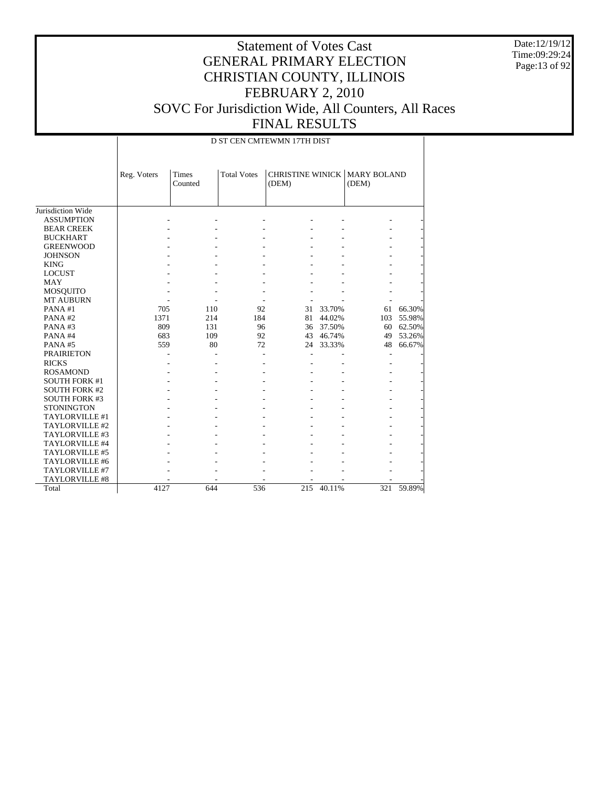Date:12/19/12 Time:09:29:24 Page:13 of 92

|                       |             | D ST CEN CMTEWMN 17TH DIST |                    |       |        |                                              |        |  |  |  |
|-----------------------|-------------|----------------------------|--------------------|-------|--------|----------------------------------------------|--------|--|--|--|
|                       | Reg. Voters | <b>Times</b><br>Counted    | <b>Total Votes</b> | (DEM) |        | <b>CHRISTINE WINICK MARY BOLAND</b><br>(DEM) |        |  |  |  |
| Jurisdiction Wide     |             |                            |                    |       |        |                                              |        |  |  |  |
| <b>ASSUMPTION</b>     |             |                            |                    |       |        |                                              |        |  |  |  |
| <b>BEAR CREEK</b>     |             |                            |                    |       |        |                                              |        |  |  |  |
| <b>BUCKHART</b>       |             |                            |                    |       |        |                                              |        |  |  |  |
| <b>GREENWOOD</b>      |             |                            |                    |       |        |                                              |        |  |  |  |
| <b>JOHNSON</b>        |             |                            |                    |       |        |                                              |        |  |  |  |
| <b>KING</b>           |             |                            |                    |       |        |                                              |        |  |  |  |
| <b>LOCUST</b>         |             |                            |                    |       |        |                                              |        |  |  |  |
| <b>MAY</b>            |             |                            |                    |       |        |                                              |        |  |  |  |
| <b>MOSQUITO</b>       |             |                            |                    |       |        |                                              |        |  |  |  |
| <b>MT AUBURN</b>      |             |                            |                    |       |        |                                              |        |  |  |  |
| PANA#1                | 705         | 110                        | 92                 | 31    | 33.70% | 61                                           | 66.30% |  |  |  |
| PANA#2                | 1371        | 214                        | 184                | 81    | 44.02% | 103                                          | 55.98% |  |  |  |
| PANA#3                | 809         | 131                        | 96                 | 36    | 37.50% | 60                                           | 62.50% |  |  |  |
| PANA#4                | 683         | 109                        | 92                 | 43    | 46.74% | 49                                           | 53.26% |  |  |  |
| PANA#5                | 559         | 80                         | 72                 | 24    | 33.33% | 48                                           | 66.67% |  |  |  |
| <b>PRAIRIETON</b>     |             |                            |                    |       |        | L,                                           |        |  |  |  |
| <b>RICKS</b>          |             |                            |                    |       |        |                                              |        |  |  |  |
| <b>ROSAMOND</b>       |             |                            |                    |       |        |                                              |        |  |  |  |
| <b>SOUTH FORK #1</b>  |             |                            |                    |       |        |                                              |        |  |  |  |
| <b>SOUTH FORK #2</b>  |             |                            |                    |       |        |                                              |        |  |  |  |
| <b>SOUTH FORK #3</b>  |             |                            |                    |       |        |                                              |        |  |  |  |
| <b>STONINGTON</b>     |             |                            |                    |       |        |                                              |        |  |  |  |
| TAYLORVILLE #1        |             |                            |                    |       |        |                                              |        |  |  |  |
| TAYLORVILLE #2        |             |                            |                    |       |        |                                              |        |  |  |  |
| TAYLORVILLE #3        |             |                            |                    |       |        |                                              |        |  |  |  |
| TAYLORVILLE #4        |             |                            |                    |       |        |                                              |        |  |  |  |
| TAYLORVILLE #5        |             |                            |                    |       |        |                                              |        |  |  |  |
| TAYLORVILLE #6        |             |                            |                    |       |        |                                              |        |  |  |  |
| TAYLORVILLE #7        |             |                            |                    |       |        |                                              |        |  |  |  |
| <b>TAYLORVILLE #8</b> |             |                            |                    |       |        |                                              |        |  |  |  |
| Total                 | 4127        | 644                        | 536                | 215   | 40.11% | 321                                          | 59.89% |  |  |  |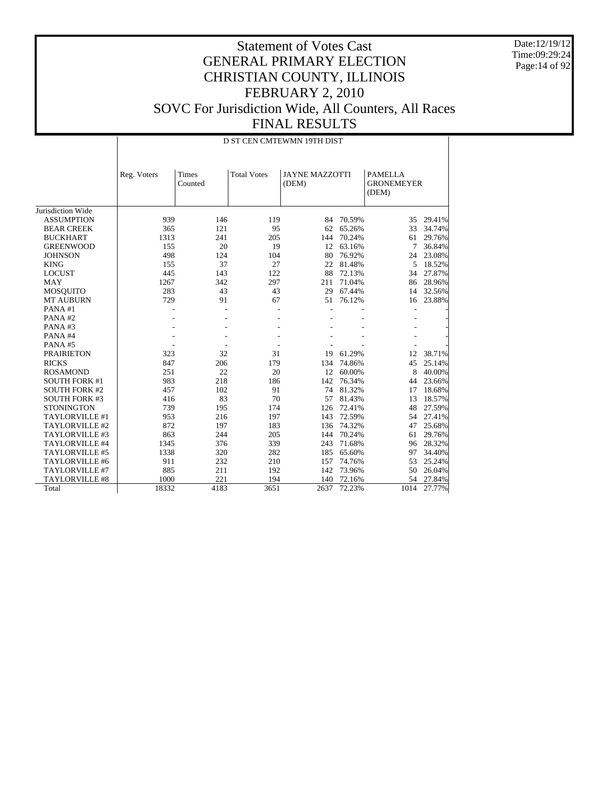Date:12/19/12 Time:09:29:24 Page:14 of 92

|                       |             | D ST CEN CMTEWMN 19TH DIST |                    |                                |        |                                              |        |  |  |
|-----------------------|-------------|----------------------------|--------------------|--------------------------------|--------|----------------------------------------------|--------|--|--|
|                       | Reg. Voters | Times<br>Counted           | <b>Total Votes</b> | <b>JAYNE MAZZOTTI</b><br>(DEM) |        | <b>PAMELLA</b><br><b>GRONEMEYER</b><br>(DEM) |        |  |  |
| Jurisdiction Wide     |             |                            |                    |                                |        |                                              |        |  |  |
| <b>ASSUMPTION</b>     | 939         | 146                        | 119                | 84                             | 70.59% | 35                                           | 29.41% |  |  |
| <b>BEAR CREEK</b>     | 365         | 121                        | 95                 | 62                             | 65.26% | 33                                           | 34.74% |  |  |
| <b>BUCKHART</b>       | 1313        | 241                        | 205                | 144                            | 70.24% | 61                                           | 29.76% |  |  |
| <b>GREENWOOD</b>      | 155         | 20                         | 19                 | 12                             | 63.16% | 7                                            | 36.84% |  |  |
| <b>JOHNSON</b>        | 498         | 124                        | 104                | 80                             | 76.92% | 24                                           | 23.08% |  |  |
| <b>KING</b>           | 155         | 37                         | 27                 | 22                             | 81.48% | 5                                            | 18.52% |  |  |
| <b>LOCUST</b>         | 445         | 143                        | 122                | 88                             | 72.13% | 34                                           | 27.87% |  |  |
| <b>MAY</b>            | 1267        | 342                        | 297                | 211                            | 71.04% | 86                                           | 28.96% |  |  |
| <b>MOSQUITO</b>       | 283         | 43                         | 43                 | 29                             | 67.44% | 14                                           | 32.56% |  |  |
| <b>MT AUBURN</b>      | 729         | 91                         | 67                 | 51                             | 76.12% | 16                                           | 23.88% |  |  |
| PANA#1                |             |                            |                    | L,                             |        | $\overline{a}$                               |        |  |  |
| PANA#2                |             |                            |                    |                                |        |                                              |        |  |  |
| PANA#3                |             |                            |                    |                                |        |                                              |        |  |  |
| PANA#4                |             |                            |                    |                                |        |                                              |        |  |  |
| PANA#5                |             |                            |                    |                                |        |                                              |        |  |  |
| <b>PRAIRIETON</b>     | 323         | 32                         | 31                 | 19                             | 61.29% | 12                                           | 38.71% |  |  |
| <b>RICKS</b>          | 847         | 206                        | 179                | 134                            | 74.86% | 45                                           | 25.14% |  |  |
| <b>ROSAMOND</b>       | 251         | 22                         | 20                 | 12                             | 60.00% | 8                                            | 40.00% |  |  |
| <b>SOUTH FORK #1</b>  | 983         | 218                        | 186                | 142                            | 76.34% | 44                                           | 23.66% |  |  |
| <b>SOUTH FORK #2</b>  | 457         | 102                        | 91                 | 74                             | 81.32% | 17                                           | 18.68% |  |  |
| <b>SOUTH FORK #3</b>  | 416         | 83                         | 70                 | 57                             | 81.43% | 13                                           | 18.57% |  |  |
| <b>STONINGTON</b>     | 739         | 195                        | 174                | 126                            | 72.41% | 48                                           | 27.59% |  |  |
| TAYLORVILLE #1        | 953         | 216                        | 197                | 143                            | 72.59% | 54                                           | 27.41% |  |  |
| TAYLORVILLE #2        | 872         | 197                        | 183                | 136                            | 74.32% | 47                                           | 25.68% |  |  |
| TAYLORVILLE #3        | 863         | 244                        | 205                | 144                            | 70.24% | 61                                           | 29.76% |  |  |
| TAYLORVILLE #4        | 1345        | 376                        | 339                | 243                            | 71.68% | 96                                           | 28.32% |  |  |
| TAYLORVILLE #5        | 1338        | 320                        | 282                | 185                            | 65.60% | 97                                           | 34.40% |  |  |
| TAYLORVILLE #6        | 911         | 232                        | 210                | 157                            | 74.76% | 53                                           | 25.24% |  |  |
| TAYLORVILLE #7        | 885         | 211                        | 192                | 142                            | 73.96% | 50                                           | 26.04% |  |  |
| <b>TAYLORVILLE #8</b> | 1000        | 221                        | 194                | 140                            | 72.16% | 54                                           | 27.84% |  |  |
| Total                 | 18332       | 4183                       | 3651               | 2637                           | 72.23% | 1014                                         | 27.77% |  |  |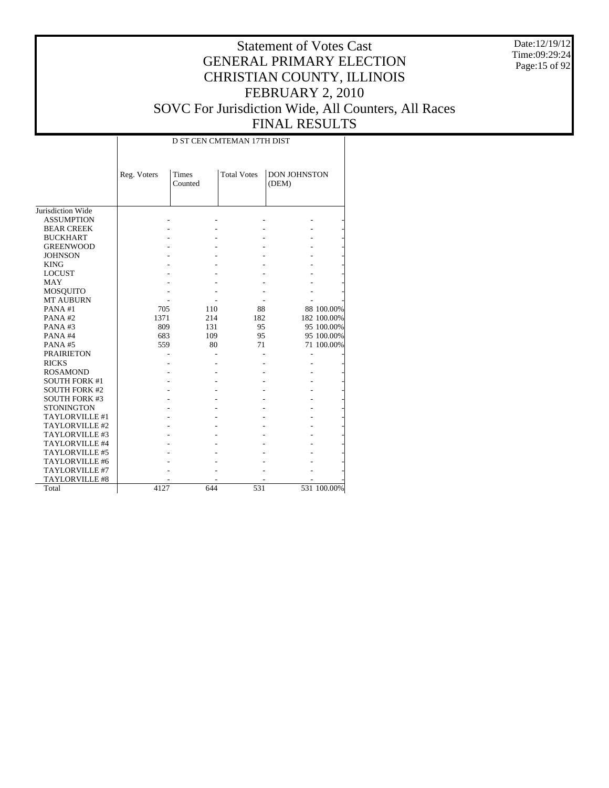Date:12/19/12 Time:09:29:24 Page:15 of 92

|                      |             | D ST CEN CMTEMAN 17TH DIST |                    |                              |             |  |  |  |  |  |
|----------------------|-------------|----------------------------|--------------------|------------------------------|-------------|--|--|--|--|--|
|                      | Reg. Voters | <b>Times</b><br>Counted    | <b>Total Votes</b> | <b>DON JOHNSTON</b><br>(DEM) |             |  |  |  |  |  |
| Jurisdiction Wide    |             |                            |                    |                              |             |  |  |  |  |  |
| <b>ASSUMPTION</b>    |             |                            |                    |                              |             |  |  |  |  |  |
| <b>BEAR CREEK</b>    |             |                            |                    |                              |             |  |  |  |  |  |
| <b>BUCKHART</b>      |             |                            |                    |                              |             |  |  |  |  |  |
| <b>GREENWOOD</b>     |             |                            |                    |                              |             |  |  |  |  |  |
| <b>JOHNSON</b>       |             |                            |                    |                              |             |  |  |  |  |  |
| <b>KING</b>          |             |                            |                    |                              |             |  |  |  |  |  |
| <b>LOCUST</b>        |             |                            |                    |                              |             |  |  |  |  |  |
| <b>MAY</b>           |             |                            |                    |                              |             |  |  |  |  |  |
| <b>MOSQUITO</b>      |             |                            |                    |                              |             |  |  |  |  |  |
| <b>MT AUBURN</b>     |             |                            |                    |                              |             |  |  |  |  |  |
| PANA#1               | 705         | 110                        | 88                 |                              | 88 100.00%  |  |  |  |  |  |
| PANA#2               | 1371        | 214                        | 182                |                              | 182 100.00% |  |  |  |  |  |
| PANA#3               | 809         | 131                        | 95                 |                              | 95 100.00%  |  |  |  |  |  |
| PANA#4               | 683         | 109                        | 95                 |                              | 95 100.00%  |  |  |  |  |  |
| PANA#5               | 559         | 80                         | 71                 |                              | 71 100.00%  |  |  |  |  |  |
| <b>PRAIRIETON</b>    |             |                            |                    |                              |             |  |  |  |  |  |
| <b>RICKS</b>         |             |                            |                    |                              |             |  |  |  |  |  |
| <b>ROSAMOND</b>      |             |                            |                    |                              |             |  |  |  |  |  |
| <b>SOUTH FORK #1</b> |             |                            |                    |                              |             |  |  |  |  |  |
| <b>SOUTH FORK #2</b> |             |                            |                    |                              |             |  |  |  |  |  |
| <b>SOUTH FORK #3</b> |             |                            |                    |                              |             |  |  |  |  |  |
| <b>STONINGTON</b>    |             |                            |                    |                              |             |  |  |  |  |  |
| TAYLORVILLE #1       |             |                            |                    |                              |             |  |  |  |  |  |
| TAYLORVILLE #2       |             |                            |                    |                              |             |  |  |  |  |  |
| TAYLORVILLE #3       |             |                            |                    |                              |             |  |  |  |  |  |
| TAYLORVILLE #4       |             |                            |                    |                              |             |  |  |  |  |  |
| TAYLORVILLE #5       |             |                            |                    |                              |             |  |  |  |  |  |
| TAYLORVILLE #6       |             |                            |                    |                              |             |  |  |  |  |  |
| TAYLORVILLE #7       |             |                            |                    |                              |             |  |  |  |  |  |
| TAYLORVILLE #8       |             |                            |                    |                              |             |  |  |  |  |  |
| Total                | 4127        | 644                        | 531                |                              | 531 100.00% |  |  |  |  |  |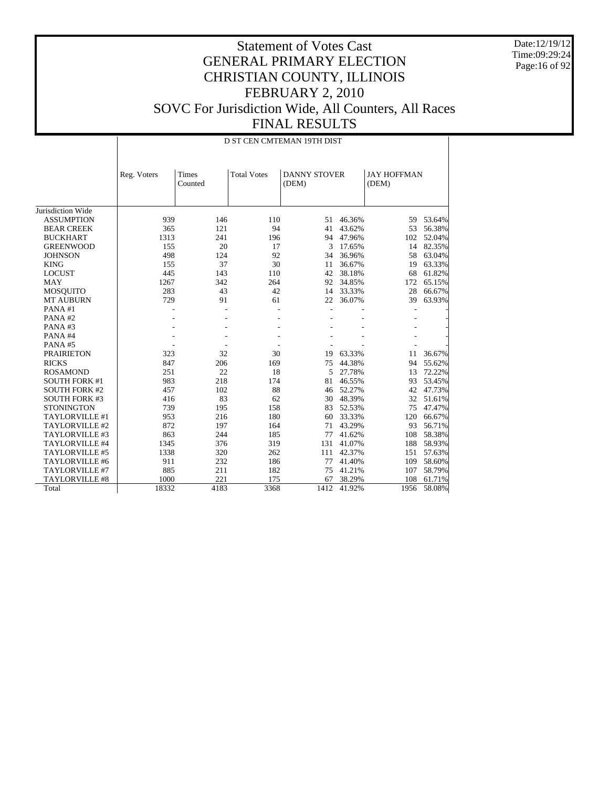Date:12/19/12 Time:09:29:24 Page:16 of 92

|                       |             |                  |                    | D ST CEN CMTEMAN 19TH DIST   |        |                             |        |
|-----------------------|-------------|------------------|--------------------|------------------------------|--------|-----------------------------|--------|
|                       | Reg. Voters | Times<br>Counted | <b>Total Votes</b> | <b>DANNY STOVER</b><br>(DEM) |        | <b>JAY HOFFMAN</b><br>(DEM) |        |
| Jurisdiction Wide     |             |                  |                    |                              |        |                             |        |
| <b>ASSUMPTION</b>     | 939         | 146              | 110                | 51                           | 46.36% | 59                          | 53.64% |
| <b>BEAR CREEK</b>     | 365         | 121              | 94                 | 41                           | 43.62% | 53                          | 56.38% |
| <b>BUCKHART</b>       | 1313        | 241              | 196                | 94                           | 47.96% | 102                         | 52.04% |
| <b>GREENWOOD</b>      | 155         | 20               | 17                 | 3                            | 17.65% | 14                          | 82.35% |
| <b>JOHNSON</b>        | 498         | 124              | 92                 | 34                           | 36.96% | 58                          | 63.04% |
| <b>KING</b>           | 155         | 37               | 30                 | 11                           | 36.67% | 19                          | 63.33% |
| <b>LOCUST</b>         | 445         | 143              | 110                | 42                           | 38.18% | 68                          | 61.82% |
| <b>MAY</b>            | 1267        | 342              | 264                | 92                           | 34.85% | 172                         | 65.15% |
| <b>MOSQUITO</b>       | 283         | 43               | 42                 | 14                           | 33.33% | 28                          | 66.67% |
| <b>MT AUBURN</b>      | 729         | 91               | 61                 | 22                           | 36.07% | 39                          | 63.93% |
| PANA#1                |             |                  |                    | Ĭ.                           |        |                             |        |
| PANA#2                |             |                  |                    |                              |        |                             |        |
| PANA#3                |             |                  |                    |                              |        |                             |        |
| PANA#4                |             |                  |                    |                              |        |                             |        |
| PANA#5                |             |                  |                    |                              |        |                             |        |
| <b>PRAIRIETON</b>     | 323         | 32               | 30                 | 19                           | 63.33% | 11                          | 36.67% |
| <b>RICKS</b>          | 847         | 206              | 169                | 75                           | 44.38% | 94                          | 55.62% |
| <b>ROSAMOND</b>       | 251         | 22               | 18                 | 5                            | 27.78% | 13                          | 72.22% |
| <b>SOUTH FORK #1</b>  | 983         | 218              | 174                | 81                           | 46.55% | 93                          | 53.45% |
| <b>SOUTH FORK #2</b>  | 457         | 102              | 88                 | 46                           | 52.27% | 42                          | 47.73% |
| <b>SOUTH FORK #3</b>  | 416         | 83               | 62                 | 30                           | 48.39% | 32                          | 51.61% |
| <b>STONINGTON</b>     | 739         | 195              | 158                | 83                           | 52.53% | 75                          | 47.47% |
| TAYLORVILLE #1        | 953         | 216              | 180                | 60                           | 33.33% | 120                         | 66.67% |
| TAYLORVILLE #2        | 872         | 197              | 164                | 71                           | 43.29% | 93                          | 56.71% |
| TAYLORVILLE #3        | 863         | 244              | 185                | 77                           | 41.62% | 108                         | 58.38% |
| TAYLORVILLE #4        | 1345        | 376              | 319                | 131                          | 41.07% | 188                         | 58.93% |
| TAYLORVILLE #5        | 1338        | 320              | 262                | 111                          | 42.37% | 151                         | 57.63% |
| TAYLORVILLE #6        | 911         | 232              | 186                | 77                           | 41.40% | 109                         | 58.60% |
| TAYLORVILLE #7        | 885         | 211              | 182                | 75                           | 41.21% | 107                         | 58.79% |
| <b>TAYLORVILLE #8</b> | 1000        | 221              | 175                | 67                           | 38.29% | 108                         | 61.71% |
| Total                 | 18332       | 4183             | 3368               | 1412                         | 41.92% | 1956                        | 58.08% |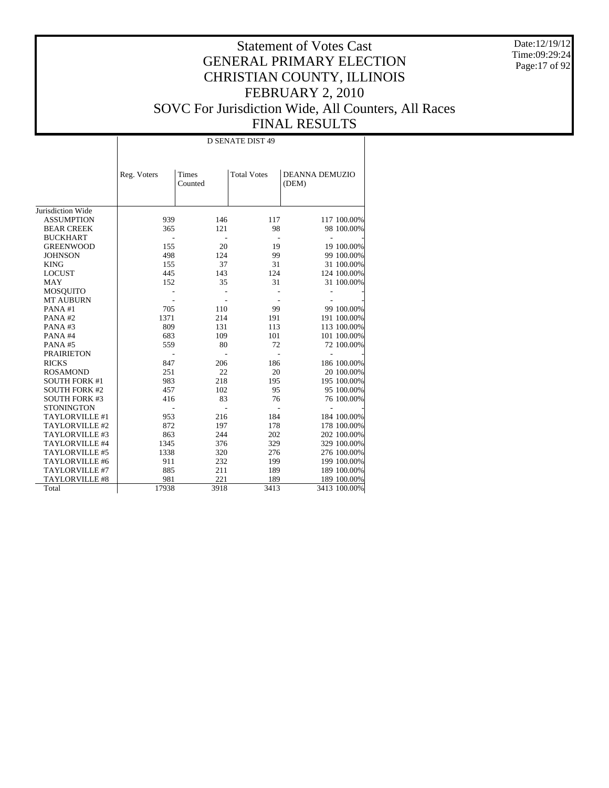Date:12/19/12 Time:09:29:24 Page:17 of 92

#### Statement of Votes Cast GENERAL PRIMARY ELECTION CHRISTIAN COUNTY, ILLINOIS FEBRUARY 2, 2010 SOVC For Jurisdiction Wide, All Counters, All Races FINAL RESULTS

Jurisdiction Wide ASSUMPTION BEAR CREEK BUCKHART GREENWOOD **JOHNSON**  KING LOCUST MAY MOSQUITO MT AUBURN PANA #1 PANA #2 PANA #3 PANA #4 PANA #5 PRAIRIETON RICKS ROSAMOND SOUTH FORK #1 SOUTH FORK #2 SOUTH FORK #3 **STONINGTON**  TAYLORVILLE #1 TAYLORVILLE #2 TAYLORVILLE #3 TAYLORVILLE #4 TAYLORVILLE #5 TAYLORVILLE #6 TAYLORVILLE #7 TAYLORVILLE #8 Total Reg. Voters | Times Counted Total Votes | DEANNA DEMUZIO (DEM) D SENATE DIST 49 939 146 117 117 100.00%<br>365 121 98 98 100.00% 98 100.00% - - - - - 155 20 19 19 100.00%<br>498 124 99 99 100.00% 99 100.00% 155 37 31 31 100.00%<br>445 143 124 124 100.00% 124 100.00% 152 35 31 31 100.00% - - - - - - - - - - 705 110 99 99 100.00%<br>1371 214 191 191 100.00% 131 191 100.00% 131 113 113 113 100.00% 809 131 113 113 100.00%<br>683 109 101 101 100.00% 080 101 101 100.00% 101 103.00% 101 559 80 72 72 100.00% - - - - - 847 206 186 186 100.00%<br>251 22 20 20 100.00% 251 22 20 20 100.00%<br>983 218 195 195 100.00% 218 195 195 195 100.00%<br>102 95 95 100.00% 416 102 95 95 100.00%<br>416 83 76 76 100.00% 76 100.00% - - - - - 953 216 184 184 100.00%<br>872 197 178 178 100.00% 197 178 178 178 100.00%<br>244 202 202 100.00% 863 244 202 202 100.00%<br>1345 376 329 329 100.00% 1345 376 329 329 100.00%<br>1338 320 276 276 100.00% 276 100.00% 911 232 199 100.00%<br>885 211 189 189 100.00% 189 100.00% 17938 221 189 100.00%<br>17938 3918 3413 3413 100.00% 3413 100.00%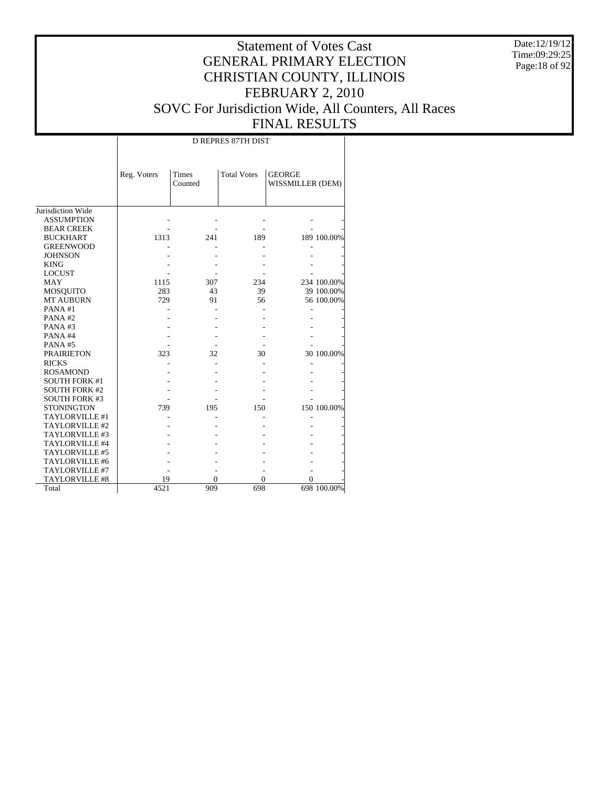Date:12/19/12 Time:09:29:25 Page:18 of 92

|                       |             | <b>D REPRES 87TH DIST</b> |                    |                                   |             |  |  |  |  |  |  |
|-----------------------|-------------|---------------------------|--------------------|-----------------------------------|-------------|--|--|--|--|--|--|
|                       | Reg. Voters | Times<br>Counted          | <b>Total Votes</b> | <b>GEORGE</b><br>WISSMILLER (DEM) |             |  |  |  |  |  |  |
| Jurisdiction Wide     |             |                           |                    |                                   |             |  |  |  |  |  |  |
| <b>ASSUMPTION</b>     |             |                           |                    |                                   |             |  |  |  |  |  |  |
| <b>BEAR CREEK</b>     |             |                           |                    |                                   |             |  |  |  |  |  |  |
| <b>BUCKHART</b>       | 1313        | 241                       | 189                |                                   | 189 100.00% |  |  |  |  |  |  |
| <b>GREENWOOD</b>      |             |                           |                    |                                   |             |  |  |  |  |  |  |
| <b>JOHNSON</b>        |             |                           |                    |                                   |             |  |  |  |  |  |  |
| <b>KING</b>           |             |                           |                    |                                   |             |  |  |  |  |  |  |
| <b>LOCUST</b>         |             |                           |                    |                                   |             |  |  |  |  |  |  |
| <b>MAY</b>            | 1115        | 307                       | 234                |                                   | 234 100.00% |  |  |  |  |  |  |
| MOSQUITO              | 283         | 43                        | 39                 |                                   | 39 100.00%  |  |  |  |  |  |  |
| <b>MT AUBURN</b>      | 729         | 91                        | 56                 |                                   | 56 100.00%  |  |  |  |  |  |  |
| PANA#1                |             |                           |                    |                                   |             |  |  |  |  |  |  |
| PANA#2                |             |                           |                    |                                   |             |  |  |  |  |  |  |
| PANA#3                |             |                           |                    |                                   |             |  |  |  |  |  |  |
| PANA#4                |             |                           |                    |                                   |             |  |  |  |  |  |  |
| PANA#5                |             |                           |                    |                                   |             |  |  |  |  |  |  |
| <b>PRAIRIETON</b>     | 323         | 32                        | 30                 |                                   | 30 100.00%  |  |  |  |  |  |  |
| <b>RICKS</b>          |             |                           |                    |                                   |             |  |  |  |  |  |  |
| <b>ROSAMOND</b>       |             |                           |                    |                                   |             |  |  |  |  |  |  |
| <b>SOUTH FORK #1</b>  |             |                           |                    |                                   |             |  |  |  |  |  |  |
| <b>SOUTH FORK #2</b>  |             |                           |                    |                                   |             |  |  |  |  |  |  |
| <b>SOUTH FORK #3</b>  |             |                           |                    |                                   |             |  |  |  |  |  |  |
| <b>STONINGTON</b>     | 739         | 195                       | 150                |                                   | 150 100.00% |  |  |  |  |  |  |
| TAYLORVILLE #1        |             |                           |                    |                                   |             |  |  |  |  |  |  |
| TAYLORVILLE #2        |             |                           |                    |                                   |             |  |  |  |  |  |  |
| TAYLORVILLE #3        |             |                           |                    |                                   |             |  |  |  |  |  |  |
| TAYLORVILLE #4        |             |                           |                    |                                   |             |  |  |  |  |  |  |
| <b>TAYLORVILLE #5</b> |             |                           |                    |                                   |             |  |  |  |  |  |  |
| TAYLORVILLE #6        |             |                           |                    |                                   |             |  |  |  |  |  |  |
| TAYLORVILLE #7        |             |                           |                    |                                   |             |  |  |  |  |  |  |
| <b>TAYLORVILLE #8</b> | 19          | 0                         | 0                  | 0                                 |             |  |  |  |  |  |  |
| Total                 | 4521        | 909                       | 698                |                                   | 698 100.00% |  |  |  |  |  |  |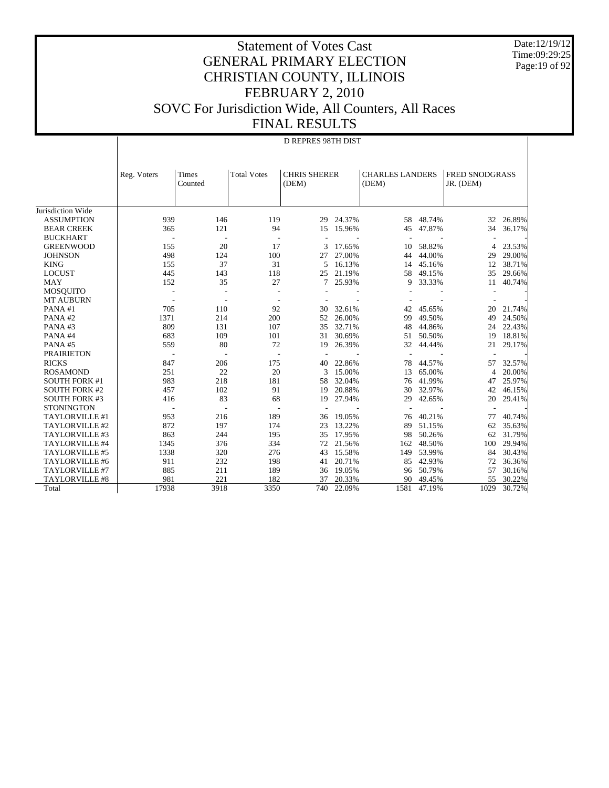Date:12/19/12 Time:09:29:25 Page:19 of 92

|                       |             | <b>D REPRES 98TH DIST</b> |                    |                              |        |                                 |        |                             |        |
|-----------------------|-------------|---------------------------|--------------------|------------------------------|--------|---------------------------------|--------|-----------------------------|--------|
|                       | Reg. Voters | Times<br>Counted          | <b>Total Votes</b> | <b>CHRIS SHERER</b><br>(DEM) |        | <b>CHARLES LANDERS</b><br>(DEM) |        | FRED SNODGRASS<br>JR. (DEM) |        |
| Jurisdiction Wide     |             |                           |                    |                              |        |                                 |        |                             |        |
| <b>ASSUMPTION</b>     | 939         | 146                       | 119                | 29                           | 24.37% | 58                              | 48.74% | 32                          | 26.89% |
| <b>BEAR CREEK</b>     | 365         | 121                       | 94                 | 15                           | 15.96% | 45                              | 47.87% | 34                          | 36.17% |
| <b>BUCKHART</b>       |             |                           |                    |                              |        |                                 |        |                             |        |
| <b>GREENWOOD</b>      | 155         | 20                        | 17                 | 3                            | 17.65% | 10                              | 58.82% | 4                           | 23.53% |
| <b>JOHNSON</b>        | 498         | 124                       | 100                | 27                           | 27.00% | 44                              | 44.00% | 29                          | 29.00% |
| <b>KING</b>           | 155         | 37                        | 31                 | 5                            | 16.13% | 14                              | 45.16% | 12                          | 38.71% |
| <b>LOCUST</b>         | 445         | 143                       | 118                | 25                           | 21.19% | 58                              | 49.15% | 35                          | 29.66% |
| <b>MAY</b>            | 152         | 35                        | 27                 | 7                            | 25.93% | 9                               | 33.33% | 11                          | 40.74% |
| <b>MOSQUITO</b>       |             |                           |                    |                              |        |                                 |        |                             |        |
| <b>MT AUBURN</b>      |             |                           |                    |                              |        |                                 |        |                             |        |
| PANA#1                | 705         | 110                       | 92                 | 30                           | 32.61% | 42                              | 45.65% | 20                          | 21.74% |
| PANA#2                | 1371        | 214                       | 200                | 52                           | 26.00% | 99                              | 49.50% | 49                          | 24.50% |
| PANA#3                | 809         | 131                       | 107                | 35                           | 32.71% | 48                              | 44.86% | 24                          | 22.43% |
| PANA#4                | 683         | 109                       | 101                | 31                           | 30.69% | 51                              | 50.50% | 19                          | 18.81% |
| PANA#5                | 559         | 80                        | 72                 | 19                           | 26.39% | 32                              | 44.44% | 21                          | 29.17% |
| <b>PRAIRIETON</b>     |             |                           |                    |                              |        | ÷,                              |        |                             |        |
| <b>RICKS</b>          | 847         | 206                       | 175                | 40                           | 22.86% | 78                              | 44.57% | 57                          | 32.57% |
| <b>ROSAMOND</b>       | 251         | 22                        | 20                 | 3                            | 15.00% | 13                              | 65.00% | $\overline{4}$              | 20.00% |
| <b>SOUTH FORK #1</b>  | 983         | 218                       | 181                | 58                           | 32.04% | 76                              | 41.99% | 47                          | 25.97% |
| <b>SOUTH FORK #2</b>  | 457         | 102                       | 91                 | 19                           | 20.88% | 30                              | 32.97% | 42                          | 46.15% |
| <b>SOUTH FORK #3</b>  | 416         | 83                        | 68                 | 19                           | 27.94% | 29                              | 42.65% | 20                          | 29.41% |
| <b>STONINGTON</b>     |             |                           |                    |                              |        |                                 |        |                             |        |
| TAYLORVILLE #1        | 953         | 216                       | 189                | 36                           | 19.05% | 76                              | 40.21% | 77                          | 40.74% |
| TAYLORVILLE #2        | 872         | 197                       | 174                | 23                           | 13.22% | 89                              | 51.15% | 62                          | 35.63% |
| TAYLORVILLE #3        | 863         | 244                       | 195                | 35                           | 17.95% | 98                              | 50.26% | 62                          | 31.79% |
| TAYLORVILLE #4        | 1345        | 376                       | 334                | 72                           | 21.56% | 162                             | 48.50% | 100                         | 29.94% |
| TAYLORVILLE #5        | 1338        | 320                       | 276                | 43                           | 15.58% | 149                             | 53.99% | 84                          | 30.43% |
| TAYLORVILLE #6        | 911         | 232                       | 198                | 41                           | 20.71% | 85                              | 42.93% | 72                          | 36.36% |
| TAYLORVILLE #7        | 885         | 211                       | 189                | 36                           | 19.05% | 96                              | 50.79% | 57                          | 30.16% |
| <b>TAYLORVILLE #8</b> | 981         | 221                       | 182                | 37                           | 20.33% | 90                              | 49.45% | 55                          | 30.22% |
| Total                 | 17938       | 3918                      | 3350               | 740                          | 22.09% | 1581                            | 47.19% | 1029                        | 30.72% |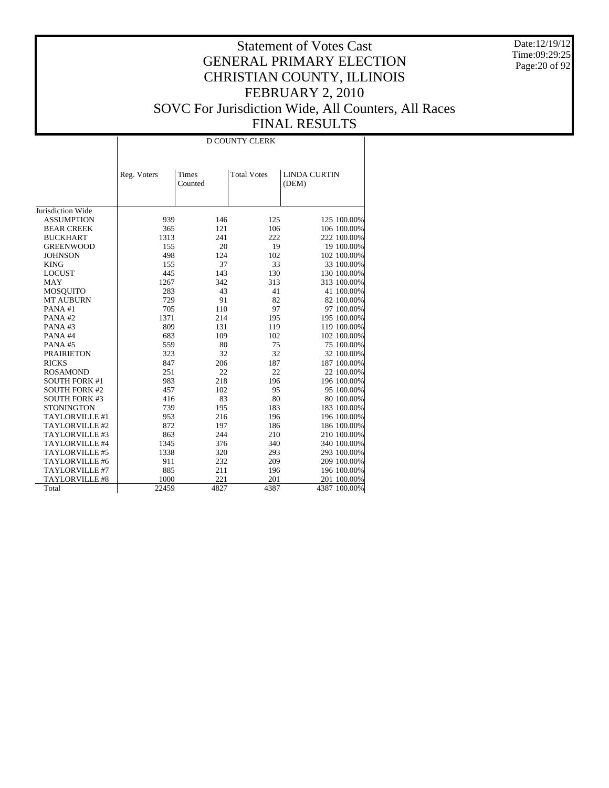Date:12/19/12 Time:09:29:25 Page:20 of 92

|                      |             | <b>D COUNTY CLERK</b> |                    |                              |  |  |  |  |  |  |
|----------------------|-------------|-----------------------|--------------------|------------------------------|--|--|--|--|--|--|
|                      | Reg. Voters | Times<br>Counted      | <b>Total Votes</b> | <b>LINDA CURTIN</b><br>(DEM) |  |  |  |  |  |  |
| Jurisdiction Wide    |             |                       |                    |                              |  |  |  |  |  |  |
| <b>ASSUMPTION</b>    | 939         | 146                   | 125                | 125 100.00%                  |  |  |  |  |  |  |
| <b>BEAR CREEK</b>    | 365         | 121                   | 106                | 106 100.00%                  |  |  |  |  |  |  |
| <b>BUCKHART</b>      | 1313        | 241                   | 222                | 222 100.00%                  |  |  |  |  |  |  |
| <b>GREENWOOD</b>     | 155         | 20                    | 19                 | 19 100.00%                   |  |  |  |  |  |  |
| <b>JOHNSON</b>       | 498         | 124                   | 102                | 102 100.00%                  |  |  |  |  |  |  |
| <b>KING</b>          | 155         | 37                    | 33                 | 33 100.00%                   |  |  |  |  |  |  |
| <b>LOCUST</b>        | 445         | 143                   | 130                | 130 100.00%                  |  |  |  |  |  |  |
| <b>MAY</b>           | 1267        | 342                   | 313                | 313 100.00%                  |  |  |  |  |  |  |
| <b>MOSQUITO</b>      | 283         | 43                    | 41                 | 41 100.00%                   |  |  |  |  |  |  |
| <b>MT AUBURN</b>     | 729         | 91                    | 82                 | 82 100.00%                   |  |  |  |  |  |  |
| PANA#1               | 705         | 110                   | 97                 | 97 100.00%                   |  |  |  |  |  |  |
| PANA#2               | 1371        | 214                   | 195                | 195 100.00%                  |  |  |  |  |  |  |
| PANA#3               | 809         | 131                   | 119                | 119 100.00%                  |  |  |  |  |  |  |
| PANA#4               | 683         | 109                   | 102                | 102 100.00%                  |  |  |  |  |  |  |
| PANA#5               | 559         | 80                    | 75                 | 75 100.00%                   |  |  |  |  |  |  |
| <b>PRAIRIETON</b>    | 323         | 32                    | 32                 | 32 100.00%                   |  |  |  |  |  |  |
| <b>RICKS</b>         | 847         | 206                   | 187                | 187 100.00%                  |  |  |  |  |  |  |
| <b>ROSAMOND</b>      | 251         | 22                    | 22                 | 22 100.00%                   |  |  |  |  |  |  |
| <b>SOUTH FORK #1</b> | 983         | 218                   | 196                | 196 100.00%                  |  |  |  |  |  |  |
| <b>SOUTH FORK #2</b> | 457         | 102                   | 95                 | 95 100.00%                   |  |  |  |  |  |  |
| <b>SOUTH FORK #3</b> | 416         | 83                    | 80                 | 80 100.00%                   |  |  |  |  |  |  |
| <b>STONINGTON</b>    | 739         | 195                   | 183                | 183 100.00%                  |  |  |  |  |  |  |
| TAYLORVILLE #1       | 953         | 216                   | 196                | 196 100.00%                  |  |  |  |  |  |  |
| TAYLORVILLE #2       | 872         | 197                   | 186                | 186 100.00%                  |  |  |  |  |  |  |
| TAYLORVILLE #3       | 863         | 244                   | 210                | 210 100.00%                  |  |  |  |  |  |  |
| TAYLORVILLE #4       | 1345        | 376                   | 340                | 340 100.00%                  |  |  |  |  |  |  |
| TAYLORVILLE #5       | 1338        | 320                   | 293                | 293 100.00%                  |  |  |  |  |  |  |
| TAYLORVILLE #6       | 911         | 232                   | 209                | 209 100.00%                  |  |  |  |  |  |  |
| TAYLORVILLE #7       | 885         | 211                   | 196                | 196 100.00%                  |  |  |  |  |  |  |
| TAYLORVILLE #8       | 1000        | 221                   | 201                | 201 100.00%                  |  |  |  |  |  |  |
| Total                | 22459       | 4827                  | 4387               | 4387 100.00%                 |  |  |  |  |  |  |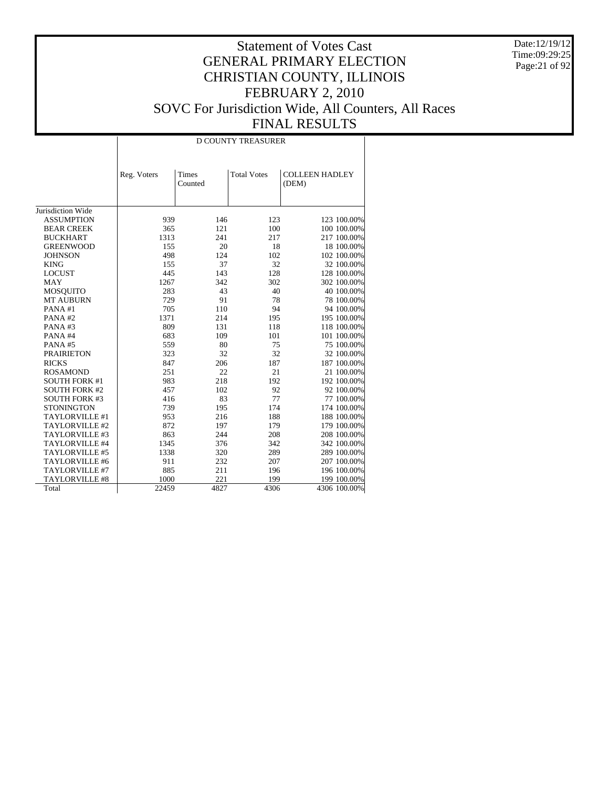Date:12/19/12 Time:09:29:25 Page:21 of 92

|                      |             | <b>D COUNTY TREASURER</b> |                    |                                |  |  |  |  |  |  |
|----------------------|-------------|---------------------------|--------------------|--------------------------------|--|--|--|--|--|--|
|                      |             |                           |                    |                                |  |  |  |  |  |  |
|                      | Reg. Voters | Times<br>Counted          | <b>Total Votes</b> | <b>COLLEEN HADLEY</b><br>(DEM) |  |  |  |  |  |  |
|                      |             |                           |                    |                                |  |  |  |  |  |  |
| Jurisdiction Wide    |             |                           |                    |                                |  |  |  |  |  |  |
| <b>ASSUMPTION</b>    | 939         | 146                       | 123                | 123 100.00%                    |  |  |  |  |  |  |
| <b>BEAR CREEK</b>    | 365         | 121                       | 100                | 100 100.00%                    |  |  |  |  |  |  |
| <b>BUCKHART</b>      | 1313        | 241                       | 217                | 217 100.00%                    |  |  |  |  |  |  |
| <b>GREENWOOD</b>     | 155         | 20                        | 18                 | 18 100.00%                     |  |  |  |  |  |  |
| <b>JOHNSON</b>       | 498         | 124                       | 102                | 102 100.00%                    |  |  |  |  |  |  |
| <b>KING</b>          | 155         | 37                        | 32                 | 32 100.00%                     |  |  |  |  |  |  |
| <b>LOCUST</b>        | 445         | 143                       | 128                | 128 100.00%                    |  |  |  |  |  |  |
| <b>MAY</b>           | 1267        | 342                       | 302                | 302 100.00%                    |  |  |  |  |  |  |
| <b>MOSQUITO</b>      | 283         | 43                        | 40                 | 40 100.00%                     |  |  |  |  |  |  |
| <b>MT AUBURN</b>     | 729         | 91                        | 78                 | 78 100.00%                     |  |  |  |  |  |  |
| PANA#1               | 705         | 110                       | 94                 | 94 100.00%                     |  |  |  |  |  |  |
| PANA#2               | 1371        | 214                       | 195                | 195 100.00%                    |  |  |  |  |  |  |
| PANA#3               | 809         | 131                       | 118                | 118 100.00%                    |  |  |  |  |  |  |
| PANA#4               | 683         | 109                       | 101                | 101 100.00%                    |  |  |  |  |  |  |
| PANA#5               | 559         | 80                        | 75                 | 75 100.00%                     |  |  |  |  |  |  |
| <b>PRAIRIETON</b>    | 323         | 32                        | 32                 | 32 100.00%                     |  |  |  |  |  |  |
| <b>RICKS</b>         | 847         | 206                       | 187                | 187 100.00%                    |  |  |  |  |  |  |
| <b>ROSAMOND</b>      | 251         | 22                        | 21                 | 21 100.00%                     |  |  |  |  |  |  |
| <b>SOUTH FORK #1</b> | 983         | 218                       | 192                | 192 100.00%                    |  |  |  |  |  |  |
| <b>SOUTH FORK #2</b> | 457         | 102                       | 92                 | 92 100.00%                     |  |  |  |  |  |  |
| <b>SOUTH FORK #3</b> | 416         | 83                        | 77                 | 77 100.00%                     |  |  |  |  |  |  |
| <b>STONINGTON</b>    | 739         | 195                       | 174                | 174 100.00%                    |  |  |  |  |  |  |
| TAYLORVILLE #1       | 953         | 216                       | 188                | 188 100.00%                    |  |  |  |  |  |  |
| TAYLORVILLE #2       | 872         | 197                       | 179                | 179 100.00%                    |  |  |  |  |  |  |
| TAYLORVILLE #3       | 863         | 244                       | 208                | 208 100.00%                    |  |  |  |  |  |  |
| TAYLORVILLE #4       | 1345        | 376                       | 342                | 342 100.00%                    |  |  |  |  |  |  |
| TAYLORVILLE #5       | 1338        | 320                       | 289                | 289 100.00%                    |  |  |  |  |  |  |
| TAYLORVILLE #6       | 911         | 232                       | 207                | 207 100.00%                    |  |  |  |  |  |  |
| TAYLORVILLE #7       | 885         | 211                       | 196                | 196 100.00%                    |  |  |  |  |  |  |
| TAYLORVILLE #8       | 1000        | 221                       | 199                | 199 100.00%                    |  |  |  |  |  |  |
| Total                | 22459       | 4827                      | 4306               | 4306 100.00%                   |  |  |  |  |  |  |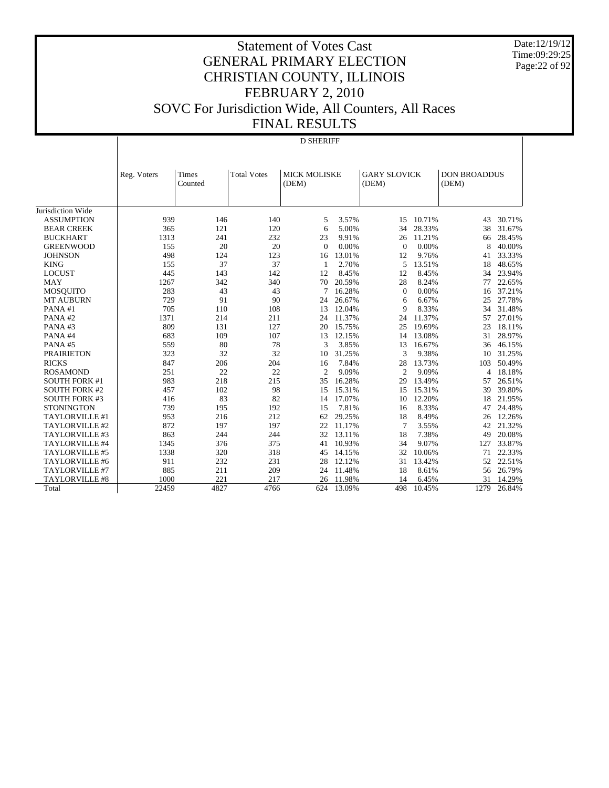Date:12/19/12 Time:09:29:25 Page:22 of 92

#### Statement of Votes Cast GENERAL PRIMARY ELECTION CHRISTIAN COUNTY, ILLINOIS FEBRUARY 2, 2010 SOVC For Jurisdiction Wide, All Counters, All Races FINAL RESULTS

#### D SHERIFF

|                       | Reg. Voters | Times   | <b>Total Votes</b> | <b>MICK MOLISKE</b> |        | <b>GARY SLOVICK</b> |        | <b>DON BROADDUS</b> |        |
|-----------------------|-------------|---------|--------------------|---------------------|--------|---------------------|--------|---------------------|--------|
|                       |             | Counted |                    | (DEM)               |        | (DEM)               |        | (DEM)               |        |
|                       |             |         |                    |                     |        |                     |        |                     |        |
| Jurisdiction Wide     |             |         |                    |                     |        |                     |        |                     |        |
| <b>ASSUMPTION</b>     | 939         | 146     | 140                | 5                   | 3.57%  | 15                  | 10.71% | 43                  | 30.71% |
| <b>BEAR CREEK</b>     | 365         | 121     | 120                | 6                   | 5.00%  | 34                  | 28.33% | 38                  | 31.67% |
| <b>BUCKHART</b>       | 1313        | 241     | 232                | 23                  | 9.91%  | 26                  | 11.21% | 66                  | 28.45% |
| <b>GREENWOOD</b>      | 155         | 20      | 20                 | $\Omega$            | 0.00%  | $\Omega$            | 0.00%  | 8                   | 40.00% |
| <b>JOHNSON</b>        | 498         | 124     | 123                | 16                  | 13.01% | 12                  | 9.76%  | 41                  | 33.33% |
| <b>KING</b>           | 155         | 37      | 37                 | $\mathbf{1}$        | 2.70%  | 5                   | 13.51% | 18                  | 48.65% |
| <b>LOCUST</b>         | 445         | 143     | 142                | 12                  | 8.45%  | 12                  | 8.45%  | 34                  | 23.94% |
| <b>MAY</b>            | 1267        | 342     | 340                | 70                  | 20.59% | 28                  | 8.24%  | 77                  | 22.65% |
| <b>MOSQUITO</b>       | 283         | 43      | 43                 | 7                   | 16.28% | $\mathbf{0}$        | 0.00%  | 16                  | 37.21% |
| <b>MT AUBURN</b>      | 729         | 91      | 90                 | 24                  | 26.67% | 6                   | 6.67%  | 25                  | 27.78% |
| PANA#1                | 705         | 110     | 108                | 13                  | 12.04% | 9                   | 8.33%  | 34                  | 31.48% |
| PANA#2                | 1371        | 214     | 211                | 24                  | 11.37% | 24                  | 11.37% | 57                  | 27.01% |
| PANA#3                | 809         | 131     | 127                | 20                  | 15.75% | 25                  | 19.69% | 23                  | 18.11% |
| PANA#4                | 683         | 109     | 107                | 13                  | 12.15% | 14                  | 13.08% | 31                  | 28.97% |
| PANA#5                | 559         | 80      | 78                 | 3                   | 3.85%  | 13                  | 16.67% | 36                  | 46.15% |
| <b>PRAIRIETON</b>     | 323         | 32      | 32                 | 10                  | 31.25% | 3                   | 9.38%  | 10                  | 31.25% |
| <b>RICKS</b>          | 847         | 206     | 204                | 16                  | 7.84%  | 28                  | 13.73% | 103                 | 50.49% |
| <b>ROSAMOND</b>       | 251         | 22      | 22                 | $\overline{c}$      | 9.09%  | $\overline{c}$      | 9.09%  | 4                   | 18.18% |
| <b>SOUTH FORK #1</b>  | 983         | 218     | 215                | 35                  | 16.28% | 29                  | 13.49% | 57                  | 26.51% |
| <b>SOUTH FORK #2</b>  | 457         | 102     | 98                 | 15                  | 15.31% | 15                  | 15.31% | 39                  | 39.80% |
| <b>SOUTH FORK #3</b>  | 416         | 83      | 82                 | 14                  | 17.07% | 10                  | 12.20% | 18                  | 21.95% |
| <b>STONINGTON</b>     | 739         | 195     | 192                | 15                  | 7.81%  | 16                  | 8.33%  | 47                  | 24.48% |
| TAYLORVILLE #1        | 953         | 216     | 212                | 62                  | 29.25% | 18                  | 8.49%  | 26                  | 12.26% |
| TAYLORVILLE #2        | 872         | 197     | 197                | 22                  | 11.17% | $\overline{7}$      | 3.55%  | 42                  | 21.32% |
| TAYLORVILLE #3        | 863         | 244     | 244                | 32                  | 13.11% | 18                  | 7.38%  | 49                  | 20.08% |
| TAYLORVILLE #4        | 1345        | 376     | 375                | 41                  | 10.93% | 34                  | 9.07%  | 127                 | 33.87% |
| TAYLORVILLE #5        | 1338        | 320     | 318                | 45                  | 14.15% | 32                  | 10.06% | 71                  | 22.33% |
| TAYLORVILLE #6        | 911         | 232     | 231                | 28                  | 12.12% | 31                  | 13.42% | 52                  | 22.51% |
| TAYLORVILLE #7        | 885         | 211     | 209                | 24                  | 11.48% | 18                  | 8.61%  | 56                  | 26.79% |
| <b>TAYLORVILLE #8</b> | 1000        | 221     | 217                | 26                  | 11.98% | 14                  | 6.45%  | 31                  | 14.29% |
| Total                 | 22459       | 4827    | 4766               | 624                 | 13.09% | 498                 | 10.45% | 1279                | 26.84% |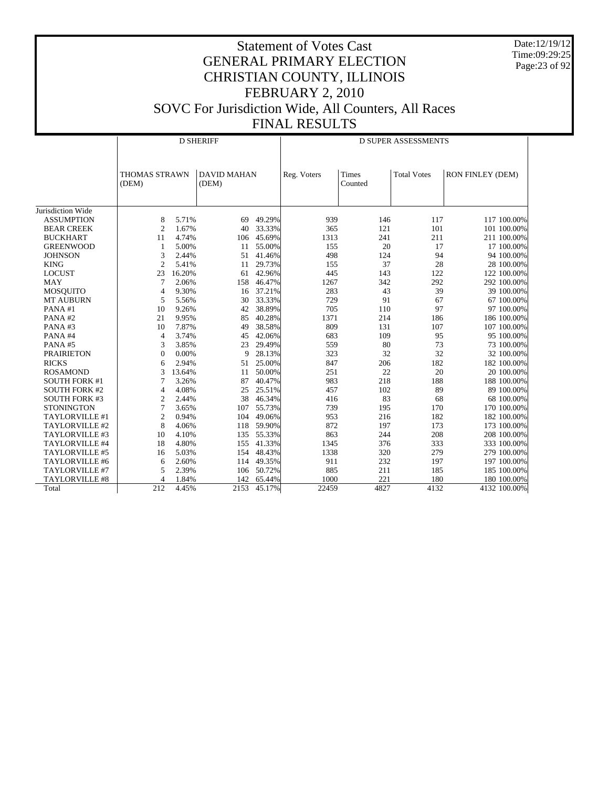Date:12/19/12 Time:09:29:25 Page:23 of 92

|                       |                               | <b>D SHERIFF</b> |                             |        |             | <b>D SUPER ASSESSMENTS</b> |                    |                  |  |  |
|-----------------------|-------------------------------|------------------|-----------------------------|--------|-------------|----------------------------|--------------------|------------------|--|--|
|                       | <b>THOMAS STRAWN</b><br>(DEM) |                  | <b>DAVID MAHAN</b><br>(DEM) |        | Reg. Voters | Times<br>Counted           | <b>Total Votes</b> | RON FINLEY (DEM) |  |  |
| Jurisdiction Wide     |                               |                  |                             |        |             |                            |                    |                  |  |  |
| <b>ASSUMPTION</b>     | 8                             | 5.71%            | 69                          | 49.29% | 939         | 146                        | 117                | 117 100.00%      |  |  |
| <b>BEAR CREEK</b>     | $\overline{2}$                | 1.67%            | 40                          | 33.33% | 365         | 121                        | 101                | 101 100.00%      |  |  |
| <b>BUCKHART</b>       | 11                            | 4.74%            | 106                         | 45.69% | 1313        | 241                        | 211                | 211 100.00%      |  |  |
| <b>GREENWOOD</b>      | 1                             | 5.00%            | 11                          | 55.00% | 155         | 20                         | 17                 | 17 100.00%       |  |  |
| <b>JOHNSON</b>        | 3                             | 2.44%            | 51                          | 41.46% | 498         | 124                        | 94                 | 94 100.00%       |  |  |
| <b>KING</b>           | $\overline{2}$                | 5.41%            | 11                          | 29.73% | 155         | 37                         | 28                 | 28 100.00%       |  |  |
| <b>LOCUST</b>         | 23                            | 16.20%           | 61                          | 42.96% | 445         | 143                        | 122                | 122 100.00%      |  |  |
| <b>MAY</b>            | 7                             | 2.06%            | 158                         | 46.47% | 1267        | 342                        | 292                | 292 100.00%      |  |  |
| <b>MOSQUITO</b>       | 4                             | 9.30%            | 16                          | 37.21% | 283         | 43                         | 39                 | 39 100.00%       |  |  |
| <b>MT AUBURN</b>      | 5                             | 5.56%            | 30                          | 33.33% | 729         | 91                         | 67                 | 67 100.00%       |  |  |
| PANA#1                | 10                            | 9.26%            | 42                          | 38.89% | 705         | 110                        | 97                 | 97 100.00%       |  |  |
| PANA#2                | 21                            | 9.95%            | 85                          | 40.28% | 1371        | 214                        | 186                | 186 100.00%      |  |  |
| PANA#3                | 10                            | 7.87%            | 49                          | 38.58% | 809         | 131                        | 107                | 107 100.00%      |  |  |
| PANA#4                | 4                             | 3.74%            | 45                          | 42.06% | 683         | 109                        | 95                 | 95 100.00%       |  |  |
| PANA#5                | 3                             | 3.85%            | 23                          | 29.49% | 559         | 80                         | 73                 | 73 100.00%       |  |  |
| <b>PRAIRIETON</b>     | $\Omega$                      | $0.00\%$         | 9                           | 28.13% | 323         | 32                         | 32                 | 32 100.00%       |  |  |
| <b>RICKS</b>          | 6                             | 2.94%            | 51                          | 25.00% | 847         | 206                        | 182                | 182 100.00%      |  |  |
| <b>ROSAMOND</b>       | 3                             | 13.64%           | 11                          | 50.00% | 251         | 22                         | 20                 | 20 100.00%       |  |  |
| <b>SOUTH FORK #1</b>  | 7                             | 3.26%            | 87                          | 40.47% | 983         | 218                        | 188                | 188 100.00%      |  |  |
| <b>SOUTH FORK #2</b>  | $\overline{4}$                | 4.08%            | 25                          | 25.51% | 457         | 102                        | 89                 | 89 100.00%       |  |  |
| <b>SOUTH FORK #3</b>  | $\overline{2}$                | 2.44%            | 38                          | 46.34% | 416         | 83                         | 68                 | 68 100.00%       |  |  |
| <b>STONINGTON</b>     | 7                             | 3.65%            | 107                         | 55.73% | 739         | 195                        | 170                | 170 100.00%      |  |  |
| TAYLORVILLE #1        | $\mathbf{2}$                  | 0.94%            | 104                         | 49.06% | 953         | 216                        | 182                | 182 100.00%      |  |  |
| TAYLORVILLE #2        | 8                             | 4.06%            | 118                         | 59.90% | 872         | 197                        | 173                | 173 100.00%      |  |  |
| TAYLORVILLE #3        | 10                            | 4.10%            | 135                         | 55.33% | 863         | 244                        | 208                | 208 100.00%      |  |  |
| TAYLORVILLE #4        | 18                            | 4.80%            | 155                         | 41.33% | 1345        | 376                        | 333                | 333 100.00%      |  |  |
| TAYLORVILLE #5        | 16                            | 5.03%            | 154                         | 48.43% | 1338        | 320                        | 279                | 279 100.00%      |  |  |
| TAYLORVILLE #6        | 6                             | 2.60%            | 114                         | 49.35% | 911         | 232                        | 197                | 197 100.00%      |  |  |
| TAYLORVILLE #7        | 5                             | 2.39%            | 106                         | 50.72% | 885         | 211                        | 185                | 185 100.00%      |  |  |
| <b>TAYLORVILLE #8</b> | $\overline{4}$                | 1.84%            | 142                         | 65.44% | 1000        | 221                        | 180                | 180 100.00%      |  |  |
| Total                 | 212                           | 4.45%            | 2153                        | 45.17% | 22459       | 4827                       | 4132               | 4132 100.00%     |  |  |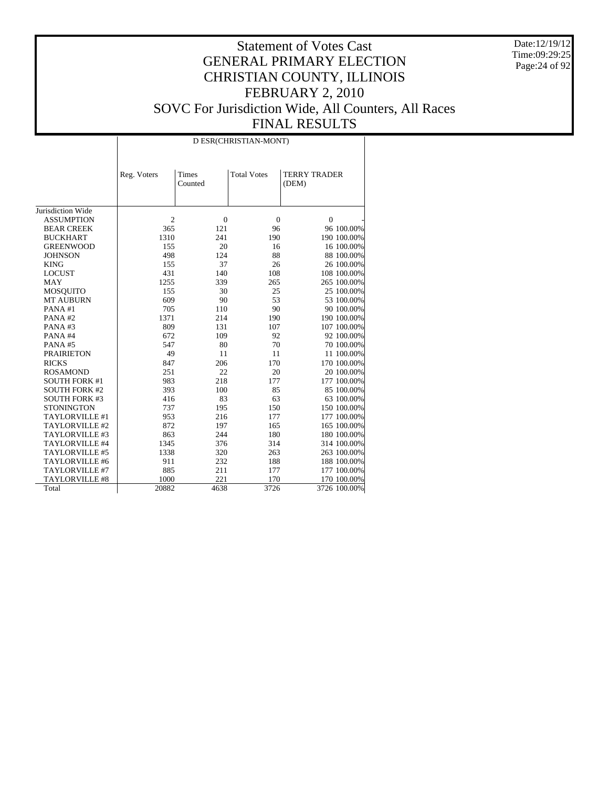Date:12/19/12 Time:09:29:25 Page:24 of 92

|                      |                | D ESR(CHRISTIAN-MONT) |                    |                              |  |  |  |  |  |  |
|----------------------|----------------|-----------------------|--------------------|------------------------------|--|--|--|--|--|--|
|                      | Reg. Voters    | Times<br>Counted      | <b>Total Votes</b> | <b>TERRY TRADER</b><br>(DEM) |  |  |  |  |  |  |
| Jurisdiction Wide    |                |                       |                    |                              |  |  |  |  |  |  |
| <b>ASSUMPTION</b>    | $\overline{2}$ | $\overline{0}$        |                    | $\mathbf{0}$                 |  |  |  |  |  |  |
|                      |                | 121                   | $\boldsymbol{0}$   |                              |  |  |  |  |  |  |
| <b>BEAR CREEK</b>    | 365            | 241                   | 96                 | 96 100.00%                   |  |  |  |  |  |  |
| <b>BUCKHART</b>      | 1310           |                       | 190                | 190 100.00%                  |  |  |  |  |  |  |
| <b>GREENWOOD</b>     | 155            | 20                    | 16                 | 16 100.00%                   |  |  |  |  |  |  |
| <b>JOHNSON</b>       | 498            | 124                   | 88                 | 88 100.00%                   |  |  |  |  |  |  |
| <b>KING</b>          | 155            | 37                    | 26                 | 26 100.00%                   |  |  |  |  |  |  |
| <b>LOCUST</b>        | 431            | 140                   | 108                | 108 100.00%                  |  |  |  |  |  |  |
| <b>MAY</b>           | 1255           | 339                   | 265                | 265 100.00%                  |  |  |  |  |  |  |
| <b>MOSQUITO</b>      | 155            | 30                    | 25                 | 25 100.00%                   |  |  |  |  |  |  |
| <b>MT AUBURN</b>     | 609            | 90                    | 53                 | 53 100.00%                   |  |  |  |  |  |  |
| PANA#1               | 705            | 110                   | 90                 | 90 100.00%                   |  |  |  |  |  |  |
| PANA#2               | 1371           | 214                   | 190                | 190 100.00%                  |  |  |  |  |  |  |
| PANA#3               | 809            | 131                   | 107                | 107 100.00%                  |  |  |  |  |  |  |
| PANA#4               | 672            | 109                   | 92                 | 92 100.00%                   |  |  |  |  |  |  |
| PANA#5               | 547            | 80                    | 70                 | 70 100.00%                   |  |  |  |  |  |  |
| <b>PRAIRIETON</b>    | 49             | 11                    | 11                 | 11 100.00%                   |  |  |  |  |  |  |
| <b>RICKS</b>         | 847            | 206                   | 170                | 170 100.00%                  |  |  |  |  |  |  |
| <b>ROSAMOND</b>      | 251            | 22                    | 20                 | 20 100.00%                   |  |  |  |  |  |  |
| <b>SOUTH FORK #1</b> | 983            | 218                   | 177                | 177 100.00%                  |  |  |  |  |  |  |
| <b>SOUTH FORK #2</b> | 393            | 100                   | 85                 | 85 100.00%                   |  |  |  |  |  |  |
| <b>SOUTH FORK #3</b> | 416            | 83                    | 63                 | 63 100.00%                   |  |  |  |  |  |  |
| <b>STONINGTON</b>    | 737            | 195                   | 150                | 150 100.00%                  |  |  |  |  |  |  |
| TAYLORVILLE #1       | 953            | 216                   | 177                | 177 100.00%                  |  |  |  |  |  |  |
| TAYLORVILLE #2       | 872            | 197                   | 165                | 165 100.00%                  |  |  |  |  |  |  |
| TAYLORVILLE #3       | 863            | 244                   | 180                | 180 100.00%                  |  |  |  |  |  |  |
| TAYLORVILLE #4       | 1345           | 376                   | 314                | 314 100.00%                  |  |  |  |  |  |  |
| TAYLORVILLE #5       | 1338           | 320                   | 263                | 263 100.00%                  |  |  |  |  |  |  |
| TAYLORVILLE #6       | 911            | 232                   | 188                | 188 100.00%                  |  |  |  |  |  |  |
| TAYLORVILLE #7       | 885            | 211                   | 177                | 177 100.00%                  |  |  |  |  |  |  |
| TAYLORVILLE #8       | 1000           | 221                   | 170                | 170 100.00%                  |  |  |  |  |  |  |
| Total                | 20882          | 4638                  | 3726               | 3726 100.00%                 |  |  |  |  |  |  |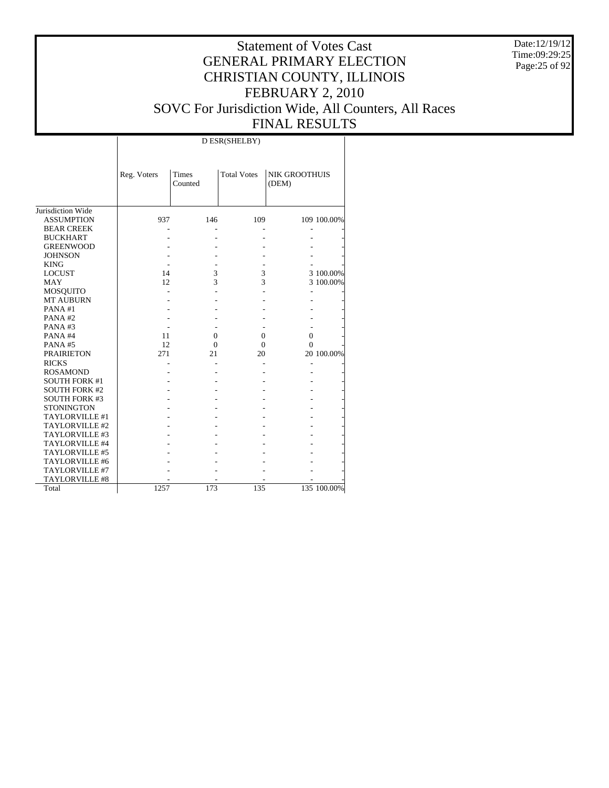Date:12/19/12 Time:09:29:25 Page:25 of 92

# Statement of Votes Cast GENERAL PRIMARY ELECTION CHRISTIAN COUNTY, ILLINOIS FEBRUARY 2, 2010 SOVC For Jurisdiction Wide, All Counters, All Races FINAL RESULTS

|                      |             |                         | D ESR(SHELBY)      |                               |             |
|----------------------|-------------|-------------------------|--------------------|-------------------------------|-------------|
|                      | Reg. Voters | <b>Times</b><br>Counted | <b>Total Votes</b> | <b>NIK GROOTHUIS</b><br>(DEM) |             |
| Jurisdiction Wide    |             |                         |                    |                               |             |
| <b>ASSUMPTION</b>    | 937         | 146                     | 109                |                               | 109 100.00% |
| <b>BEAR CREEK</b>    |             |                         |                    |                               |             |
| <b>BUCKHART</b>      |             |                         |                    |                               |             |
| <b>GREENWOOD</b>     |             |                         |                    |                               |             |
| <b>JOHNSON</b>       |             |                         |                    |                               |             |
| <b>KING</b>          |             |                         |                    |                               |             |
| <b>LOCUST</b>        | 14          | 3                       | 3                  |                               | 3 100.00%   |
| <b>MAY</b>           | 12          | 3                       | 3                  |                               | 3 100.00%   |
| <b>MOSQUITO</b>      |             |                         |                    |                               |             |
| <b>MT AUBURN</b>     |             |                         |                    |                               |             |
| PANA#1               |             |                         |                    |                               |             |
| PANA#2               |             |                         |                    |                               |             |
| PANA#3               |             |                         |                    |                               |             |
| PANA#4               | 11          | $\Omega$                | 0                  | $\theta$                      |             |
| PANA#5               | 12          | $\Omega$                | 0                  | $\theta$                      |             |
| <b>PRAIRIETON</b>    | 271         | 21                      | 20                 |                               | 20 100.00%  |
| <b>RICKS</b>         |             |                         |                    |                               |             |
| <b>ROSAMOND</b>      |             |                         |                    |                               |             |
| <b>SOUTH FORK #1</b> |             |                         |                    |                               |             |
| <b>SOUTH FORK #2</b> |             |                         |                    |                               |             |
| <b>SOUTH FORK #3</b> |             |                         |                    |                               |             |
| <b>STONINGTON</b>    |             |                         |                    |                               |             |
| TAYLORVILLE #1       |             |                         |                    |                               |             |
| TAYLORVILLE #2       |             |                         |                    |                               |             |
| TAYLORVILLE #3       |             |                         |                    |                               |             |
| TAYLORVILLE #4       |             |                         |                    |                               |             |
| TAYLORVILLE #5       |             |                         |                    |                               |             |
| TAYLORVILLE #6       |             |                         |                    |                               |             |
| TAYLORVILLE #7       |             |                         |                    |                               |             |
| TAYLORVILLE #8       |             |                         |                    |                               |             |
| Total                | 1257        | 173                     | 135                |                               | 135 100.00% |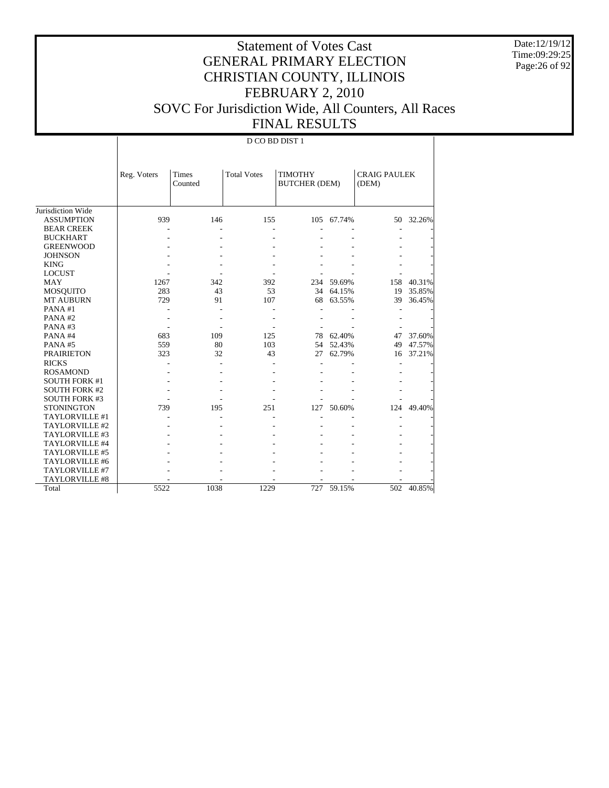Date:12/19/12 Time:09:29:25 Page:26 of 92

# Statement of Votes Cast GENERAL PRIMARY ELECTION CHRISTIAN COUNTY, ILLINOIS FEBRUARY 2, 2010 SOVC For Jurisdiction Wide, All Counters, All Races FINAL RESULTS

D CO BD DIST 1

|                      | Reg. Voters | <b>Times</b><br>Counted | <b>Total Votes</b> | <b>TIMOTHY</b><br><b>BUTCHER (DEM)</b> |            | <b>CRAIG PAULEK</b><br>(DEM) |           |
|----------------------|-------------|-------------------------|--------------------|----------------------------------------|------------|------------------------------|-----------|
| Jurisdiction Wide    |             |                         |                    |                                        |            |                              |           |
| <b>ASSUMPTION</b>    | 939         | 146                     | 155                |                                        | 105 67.74% |                              | 50 32.26% |
| <b>BEAR CREEK</b>    |             |                         |                    |                                        |            |                              |           |
| <b>BUCKHART</b>      |             |                         |                    |                                        |            |                              |           |
| <b>GREENWOOD</b>     |             |                         |                    |                                        |            |                              |           |
| <b>JOHNSON</b>       |             |                         |                    |                                        |            |                              |           |
| <b>KING</b>          |             |                         |                    |                                        |            |                              |           |
| <b>LOCUST</b>        |             |                         |                    |                                        |            |                              |           |
| <b>MAY</b>           | 1267        | 342                     | 392                | 234                                    | 59.69%     | 158                          | 40.31%    |
| MOSQUITO             | 283         | 43                      | 53                 | 34                                     | 64.15%     | 19                           | 35.85%    |
| <b>MT AUBURN</b>     | 729         | 91                      | 107                | 68                                     | 63.55%     | 39                           | 36.45%    |
| PANA#1               |             |                         |                    |                                        |            |                              |           |
| PANA#2               |             |                         |                    |                                        |            |                              |           |
| PANA#3               |             |                         |                    |                                        |            |                              |           |
| PANA#4               | 683         | 109                     | 125                | 78                                     | 62.40%     | 47                           | 37.60%    |
| PANA#5               | 559         | 80                      | 103                | 54                                     | 52.43%     | 49                           | 47.57%    |
| <b>PRAIRIETON</b>    | 323         | 32                      | 43                 | 27                                     | 62.79%     | 16                           | 37.21%    |
| <b>RICKS</b>         |             |                         |                    |                                        |            |                              |           |
| <b>ROSAMOND</b>      |             |                         |                    |                                        |            |                              |           |
| <b>SOUTH FORK #1</b> |             |                         |                    |                                        |            |                              |           |
| <b>SOUTH FORK #2</b> |             |                         |                    |                                        |            |                              |           |
| <b>SOUTH FORK #3</b> |             |                         |                    |                                        |            |                              |           |
| <b>STONINGTON</b>    | 739         | 195                     | 251                | 127                                    | 50.60%     | 124                          | 49.40%    |
| TAYLORVILLE #1       |             |                         |                    |                                        |            |                              |           |
| TAYLORVILLE #2       |             |                         |                    |                                        |            |                              |           |
| TAYLORVILLE #3       |             |                         |                    |                                        |            |                              |           |
| TAYLORVILLE #4       |             |                         |                    |                                        |            |                              |           |
| TAYLORVILLE #5       |             |                         |                    |                                        |            |                              |           |
| TAYLORVILLE #6       |             |                         |                    |                                        |            |                              |           |
| TAYLORVILLE #7       |             |                         |                    |                                        |            |                              |           |
| TAYLORVILLE #8       |             |                         |                    |                                        |            |                              |           |
| Total                | 5522        | 1038                    | 1229               | 727                                    | 59.15%     | 502                          | 40.85%    |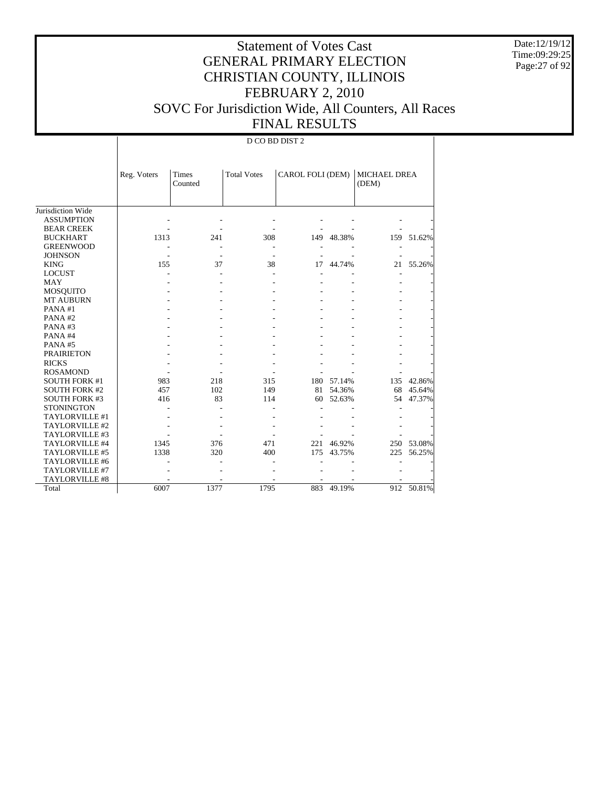Date:12/19/12 Time:09:29:25 Page:27 of 92

# Statement of Votes Cast GENERAL PRIMARY ELECTION CHRISTIAN COUNTY, ILLINOIS FEBRUARY 2, 2010 SOVC For Jurisdiction Wide, All Counters, All Races FINAL RESULTS

#### D CO BD DIST 2

|                      | Reg. Voters | <b>Times</b> | <b>Total Votes</b> | CAROL FOLI (DEM) |        | MICHAEL DREA |            |
|----------------------|-------------|--------------|--------------------|------------------|--------|--------------|------------|
|                      |             | Counted      |                    |                  |        | (DEM)        |            |
|                      |             |              |                    |                  |        |              |            |
| Jurisdiction Wide    |             |              |                    |                  |        |              |            |
| <b>ASSUMPTION</b>    |             |              |                    |                  |        |              |            |
| <b>BEAR CREEK</b>    |             |              |                    |                  |        |              |            |
| <b>BUCKHART</b>      | 1313        | 241          | 308                | 149              | 48.38% | 159          | 51.62%     |
| <b>GREENWOOD</b>     |             |              |                    |                  |        |              |            |
| <b>JOHNSON</b>       |             |              |                    |                  |        |              |            |
| <b>KING</b>          | 155         | 37           | 38                 | 17               | 44.74% | 21           | 55.26%     |
| <b>LOCUST</b>        |             |              |                    |                  |        |              |            |
| MAY                  |             |              |                    |                  |        |              |            |
| <b>MOSQUITO</b>      |             |              |                    |                  |        |              |            |
| <b>MT AUBURN</b>     |             |              |                    |                  |        |              |            |
| PANA#1               |             |              |                    |                  |        |              |            |
| PANA#2               |             |              |                    |                  |        |              |            |
| PANA#3               |             |              |                    |                  |        |              |            |
| PANA#4               |             |              |                    |                  |        |              |            |
| PANA#5               |             |              |                    |                  |        |              |            |
| <b>PRAIRIETON</b>    |             |              |                    |                  |        |              |            |
| <b>RICKS</b>         |             |              |                    |                  |        |              |            |
| <b>ROSAMOND</b>      |             |              |                    |                  |        |              |            |
| <b>SOUTH FORK #1</b> | 983         | 218          | 315                | 180              | 57.14% | 135          | 42.86%     |
| <b>SOUTH FORK #2</b> | 457         | 102          | 149                | 81               | 54.36% | 68           | 45.64%     |
| <b>SOUTH FORK #3</b> | 416         | 83           | 114                | 60               | 52.63% | 54           | 47.37%     |
| <b>STONINGTON</b>    |             |              |                    |                  |        |              |            |
| TAYLORVILLE #1       |             |              |                    |                  |        |              |            |
| TAYLORVILLE #2       |             |              |                    |                  |        |              |            |
| TAYLORVILLE #3       |             |              |                    |                  |        |              |            |
| TAYLORVILLE #4       | 1345        | 376          | 471                | 221              | 46.92% |              | 250 53.08% |
| TAYLORVILLE #5       | 1338        | 320          | 400                | 175              | 43.75% | 225          | 56.25%     |
| TAYLORVILLE #6       |             |              |                    |                  |        |              |            |
| TAYLORVILLE #7       |             |              |                    |                  |        |              |            |
| TAYLORVILLE #8       |             |              |                    |                  |        |              |            |
| Total                | 6007        | 1377         | 1795               | 883              | 49.19% | 912          | 50.81%     |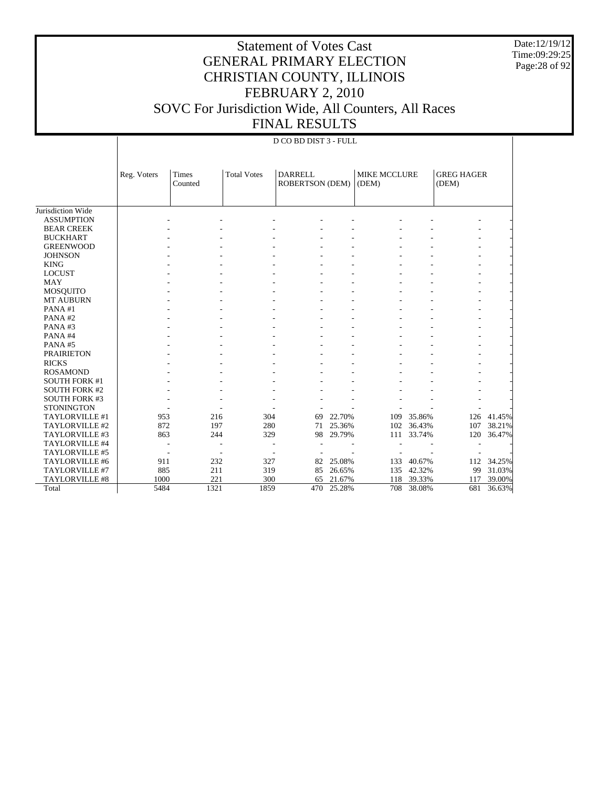Date:12/19/12 Time:09:29:25 Page:28 of 92

# Statement of Votes Cast GENERAL PRIMARY ELECTION CHRISTIAN COUNTY, ILLINOIS FEBRUARY 2, 2010 SOVC For Jurisdiction Wide, All Counters, All Races FINAL RESULTS

#### D CO BD DIST 3 - FULL

|                      | Reg. Voters | Times<br>Counted | <b>Total Votes</b> | <b>DARRELL</b><br><b>ROBERTSON (DEM)</b> |        | MIKE MCCLURE<br>(DEM) |            | <b>GREG HAGER</b><br>(DEM) |        |
|----------------------|-------------|------------------|--------------------|------------------------------------------|--------|-----------------------|------------|----------------------------|--------|
|                      |             |                  |                    |                                          |        |                       |            |                            |        |
| Jurisdiction Wide    |             |                  |                    |                                          |        |                       |            |                            |        |
| <b>ASSUMPTION</b>    |             |                  |                    |                                          |        |                       |            |                            |        |
| <b>BEAR CREEK</b>    |             |                  |                    |                                          |        |                       |            |                            |        |
| <b>BUCKHART</b>      |             |                  |                    |                                          |        |                       |            |                            |        |
| <b>GREENWOOD</b>     |             |                  |                    |                                          |        |                       |            |                            |        |
| <b>JOHNSON</b>       |             |                  |                    |                                          |        |                       |            |                            |        |
| <b>KING</b>          |             |                  |                    |                                          |        |                       |            |                            |        |
| <b>LOCUST</b>        |             |                  |                    |                                          |        |                       |            |                            |        |
| <b>MAY</b>           |             |                  |                    |                                          |        |                       |            |                            |        |
| MOSQUITO             |             |                  |                    |                                          |        |                       |            |                            |        |
| <b>MT AUBURN</b>     |             |                  |                    |                                          |        |                       |            |                            |        |
| PANA#1               |             |                  |                    |                                          |        |                       |            |                            |        |
| PANA#2               |             |                  |                    |                                          |        |                       |            |                            |        |
| PANA#3               |             |                  |                    |                                          |        |                       |            |                            |        |
| PANA#4               |             |                  |                    |                                          |        |                       |            |                            |        |
| PANA#5               |             |                  |                    |                                          |        |                       |            |                            |        |
| <b>PRAIRIETON</b>    |             |                  |                    |                                          |        |                       |            |                            |        |
| <b>RICKS</b>         |             |                  |                    |                                          |        |                       |            |                            |        |
| <b>ROSAMOND</b>      |             |                  |                    |                                          |        |                       |            |                            |        |
| <b>SOUTH FORK #1</b> |             |                  |                    |                                          |        |                       |            |                            |        |
| <b>SOUTH FORK #2</b> |             |                  |                    |                                          |        |                       |            |                            |        |
| <b>SOUTH FORK #3</b> |             |                  |                    |                                          |        |                       |            |                            |        |
| <b>STONINGTON</b>    |             |                  |                    |                                          |        |                       |            |                            |        |
| TAYLORVILLE #1       | 953         | 216              | 304                | 69                                       | 22.70% | 109                   | 35.86%     | 126                        | 41.45% |
| TAYLORVILLE #2       | 872         | 197              | 280                | 71                                       | 25.36% | 102                   | 36.43%     | 107                        | 38.21% |
| TAYLORVILLE #3       | 863         | 244              | 329                | 98                                       | 29.79% | 111                   | 33.74%     | 120                        | 36.47% |
| TAYLORVILLE #4       |             |                  |                    |                                          |        |                       |            |                            |        |
| TAYLORVILLE #5       |             |                  |                    |                                          |        |                       |            |                            |        |
| TAYLORVILLE #6       | 911         | 232              | 327                | 82                                       | 25.08% | 133                   | 40.67%     | 112                        | 34.25% |
| TAYLORVILLE #7       | 885         | 211              | 319                | 85                                       | 26.65% | 135                   | 42.32%     | 99                         | 31.03% |
| TAYLORVILLE #8       | 1000        | 221              | 300                | 65                                       | 21.67% |                       | 118 39.33% | 117                        | 39.00% |
| Total                | 5484        | 1321             | 1859               | 470                                      | 25.28% | 708                   | 38.08%     | 681                        | 36.63% |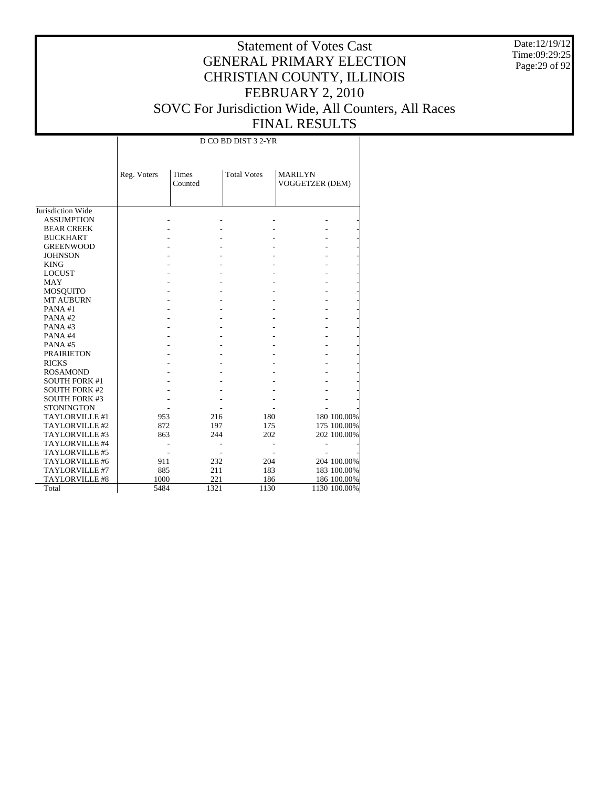Date:12/19/12 Time:09:29:25 Page: 29 of 92

|                      | D CO BD DIST 3 2-YR |                  |                    |                                   |              |  |  |  |
|----------------------|---------------------|------------------|--------------------|-----------------------------------|--------------|--|--|--|
|                      | Reg. Voters         | Times<br>Counted | <b>Total Votes</b> | <b>MARILYN</b><br>VOGGETZER (DEM) |              |  |  |  |
| Jurisdiction Wide    |                     |                  |                    |                                   |              |  |  |  |
| <b>ASSUMPTION</b>    |                     |                  |                    |                                   |              |  |  |  |
| <b>BEAR CREEK</b>    |                     |                  |                    |                                   |              |  |  |  |
| <b>BUCKHART</b>      |                     |                  |                    |                                   |              |  |  |  |
| <b>GREENWOOD</b>     |                     |                  |                    |                                   |              |  |  |  |
| <b>JOHNSON</b>       |                     |                  |                    |                                   |              |  |  |  |
| <b>KING</b>          |                     |                  |                    |                                   |              |  |  |  |
| <b>LOCUST</b>        |                     |                  |                    |                                   |              |  |  |  |
| <b>MAY</b>           |                     |                  |                    |                                   |              |  |  |  |
| MOSQUITO             |                     |                  |                    |                                   |              |  |  |  |
| <b>MT AUBURN</b>     |                     |                  |                    |                                   |              |  |  |  |
| PANA#1               |                     |                  |                    |                                   |              |  |  |  |
| PANA#2               |                     |                  |                    |                                   |              |  |  |  |
| PANA#3               |                     |                  |                    |                                   |              |  |  |  |
| PANA#4               |                     |                  |                    |                                   |              |  |  |  |
| PANA#5               |                     |                  |                    |                                   |              |  |  |  |
| <b>PRAIRIETON</b>    |                     |                  |                    |                                   |              |  |  |  |
| <b>RICKS</b>         |                     |                  |                    |                                   |              |  |  |  |
| <b>ROSAMOND</b>      |                     |                  |                    |                                   |              |  |  |  |
| <b>SOUTH FORK #1</b> |                     |                  |                    |                                   |              |  |  |  |
| <b>SOUTH FORK #2</b> |                     |                  |                    |                                   |              |  |  |  |
| <b>SOUTH FORK #3</b> |                     |                  |                    |                                   |              |  |  |  |
| <b>STONINGTON</b>    |                     |                  |                    |                                   |              |  |  |  |
| TAYLORVILLE #1       | 953                 | 216              | 180                |                                   | 180 100.00%  |  |  |  |
| TAYLORVILLE #2       | 872                 | 197              | 175                |                                   | 175 100.00%  |  |  |  |
| TAYLORVILLE #3       | 863                 | 244              | 202                |                                   | 202 100.00%  |  |  |  |
| TAYLORVILLE #4       |                     |                  |                    |                                   |              |  |  |  |
| TAYLORVILLE #5       |                     |                  |                    |                                   |              |  |  |  |
| TAYLORVILLE #6       | 911                 | 232              | 204                |                                   | 204 100.00%  |  |  |  |
| TAYLORVILLE #7       | 885                 | 211              | 183                |                                   | 183 100.00%  |  |  |  |
| TAYLORVILLE #8       | 1000                | 221              | 186                |                                   | 186 100.00%  |  |  |  |
| Total                | 5484                | 1321             | 1130               |                                   | 1130 100.00% |  |  |  |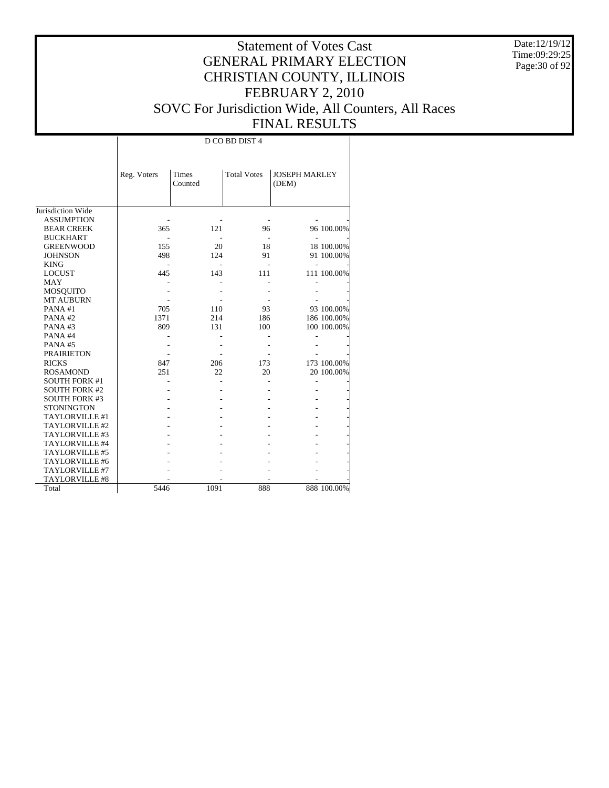Date:12/19/12 Time:09:29:25 Page:30 of 92

# Statement of Votes Cast GENERAL PRIMARY ELECTION CHRISTIAN COUNTY, ILLINOIS FEBRUARY 2, 2010 SOVC For Jurisdiction Wide, All Counters, All Races FINAL RESULTS

т

|                      |             | D CO BD DIST 4   |                    |                               |             |  |  |  |  |
|----------------------|-------------|------------------|--------------------|-------------------------------|-------------|--|--|--|--|
|                      | Reg. Voters | Times<br>Counted | <b>Total Votes</b> | <b>JOSEPH MARLEY</b><br>(DEM) |             |  |  |  |  |
| Jurisdiction Wide    |             |                  |                    |                               |             |  |  |  |  |
| <b>ASSUMPTION</b>    |             |                  |                    |                               |             |  |  |  |  |
| <b>BEAR CREEK</b>    | 365         | 121              | 96                 |                               | 96 100.00%  |  |  |  |  |
| <b>BUCKHART</b>      |             |                  |                    |                               |             |  |  |  |  |
| <b>GREENWOOD</b>     | 155         | 20               | 18                 |                               | 18 100.00%  |  |  |  |  |
| <b>JOHNSON</b>       | 498         | 124              | 91                 |                               | 91 100.00%  |  |  |  |  |
| <b>KING</b>          |             |                  |                    |                               |             |  |  |  |  |
| <b>LOCUST</b>        | 445         | 143              | 111                |                               | 111 100.00% |  |  |  |  |
| MAY                  |             |                  |                    |                               |             |  |  |  |  |
| MOSQUITO             |             |                  |                    |                               |             |  |  |  |  |
| MT AUBURN            |             |                  |                    |                               |             |  |  |  |  |
| PANA#1               | 705         | 110              | 93                 |                               | 93 100.00%  |  |  |  |  |
| PANA#2               | 1371        | 214              | 186                |                               | 186 100.00% |  |  |  |  |
| PANA#3               | 809         | 131              | 100                |                               | 100 100.00% |  |  |  |  |
| PANA#4               |             |                  |                    |                               |             |  |  |  |  |
| PANA#5               |             |                  |                    |                               |             |  |  |  |  |
| <b>PRAIRIETON</b>    |             |                  |                    |                               |             |  |  |  |  |
| <b>RICKS</b>         | 847         | 206              | 173                |                               | 173 100.00% |  |  |  |  |
| <b>ROSAMOND</b>      | 251         | 22               | 20                 |                               | 20 100.00%  |  |  |  |  |
| <b>SOUTH FORK #1</b> |             |                  |                    |                               |             |  |  |  |  |
| <b>SOUTH FORK #2</b> |             |                  |                    |                               |             |  |  |  |  |
| <b>SOUTH FORK #3</b> |             |                  |                    |                               |             |  |  |  |  |
| <b>STONINGTON</b>    |             |                  |                    |                               |             |  |  |  |  |
| TAYLORVILLE #1       |             |                  |                    |                               |             |  |  |  |  |
| TAYLORVILLE #2       |             |                  |                    |                               |             |  |  |  |  |
| TAYLORVILLE #3       |             |                  |                    |                               |             |  |  |  |  |
| TAYLORVILLE #4       |             |                  |                    |                               |             |  |  |  |  |
| TAYLORVILLE #5       |             |                  |                    |                               |             |  |  |  |  |
| TAYLORVILLE #6       |             |                  |                    |                               |             |  |  |  |  |
| TAYLORVILLE #7       |             |                  |                    |                               |             |  |  |  |  |
| TAYLORVILLE #8       |             |                  |                    |                               |             |  |  |  |  |
| Total                | 5446        | 1091             | 888                |                               | 888 100.00% |  |  |  |  |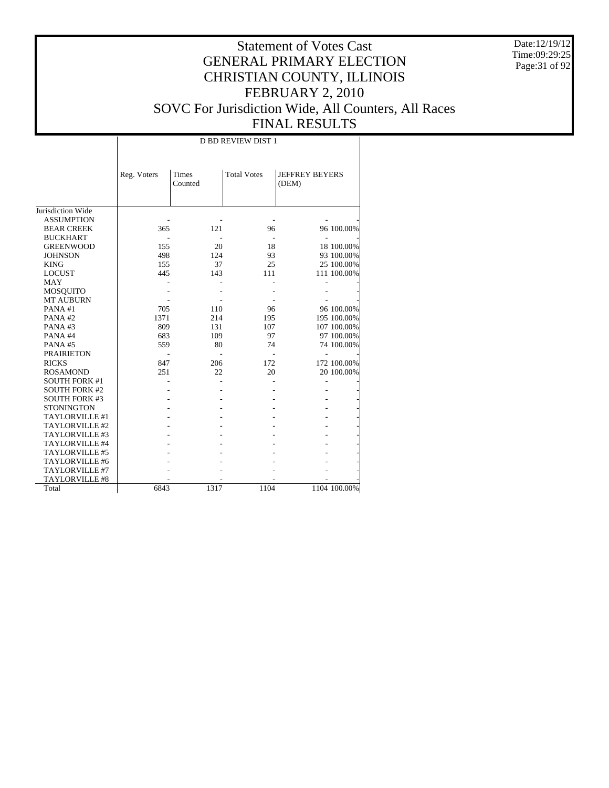Date:12/19/12 Time:09:29:25 Page:31 of 92

|                       | <b>D BD REVIEW DIST 1</b> |                         |                    |                                |              |  |  |  |  |
|-----------------------|---------------------------|-------------------------|--------------------|--------------------------------|--------------|--|--|--|--|
|                       | Reg. Voters               | <b>Times</b><br>Counted | <b>Total Votes</b> | <b>JEFFREY BEYERS</b><br>(DEM) |              |  |  |  |  |
| Jurisdiction Wide     |                           |                         |                    |                                |              |  |  |  |  |
| <b>ASSUMPTION</b>     |                           |                         |                    |                                |              |  |  |  |  |
| <b>BEAR CREEK</b>     | 365                       | 121                     | 96                 |                                | 96 100.00%   |  |  |  |  |
| <b>BUCKHART</b>       |                           |                         |                    |                                |              |  |  |  |  |
| <b>GREENWOOD</b>      | 155                       | 20                      | 18                 |                                | 18 100.00%   |  |  |  |  |
| <b>JOHNSON</b>        | 498                       | 124                     | 93                 |                                | 93 100.00%   |  |  |  |  |
| <b>KING</b>           | 155                       | 37                      | 25                 |                                | 25 100.00%   |  |  |  |  |
| <b>LOCUST</b>         | 445                       | 143                     | 111                |                                | 111 100.00%  |  |  |  |  |
| <b>MAY</b>            |                           |                         |                    |                                |              |  |  |  |  |
| <b>MOSQUITO</b>       |                           |                         |                    |                                |              |  |  |  |  |
| <b>MT AUBURN</b>      |                           |                         |                    |                                |              |  |  |  |  |
| PANA#1                | 705                       | 110                     | 96                 |                                | 96 100.00%   |  |  |  |  |
| PANA#2                | 1371                      | 214                     | 195                |                                | 195 100.00%  |  |  |  |  |
| PANA#3                | 809                       | 131                     | 107                |                                | 107 100.00%  |  |  |  |  |
| PANA#4                | 683                       | 109                     | 97                 |                                | 97 100.00%   |  |  |  |  |
| PANA#5                | 559                       | 80                      | 74                 |                                | 74 100.00%   |  |  |  |  |
| <b>PRAIRIETON</b>     |                           |                         |                    |                                |              |  |  |  |  |
| <b>RICKS</b>          | 847                       | 206                     | 172                |                                | 172 100.00%  |  |  |  |  |
| <b>ROSAMOND</b>       | 251                       | 22                      | 20                 |                                | 20 100.00%   |  |  |  |  |
| <b>SOUTH FORK #1</b>  |                           |                         |                    |                                |              |  |  |  |  |
| <b>SOUTH FORK #2</b>  |                           |                         |                    |                                |              |  |  |  |  |
| <b>SOUTH FORK #3</b>  |                           |                         |                    |                                |              |  |  |  |  |
| <b>STONINGTON</b>     |                           |                         |                    |                                |              |  |  |  |  |
| TAYLORVILLE #1        |                           |                         |                    |                                |              |  |  |  |  |
| TAYLORVILLE #2        |                           |                         |                    |                                |              |  |  |  |  |
| TAYLORVILLE #3        |                           |                         |                    |                                |              |  |  |  |  |
| TAYLORVILLE #4        |                           |                         |                    |                                |              |  |  |  |  |
| TAYLORVILLE #5        |                           |                         |                    |                                |              |  |  |  |  |
| TAYLORVILLE #6        |                           |                         |                    |                                |              |  |  |  |  |
| TAYLORVILLE #7        |                           |                         |                    |                                |              |  |  |  |  |
| <b>TAYLORVILLE #8</b> |                           |                         |                    |                                |              |  |  |  |  |
| Total                 | 6843                      | 1317                    | 1104               |                                | 1104 100.00% |  |  |  |  |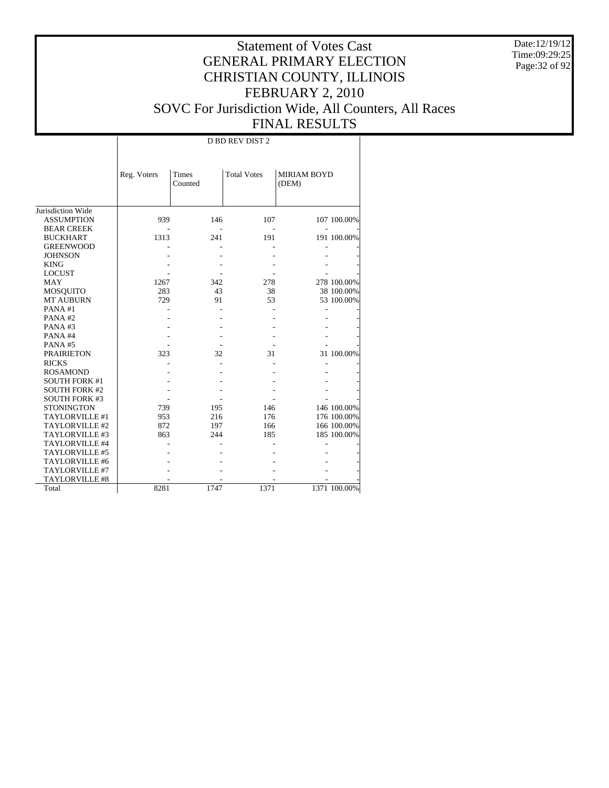Date:12/19/12 Time:09:29:25 Page:32 of 92

|                      | D BD REV DIST 2 |         |                    |                    |              |  |  |  |  |
|----------------------|-----------------|---------|--------------------|--------------------|--------------|--|--|--|--|
|                      |                 |         |                    |                    |              |  |  |  |  |
|                      |                 |         |                    |                    |              |  |  |  |  |
|                      | Reg. Voters     | Times   | <b>Total Votes</b> | <b>MIRIAM BOYD</b> |              |  |  |  |  |
|                      |                 | Counted |                    | (DEM)              |              |  |  |  |  |
|                      |                 |         |                    |                    |              |  |  |  |  |
| Jurisdiction Wide    |                 |         |                    |                    |              |  |  |  |  |
| <b>ASSUMPTION</b>    | 939             | 146     | 107                |                    | 107 100.00%  |  |  |  |  |
| <b>BEAR CREEK</b>    |                 |         |                    |                    |              |  |  |  |  |
| <b>BUCKHART</b>      | 1313            | 241     | 191                |                    | 191 100.00%  |  |  |  |  |
| <b>GREENWOOD</b>     |                 |         |                    |                    |              |  |  |  |  |
| <b>JOHNSON</b>       |                 |         |                    |                    |              |  |  |  |  |
| <b>KING</b>          |                 |         |                    |                    |              |  |  |  |  |
| <b>LOCUST</b>        |                 |         |                    |                    |              |  |  |  |  |
| <b>MAY</b>           | 1267            | 342     | 278                |                    | 278 100.00%  |  |  |  |  |
| <b>MOSQUITO</b>      | 283             | 43      | 38                 |                    | 38 100.00%   |  |  |  |  |
| <b>MT AUBURN</b>     | 729             | 91      | 53                 |                    | 53 100.00%   |  |  |  |  |
| PANA#1               |                 |         |                    |                    |              |  |  |  |  |
| PANA#2               |                 |         |                    |                    |              |  |  |  |  |
| PANA#3               |                 |         |                    |                    |              |  |  |  |  |
| PANA#4               |                 |         |                    |                    |              |  |  |  |  |
| PANA#5               |                 |         |                    |                    |              |  |  |  |  |
| <b>PRAIRIETON</b>    | 323             | 32      | 31                 |                    | 31 100.00%   |  |  |  |  |
| <b>RICKS</b>         |                 |         |                    |                    |              |  |  |  |  |
| <b>ROSAMOND</b>      |                 |         |                    |                    |              |  |  |  |  |
| <b>SOUTH FORK #1</b> |                 |         |                    |                    |              |  |  |  |  |
| <b>SOUTH FORK #2</b> |                 |         |                    |                    |              |  |  |  |  |
| <b>SOUTH FORK #3</b> |                 |         |                    |                    |              |  |  |  |  |
| <b>STONINGTON</b>    | 739             | 195     | 146                |                    | 146 100.00%  |  |  |  |  |
| TAYLORVILLE #1       | 953             | 216     | 176                |                    | 176 100.00%  |  |  |  |  |
| TAYLORVILLE #2       | 872             | 197     | 166                |                    | 166 100.00%  |  |  |  |  |
| TAYLORVILLE #3       | 863             | 244     | 185                |                    | 185 100.00%  |  |  |  |  |
| TAYLORVILLE #4       |                 |         |                    |                    |              |  |  |  |  |
| TAYLORVILLE #5       |                 |         |                    |                    |              |  |  |  |  |
| TAYLORVILLE #6       |                 |         |                    |                    |              |  |  |  |  |
| TAYLORVILLE #7       |                 |         |                    |                    |              |  |  |  |  |
| TAYLORVILLE #8       |                 |         |                    |                    |              |  |  |  |  |
| Total                | 8281            | 1747    | 1371               |                    | 1371 100.00% |  |  |  |  |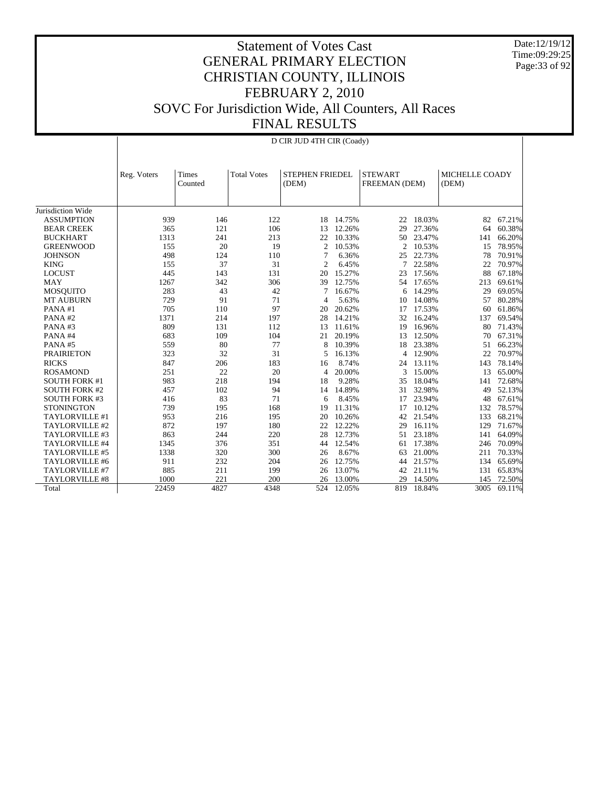Date:12/19/12 Time:09:29:25 Page:33 of 92

|                       | D CIR JUD 4TH CIR (Coady) |                                                                                                       |      |                |        |     |        |      |        |  |  |  |  |                         |  |
|-----------------------|---------------------------|-------------------------------------------------------------------------------------------------------|------|----------------|--------|-----|--------|------|--------|--|--|--|--|-------------------------|--|
|                       | Reg. Voters               | STEPHEN FRIEDEL<br><b>STEWART</b><br>Times<br><b>Total Votes</b><br>(DEM)<br>FREEMAN (DEM)<br>Counted |      |                |        |     |        |      |        |  |  |  |  | MICHELLE COADY<br>(DEM) |  |
| Jurisdiction Wide     |                           |                                                                                                       |      |                |        |     |        |      |        |  |  |  |  |                         |  |
| <b>ASSUMPTION</b>     | 939                       | 146                                                                                                   | 122  | 18             | 14.75% | 22  | 18.03% | 82   | 67.21% |  |  |  |  |                         |  |
| <b>BEAR CREEK</b>     | 365                       | 121                                                                                                   | 106  | 13             | 12.26% | 29  | 27.36% | 64   | 60.38% |  |  |  |  |                         |  |
| <b>BUCKHART</b>       | 1313                      | 241                                                                                                   | 213  | 22             | 10.33% | 50  | 23.47% | 141  | 66.20% |  |  |  |  |                         |  |
| <b>GREENWOOD</b>      | 155                       | 20                                                                                                    | 19   | $\overline{c}$ | 10.53% | 2   | 10.53% | 15   | 78.95% |  |  |  |  |                         |  |
| <b>JOHNSON</b>        | 498                       | 124                                                                                                   | 110  | 7              | 6.36%  | 25  | 22.73% | 78   | 70.91% |  |  |  |  |                         |  |
| <b>KING</b>           | 155                       | 37                                                                                                    | 31   | $\overline{c}$ | 6.45%  | 7   | 22.58% | 22   | 70.97% |  |  |  |  |                         |  |
| <b>LOCUST</b>         | 445                       | 143                                                                                                   | 131  | 20             | 15.27% | 23  | 17.56% | 88   | 67.18% |  |  |  |  |                         |  |
| <b>MAY</b>            | 1267                      | 342                                                                                                   | 306  | 39             | 12.75% | 54  | 17.65% | 213  | 69.61% |  |  |  |  |                         |  |
| <b>MOSQUITO</b>       | 283                       | 43                                                                                                    | 42   | 7              | 16.67% | 6   | 14.29% | 29   | 69.05% |  |  |  |  |                         |  |
| <b>MT AUBURN</b>      | 729                       | 91                                                                                                    | 71   | 4              | 5.63%  | 10  | 14.08% | 57   | 80.28% |  |  |  |  |                         |  |
| PANA#1                | 705                       | 110                                                                                                   | 97   | 20             | 20.62% | 17  | 17.53% | 60   | 61.86% |  |  |  |  |                         |  |
| PANA#2                | 1371                      | 214                                                                                                   | 197  | 28             | 14.21% | 32  | 16.24% | 137  | 69.54% |  |  |  |  |                         |  |
| PANA#3                | 809                       | 131                                                                                                   | 112  | 13             | 11.61% | 19  | 16.96% | 80   | 71.43% |  |  |  |  |                         |  |
| PANA#4                | 683                       | 109                                                                                                   | 104  | 21             | 20.19% | 13  | 12.50% | 70   | 67.31% |  |  |  |  |                         |  |
| PANA#5                | 559                       | 80                                                                                                    | 77   | 8              | 10.39% | 18  | 23.38% | 51   | 66.23% |  |  |  |  |                         |  |
| <b>PRAIRIETON</b>     | 323                       | 32                                                                                                    | 31   | 5              | 16.13% | 4   | 12.90% | 22   | 70.97% |  |  |  |  |                         |  |
| <b>RICKS</b>          | 847                       | 206                                                                                                   | 183  | 16             | 8.74%  | 24  | 13.11% | 143  | 78.14% |  |  |  |  |                         |  |
| <b>ROSAMOND</b>       | 251                       | 22                                                                                                    | 20   | 4              | 20.00% | 3   | 15.00% | 13   | 65.00% |  |  |  |  |                         |  |
| <b>SOUTH FORK #1</b>  | 983                       | 218                                                                                                   | 194  | 18             | 9.28%  | 35  | 18.04% | 141  | 72.68% |  |  |  |  |                         |  |
| <b>SOUTH FORK #2</b>  | 457                       | 102                                                                                                   | 94   | 14             | 14.89% | 31  | 32.98% | 49   | 52.13% |  |  |  |  |                         |  |
| <b>SOUTH FORK #3</b>  | 416                       | 83                                                                                                    | 71   | 6              | 8.45%  | 17  | 23.94% | 48   | 67.61% |  |  |  |  |                         |  |
| <b>STONINGTON</b>     | 739                       | 195                                                                                                   | 168  | 19             | 11.31% | 17  | 10.12% | 132  | 78.57% |  |  |  |  |                         |  |
| TAYLORVILLE #1        | 953                       | 216                                                                                                   | 195  | 20             | 10.26% | 42  | 21.54% | 133  | 68.21% |  |  |  |  |                         |  |
| TAYLORVILLE #2        | 872                       | 197                                                                                                   | 180  | 22             | 12.22% | 29  | 16.11% | 129  | 71.67% |  |  |  |  |                         |  |
| TAYLORVILLE #3        | 863                       | 244                                                                                                   | 220  | 28             | 12.73% | 51  | 23.18% | 141  | 64.09% |  |  |  |  |                         |  |
| TAYLORVILLE #4        | 1345                      | 376                                                                                                   | 351  | 44             | 12.54% | 61  | 17.38% | 246  | 70.09% |  |  |  |  |                         |  |
| TAYLORVILLE #5        | 1338                      | 320                                                                                                   | 300  | 26             | 8.67%  | 63  | 21.00% | 211  | 70.33% |  |  |  |  |                         |  |
| TAYLORVILLE #6        | 911                       | 232                                                                                                   | 204  | 26             | 12.75% | 44  | 21.57% | 134  | 65.69% |  |  |  |  |                         |  |
| TAYLORVILLE #7        | 885                       | 211                                                                                                   | 199  | 26             | 13.07% | 42  | 21.11% | 131  | 65.83% |  |  |  |  |                         |  |
| <b>TAYLORVILLE #8</b> | 1000                      | 221                                                                                                   | 200  | 26             | 13.00% | 29  | 14.50% | 145  | 72.50% |  |  |  |  |                         |  |
| Total                 | 22459                     | 4827                                                                                                  | 4348 | 524            | 12.05% | 819 | 18.84% | 3005 | 69.11% |  |  |  |  |                         |  |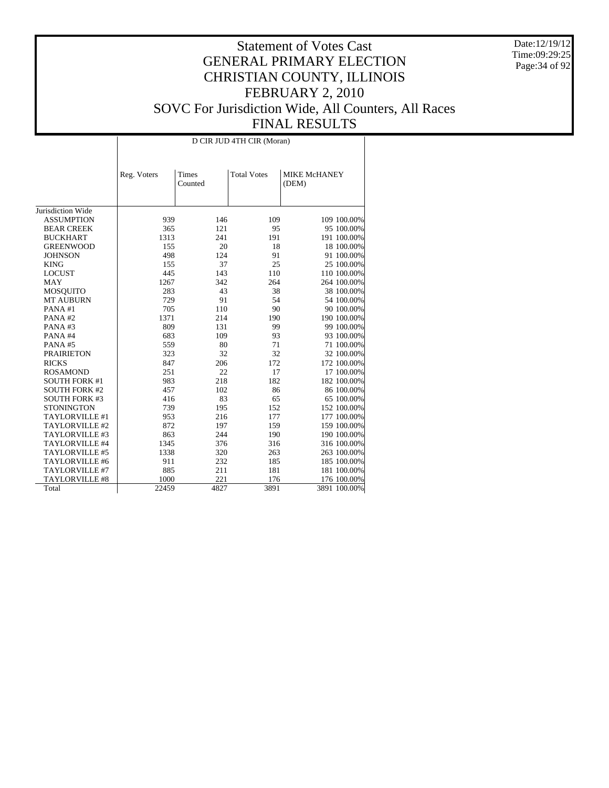Date:12/19/12 Time:09:29:25 Page:34 of 92

|                       | D CIR JUD 4TH CIR (Moran) |                  |                    |                       |  |  |  |  |  |
|-----------------------|---------------------------|------------------|--------------------|-----------------------|--|--|--|--|--|
|                       | Reg. Voters               | Times<br>Counted | <b>Total Votes</b> | MIKE McHANEY<br>(DEM) |  |  |  |  |  |
| Jurisdiction Wide     |                           |                  |                    |                       |  |  |  |  |  |
| <b>ASSUMPTION</b>     | 939                       | 146              | 109                | 109 100.00%           |  |  |  |  |  |
| <b>BEAR CREEK</b>     | 365                       | 121              | 95                 | 95 100.00%            |  |  |  |  |  |
| <b>BUCKHART</b>       | 1313                      | 241              | 191                | 191 100.00%           |  |  |  |  |  |
| <b>GREENWOOD</b>      | 155                       | 20               | 18                 | 18 100.00%            |  |  |  |  |  |
| <b>JOHNSON</b>        | 498                       | 124              | 91                 | 91 100.00%            |  |  |  |  |  |
| <b>KING</b>           | 155                       | 37               | 25                 | 25 100.00%            |  |  |  |  |  |
| <b>LOCUST</b>         | 445                       | 143              | 110                | 110 100.00%           |  |  |  |  |  |
| <b>MAY</b>            | 1267                      | 342              | 264                | 264 100.00%           |  |  |  |  |  |
| <b>MOSQUITO</b>       | 283                       | 43               | 38                 | 38 100.00%            |  |  |  |  |  |
| <b>MT AUBURN</b>      | 729                       | 91               | 54                 | 54 100.00%            |  |  |  |  |  |
| PANA#1                | 705                       | 110              | 90                 | 90 100.00%            |  |  |  |  |  |
| PANA#2                | 1371                      | 214              | 190                | 190 100.00%           |  |  |  |  |  |
| PANA#3                | 809                       | 131              | 99                 | 99 100.00%            |  |  |  |  |  |
| PANA#4                | 683                       | 109              | 93                 | 93 100.00%            |  |  |  |  |  |
| PANA#5                | 559                       | 80               | 71                 | 71 100.00%            |  |  |  |  |  |
| <b>PRAIRIETON</b>     | 323                       | 32               | 32                 | 32 100.00%            |  |  |  |  |  |
| <b>RICKS</b>          | 847                       | 206              | 172                | 172 100.00%           |  |  |  |  |  |
| <b>ROSAMOND</b>       | 251                       | 22               | 17                 | 17 100.00%            |  |  |  |  |  |
| <b>SOUTH FORK #1</b>  | 983                       | 218              | 182                | 182 100.00%           |  |  |  |  |  |
| <b>SOUTH FORK #2</b>  | 457                       | 102              | 86                 | 86 100.00%            |  |  |  |  |  |
| <b>SOUTH FORK #3</b>  | 416                       | 83               | 65                 | 65 100.00%            |  |  |  |  |  |
| <b>STONINGTON</b>     | 739                       | 195              | 152                | 152 100.00%           |  |  |  |  |  |
| TAYLORVILLE #1        | 953                       | 216              | 177                | 177 100.00%           |  |  |  |  |  |
| TAYLORVILLE #2        | 872                       | 197              | 159                | 159 100.00%           |  |  |  |  |  |
| TAYLORVILLE #3        | 863                       | 244              | 190                | 190 100.00%           |  |  |  |  |  |
| TAYLORVILLE #4        | 1345                      | 376              | 316                | 316 100.00%           |  |  |  |  |  |
| TAYLORVILLE #5        | 1338                      | 320              | 263                | 263 100.00%           |  |  |  |  |  |
| TAYLORVILLE #6        | 911                       | 232              | 185                | 185 100.00%           |  |  |  |  |  |
| TAYLORVILLE #7        | 885                       | 211              | 181                | 181 100.00%           |  |  |  |  |  |
| <b>TAYLORVILLE #8</b> | 1000                      |                  | 176                |                       |  |  |  |  |  |
|                       | 22459                     | 221<br>4827      | 3891               | 176 100.00%           |  |  |  |  |  |
| Total                 |                           |                  |                    | 3891 100.00%          |  |  |  |  |  |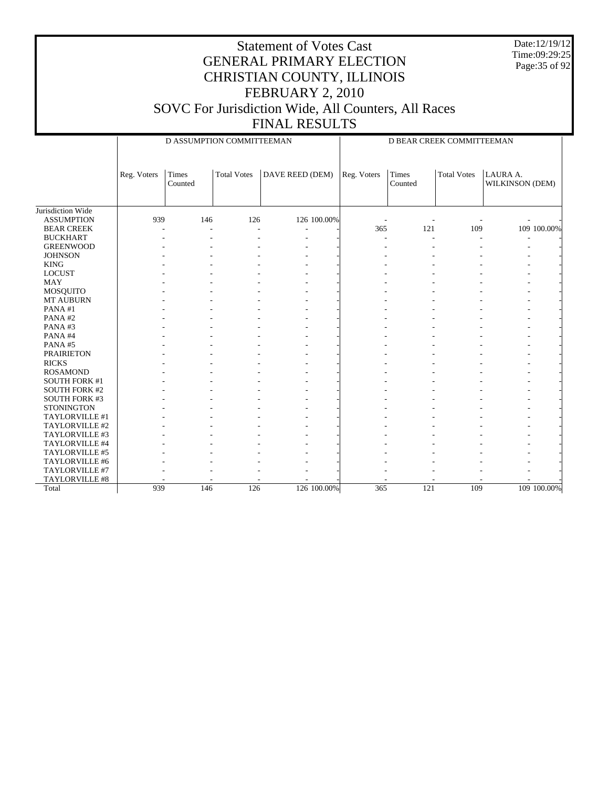Date:12/19/12 Time:09:29:25 Page:35 of 92

#### Statement of Votes Cast GENERAL PRIMARY ELECTION CHRISTIAN COUNTY, ILLINOIS FEBRUARY 2, 2010 SOVC For Jurisdiction Wide, All Counters, All Races FINAL RESULTS

Jurisdiction Wide ASSUMPTION BEAR CREEK BUCKHART GREENWOOD **JOHNSON**  KING LOCUST MAY MOSQUITO MT AUBURN PANA #1 PANA #2 PANA #3 PANA #4 PANA #5 PRAIRIETON RICKS ROSAMOND SOUTH FORK #1 SOUTH FORK #2 SOUTH FORK #3 **STONINGTON**  TAYLORVILLE #1 TAYLORVILLE #2 TAYLORVILLE #3 TAYLORVILLE #4 TAYLORVILLE #5 TAYLORVILLE #6 TAYLORVILLE #7 TAYLORVILLE #8 Total Reg. Voters | Times Counted Total Votes | DAVE REED (DEM) D ASSUMPTION COMMITTEEMAN Reg. Voters | Times Counted Total Votes | LAURA A. WILKINSON (DEM) D BEAR CREEK COMMITTEEMAN 939 146 126 126 100.00% - - - - - - - - - - - - - - - 365 121 109 100.00% - - - - - - - - - - - - - - - - - - - - - - - - - - - - - - - - - - - - - - - - - - - - - - - - - - - - - - - - - - - - - - - - - - - - - - - - - - - - - - - - - - - - - - - - - - - - - - - - - - - - - - - - - - - - - - - - - - - - - - - - - - - - - - - - - - - - - - - - - - - - - - - - - - - - - - - - - - - - - - - - - - - - - - - - - - - - - - - - - - - - - - - - - - - - - - - - - - - - - - - - - - - - - - - - - - - - - - - - - - - - - - - - - - - - - - - - - - - - - - - - - - - - - - - - - - - - - - - - - - - - - - - - - - - - - - - - - - - - - - - - 939 146 126 126 100.00% 365 121 109 100.00%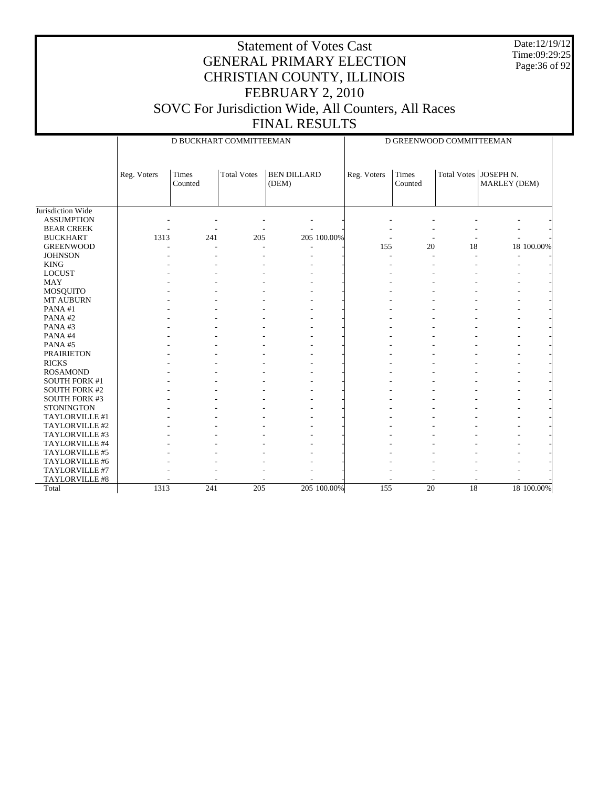Date:12/19/12 Time:09:29:25 Page:36 of 92

|                      |             |                  | D GREENWOOD COMMITTEEMAN |                             |             |                  |    |                                         |            |
|----------------------|-------------|------------------|--------------------------|-----------------------------|-------------|------------------|----|-----------------------------------------|------------|
|                      | Reg. Voters | Times<br>Counted | <b>Total Votes</b>       | <b>BEN DILLARD</b><br>(DEM) | Reg. Voters | Times<br>Counted |    | Total Votes   JOSEPH N.<br>MARLEY (DEM) |            |
| Jurisdiction Wide    |             |                  |                          |                             |             |                  |    |                                         |            |
| <b>ASSUMPTION</b>    |             |                  |                          |                             |             |                  |    |                                         |            |
| <b>BEAR CREEK</b>    |             |                  |                          |                             |             |                  |    |                                         |            |
| <b>BUCKHART</b>      | 1313        | 241              | 205                      | 205 100.00%                 |             |                  |    |                                         |            |
| <b>GREENWOOD</b>     |             |                  |                          | ٠                           | 155         | 20               | 18 |                                         | 18 100.00% |
| <b>JOHNSON</b>       |             |                  |                          | ٠                           |             |                  | ÷, |                                         |            |
| <b>KING</b>          |             |                  |                          |                             |             |                  |    |                                         |            |
| <b>LOCUST</b>        |             |                  |                          |                             |             |                  |    |                                         |            |
| <b>MAY</b>           |             |                  |                          |                             |             |                  |    |                                         |            |
| MOSQUITO             |             |                  |                          |                             |             |                  |    |                                         |            |
| <b>MT AUBURN</b>     |             |                  |                          |                             |             |                  |    |                                         |            |
| PANA#1               |             |                  |                          |                             |             |                  |    |                                         |            |
| PANA#2               |             |                  |                          |                             |             |                  |    |                                         |            |
| PANA#3               |             |                  |                          |                             |             |                  |    |                                         |            |
| PANA#4               |             |                  |                          | ٠                           |             |                  |    |                                         |            |
| PANA#5               |             |                  |                          |                             |             |                  |    |                                         |            |
| <b>PRAIRIETON</b>    |             |                  |                          |                             |             |                  |    |                                         |            |
| <b>RICKS</b>         |             |                  |                          |                             |             |                  |    |                                         |            |
| <b>ROSAMOND</b>      |             |                  |                          | ٠                           |             |                  |    |                                         |            |
| <b>SOUTH FORK #1</b> |             |                  |                          |                             |             |                  |    |                                         |            |
| <b>SOUTH FORK #2</b> |             |                  |                          |                             |             |                  |    |                                         |            |
| <b>SOUTH FORK #3</b> |             |                  |                          |                             |             |                  |    |                                         |            |
| <b>STONINGTON</b>    |             |                  |                          |                             |             |                  |    |                                         |            |
| TAYLORVILLE #1       |             |                  |                          |                             |             |                  |    |                                         |            |
| TAYLORVILLE #2       |             |                  |                          |                             |             |                  |    |                                         |            |
| TAYLORVILLE #3       |             |                  |                          |                             |             |                  |    |                                         |            |
| TAYLORVILLE #4       |             |                  |                          |                             |             |                  |    |                                         |            |
| TAYLORVILLE #5       |             |                  |                          |                             |             |                  |    |                                         |            |
| TAYLORVILLE #6       |             |                  |                          |                             |             |                  |    |                                         |            |
| TAYLORVILLE #7       |             |                  |                          |                             |             |                  |    |                                         |            |
| TAYLORVILLE #8       |             |                  |                          |                             |             |                  |    |                                         |            |
| Total                | 1313        | 241              | 205                      | 205 100.00%                 | 155         | 20               | 18 |                                         | 18 100.00% |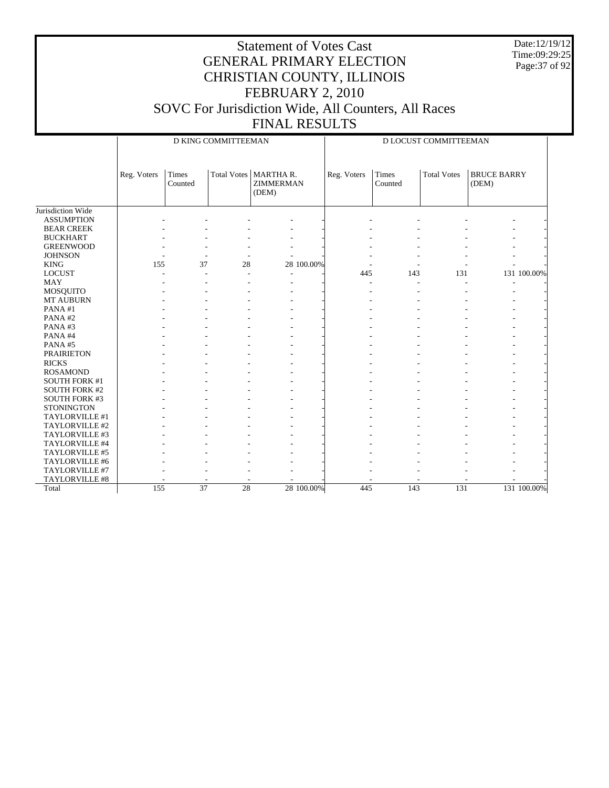Date:12/19/12 Time:09:29:25 Page:37 of 92

|                      |             |                         | D KING COMMITTEEMAN |                                       | D LOCUST COMMITTEEMAN |                  |                    |                             |             |  |
|----------------------|-------------|-------------------------|---------------------|---------------------------------------|-----------------------|------------------|--------------------|-----------------------------|-------------|--|
|                      | Reg. Voters | <b>Times</b><br>Counted | <b>Total Votes</b>  | MARTHAR.<br><b>ZIMMERMAN</b><br>(DEM) | Reg. Voters           | Times<br>Counted | <b>Total Votes</b> | <b>BRUCE BARRY</b><br>(DEM) |             |  |
| Jurisdiction Wide    |             |                         |                     |                                       |                       |                  |                    |                             |             |  |
| <b>ASSUMPTION</b>    |             |                         |                     |                                       |                       |                  |                    |                             |             |  |
| <b>BEAR CREEK</b>    |             |                         |                     |                                       |                       |                  |                    |                             |             |  |
| <b>BUCKHART</b>      |             |                         |                     |                                       |                       |                  |                    |                             |             |  |
| <b>GREENWOOD</b>     |             |                         |                     |                                       |                       |                  |                    |                             |             |  |
| <b>JOHNSON</b>       |             |                         | ٠                   |                                       |                       |                  |                    |                             |             |  |
| <b>KING</b>          | 155         | 37                      | 28                  | 28 100.00%                            |                       |                  |                    |                             |             |  |
| <b>LOCUST</b>        |             |                         |                     |                                       | 445                   | 143              | 131                |                             | 131 100.00% |  |
| <b>MAY</b>           |             |                         |                     |                                       |                       |                  |                    |                             |             |  |
| MOSQUITO             |             |                         |                     |                                       |                       |                  |                    |                             |             |  |
| MT AUBURN            |             |                         |                     |                                       |                       |                  |                    |                             |             |  |
| PANA $#1$            |             |                         |                     |                                       |                       |                  |                    |                             |             |  |
| PANA#2               |             |                         |                     |                                       |                       |                  |                    |                             |             |  |
| PANA#3               |             |                         |                     |                                       |                       |                  |                    |                             |             |  |
| PANA#4               |             |                         |                     |                                       |                       |                  |                    |                             |             |  |
| PANA#5               |             |                         |                     |                                       |                       |                  |                    |                             |             |  |
| <b>PRAIRIETON</b>    |             |                         |                     |                                       |                       |                  |                    |                             |             |  |
| <b>RICKS</b>         |             |                         |                     |                                       |                       |                  |                    |                             |             |  |
| <b>ROSAMOND</b>      |             |                         |                     |                                       |                       |                  |                    |                             |             |  |
| <b>SOUTH FORK #1</b> |             |                         |                     |                                       |                       |                  |                    |                             |             |  |
| <b>SOUTH FORK #2</b> |             |                         |                     |                                       |                       |                  |                    |                             |             |  |
| SOUTH FORK #3        |             |                         |                     |                                       |                       |                  |                    |                             |             |  |
| <b>STONINGTON</b>    |             |                         |                     |                                       |                       |                  |                    |                             |             |  |
| TAYLORVILLE #1       |             |                         |                     |                                       |                       |                  |                    |                             |             |  |
| TAYLORVILLE #2       |             |                         |                     |                                       |                       |                  |                    |                             |             |  |
| TAYLORVILLE #3       |             |                         |                     |                                       |                       |                  |                    |                             |             |  |
| TAYLORVILLE #4       |             |                         |                     |                                       |                       |                  |                    |                             |             |  |
| TAYLORVILLE #5       |             |                         |                     |                                       |                       |                  |                    |                             |             |  |
| TAYLORVILLE #6       |             |                         |                     |                                       |                       |                  |                    |                             |             |  |
| TAYLORVILLE #7       |             |                         |                     |                                       |                       |                  |                    |                             |             |  |
| TAYLORVILLE #8       |             |                         |                     |                                       |                       |                  |                    |                             |             |  |
| Total                | 155         | 37                      | 28                  | 28 100,00%                            | 445                   | 143              | 131                |                             | 131 100.00% |  |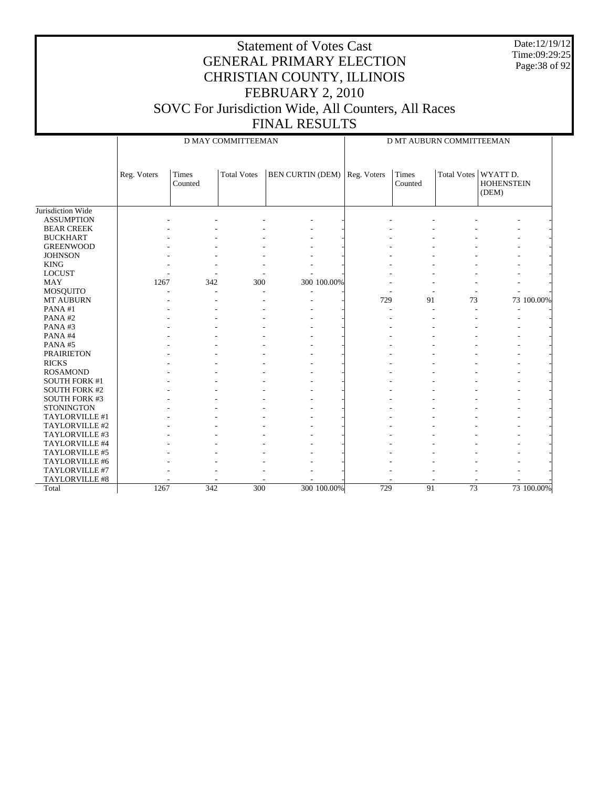Date:12/19/12 Time:09:29:25 Page:38 of 92

#### Statement of Votes Cast GENERAL PRIMARY ELECTION CHRISTIAN COUNTY, ILLINOIS FEBRUARY 2, 2010 SOVC For Jurisdiction Wide, All Counters, All Races FINAL RESULTS

Jurisdiction Wide ASSUMPTION BEAR CREEK BUCKHART GREENWOOD **JOHNSON**  KING LOCUST MAY MOSQUITO MT AUBURN PANA #1 PANA #2 PANA #3 PANA #4 PANA #5 PRAIRIETON RICKS ROSAMOND SOUTH FORK #1 SOUTH FORK #2 SOUTH FORK #3 **STONINGTON**  TAYLORVILLE #1 TAYLORVILLE #2 TAYLORVILLE #3 TAYLORVILLE #4 TAYLORVILLE #5 TAYLORVILLE #6 TAYLORVILLE #7 TAYLORVILLE #8 Total Reg. Voters Times Counted Total Votes | BEN CURTIN (DEM) | Reg. Voters | Times D MAY COMMITTEEMAN Counted Total Votes | WYATT D. HOHENSTEIN (DEM) D MT AUBURN COMMITTEEMAN - - - - - - - - - - - - - - - - - - - - - - - - - - - - - - - - - - - - - - - - - - - - - - - - - - - - - - - - - - - - - - - - - - - - - - 1267 342 300 300 100.00% - - - - - - - - - - - - - - - - - - - - - - - - - 729 91 73 73 100.00% - - - - - - - - - - - - - - - - - - - - - - - - - - - - - - - - - - - - - - - - - - - - - - - - - - - - - - - - - - - - - - - - - - - - - - - - - - - - - - - - - - - - - - - - - - - - - - - - - - - - - - - - - - - - - - - - - - - - - - - - - - - - - - - - - - - - - - - - - - - - - - - - - - - - - - - - - - - - - - - - - - - - - - - - - - - - - - - - - - - - - - - - - - - - - - - - - - - - - - - - 1267 342 300 300 100.00% 729 91 73 73 100.00%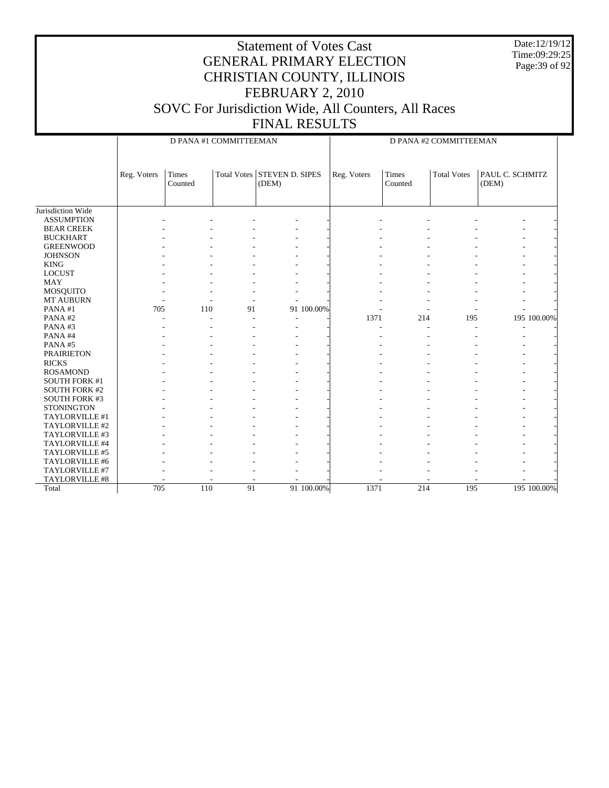Date:12/19/12 Time:09:29:25 Page:39 of 92

|                      |             | D PANA #1 COMMITTEEMAN |    |                                      |            |             | D PANA #2 COMMITTEEMAN  |                    |                          |             |  |
|----------------------|-------------|------------------------|----|--------------------------------------|------------|-------------|-------------------------|--------------------|--------------------------|-------------|--|
|                      | Reg. Voters | Times<br>Counted       |    | Total Votes STEVEN D. SIPES<br>(DEM) |            | Reg. Voters | <b>Times</b><br>Counted | <b>Total Votes</b> | PAUL C. SCHMITZ<br>(DEM) |             |  |
| Jurisdiction Wide    |             |                        |    |                                      |            |             |                         |                    |                          |             |  |
| <b>ASSUMPTION</b>    |             |                        |    |                                      |            |             |                         |                    |                          |             |  |
| <b>BEAR CREEK</b>    |             |                        |    |                                      |            |             |                         |                    |                          |             |  |
| <b>BUCKHART</b>      |             |                        |    |                                      |            |             |                         |                    |                          |             |  |
| <b>GREENWOOD</b>     |             |                        |    |                                      |            |             |                         |                    |                          |             |  |
| <b>JOHNSON</b>       |             |                        |    |                                      |            |             |                         |                    |                          |             |  |
| <b>KING</b>          |             |                        |    |                                      |            |             |                         |                    |                          |             |  |
| <b>LOCUST</b>        |             |                        |    |                                      |            |             |                         |                    |                          |             |  |
| <b>MAY</b>           |             |                        |    |                                      |            |             |                         |                    |                          |             |  |
| <b>MOSQUITO</b>      |             |                        |    |                                      |            |             |                         |                    |                          |             |  |
| MT AUBURN            |             |                        |    |                                      |            |             |                         |                    |                          |             |  |
| PANA#1               | 705         | 110                    | 91 |                                      | 91 100.00% |             |                         |                    |                          |             |  |
| PANA#2               |             |                        |    |                                      |            | 1371        | 214                     | 195                |                          | 195 100.00% |  |
| PANA#3               |             |                        |    |                                      |            |             |                         |                    |                          |             |  |
| PANA#4               |             |                        |    |                                      |            |             |                         |                    |                          |             |  |
| PANA#5               |             |                        |    |                                      |            |             |                         |                    |                          |             |  |
| <b>PRAIRIETON</b>    |             |                        |    |                                      |            |             |                         |                    |                          |             |  |
| <b>RICKS</b>         |             |                        |    |                                      |            |             |                         |                    |                          |             |  |
| <b>ROSAMOND</b>      |             |                        |    |                                      |            |             |                         |                    |                          |             |  |
| <b>SOUTH FORK #1</b> |             |                        |    |                                      |            |             |                         |                    |                          |             |  |
| <b>SOUTH FORK #2</b> |             |                        |    |                                      |            |             |                         |                    |                          |             |  |
| <b>SOUTH FORK #3</b> |             |                        |    |                                      |            |             |                         |                    |                          |             |  |
| <b>STONINGTON</b>    |             |                        |    |                                      |            |             |                         |                    |                          |             |  |
| TAYLORVILLE #1       |             |                        |    |                                      |            |             |                         |                    |                          |             |  |
| TAYLORVILLE #2       |             |                        |    |                                      |            |             |                         |                    |                          |             |  |
| TAYLORVILLE #3       |             |                        |    |                                      |            |             |                         |                    |                          |             |  |
| TAYLORVILLE #4       |             |                        |    |                                      |            |             |                         |                    |                          |             |  |
| TAYLORVILLE #5       |             |                        |    |                                      |            |             |                         |                    |                          |             |  |
| TAYLORVILLE #6       |             |                        |    |                                      |            |             |                         |                    |                          |             |  |
| TAYLORVILLE #7       |             |                        |    |                                      |            |             |                         |                    |                          |             |  |
| TAYLORVILLE #8       |             |                        |    |                                      |            |             |                         |                    |                          |             |  |
| Total                | 705         | 110                    | 91 |                                      | 91 100.00% | 1371        | 214                     | 195                |                          | 195 100.00% |  |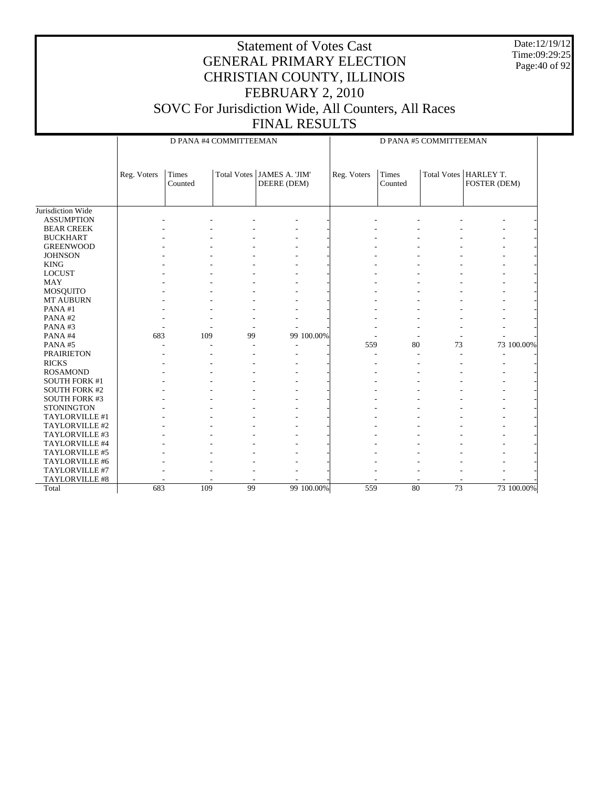Date:12/19/12 Time:09:29:25 Page:40 of 92

|                      |             |                         | D PANA #4 COMMITTEEMAN |                               | D PANA #5 COMMITTEEMAN |                         |                 |                                         |  |
|----------------------|-------------|-------------------------|------------------------|-------------------------------|------------------------|-------------------------|-----------------|-----------------------------------------|--|
|                      | Reg. Voters | <b>Times</b><br>Counted | Total Votes            | JAMES A. 'JIM'<br>DEERE (DEM) | Reg. Voters            | <b>Times</b><br>Counted |                 | Total Votes   HARLEY T.<br>FOSTER (DEM) |  |
| Jurisdiction Wide    |             |                         |                        |                               |                        |                         |                 |                                         |  |
| <b>ASSUMPTION</b>    |             |                         |                        |                               |                        |                         |                 |                                         |  |
| <b>BEAR CREEK</b>    |             |                         |                        |                               |                        |                         |                 |                                         |  |
| <b>BUCKHART</b>      |             |                         |                        |                               |                        |                         |                 |                                         |  |
| <b>GREENWOOD</b>     |             |                         |                        |                               |                        |                         |                 |                                         |  |
| <b>JOHNSON</b>       |             |                         |                        |                               |                        |                         |                 |                                         |  |
| <b>KING</b>          |             |                         |                        |                               |                        |                         |                 |                                         |  |
| <b>LOCUST</b>        |             |                         |                        |                               |                        |                         |                 |                                         |  |
| <b>MAY</b>           |             |                         |                        |                               |                        |                         |                 |                                         |  |
| MOSQUITO             |             |                         |                        |                               |                        |                         |                 |                                         |  |
| MT AUBURN            |             |                         |                        |                               |                        |                         |                 |                                         |  |
| PANA#1               |             |                         |                        |                               |                        |                         |                 |                                         |  |
| PANA#2               |             |                         |                        |                               |                        |                         |                 |                                         |  |
| PANA#3               |             |                         |                        |                               |                        |                         |                 |                                         |  |
| PANA#4               | 683         | 109                     | 99                     | 99 100.00%                    |                        |                         |                 |                                         |  |
| PANA#5               |             |                         |                        |                               | 559                    | 80                      | 73              | 73 100.00%                              |  |
| <b>PRAIRIETON</b>    |             |                         |                        |                               |                        |                         |                 |                                         |  |
| <b>RICKS</b>         |             |                         |                        |                               |                        |                         |                 |                                         |  |
| <b>ROSAMOND</b>      |             |                         |                        |                               |                        |                         |                 |                                         |  |
| <b>SOUTH FORK #1</b> |             |                         |                        |                               |                        |                         |                 |                                         |  |
| <b>SOUTH FORK #2</b> |             |                         |                        |                               |                        |                         |                 |                                         |  |
| <b>SOUTH FORK #3</b> |             |                         |                        |                               |                        |                         |                 |                                         |  |
| <b>STONINGTON</b>    |             |                         |                        |                               |                        |                         |                 |                                         |  |
| TAYLORVILLE #1       |             |                         |                        |                               |                        |                         |                 |                                         |  |
| TAYLORVILLE #2       |             |                         |                        |                               |                        |                         |                 |                                         |  |
| TAYLORVILLE #3       |             |                         |                        |                               |                        |                         |                 |                                         |  |
| TAYLORVILLE #4       |             |                         |                        |                               |                        |                         |                 |                                         |  |
| TAYLORVILLE #5       |             |                         |                        |                               |                        |                         |                 |                                         |  |
| TAYLORVILLE #6       |             |                         |                        |                               |                        |                         |                 |                                         |  |
| TAYLORVILLE #7       |             |                         |                        |                               |                        |                         |                 |                                         |  |
| TAYLORVILLE #8       |             |                         |                        |                               |                        |                         |                 |                                         |  |
| Total                | 683         | 109                     | 99                     | 99 100.00%                    | 559                    | 80                      | $\overline{73}$ | 73 100.00%                              |  |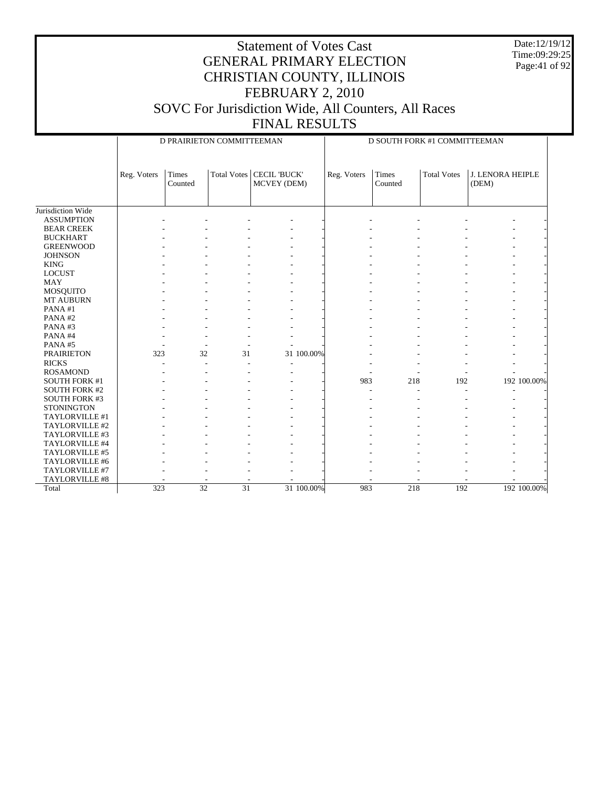Date:12/19/12 Time:09:29:25 Page:41 of 92

|                      |             | D PRAIRIETON COMMITTEEMAN |                    |                                    | D SOUTH FORK #1 COMMITTEEMAN |                         |                    |                                  |  |
|----------------------|-------------|---------------------------|--------------------|------------------------------------|------------------------------|-------------------------|--------------------|----------------------------------|--|
|                      | Reg. Voters | <b>Times</b><br>Counted   | <b>Total Votes</b> | <b>CECIL 'BUCK'</b><br>MCVEY (DEM) | Reg. Voters                  | <b>Times</b><br>Counted | <b>Total Votes</b> | <b>J. LENORA HEIPLE</b><br>(DEM) |  |
| Jurisdiction Wide    |             |                           |                    |                                    |                              |                         |                    |                                  |  |
| <b>ASSUMPTION</b>    |             |                           |                    |                                    |                              |                         |                    |                                  |  |
| <b>BEAR CREEK</b>    |             |                           |                    |                                    |                              |                         |                    |                                  |  |
| <b>BUCKHART</b>      |             |                           |                    |                                    |                              |                         |                    |                                  |  |
| <b>GREENWOOD</b>     |             |                           |                    |                                    |                              |                         |                    |                                  |  |
| <b>JOHNSON</b>       |             |                           |                    |                                    |                              |                         |                    |                                  |  |
| <b>KING</b>          |             |                           |                    |                                    |                              |                         |                    |                                  |  |
| <b>LOCUST</b>        |             |                           |                    |                                    |                              |                         |                    |                                  |  |
| <b>MAY</b>           |             |                           |                    |                                    |                              |                         |                    |                                  |  |
| <b>MOSQUITO</b>      |             |                           |                    |                                    |                              |                         |                    |                                  |  |
| MT AUBURN            |             |                           |                    |                                    |                              |                         |                    |                                  |  |
| PANA#1               |             |                           |                    |                                    |                              |                         |                    |                                  |  |
| PANA#2               |             |                           |                    |                                    |                              |                         |                    |                                  |  |
| PANA#3               |             |                           |                    |                                    |                              |                         |                    |                                  |  |
| PANA#4               |             |                           |                    |                                    |                              |                         |                    |                                  |  |
| PANA#5               |             |                           |                    |                                    |                              |                         |                    |                                  |  |
| <b>PRAIRIETON</b>    | 323         | 32                        | 31                 | 31 100.00%                         |                              |                         |                    |                                  |  |
| <b>RICKS</b>         |             |                           |                    |                                    |                              |                         |                    |                                  |  |
| <b>ROSAMOND</b>      |             |                           |                    |                                    |                              |                         |                    |                                  |  |
| <b>SOUTH FORK #1</b> |             |                           |                    |                                    | 983                          | 218                     | 192                | 192 100.00%                      |  |
| <b>SOUTH FORK #2</b> |             |                           |                    |                                    |                              | $\overline{a}$          |                    |                                  |  |
| <b>SOUTH FORK #3</b> |             |                           |                    |                                    |                              |                         |                    |                                  |  |
| <b>STONINGTON</b>    |             |                           |                    |                                    |                              |                         |                    |                                  |  |
| TAYLORVILLE #1       |             |                           |                    |                                    |                              |                         |                    |                                  |  |
| TAYLORVILLE #2       |             |                           |                    |                                    |                              |                         |                    |                                  |  |
| TAYLORVILLE #3       |             |                           |                    |                                    |                              |                         |                    |                                  |  |
| TAYLORVILLE #4       |             |                           |                    |                                    |                              |                         |                    |                                  |  |
| TAYLORVILLE #5       |             |                           |                    |                                    |                              |                         |                    |                                  |  |
| TAYLORVILLE #6       |             |                           |                    |                                    |                              |                         |                    |                                  |  |
| TAYLORVILLE #7       |             |                           |                    |                                    |                              |                         |                    |                                  |  |
| TAYLORVILLE #8       |             |                           |                    |                                    |                              |                         |                    |                                  |  |
| Total                | 323         | $\overline{32}$           | $\overline{31}$    | 31 100,00%                         | 983                          | 218                     | 192                | 192 100.00%                      |  |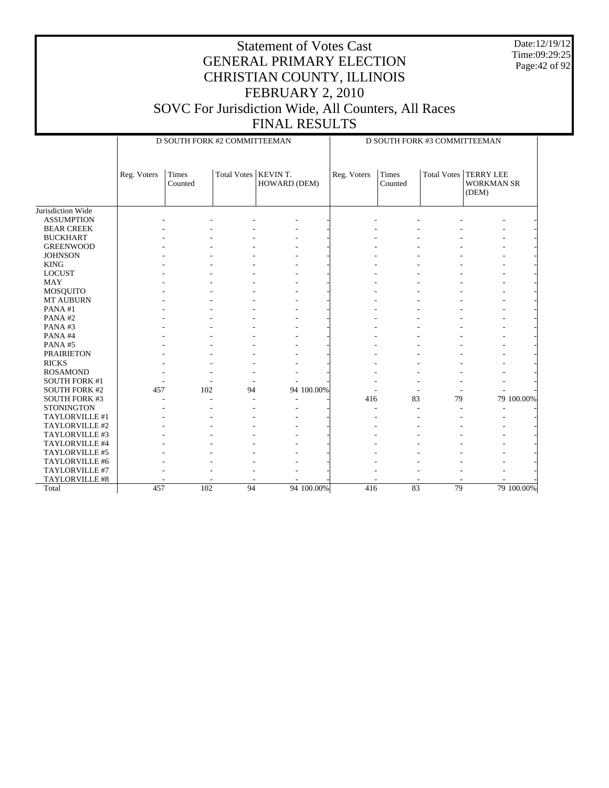Date:12/19/12 Time:09:29:25 Page:42 of 92

|                      |             | D SOUTH FORK #2 COMMITTEEMAN |                        |              |             | D SOUTH FORK #3 COMMITTEEMAN |             |                                                |            |  |
|----------------------|-------------|------------------------------|------------------------|--------------|-------------|------------------------------|-------------|------------------------------------------------|------------|--|
|                      | Reg. Voters | <b>Times</b><br>Counted      | Total Votes   KEVIN T. | HOWARD (DEM) | Reg. Voters | <b>Times</b><br>Counted      | Total Votes | <b>TERRY LEE</b><br><b>WORKMAN SR</b><br>(DEM) |            |  |
| Jurisdiction Wide    |             |                              |                        |              |             |                              |             |                                                |            |  |
| <b>ASSUMPTION</b>    |             |                              |                        |              |             |                              |             |                                                |            |  |
| <b>BEAR CREEK</b>    |             |                              |                        |              |             |                              |             |                                                |            |  |
| <b>BUCKHART</b>      |             |                              |                        |              |             |                              |             |                                                |            |  |
| <b>GREENWOOD</b>     |             |                              |                        |              |             |                              |             |                                                |            |  |
| <b>JOHNSON</b>       |             |                              |                        |              |             |                              |             |                                                |            |  |
| <b>KING</b>          |             |                              |                        |              |             |                              |             |                                                |            |  |
| <b>LOCUST</b>        |             |                              |                        |              |             |                              |             |                                                |            |  |
| <b>MAY</b>           |             |                              |                        |              |             |                              |             |                                                |            |  |
| MOSQUITO             |             |                              |                        |              |             |                              |             |                                                |            |  |
| MT AUBURN            |             |                              |                        |              |             |                              |             |                                                |            |  |
| PANA#1               |             |                              |                        |              |             |                              |             |                                                |            |  |
| PANA#2               |             |                              |                        |              |             |                              |             |                                                |            |  |
| PANA#3               |             |                              |                        |              |             |                              |             |                                                |            |  |
| PANA#4               |             |                              |                        |              |             |                              |             |                                                |            |  |
| PANA#5               |             |                              |                        |              |             |                              |             |                                                |            |  |
| <b>PRAIRIETON</b>    |             |                              |                        |              |             |                              |             |                                                |            |  |
| <b>RICKS</b>         |             |                              |                        |              |             |                              |             |                                                |            |  |
| <b>ROSAMOND</b>      |             |                              |                        |              |             |                              |             |                                                |            |  |
| <b>SOUTH FORK #1</b> |             |                              |                        |              |             |                              |             |                                                |            |  |
| <b>SOUTH FORK #2</b> | 457         | 102                          | 94                     | 94 100.00%   |             |                              |             |                                                |            |  |
| <b>SOUTH FORK #3</b> |             |                              |                        |              | 416         | 83                           | 79          |                                                | 79 100.00% |  |
| <b>STONINGTON</b>    |             |                              |                        |              |             |                              |             |                                                |            |  |
| TAYLORVILLE #1       |             |                              |                        |              |             |                              |             |                                                |            |  |
| TAYLORVILLE #2       |             |                              |                        |              |             |                              |             |                                                |            |  |
| TAYLORVILLE #3       |             |                              |                        |              |             |                              |             |                                                |            |  |
| TAYLORVILLE #4       |             |                              |                        |              |             |                              |             |                                                |            |  |
| TAYLORVILLE #5       |             |                              |                        |              |             |                              |             |                                                |            |  |
| TAYLORVILLE #6       |             |                              |                        |              |             |                              |             |                                                |            |  |
| TAYLORVILLE #7       |             |                              |                        |              |             |                              |             |                                                |            |  |
| TAYLORVILLE #8       |             |                              |                        |              |             |                              |             |                                                |            |  |
| Total                | 457         | 102                          | 94                     | 94 100.00%   | 416         | 83                           | 79          |                                                | 79 100.00% |  |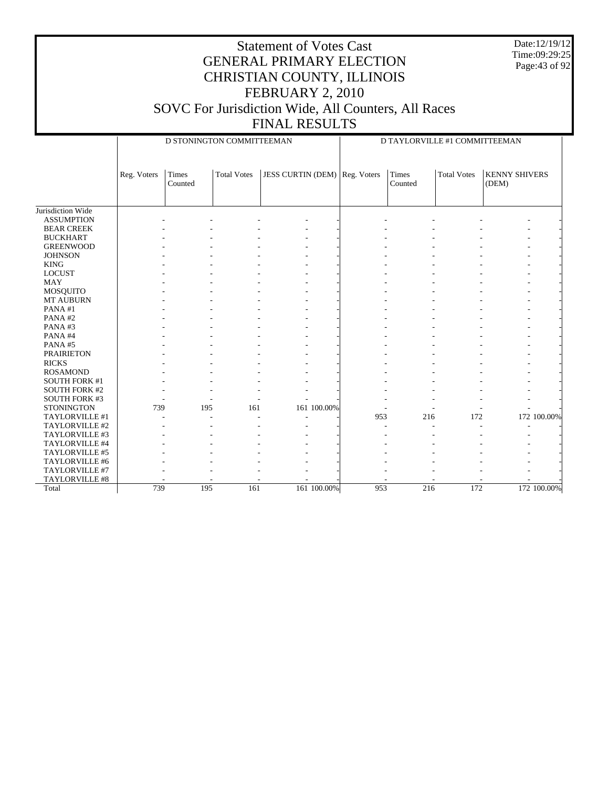Date:12/19/12 Time:09:29:25 Page:43 of 92

|                      |             | D STONINGTON COMMITTEEMAN |                    |                                      |     | D TAYLORVILLE #1 COMMITTEEMAN |                    |                               |             |
|----------------------|-------------|---------------------------|--------------------|--------------------------------------|-----|-------------------------------|--------------------|-------------------------------|-------------|
|                      | Reg. Voters | Times<br>Counted          | <b>Total Votes</b> | <b>JESS CURTIN (DEM)</b> Reg. Voters |     | Times<br>Counted              | <b>Total Votes</b> | <b>KENNY SHIVERS</b><br>(DEM) |             |
| Jurisdiction Wide    |             |                           |                    |                                      |     |                               |                    |                               |             |
| <b>ASSUMPTION</b>    |             |                           |                    |                                      |     |                               |                    |                               |             |
| <b>BEAR CREEK</b>    |             |                           |                    |                                      |     |                               |                    |                               |             |
| <b>BUCKHART</b>      |             |                           |                    |                                      |     |                               |                    |                               |             |
| <b>GREENWOOD</b>     |             |                           |                    |                                      |     |                               |                    |                               |             |
| <b>JOHNSON</b>       |             |                           |                    |                                      |     |                               |                    |                               |             |
| <b>KING</b>          |             |                           |                    |                                      |     |                               |                    |                               |             |
| <b>LOCUST</b>        |             |                           |                    |                                      |     |                               |                    |                               |             |
| <b>MAY</b>           |             |                           |                    |                                      |     |                               |                    |                               |             |
| MOSQUITO             |             |                           |                    |                                      |     |                               |                    |                               |             |
| MT AUBURN            |             |                           |                    |                                      |     |                               |                    |                               |             |
| PANA#1               |             |                           |                    |                                      |     |                               |                    |                               |             |
| PANA#2               |             |                           |                    |                                      |     |                               |                    |                               |             |
| PANA#3               |             |                           |                    |                                      |     |                               |                    |                               |             |
| PANA#4               |             |                           |                    |                                      |     |                               |                    |                               |             |
| PANA#5               |             |                           |                    |                                      |     |                               |                    |                               |             |
| <b>PRAIRIETON</b>    |             |                           |                    |                                      |     |                               |                    |                               |             |
| <b>RICKS</b>         |             |                           |                    |                                      |     |                               |                    |                               |             |
| <b>ROSAMOND</b>      |             |                           |                    |                                      |     |                               |                    |                               |             |
| <b>SOUTH FORK #1</b> |             |                           |                    |                                      |     |                               |                    |                               |             |
| <b>SOUTH FORK #2</b> |             |                           |                    |                                      |     |                               |                    |                               |             |
| SOUTH FORK #3        |             |                           |                    |                                      |     |                               |                    |                               |             |
| <b>STONINGTON</b>    | 739         | 195                       | 161                | 161 100.00%                          |     |                               |                    |                               |             |
| TAYLORVILLE #1       |             |                           |                    |                                      | 953 | 216                           | 172                |                               | 172 100.00% |
| TAYLORVILLE #2       |             |                           |                    |                                      |     |                               |                    |                               |             |
| TAYLORVILLE #3       |             |                           |                    |                                      |     |                               |                    |                               |             |
| TAYLORVILLE #4       |             |                           |                    |                                      |     |                               |                    |                               |             |
| TAYLORVILLE #5       |             |                           |                    |                                      |     |                               |                    |                               |             |
| TAYLORVILLE #6       |             |                           |                    |                                      |     |                               |                    |                               |             |
| TAYLORVILLE #7       |             |                           |                    |                                      |     |                               |                    |                               |             |
| TAYLORVILLE #8       |             |                           |                    |                                      |     |                               |                    |                               |             |
| Total                | 739         | 195                       | 161                | 161 100.00%                          | 953 | 216                           | 172                |                               | 172 100.00% |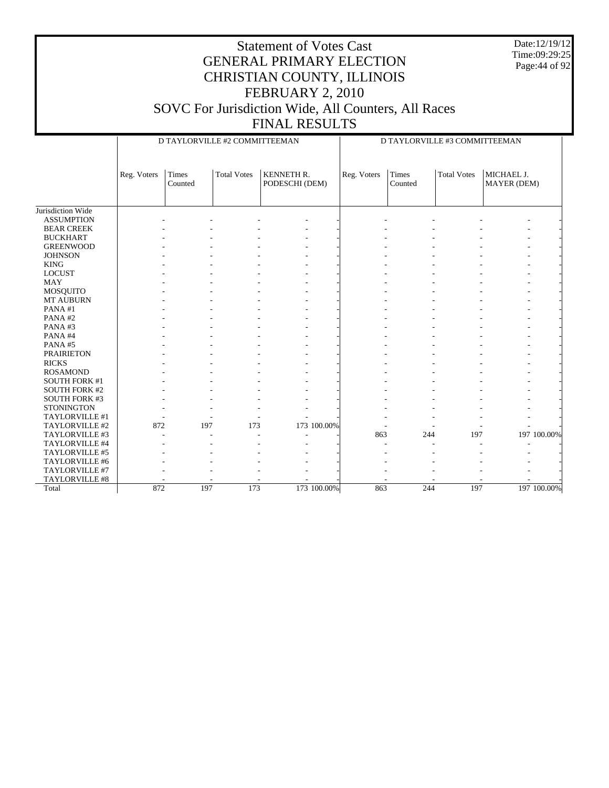Date:12/19/12 Time:09:29:25 Page:44 of 92

#### Statement of Votes Cast GENERAL PRIMARY ELECTION CHRISTIAN COUNTY, ILLINOIS FEBRUARY 2, 2010 SOVC For Jurisdiction Wide, All Counters, All Races FINAL RESULTS

Jurisdiction Wide ASSUMPTION BEAR CREEK BUCKHART GREENWOOD **JOHNSON**  KING LOCUST MAY MOSQUITO MT AUBURN PANA #1 PANA #2 PANA #3 PANA #4 PANA #5 PRAIRIETON RICKS ROSAMOND SOUTH FORK #1 SOUTH FORK #2 SOUTH FORK #3 **STONINGTON**  TAYLORVILLE #1 TAYLORVILLE #2 TAYLORVILLE #3 TAYLORVILLE #4 TAYLORVILLE #5 TAYLORVILLE #6 TAYLORVILLE #7 TAYLORVILLE #8 Total Reg. Voters | Times Counted Total Votes | KENNETH R. PODESCHI (DEM) D TAYLORVILLE #2 COMMITTEEMAN Reg. Voters Times Counted Total Votes | MICHAEL J. MAYER (DEM) D TAYLORVILLE #3 COMMITTEEMAN - - - - - - - - - - - - - - - - - - - - - - - - - - - - - - - - - - - - - - - - - - - - - - - - - - - - - - - - - - - - - - - - - - - - - - - - - - - - - - - - - - - - - - - - - - - - - - - - - - - - - - - - - - - - - - - - - - - - - - - - - - - - - - - - - - - - - - - - - - - - - - - - - - - - - - - - - - - - - - - - - - - - - - - - - - - - - - - - - - - - - - - - - - - - - - - - - - - - - - - - - - - - - - - - - - - - - - - - - - - - - - - - - - - - - - 872 197 173 173 100.00% - - - - - - - -- - - - - - - - - - - 863 244 197 197 100.00% - - - - - - - - - - - - - - - - - - - - - - - - - - - - - - - - - - - - - - - - - - - - - - - - - - 872 197 173 173 100.00% 863 244 197 197 100.00%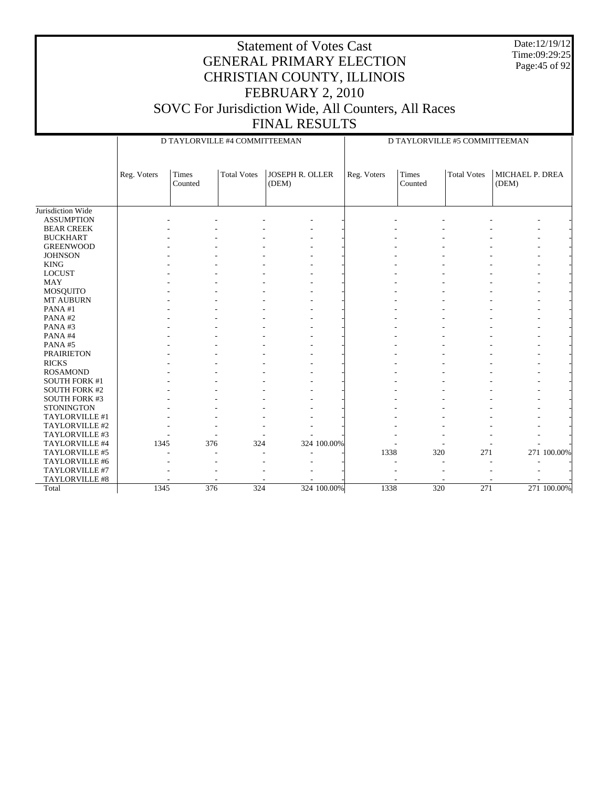|                                   |             |                  |                               | <b>Statement of Votes Cast</b><br><b>GENERAL PRIMARY ELECTION</b><br>CHRISTIAN COUNTY, ILLINOIS<br>FEBRUARY 2, 2010<br>SOVC For Jurisdiction Wide, All Counters, All Races<br><b>FINAL RESULTS</b> |             |             |                               |                    |                          | Date:12/19/12<br>Time:09:29:25<br>Page: 45 of 92 |
|-----------------------------------|-------------|------------------|-------------------------------|----------------------------------------------------------------------------------------------------------------------------------------------------------------------------------------------------|-------------|-------------|-------------------------------|--------------------|--------------------------|--------------------------------------------------|
|                                   |             |                  | D TAYLORVILLE #4 COMMITTEEMAN |                                                                                                                                                                                                    |             |             | D TAYLORVILLE #5 COMMITTEEMAN |                    |                          |                                                  |
|                                   | Reg. Voters | Times<br>Counted | <b>Total Votes</b>            | JOSEPH R. OLLER<br>(DEM)                                                                                                                                                                           |             | Reg. Voters | Times<br>Counted              | <b>Total Votes</b> | MICHAEL P. DREA<br>(DEM) |                                                  |
| Jurisdiction Wide                 |             |                  |                               |                                                                                                                                                                                                    |             |             |                               |                    |                          |                                                  |
| <b>ASSUMPTION</b>                 |             |                  |                               |                                                                                                                                                                                                    |             |             |                               |                    |                          |                                                  |
| <b>BEAR CREEK</b>                 |             |                  |                               |                                                                                                                                                                                                    |             |             |                               |                    |                          |                                                  |
| <b>BUCKHART</b>                   |             |                  |                               |                                                                                                                                                                                                    |             |             |                               |                    |                          |                                                  |
| <b>GREENWOOD</b>                  |             |                  |                               |                                                                                                                                                                                                    |             |             |                               |                    |                          |                                                  |
| <b>JOHNSON</b>                    |             |                  |                               |                                                                                                                                                                                                    |             |             |                               |                    |                          |                                                  |
| <b>KING</b>                       |             |                  |                               |                                                                                                                                                                                                    |             |             |                               |                    |                          |                                                  |
| <b>LOCUST</b>                     |             |                  |                               |                                                                                                                                                                                                    |             |             |                               |                    |                          |                                                  |
| MAY                               |             |                  |                               |                                                                                                                                                                                                    |             |             |                               |                    |                          |                                                  |
| MOSQUITO                          |             |                  |                               |                                                                                                                                                                                                    |             |             |                               |                    |                          |                                                  |
| <b>MT AUBURN</b>                  |             |                  |                               |                                                                                                                                                                                                    |             |             |                               |                    |                          |                                                  |
| PANA#1                            |             |                  |                               |                                                                                                                                                                                                    |             |             |                               |                    |                          |                                                  |
| PANA#2                            |             |                  |                               |                                                                                                                                                                                                    |             |             |                               |                    |                          |                                                  |
| PANA#3                            |             |                  |                               |                                                                                                                                                                                                    |             |             |                               |                    |                          |                                                  |
| PANA#4                            |             |                  |                               |                                                                                                                                                                                                    |             |             |                               |                    |                          |                                                  |
| PANA#5                            |             |                  |                               |                                                                                                                                                                                                    |             |             |                               |                    |                          |                                                  |
| <b>PRAIRIETON</b><br><b>RICKS</b> |             |                  |                               |                                                                                                                                                                                                    |             |             |                               |                    |                          |                                                  |
| <b>ROSAMOND</b>                   |             |                  |                               |                                                                                                                                                                                                    |             |             |                               |                    |                          |                                                  |
| <b>SOUTH FORK #1</b>              |             |                  |                               |                                                                                                                                                                                                    |             |             |                               |                    |                          |                                                  |
| <b>SOUTH FORK #2</b>              |             |                  |                               |                                                                                                                                                                                                    |             |             |                               |                    |                          |                                                  |
| <b>SOUTH FORK #3</b>              |             |                  |                               |                                                                                                                                                                                                    |             |             |                               |                    |                          |                                                  |
| <b>STONINGTON</b>                 |             |                  |                               |                                                                                                                                                                                                    |             |             |                               |                    |                          |                                                  |
| TAYLORVILLE #1                    |             |                  |                               |                                                                                                                                                                                                    |             |             |                               |                    |                          |                                                  |
| TAYLORVILLE #2                    |             |                  |                               |                                                                                                                                                                                                    |             |             |                               |                    |                          |                                                  |
| TAYLORVILLE #3                    |             |                  |                               |                                                                                                                                                                                                    |             |             |                               |                    |                          |                                                  |
| TAYLORVILLE #4                    | 1345        | 376              | 324                           |                                                                                                                                                                                                    | 324 100.00% |             |                               |                    |                          |                                                  |
| TAYLORVILLE #5                    |             |                  |                               |                                                                                                                                                                                                    |             | 1338        | 320                           | 271                |                          | 271 100.00%                                      |
| TAYLORVILLE #6                    |             |                  |                               |                                                                                                                                                                                                    |             |             |                               |                    |                          |                                                  |

- - - - - - - - - - - - - - - - - - - - 1345 376 324 324 100.00% 1338 320 271 271 100.00%

 TAYLORVILLE #7 TAYLORVILLE #8

Total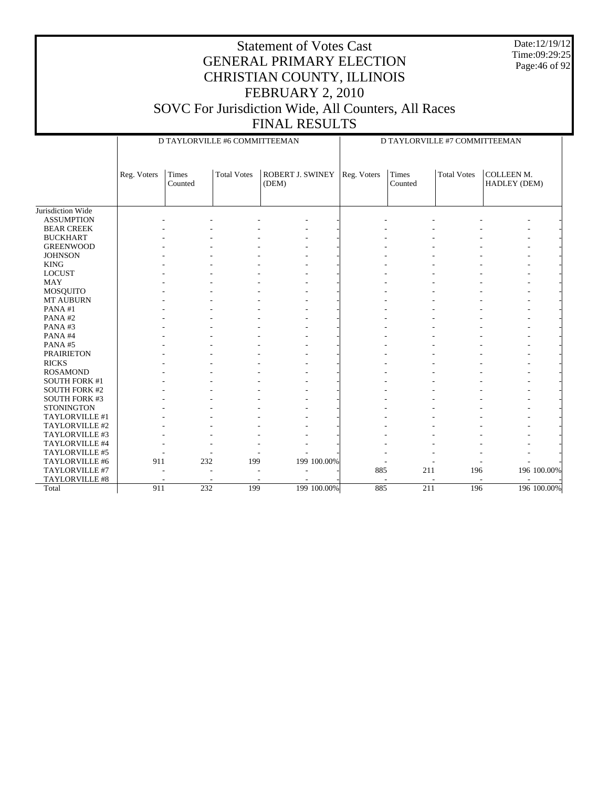Date:12/19/12 Time:09:29:25 Page:46 of 92

|                      |             | D TAYLORVILLE #6 COMMITTEEMAN |                    |                           | D TAYLORVILLE #7 COMMITTEEMAN |                  |                    |                            |  |  |
|----------------------|-------------|-------------------------------|--------------------|---------------------------|-------------------------------|------------------|--------------------|----------------------------|--|--|
|                      | Reg. Voters | <b>Times</b><br>Counted       | <b>Total Votes</b> | ROBERT J. SWINEY<br>(DEM) | Reg. Voters                   | Times<br>Counted | <b>Total Votes</b> | COLLEEN M.<br>HADLEY (DEM) |  |  |
| Jurisdiction Wide    |             |                               |                    |                           |                               |                  |                    |                            |  |  |
| <b>ASSUMPTION</b>    |             |                               |                    |                           |                               |                  |                    |                            |  |  |
| <b>BEAR CREEK</b>    |             |                               |                    |                           |                               |                  |                    |                            |  |  |
| <b>BUCKHART</b>      |             |                               |                    |                           |                               |                  |                    |                            |  |  |
| <b>GREENWOOD</b>     |             |                               |                    |                           |                               |                  |                    |                            |  |  |
| <b>JOHNSON</b>       |             |                               |                    |                           |                               |                  |                    |                            |  |  |
| <b>KING</b>          |             |                               |                    |                           |                               |                  |                    |                            |  |  |
| <b>LOCUST</b>        |             |                               |                    |                           |                               |                  |                    |                            |  |  |
| <b>MAY</b>           |             |                               |                    |                           |                               |                  |                    |                            |  |  |
| MOSQUITO             |             |                               |                    |                           |                               |                  |                    |                            |  |  |
| MT AUBURN            |             |                               |                    |                           |                               |                  |                    |                            |  |  |
| PANA#1               |             |                               |                    |                           |                               |                  |                    |                            |  |  |
| PANA#2               |             |                               |                    |                           |                               |                  |                    |                            |  |  |
| PANA#3               |             |                               |                    |                           |                               |                  |                    |                            |  |  |
| PANA#4               |             |                               |                    |                           |                               |                  |                    |                            |  |  |
| PANA#5               |             |                               |                    |                           |                               |                  |                    |                            |  |  |
| <b>PRAIRIETON</b>    |             |                               |                    |                           |                               |                  |                    |                            |  |  |
| <b>RICKS</b>         |             |                               |                    |                           |                               |                  |                    |                            |  |  |
| <b>ROSAMOND</b>      |             |                               |                    |                           |                               |                  |                    |                            |  |  |
| <b>SOUTH FORK #1</b> |             |                               |                    |                           |                               |                  |                    |                            |  |  |
| <b>SOUTH FORK #2</b> |             |                               |                    |                           |                               |                  |                    |                            |  |  |
| <b>SOUTH FORK #3</b> |             |                               |                    |                           |                               |                  |                    |                            |  |  |
| <b>STONINGTON</b>    |             |                               |                    |                           |                               |                  |                    |                            |  |  |
| TAYLORVILLE #1       |             |                               |                    |                           |                               |                  |                    |                            |  |  |
| TAYLORVILLE #2       |             |                               |                    |                           |                               |                  |                    |                            |  |  |
| TAYLORVILLE #3       |             |                               |                    |                           |                               |                  |                    |                            |  |  |
| TAYLORVILLE #4       |             |                               |                    |                           |                               |                  |                    |                            |  |  |
| TAYLORVILLE #5       |             |                               |                    |                           |                               |                  |                    |                            |  |  |
| TAYLORVILLE #6       | 911         | 232                           | 199                | 199 100.00%               |                               |                  |                    |                            |  |  |
| TAYLORVILLE #7       |             |                               |                    |                           | 885                           | 211              | 196                | 196 100.00%                |  |  |
| TAYLORVILLE #8       |             |                               |                    |                           |                               |                  |                    |                            |  |  |
| Total                | 911         | 232                           | 199                | 199 100.00%               | 885                           | 211              | 196                | 196 100.00%                |  |  |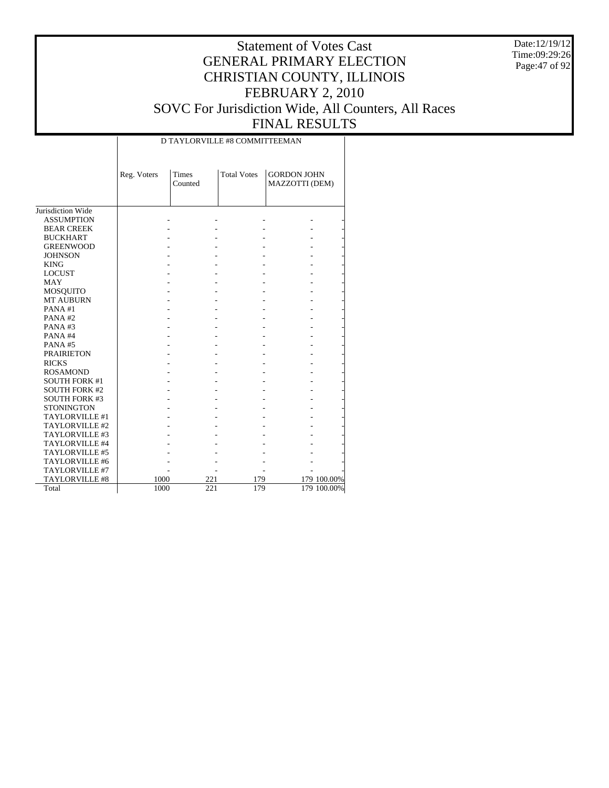Date:12/19/12 Time:09:29:26 Page:47 of 92

|                       |             | D TAYLORVILLE #8 COMMITTEEMAN |                    |                                      |             |  |  |  |  |  |  |
|-----------------------|-------------|-------------------------------|--------------------|--------------------------------------|-------------|--|--|--|--|--|--|
|                       | Reg. Voters | Times<br>Counted              | <b>Total Votes</b> | <b>GORDON JOHN</b><br>MAZZOTTI (DEM) |             |  |  |  |  |  |  |
| Jurisdiction Wide     |             |                               |                    |                                      |             |  |  |  |  |  |  |
| <b>ASSUMPTION</b>     |             |                               |                    |                                      |             |  |  |  |  |  |  |
| <b>BEAR CREEK</b>     |             |                               |                    |                                      |             |  |  |  |  |  |  |
| <b>BUCKHART</b>       |             |                               |                    |                                      |             |  |  |  |  |  |  |
| <b>GREENWOOD</b>      |             |                               |                    |                                      |             |  |  |  |  |  |  |
| <b>JOHNSON</b>        |             |                               |                    |                                      |             |  |  |  |  |  |  |
| <b>KING</b>           |             |                               |                    |                                      |             |  |  |  |  |  |  |
| <b>LOCUST</b>         |             |                               |                    |                                      |             |  |  |  |  |  |  |
| <b>MAY</b>            |             |                               |                    |                                      |             |  |  |  |  |  |  |
| <b>MOSQUITO</b>       |             |                               |                    |                                      |             |  |  |  |  |  |  |
| <b>MT AUBURN</b>      |             |                               |                    |                                      |             |  |  |  |  |  |  |
| PANA#1                |             |                               |                    |                                      |             |  |  |  |  |  |  |
| PANA#2                |             |                               |                    |                                      |             |  |  |  |  |  |  |
| PANA#3                |             |                               |                    |                                      |             |  |  |  |  |  |  |
| PANA#4                |             |                               |                    |                                      |             |  |  |  |  |  |  |
| PANA#5                |             |                               |                    |                                      |             |  |  |  |  |  |  |
| <b>PRAIRIETON</b>     |             |                               |                    |                                      |             |  |  |  |  |  |  |
| <b>RICKS</b>          |             |                               |                    |                                      |             |  |  |  |  |  |  |
| <b>ROSAMOND</b>       |             |                               |                    |                                      |             |  |  |  |  |  |  |
| <b>SOUTH FORK #1</b>  |             |                               |                    |                                      |             |  |  |  |  |  |  |
| <b>SOUTH FORK #2</b>  |             |                               |                    |                                      |             |  |  |  |  |  |  |
| <b>SOUTH FORK #3</b>  |             |                               |                    |                                      |             |  |  |  |  |  |  |
| <b>STONINGTON</b>     |             |                               |                    |                                      |             |  |  |  |  |  |  |
| TAYLORVILLE #1        |             |                               |                    |                                      |             |  |  |  |  |  |  |
| TAYLORVILLE #2        |             |                               |                    |                                      |             |  |  |  |  |  |  |
| TAYLORVILLE #3        |             |                               |                    |                                      |             |  |  |  |  |  |  |
| TAYLORVILLE #4        |             |                               |                    |                                      |             |  |  |  |  |  |  |
| TAYLORVILLE #5        |             |                               |                    |                                      |             |  |  |  |  |  |  |
| TAYLORVILLE #6        |             |                               |                    |                                      |             |  |  |  |  |  |  |
| TAYLORVILLE #7        |             |                               |                    |                                      |             |  |  |  |  |  |  |
| <b>TAYLORVILLE #8</b> | 1000        |                               | 221<br>179         |                                      | 179 100.00% |  |  |  |  |  |  |
| Total                 | 1000        |                               | 221<br>179         |                                      | 179 100.00% |  |  |  |  |  |  |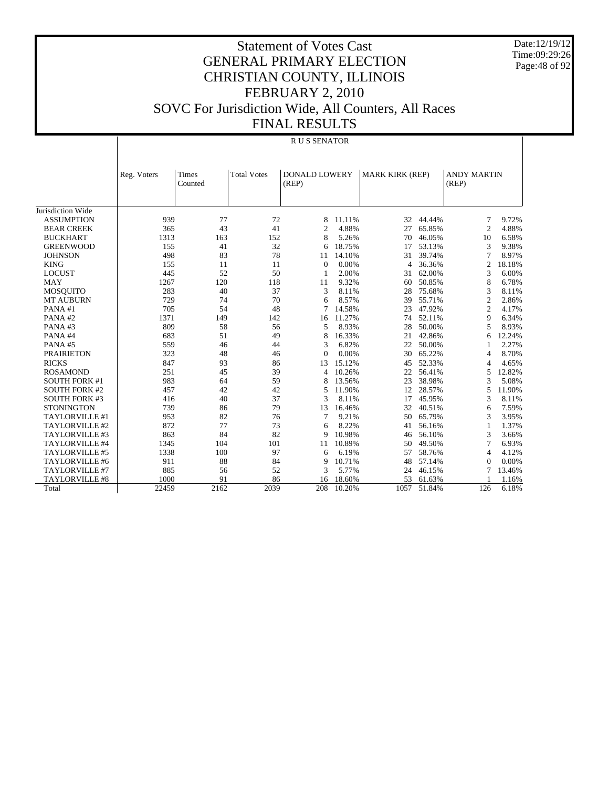Date:12/19/12 Time:09:29:26 Page:48 of 92

|                       |             | R U S SENATOR    |                    |                               |        |                        |        |                             |        |  |  |  |  |
|-----------------------|-------------|------------------|--------------------|-------------------------------|--------|------------------------|--------|-----------------------------|--------|--|--|--|--|
|                       | Reg. Voters | Times<br>Counted | <b>Total Votes</b> | <b>DONALD LOWERY</b><br>(REP) |        | <b>MARK KIRK (REP)</b> |        | <b>ANDY MARTIN</b><br>(REP) |        |  |  |  |  |
| Jurisdiction Wide     |             |                  |                    |                               |        |                        |        |                             |        |  |  |  |  |
| <b>ASSUMPTION</b>     | 939         | 77               | 72                 | 8                             | 11.11% | 32                     | 44.44% | $\overline{7}$              | 9.72%  |  |  |  |  |
| <b>BEAR CREEK</b>     | 365         | 43               | 41                 | $\overline{c}$                | 4.88%  | 27                     | 65.85% | $\overline{2}$              | 4.88%  |  |  |  |  |
| <b>BUCKHART</b>       | 1313        | 163              | 152                | 8                             | 5.26%  | 70                     | 46.05% | 10                          | 6.58%  |  |  |  |  |
| <b>GREENWOOD</b>      | 155         | 41               | 32                 | 6                             | 18.75% | 17                     | 53.13% | 3                           | 9.38%  |  |  |  |  |
| <b>JOHNSON</b>        | 498         | 83               | 78                 | 11                            | 14.10% | 31                     | 39.74% | 7                           | 8.97%  |  |  |  |  |
| <b>KING</b>           | 155         | 11               | 11                 | $\Omega$                      | 0.00%  | 4                      | 36.36% | 2                           | 18.18% |  |  |  |  |
| <b>LOCUST</b>         | 445         | 52               | 50                 | 1                             | 2.00%  | 31                     | 62.00% | 3                           | 6.00%  |  |  |  |  |
| <b>MAY</b>            | 1267        | 120              | 118                | 11                            | 9.32%  | 60                     | 50.85% | 8                           | 6.78%  |  |  |  |  |
| MOSQUITO              | 283         | 40               | 37                 | 3                             | 8.11%  | 28                     | 75.68% | 3                           | 8.11%  |  |  |  |  |
| <b>MT AUBURN</b>      | 729         | 74               | 70                 | 6                             | 8.57%  | 39                     | 55.71% | $\overline{c}$              | 2.86%  |  |  |  |  |
| PANA#1                | 705         | 54               | 48                 | 7                             | 14.58% | 23                     | 47.92% | $\mathbf{2}$                | 4.17%  |  |  |  |  |
| PANA#2                | 1371        | 149              | 142                | 16                            | 11.27% | 74                     | 52.11% | 9                           | 6.34%  |  |  |  |  |
| PANA#3                | 809         | 58               | 56                 | 5                             | 8.93%  | 28                     | 50.00% | 5                           | 8.93%  |  |  |  |  |
| PANA#4                | 683         | 51               | 49                 | 8                             | 16.33% | 21                     | 42.86% | 6                           | 12.24% |  |  |  |  |
| PANA#5                | 559         | 46               | 44                 | 3                             | 6.82%  | 22                     | 50.00% | 1                           | 2.27%  |  |  |  |  |
| <b>PRAIRIETON</b>     | 323         | 48               | 46                 | $\Omega$                      | 0.00%  | 30                     | 65.22% | 4                           | 8.70%  |  |  |  |  |
| <b>RICKS</b>          | 847         | 93               | 86                 | 13                            | 15.12% | 45                     | 52.33% | 4                           | 4.65%  |  |  |  |  |
| <b>ROSAMOND</b>       | 251         | 45               | 39                 | 4                             | 10.26% | 22                     | 56.41% | 5                           | 12.82% |  |  |  |  |
| <b>SOUTH FORK #1</b>  | 983         | 64               | 59                 | 8                             | 13.56% | 23                     | 38.98% | 3                           | 5.08%  |  |  |  |  |
| <b>SOUTH FORK #2</b>  | 457         | 42               | 42                 | 5                             | 11.90% | 12                     | 28.57% | 5                           | 11.90% |  |  |  |  |
| <b>SOUTH FORK #3</b>  | 416         | 40               | 37                 | 3                             | 8.11%  | 17                     | 45.95% | 3                           | 8.11%  |  |  |  |  |
| <b>STONINGTON</b>     | 739         | 86               | 79                 | 13                            | 16.46% | 32                     | 40.51% | 6                           | 7.59%  |  |  |  |  |
| TAYLORVILLE #1        | 953         | 82               | 76                 | 7                             | 9.21%  | 50                     | 65.79% | 3                           | 3.95%  |  |  |  |  |
| TAYLORVILLE #2        | 872         | 77               | 73                 | 6                             | 8.22%  | 41                     | 56.16% | 1                           | 1.37%  |  |  |  |  |
| TAYLORVILLE #3        | 863         | 84               | 82                 | 9                             | 10.98% | 46                     | 56.10% | 3                           | 3.66%  |  |  |  |  |
| TAYLORVILLE #4        | 1345        | 104              | 101                | 11                            | 10.89% | 50                     | 49.50% | 7                           | 6.93%  |  |  |  |  |
| TAYLORVILLE #5        | 1338        | 100              | 97                 | 6                             | 6.19%  | 57                     | 58.76% | $\overline{4}$              | 4.12%  |  |  |  |  |
| TAYLORVILLE #6        | 911         | 88               | 84                 | 9                             | 10.71% | 48                     | 57.14% | $\Omega$                    | 0.00%  |  |  |  |  |
| TAYLORVILLE #7        | 885         | 56               | 52                 | 3                             | 5.77%  | 24                     | 46.15% | 7                           | 13.46% |  |  |  |  |
| <b>TAYLORVILLE #8</b> | 1000        | 91               | 86                 | 16                            | 18.60% | 53                     | 61.63% |                             | 1.16%  |  |  |  |  |
| Total                 | 22459       | 2162             | 2039               | 208                           | 10.20% | 1057                   | 51.84% | 126                         | 6.18%  |  |  |  |  |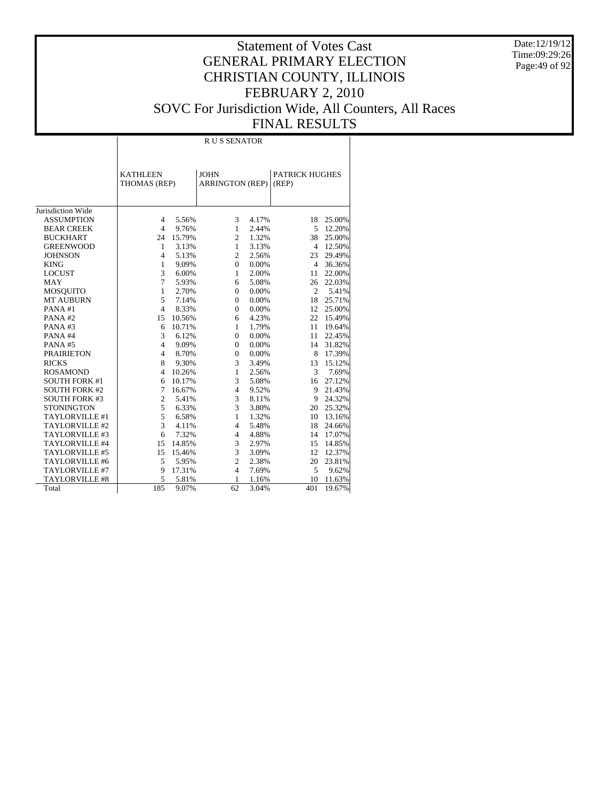Date:12/19/12 Time:09:29:26 Page:49 of 92

## Statement of Votes Cast GENERAL PRIMARY ELECTION CHRISTIAN COUNTY, ILLINOIS FEBRUARY 2, 2010 SOVC For Jurisdiction Wide, All Counters, All Races FINAL RESULTS

Τ

|                       |                                 | <b>RUS SENATOR</b> |                                       |       |                                |        |  |  |  |  |  |  |
|-----------------------|---------------------------------|--------------------|---------------------------------------|-------|--------------------------------|--------|--|--|--|--|--|--|
|                       | <b>KATHLEEN</b><br>THOMAS (REP) |                    | <b>JOHN</b><br><b>ARRINGTON (REP)</b> |       | <b>PATRICK HUGHES</b><br>(REP) |        |  |  |  |  |  |  |
| Jurisdiction Wide     |                                 |                    |                                       |       |                                |        |  |  |  |  |  |  |
| <b>ASSUMPTION</b>     | $\overline{4}$                  | 5.56%              | 3                                     | 4.17% | 18                             | 25.00% |  |  |  |  |  |  |
| <b>BEAR CREEK</b>     | $\overline{4}$                  | 9.76%              | $\mathbf{1}$                          | 2.44% | 5                              | 12.20% |  |  |  |  |  |  |
| <b>BUCKHART</b>       | 24                              | 15.79%             | $\overline{2}$                        | 1.32% | 38                             | 25.00% |  |  |  |  |  |  |
| <b>GREENWOOD</b>      | 1                               | 3.13%              | $\mathbf{1}$                          | 3.13% | $\overline{4}$                 | 12.50% |  |  |  |  |  |  |
| <b>JOHNSON</b>        | $\overline{4}$                  | 5.13%              | $\overline{c}$                        | 2.56% | 23                             | 29.49% |  |  |  |  |  |  |
| <b>KING</b>           | 1                               | 9.09%              | $\Omega$                              | 0.00% | 4                              | 36.36% |  |  |  |  |  |  |
| <b>LOCUST</b>         | 3                               | 6.00%              | 1                                     | 2.00% | 11                             | 22.00% |  |  |  |  |  |  |
| <b>MAY</b>            | $\overline{7}$                  | 5.93%              | 6                                     | 5.08% | 26                             | 22.03% |  |  |  |  |  |  |
| <b>MOSQUITO</b>       | $\mathbf{1}$                    | 2.70%              | $\Omega$                              | 0.00% | $\overline{2}$                 | 5.41%  |  |  |  |  |  |  |
| <b>MT AUBURN</b>      | 5                               | 7.14%              | $\Omega$                              | 0.00% | 18                             | 25.71% |  |  |  |  |  |  |
| PANA#1                | $\overline{4}$                  | 8.33%              | $\Omega$                              | 0.00% | 12                             | 25.00% |  |  |  |  |  |  |
| PANA#2                | 15                              | 10.56%             | 6                                     | 4.23% | 22                             | 15.49% |  |  |  |  |  |  |
| PANA#3                | 6                               | 10.71%             | 1                                     | 1.79% | 11                             | 19.64% |  |  |  |  |  |  |
| PANA#4                | 3                               | 6.12%              | $\Omega$                              | 0.00% | 11                             | 22.45% |  |  |  |  |  |  |
| PANA#5                | $\overline{4}$                  | 9.09%              | $\Omega$                              | 0.00% | 14                             | 31.82% |  |  |  |  |  |  |
| <b>PRAIRIETON</b>     | $\overline{4}$                  | 8.70%              | $\mathbf{0}$                          | 0.00% | 8                              | 17.39% |  |  |  |  |  |  |
| <b>RICKS</b>          | 8                               | 9.30%              | 3                                     | 3.49% | 13                             | 15.12% |  |  |  |  |  |  |
| <b>ROSAMOND</b>       | $\overline{4}$                  | 10.26%             | 1                                     | 2.56% | 3                              | 7.69%  |  |  |  |  |  |  |
| <b>SOUTH FORK #1</b>  | 6                               | 10.17%             | 3                                     | 5.08% | 16                             | 27.12% |  |  |  |  |  |  |
| <b>SOUTH FORK #2</b>  | $\overline{7}$                  | 16.67%             | $\overline{4}$                        | 9.52% | 9                              | 21.43% |  |  |  |  |  |  |
| <b>SOUTH FORK #3</b>  | $\mathfrak{2}$                  | 5.41%              | 3                                     | 8.11% | 9                              | 24.32% |  |  |  |  |  |  |
| <b>STONINGTON</b>     | 5                               | 6.33%              | 3                                     | 3.80% | 20                             | 25.32% |  |  |  |  |  |  |
| TAYLORVILLE #1        | 5                               | 6.58%              | $\mathbf{1}$                          | 1.32% | 10                             | 13.16% |  |  |  |  |  |  |
| TAYLORVILLE #2        | 3                               | 4.11%              | $\overline{4}$                        | 5.48% | 18                             | 24.66% |  |  |  |  |  |  |
| TAYLORVILLE #3        | 6                               | 7.32%              | $\overline{4}$                        | 4.88% | 14                             | 17.07% |  |  |  |  |  |  |
| TAYLORVILLE #4        | 15                              | 14.85%             | 3                                     | 2.97% | 15                             | 14.85% |  |  |  |  |  |  |
| TAYLORVILLE #5        | 15                              | 15.46%             | 3                                     | 3.09% | 12                             | 12.37% |  |  |  |  |  |  |
| TAYLORVILLE #6        | 5                               | 5.95%              | $\overline{c}$                        | 2.38% | 20                             | 23.81% |  |  |  |  |  |  |
| TAYLORVILLE #7        | 9                               | 17.31%             | $\overline{4}$                        | 7.69% | 5                              | 9.62%  |  |  |  |  |  |  |
| <b>TAYLORVILLE #8</b> | 5                               | 5.81%              | 1                                     | 1.16% | 10                             | 11.63% |  |  |  |  |  |  |
| Total                 | 185                             | 9.07%              | 62                                    | 3.04% | 401                            | 19.67% |  |  |  |  |  |  |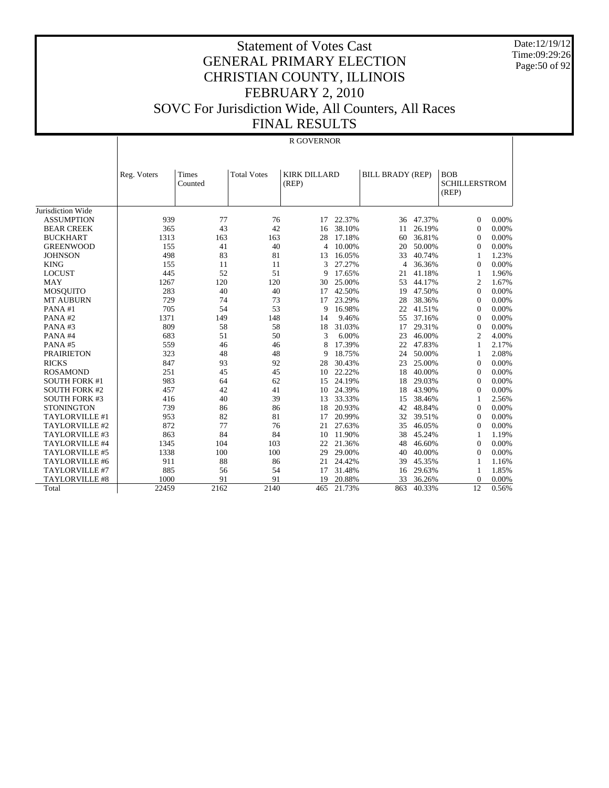Date:12/19/12 Time:09:29:26 Page:50 of 92

|                       |             |                  |                    | R GOVERNOR                   |        |                         |        |                                             |       |
|-----------------------|-------------|------------------|--------------------|------------------------------|--------|-------------------------|--------|---------------------------------------------|-------|
|                       | Reg. Voters | Times<br>Counted | <b>Total Votes</b> | <b>KIRK DILLARD</b><br>(REP) |        | <b>BILL BRADY (REP)</b> |        | <b>BOB</b><br><b>SCHILLERSTROM</b><br>(REP) |       |
| Jurisdiction Wide     |             |                  |                    |                              |        |                         |        |                                             |       |
| <b>ASSUMPTION</b>     | 939         | 77               | 76                 | 17                           | 22.37% | 36                      | 47.37% | $\overline{0}$                              | 0.00% |
| <b>BEAR CREEK</b>     | 365         | 43               | 42                 | 16                           | 38.10% | 11                      | 26.19% | $\mathbf{0}$                                | 0.00% |
| <b>BUCKHART</b>       | 1313        | 163              | 163                | 28                           | 17.18% | 60                      | 36.81% | $\overline{0}$                              | 0.00% |
| <b>GREENWOOD</b>      | 155         | 41               | 40                 | 4                            | 10.00% | 20                      | 50.00% | $\overline{0}$                              | 0.00% |
| <b>JOHNSON</b>        | 498         | 83               | 81                 | 13                           | 16.05% | 33                      | 40.74% | 1                                           | 1.23% |
| <b>KING</b>           | 155         | 11               | 11                 | 3                            | 27.27% | $\overline{4}$          | 36.36% | $\mathbf{0}$                                | 0.00% |
| <b>LOCUST</b>         | 445         | 52               | 51                 | 9                            | 17.65% | 21                      | 41.18% | 1                                           | 1.96% |
| <b>MAY</b>            | 1267        | 120              | 120                | 30                           | 25.00% | 53                      | 44.17% | $\overline{c}$                              | 1.67% |
| <b>MOSQUITO</b>       | 283         | 40               | 40                 | 17                           | 42.50% | 19                      | 47.50% | $\mathbf{0}$                                | 0.00% |
| <b>MT AUBURN</b>      | 729         | 74               | 73                 | 17                           | 23.29% | 28                      | 38.36% | $\overline{0}$                              | 0.00% |
| PANA#1                | 705         | 54               | 53                 | 9                            | 16.98% | 22                      | 41.51% | $\overline{0}$                              | 0.00% |
| PANA#2                | 1371        | 149              | 148                | 14                           | 9.46%  | 55                      | 37.16% | $\overline{0}$                              | 0.00% |
| PANA#3                | 809         | 58               | 58                 | 18                           | 31.03% | 17                      | 29.31% | $\boldsymbol{0}$                            | 0.00% |
| PANA#4                | 683         | 51               | 50                 | 3                            | 6.00%  | 23                      | 46.00% | $\overline{c}$                              | 4.00% |
| PANA#5                | 559         | 46               | 46                 | 8                            | 17.39% | 22                      | 47.83% | $\mathbf{1}$                                | 2.17% |
| <b>PRAIRIETON</b>     | 323         | 48               | 48                 | 9                            | 18.75% | 24                      | 50.00% | 1                                           | 2.08% |
| <b>RICKS</b>          | 847         | 93               | 92                 | 28                           | 30.43% | 23                      | 25.00% | $\mathbf{0}$                                | 0.00% |
| <b>ROSAMOND</b>       | 251         | 45               | 45                 | 10                           | 22.22% | 18                      | 40.00% | $\overline{0}$                              | 0.00% |
| <b>SOUTH FORK #1</b>  | 983         | 64               | 62                 | 15                           | 24.19% | 18                      | 29.03% | $\overline{0}$                              | 0.00% |
| <b>SOUTH FORK #2</b>  | 457         | 42               | 41                 | 10                           | 24.39% | 18                      | 43.90% | $\Omega$                                    | 0.00% |
| <b>SOUTH FORK #3</b>  | 416         | 40               | 39                 | 13                           | 33.33% | 15                      | 38.46% | 1                                           | 2.56% |
| <b>STONINGTON</b>     | 739         | 86               | 86                 | 18                           | 20.93% | 42                      | 48.84% | $\boldsymbol{0}$                            | 0.00% |
| TAYLORVILLE #1        | 953         | 82               | 81                 | 17                           | 20.99% | 32                      | 39.51% | $\overline{0}$                              | 0.00% |
| TAYLORVILLE #2        | 872         | 77               | 76                 | 21                           | 27.63% | 35                      | 46.05% | $\overline{0}$                              | 0.00% |
| TAYLORVILLE #3        | 863         | 84               | 84                 | 10                           | 11.90% | 38                      | 45.24% | 1                                           | 1.19% |
| TAYLORVILLE #4        | 1345        | 104              | 103                | 22                           | 21.36% | 48                      | 46.60% | $\mathbf{0}$                                | 0.00% |
| TAYLORVILLE #5        | 1338        | 100              | 100                | 29                           | 29.00% | 40                      | 40.00% | $\overline{0}$                              | 0.00% |
| TAYLORVILLE #6        | 911         | 88               | 86                 | 21                           | 24.42% | 39                      | 45.35% | 1                                           | 1.16% |
| TAYLORVILLE #7        | 885         | 56               | 54                 | 17                           | 31.48% | 16                      | 29.63% | 1                                           | 1.85% |
| <b>TAYLORVILLE #8</b> | 1000        | 91               | 91                 | 19                           | 20.88% | 33                      | 36.26% | $\mathbf{0}$                                | 0.00% |
| Total                 | 22459       | 2162             | 2140               | 465                          | 21.73% | 863                     | 40.33% | 12                                          | 0.56% |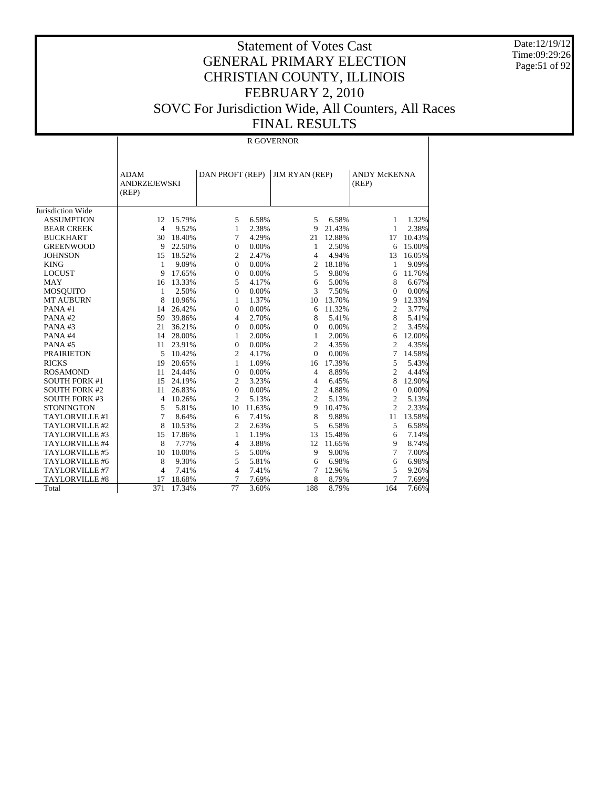Date:12/19/12 Time:09:29:26 Page:51 of 92

## Statement of Votes Cast GENERAL PRIMARY ELECTION CHRISTIAN COUNTY, ILLINOIS FEBRUARY 2, 2010 SOVC For Jurisdiction Wide, All Counters, All Races FINAL RESULTS

#### R GOVERNOR

|                      | <b>ADAM</b><br><b>ANDRZEJEWSKI</b><br>(REP) |        | DAN PROFT (REP) |        | <b>JIM RYAN (REP)</b> |        | <b>ANDY McKENNA</b><br>(REP) |        |
|----------------------|---------------------------------------------|--------|-----------------|--------|-----------------------|--------|------------------------------|--------|
| Jurisdiction Wide    |                                             |        |                 |        |                       |        |                              |        |
| <b>ASSUMPTION</b>    | 12                                          | 15.79% | 5               | 6.58%  | 5                     | 6.58%  | 1                            | 1.32%  |
| <b>BEAR CREEK</b>    | $\overline{4}$                              | 9.52%  | $\mathbf{1}$    | 2.38%  | 9                     | 21.43% | $\mathbf{1}$                 | 2.38%  |
| <b>BUCKHART</b>      | 30                                          | 18.40% | 7               | 4.29%  | 21                    | 12.88% | 17                           | 10.43% |
| <b>GREENWOOD</b>     | 9                                           | 22.50% | $\overline{0}$  | 0.00%  | 1                     | 2.50%  | 6                            | 15.00% |
| <b>JOHNSON</b>       | 15                                          | 18.52% | $\overline{c}$  | 2.47%  | 4                     | 4.94%  | 13                           | 16.05% |
| <b>KING</b>          | 1                                           | 9.09%  | 0               | 0.00%  | 2                     | 18.18% | 1                            | 9.09%  |
| <b>LOCUST</b>        | 9                                           | 17.65% | 0               | 0.00%  | 5                     | 9.80%  | 6                            | 11.76% |
| <b>MAY</b>           | 16                                          | 13.33% | 5               | 4.17%  | 6                     | 5.00%  | 8                            | 6.67%  |
| <b>MOSQUITO</b>      | $\mathbf{1}$                                | 2.50%  | $\overline{0}$  | 0.00%  | 3                     | 7.50%  | 0                            | 0.00%  |
| <b>MT AUBURN</b>     | 8                                           | 10.96% | 1               | 1.37%  | 10                    | 13.70% | 9                            | 12.33% |
| PANA#1               | 14                                          | 26.42% | $\overline{0}$  | 0.00%  | 6                     | 11.32% | $\overline{c}$               | 3.77%  |
| PANA#2               | 59                                          | 39.86% | $\overline{4}$  | 2.70%  | 8                     | 5.41%  | 8                            | 5.41%  |
| PANA#3               | 21                                          | 36.21% | 0               | 0.00%  | $\Omega$              | 0.00%  | $\overline{c}$               | 3.45%  |
| PANA#4               | 14                                          | 28.00% | 1               | 2.00%  | 1                     | 2.00%  | 6                            | 12.00% |
| PANA#5               | 11                                          | 23.91% | $\overline{0}$  | 0.00%  | $\overline{c}$        | 4.35%  | $\overline{c}$               | 4.35%  |
| <b>PRAIRIETON</b>    | 5                                           | 10.42% | $\overline{c}$  | 4.17%  | $\Omega$              | 0.00%  | 7                            | 14.58% |
| <b>RICKS</b>         | 19                                          | 20.65% | $\mathbf{1}$    | 1.09%  | 16                    | 17.39% | 5                            | 5.43%  |
| <b>ROSAMOND</b>      | 11                                          | 24.44% | $\overline{0}$  | 0.00%  | 4                     | 8.89%  | $\overline{c}$               | 4.44%  |
| <b>SOUTH FORK #1</b> | 15                                          | 24.19% | $\overline{c}$  | 3.23%  | 4                     | 6.45%  | 8                            | 12.90% |
| <b>SOUTH FORK #2</b> | 11                                          | 26.83% | 0               | 0.00%  | $\overline{c}$        | 4.88%  | 0                            | 0.00%  |
| <b>SOUTH FORK #3</b> | $\overline{4}$                              | 10.26% | $\overline{c}$  | 5.13%  | $\overline{c}$        | 5.13%  | $\overline{c}$               | 5.13%  |
| <b>STONINGTON</b>    | 5                                           | 5.81%  | 10              | 11.63% | $\mathbf{Q}$          | 10.47% | $\overline{2}$               | 2.33%  |
| TAYLORVILLE #1       | 7                                           | 8.64%  | 6               | 7.41%  | 8                     | 9.88%  | 11                           | 13.58% |
| TAYLORVILLE #2       | 8                                           | 10.53% | $\overline{c}$  | 2.63%  | 5                     | 6.58%  | 5                            | 6.58%  |
| TAYLORVILLE #3       | 15                                          | 17.86% | 1               | 1.19%  | 13                    | 15.48% | 6                            | 7.14%  |
| TAYLORVILLE #4       | 8                                           | 7.77%  | $\overline{4}$  | 3.88%  | 12                    | 11.65% | 9                            | 8.74%  |
| TAYLORVILLE #5       | 10                                          | 10.00% | 5               | 5.00%  | 9                     | 9.00%  | 7                            | 7.00%  |
| TAYLORVILLE #6       | 8                                           | 9.30%  | 5               | 5.81%  | 6                     | 6.98%  | 6                            | 6.98%  |
| TAYLORVILLE #7       | 4                                           | 7.41%  | $\overline{4}$  | 7.41%  | 7                     | 12.96% | 5                            | 9.26%  |
| TAYLORVILLE #8       | 17                                          | 18.68% | 7               | 7.69%  | 8                     | 8.79%  | 7                            | 7.69%  |
| Total                | 371                                         | 17.34% | 77              | 3.60%  | 188                   | 8.79%  | 164                          | 7.66%  |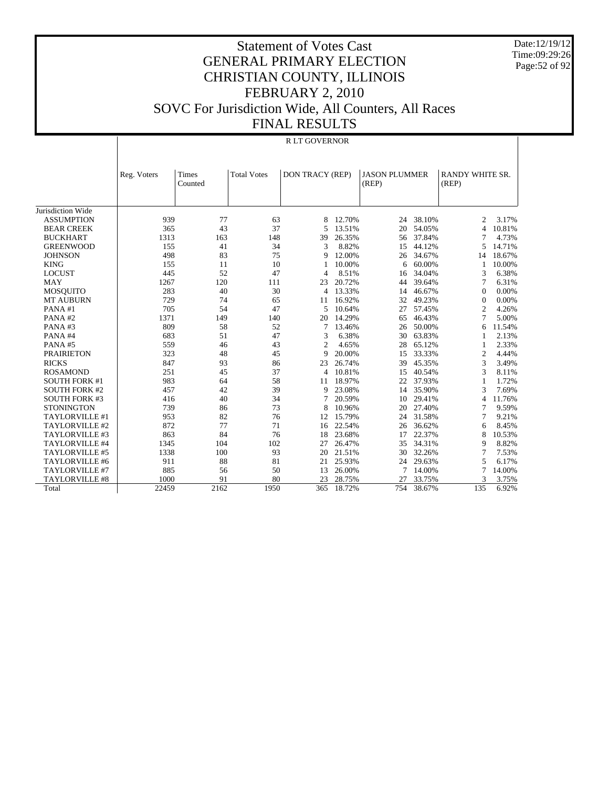Date:12/19/12 Time:09:29:26 Page:52 of 92

#### Statement of Votes Cast GENERAL PRIMARY ELECTION CHRISTIAN COUNTY, ILLINOIS FEBRUARY 2, 2010 SOVC For Jurisdiction Wide, All Counters, All Races FINAL RESULTS

#### Jurisdiction Wide ASSUMPTION BEAR CREEK BUCKHART GREENWOOD **JOHNSON**  KING LOCUST MAY MOSQUITO MT AUBURN PANA #1 PANA #2 PANA #3 PANA #4 PANA #5 PRAIRIETON RICKS ROSAMOND SOUTH FORK #1 SOUTH FORK #2 SOUTH FORK #3 **STONINGTON**  TAYLORVILLE #1 TAYLORVILLE #2 TAYLORVILLE #3 TAYLORVILLE #4 TAYLORVILLE #5 TAYLORVILLE #6 TAYLORVILLE #7 TAYLORVILLE #8 Total Reg. Voters | Times Counted Total Votes | DON TRACY (REP) | JASON PLUMMER (REP) RANDY WHITE SR. (REP) R LT GOVERNOR 939 77 63 8 12.70% 24 38.10% 2 3.17%<br>365 43 37 5 13.51% 20 54.05% 4 10.81% 365 43 37 5 13.51% 20 54.05% 4 10.81% 1313 163 148 39 26.35% 56 37.84% 7 4.73% 155 41 34 3 8.82% 15 44.12% 5 14.71% 498 83 75 9 12.00% 26 34.67% 14 18.67% 155 11 10.00% 6 60.00% 1 10.00% 445 52 47 4 8.51% 16 34.04% 3 6.38% 1267 120 111 23 20.72% 44 39.64% 7 6.31% 283 40 30 4 13.33% 14 46.67% 0 0.00% 729 74 65 11 16.92% 32 49.23% 0 0.00% 705 54 47 5 10.64% 27 57.45% 2 4.26% 1371 149 140 20 14.29% 65 46.43% 7 5.00% 809 58 52 7 13.46% 26 50.00% 6 11.54% 683 51 47 3 6.38% 30 63.83% 1 2.13% 559 46 43 2 4.65% 28 65.12% 1 2.33% 323 48 45 9 20.00% 15 33.33% 2 4.44% 847 93 86 23 26.74% 39 45.35% 3 3.49% 251 45 37 4 10.81% 15 40.54% 3 8.11% 983 64 58 11 18.97% 22 37.93% 1 1.72% 457 42 39 9 23.08% 14 35.90% 3 7.69% 416 40 34 7 20.59% 10 29.41% 4 11.76% 739 86 73 8 10.96% 20 27.40% 7 9.59% 953 82 76 12 15.79% 24 31.58% 7 9.21% 872 77 71 16 22.54% 26 36.62% 6 8.45% 863 84 76 18 23.68% 17 22.37% 8 10.53% 1345 104 102 27 26.47% 35 34.31% 9 8.82% 1338 100 93 20 21.51% 30 32.26% 7 7.53% 911 88 81 21 25.93% 24 29.63% 5 6.17% 885 56 50 13 26.00% 7 14.00% 7 14.00% 1000 91 80 23 28.75% 27 33.75% 3 3.75% 22459 2162 1950 365 18.72% 754 38.67% 135 6.92%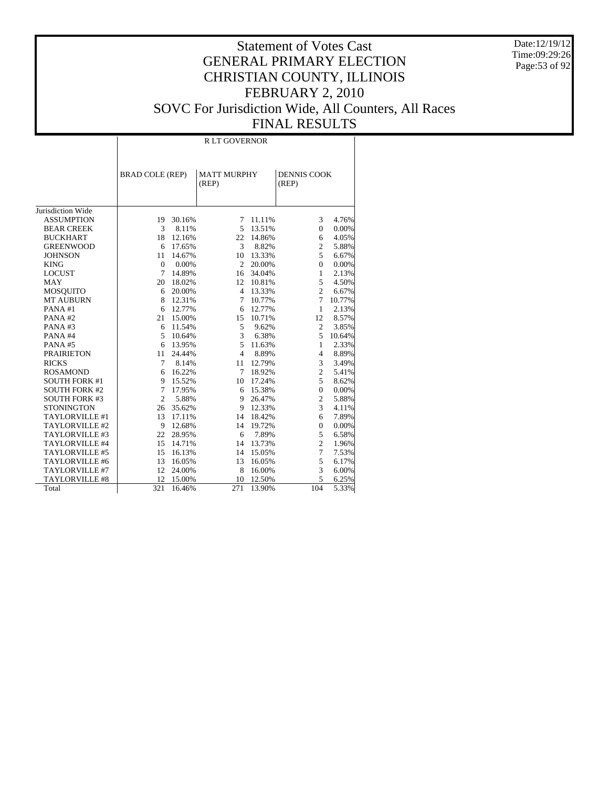Date:12/19/12 Time:09:29:26 Page:53 of 92

|                       |                        |        | <b>RLT GOVERNOR</b>         |        |                             |        |
|-----------------------|------------------------|--------|-----------------------------|--------|-----------------------------|--------|
|                       | <b>BRAD COLE (REP)</b> |        | <b>MATT MURPHY</b><br>(REP) |        | <b>DENNIS COOK</b><br>(REP) |        |
| Jurisdiction Wide     |                        |        |                             |        |                             |        |
| <b>ASSUMPTION</b>     | 19                     | 30.16% | 7                           | 11.11% | 3                           | 4.76%  |
| <b>BEAR CREEK</b>     | 3                      | 8.11%  | 5                           | 13.51% | $\mathbf{0}$                | 0.00%  |
| <b>BUCKHART</b>       | 18                     | 12.16% | 22                          | 14.86% | 6                           | 4.05%  |
| <b>GREENWOOD</b>      | 6                      | 17.65% | 3                           | 8.82%  | $\overline{c}$              | 5.88%  |
| <b>JOHNSON</b>        | 11                     | 14.67% | 10                          | 13.33% | 5                           | 6.67%  |
| <b>KING</b>           | $\mathbf{0}$           | 0.00%  | $\overline{2}$              | 20.00% | $\Omega$                    | 0.00%  |
| <b>LOCUST</b>         | 7                      | 14.89% | 16                          | 34.04% | 1                           | 2.13%  |
| <b>MAY</b>            | 20                     | 18.02% | 12                          | 10.81% | 5                           | 4.50%  |
| <b>MOSQUITO</b>       | 6                      | 20.00% | $\overline{4}$              | 13.33% | $\overline{c}$              | 6.67%  |
| <b>MT AUBURN</b>      | 8                      | 12.31% | 7                           | 10.77% | 7                           | 10.77% |
| PANA#1                | 6                      | 12.77% | 6                           | 12.77% | 1                           | 2.13%  |
| PANA#2                | 21                     | 15.00% | 15                          | 10.71% | 12                          | 8.57%  |
| PANA#3                | 6                      | 11.54% | 5                           | 9.62%  | $\overline{c}$              | 3.85%  |
| PANA#4                | 5                      | 10.64% | 3                           | 6.38%  | 5                           | 10.64% |
| PANA#5                | 6                      | 13.95% | 5                           | 11.63% | 1                           | 2.33%  |
| <b>PRAIRIETON</b>     | 11                     | 24.44% | $\overline{4}$              | 8.89%  | $\overline{4}$              | 8.89%  |
| <b>RICKS</b>          | 7                      | 8.14%  | 11                          | 12.79% | 3                           | 3.49%  |
| <b>ROSAMOND</b>       | 6                      | 16.22% | 7                           | 18.92% | $\overline{c}$              | 5.41%  |
| <b>SOUTH FORK #1</b>  | 9                      | 15.52% | 10                          | 17.24% | 5                           | 8.62%  |
| <b>SOUTH FORK #2</b>  | 7                      | 17.95% | 6                           | 15.38% | $\theta$                    | 0.00%  |
| <b>SOUTH FORK #3</b>  | $\overline{2}$         | 5.88%  | 9                           | 26.47% | $\overline{c}$              | 5.88%  |
| <b>STONINGTON</b>     | 26                     | 35.62% | 9                           | 12.33% | 3                           | 4.11%  |
| TAYLORVILLE #1        | 13                     | 17.11% | 14                          | 18.42% | 6                           | 7.89%  |
| TAYLORVILLE #2        | 9                      | 12.68% | 14                          | 19.72% | $\theta$                    | 0.00%  |
| TAYLORVILLE #3        | 22                     | 28.95% | 6                           | 7.89%  | 5                           | 6.58%  |
| TAYLORVILLE #4        | 15                     | 14.71% | 14                          | 13.73% | $\overline{c}$              | 1.96%  |
| TAYLORVILLE #5        | 15                     | 16.13% | 14                          | 15.05% | $\overline{7}$              | 7.53%  |
| TAYLORVILLE #6        | 13                     | 16.05% | 13                          | 16.05% | 5                           | 6.17%  |
| TAYLORVILLE #7        | 12                     | 24.00% | 8                           | 16.00% | 3                           | 6.00%  |
| <b>TAYLORVILLE #8</b> | 12                     | 15.00% | 10                          | 12.50% | 5                           | 6.25%  |
| Total                 | 321                    | 16.46% | 271                         | 13.90% | 104                         | 5.33%  |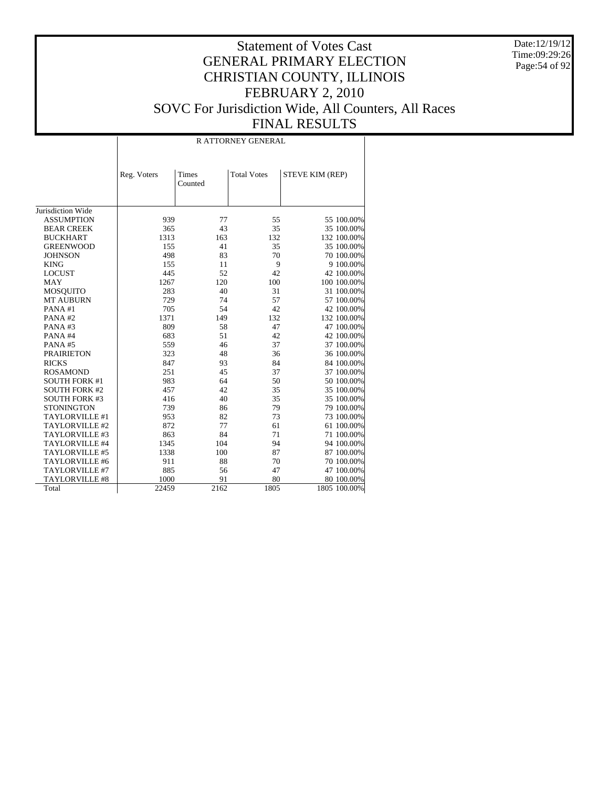Date:12/19/12 Time:09:29:26 Page:54 of 92

|                                        |             |         | <b>RATTORNEY GENERAL</b> |                 |
|----------------------------------------|-------------|---------|--------------------------|-----------------|
|                                        | Reg. Voters | Times   | <b>Total Votes</b>       | STEVE KIM (REP) |
|                                        |             | Counted |                          |                 |
| Jurisdiction Wide                      |             |         |                          |                 |
|                                        |             | 77      |                          |                 |
| <b>ASSUMPTION</b><br><b>BEAR CREEK</b> | 939<br>365  | 43      | 55<br>35                 | 55 100.00%      |
|                                        |             |         |                          | 35 100.00%      |
| <b>BUCKHART</b>                        | 1313        | 163     | 132                      | 132 100.00%     |
| <b>GREENWOOD</b>                       | 155         | 41      | 35                       | 35 100.00%      |
| <b>JOHNSON</b>                         | 498         | 83      | 70                       | 70 100.00%      |
| <b>KING</b>                            | 155         | 11      | 9                        | 9 100.00%       |
| <b>LOCUST</b>                          | 445         | 52      | 42                       | 42 100.00%      |
| <b>MAY</b>                             | 1267        | 120     | 100                      | 100 100.00%     |
| <b>MOSQUITO</b>                        | 283         | 40      | 31                       | 31 100.00%      |
| <b>MT AUBURN</b>                       | 729         | 74      | 57                       | 57 100.00%      |
| PANA#1                                 | 705         | 54      | 42                       | 42 100.00%      |
| PANA#2                                 | 1371        | 149     | 132                      | 132 100.00%     |
| PANA#3                                 | 809         | 58      | 47                       | 47 100.00%      |
| PANA#4                                 | 683         | 51      | 42                       | 42 100.00%      |
| PANA#5                                 | 559         | 46      | 37                       | 37 100.00%      |
| <b>PRAIRIETON</b>                      | 323         | 48      | 36                       | 36 100.00%      |
| <b>RICKS</b>                           | 847         | 93      | 84                       | 84 100.00%      |
| <b>ROSAMOND</b>                        | 251         | 45      | 37                       | 37 100.00%      |
| <b>SOUTH FORK #1</b>                   | 983         | 64      | 50                       | 50 100.00%      |
| <b>SOUTH FORK #2</b>                   | 457         | 42      | 35                       | 35 100.00%      |
| <b>SOUTH FORK #3</b>                   | 416         | 40      | 35                       | 35 100.00%      |
| <b>STONINGTON</b>                      | 739         | 86      | 79                       | 79 100.00%      |
| TAYLORVILLE #1                         | 953         | 82      | 73                       | 73 100.00%      |
| TAYLORVILLE #2                         | 872         | 77      | 61                       | 61 100.00%      |
| TAYLORVILLE #3                         | 863         | 84      | 71                       | 71 100.00%      |
| TAYLORVILLE #4                         | 1345        | 104     | 94                       | 94 100.00%      |
| TAYLORVILLE #5                         | 1338        | 100     | 87                       | 87 100.00%      |
| TAYLORVILLE #6                         | 911         | 88      | 70                       | 70 100.00%      |
| TAYLORVILLE #7                         | 885         | 56      | 47                       | 47 100.00%      |
| TAYLORVILLE #8                         | 1000        | 91      | 80                       | 80 100.00%      |
| Total                                  | 22459       | 2162    | 1805                     | 1805 100.00%    |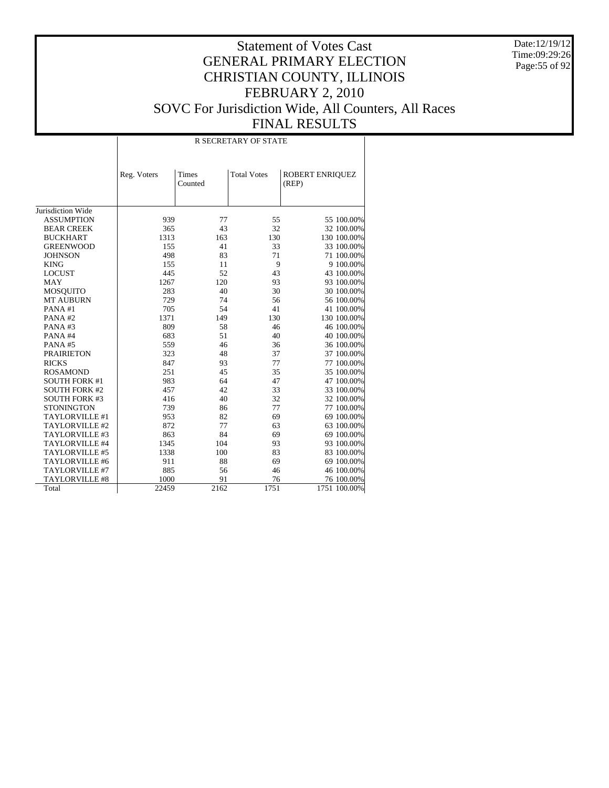Date:12/19/12 Time:09:29:26 Page:55 of 92

|                      |             |                  | <b>R SECRETARY OF STATE</b> |                          |
|----------------------|-------------|------------------|-----------------------------|--------------------------|
|                      | Reg. Voters | Times<br>Counted | <b>Total Votes</b>          | ROBERT ENRIQUEZ<br>(REP) |
| Jurisdiction Wide    |             |                  |                             |                          |
| <b>ASSUMPTION</b>    | 939         | 77               | 55                          | 55 100.00%               |
| <b>BEAR CREEK</b>    | 365         | 43               | 32                          | 32 100.00%               |
| <b>BUCKHART</b>      | 1313        | 163              | 130                         | 130 100.00%              |
| <b>GREENWOOD</b>     | 155         | 41               | 33                          | 33 100.00%               |
| <b>JOHNSON</b>       | 498         | 83               | 71                          | 71 100.00%               |
| <b>KING</b>          | 155         | 11               | 9                           | 9 100.00%                |
| <b>LOCUST</b>        | 445         | 52               | 43                          | 43 100.00%               |
| <b>MAY</b>           | 1267        | 120              | 93                          | 93 100.00%               |
| <b>MOSQUITO</b>      | 283         | 40               | 30                          | 30 100.00%               |
| <b>MT AUBURN</b>     | 729         | 74               | 56                          | 56 100.00%               |
| PANA#1               | 705         | 54               | 41                          | 41 100.00%               |
| PANA#2               | 1371        | 149              | 130                         | 130 100.00%              |
| PANA#3               | 809         | 58               | 46                          | 46 100.00%               |
| PANA#4               | 683         | 51               | 40                          | 40 100.00%               |
| PANA#5               | 559         | 46               | 36                          | 36 100.00%               |
| <b>PRAIRIETON</b>    | 323         | 48               | 37                          | 37 100.00%               |
| <b>RICKS</b>         | 847         | 93               | 77                          | 77 100.00%               |
| <b>ROSAMOND</b>      | 251         | 45               | 35                          | 35 100.00%               |
| <b>SOUTH FORK #1</b> | 983         | 64               | 47                          | 47 100.00%               |
| <b>SOUTH FORK #2</b> | 457         | 42               | 33                          | 33 100.00%               |
| <b>SOUTH FORK #3</b> | 416         | 40               | 32                          | 32 100.00%               |
| <b>STONINGTON</b>    | 739         | 86               | 77                          | 77 100.00%               |
| TAYLORVILLE #1       | 953         | 82               | 69                          | 69 100.00%               |
| TAYLORVILLE #2       | 872         | 77               | 63                          | 63 100.00%               |
| TAYLORVILLE #3       | 863         | 84               | 69                          | 69 100.00%               |
| TAYLORVILLE #4       | 1345        | 104              | 93                          | 93 100.00%               |
| TAYLORVILLE #5       | 1338        | 100              | 83                          | 83 100.00%               |
| TAYLORVILLE #6       | 911         | 88               | 69                          | 69 100.00%               |
| TAYLORVILLE #7       | 885         | 56               | 46                          | 46 100.00%               |
| TAYLORVILLE #8       | 1000        | 91               | 76                          | 76 100.00%               |
| Total                | 22459       | 2162             | 1751                        | 1751 100.00%             |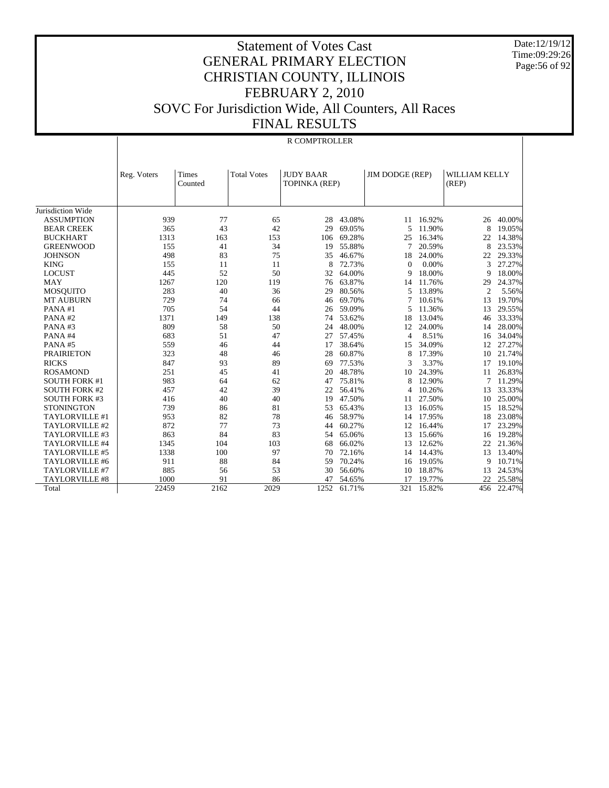Date:12/19/12 Time:09:29:26 Page:56 of 92

|                       |             |                  |                    | R COMPTROLLER                     |        |                        |        |                        |        |
|-----------------------|-------------|------------------|--------------------|-----------------------------------|--------|------------------------|--------|------------------------|--------|
|                       | Reg. Voters | Times<br>Counted | <b>Total Votes</b> | <b>JUDY BAAR</b><br>TOPINKA (REP) |        | <b>JIM DODGE (REP)</b> |        | WILLIAM KELLY<br>(REP) |        |
| Jurisdiction Wide     |             |                  |                    |                                   |        |                        |        |                        |        |
| <b>ASSUMPTION</b>     | 939         | 77               | 65                 | 28                                | 43.08% | 11                     | 16.92% | 26                     | 40.00% |
| <b>BEAR CREEK</b>     | 365         | 43               | 42                 | 29                                | 69.05% | 5                      | 11.90% | 8                      | 19.05% |
| <b>BUCKHART</b>       | 1313        | 163              | 153                | 106                               | 69.28% | 25                     | 16.34% | 22                     | 14.38% |
| <b>GREENWOOD</b>      | 155         | 41               | 34                 | 19                                | 55.88% | 7                      | 20.59% | 8                      | 23.53% |
| <b>JOHNSON</b>        | 498         | 83               | 75                 | 35                                | 46.67% | 18                     | 24.00% | 22                     | 29.33% |
| <b>KING</b>           | 155         | 11               | 11                 | 8                                 | 72.73% | $\mathbf{0}$           | 0.00%  | 3                      | 27.27% |
| <b>LOCUST</b>         | 445         | 52               | 50                 | 32                                | 64.00% | 9                      | 18.00% | 9                      | 18.00% |
| <b>MAY</b>            | 1267        | 120              | 119                | 76                                | 63.87% | 14                     | 11.76% | 29                     | 24.37% |
| <b>MOSQUITO</b>       | 283         | 40               | 36                 | 29                                | 80.56% | 5                      | 13.89% | $\mathfrak{2}$         | 5.56%  |
| <b>MT AUBURN</b>      | 729         | 74               | 66                 | 46                                | 69.70% | 7                      | 10.61% | 13                     | 19.70% |
| PANA#1                | 705         | 54               | 44                 | 26                                | 59.09% | 5                      | 11.36% | 13                     | 29.55% |
| PANA#2                | 1371        | 149              | 138                | 74                                | 53.62% | 18                     | 13.04% | 46                     | 33.33% |
| PANA#3                | 809         | 58               | 50                 | 24                                | 48.00% | 12                     | 24.00% | 14                     | 28.00% |
| PANA#4                | 683         | 51               | 47                 | 27                                | 57.45% | 4                      | 8.51%  | 16                     | 34.04% |
| PANA#5                | 559         | 46               | 44                 | 17                                | 38.64% | 15                     | 34.09% | 12                     | 27.27% |
| <b>PRAIRIETON</b>     | 323         | 48               | 46                 | 28                                | 60.87% | 8                      | 17.39% | 10                     | 21.74% |
| <b>RICKS</b>          | 847         | 93               | 89                 | 69                                | 77.53% | 3                      | 3.37%  | 17                     | 19.10% |
| <b>ROSAMOND</b>       | 251         | 45               | 41                 | 20                                | 48.78% | 10                     | 24.39% | 11                     | 26.83% |
| <b>SOUTH FORK #1</b>  | 983         | 64               | 62                 | 47                                | 75.81% | 8                      | 12.90% | 7                      | 11.29% |
| <b>SOUTH FORK #2</b>  | 457         | 42               | 39                 | 22                                | 56.41% | 4                      | 10.26% | 13                     | 33.33% |
| <b>SOUTH FORK #3</b>  | 416         | 40               | 40                 | 19                                | 47.50% | 11                     | 27.50% | 10                     | 25.00% |
| <b>STONINGTON</b>     | 739         | 86               | 81                 | 53                                | 65.43% | 13                     | 16.05% | 15                     | 18.52% |
| TAYLORVILLE #1        | 953         | 82               | 78                 | 46                                | 58.97% | 14                     | 17.95% | 18                     | 23.08% |
| TAYLORVILLE #2        | 872         | 77               | 73                 | 44                                | 60.27% | 12                     | 16.44% | 17                     | 23.29% |
| TAYLORVILLE #3        | 863         | 84               | 83                 | 54                                | 65.06% | 13                     | 15.66% | 16                     | 19.28% |
| TAYLORVILLE #4        | 1345        | 104              | 103                | 68                                | 66.02% | 13                     | 12.62% | 22                     | 21.36% |
| TAYLORVILLE #5        | 1338        | 100              | 97                 | 70                                | 72.16% | 14                     | 14.43% | 13                     | 13.40% |
| TAYLORVILLE #6        | 911         | 88               | 84                 | 59                                | 70.24% | 16                     | 19.05% | 9                      | 10.71% |
| TAYLORVILLE #7        | 885         | 56               | 53                 | 30                                | 56.60% | 10                     | 18.87% | 13                     | 24.53% |
| <b>TAYLORVILLE #8</b> | 1000        | 91               | 86                 | 47                                | 54.65% | 17                     | 19.77% | 22                     | 25.58% |
| Total                 | 22459       | 2162             | 2029               | 1252                              | 61.71% | 321                    | 15.82% | 456                    | 22.47% |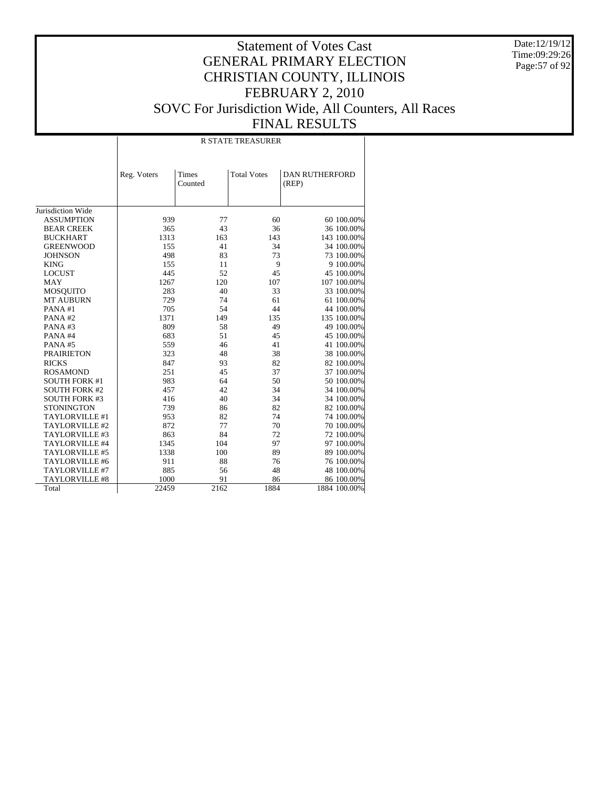Date:12/19/12 Time:09:29:26 Page:57 of 92

|                      |             |                  | <b>R STATE TREASURER</b> |                                |
|----------------------|-------------|------------------|--------------------------|--------------------------------|
|                      | Reg. Voters | Times<br>Counted | <b>Total Votes</b>       | <b>DAN RUTHERFORD</b><br>(REP) |
| Jurisdiction Wide    |             |                  |                          |                                |
| <b>ASSUMPTION</b>    | 939         | 77               | 60                       | 60 100.00%                     |
| <b>BEAR CREEK</b>    | 365         | 43               | 36                       | 36 100.00%                     |
| <b>BUCKHART</b>      | 1313        | 163              | 143                      | 143 100.00%                    |
| <b>GREENWOOD</b>     | 155         | 41               | 34                       | 34 100.00%                     |
| <b>JOHNSON</b>       | 498         | 83               | 73                       | 73 100.00%                     |
| <b>KING</b>          | 155         | 11               | 9                        | 9 100.00%                      |
| <b>LOCUST</b>        | 445         | 52               | 45                       | 45 100.00%                     |
| MAY                  | 1267        | 120              | 107                      | 107 100.00%                    |
| <b>MOSQUITO</b>      | 283         | 40               | 33                       | 33 100.00%                     |
| <b>MT AUBURN</b>     | 729         | 74               | 61                       | 61 100.00%                     |
| PANA#1               | 705         | 54               | 44                       | 44 100.00%                     |
| PANA#2               | 1371        | 149              | 135                      | 135 100.00%                    |
| PANA#3               | 809         | 58               | 49                       | 49 100.00%                     |
| PANA#4               | 683         | 51               | 45                       | 45 100.00%                     |
| PANA#5               | 559         | 46               | 41                       | 41 100.00%                     |
| <b>PRAIRIETON</b>    | 323         | 48               | 38                       | 38 100.00%                     |
| <b>RICKS</b>         | 847         | 93               | 82                       | 82 100.00%                     |
| <b>ROSAMOND</b>      | 251         | 45               | 37                       | 37 100.00%                     |
| <b>SOUTH FORK #1</b> | 983         | 64               | 50                       | 50 100.00%                     |
| <b>SOUTH FORK #2</b> | 457         | 42               | 34                       | 34 100.00%                     |
| <b>SOUTH FORK #3</b> | 416         | 40               | 34                       | 34 100.00%                     |
| <b>STONINGTON</b>    | 739         | 86               | 82                       | 82 100.00%                     |
| TAYLORVILLE #1       | 953         | 82               | 74                       | 74 100.00%                     |
| TAYLORVILLE #2       | 872         | 77               | 70                       | 70 100.00%                     |
| TAYLORVILLE #3       | 863         | 84               | 72                       | 72 100.00%                     |
| TAYLORVILLE #4       | 1345        | 104              | 97                       | 97 100.00%                     |
| TAYLORVILLE #5       | 1338        | 100              | 89                       | 89 100.00%                     |
| TAYLORVILLE #6       | 911         | 88               | 76                       | 76 100.00%                     |
| TAYLORVILLE #7       | 885         | 56               | 48                       | 48 100.00%                     |
| TAYLORVILLE #8       | 1000        | 91               | 86                       | 86 100.00%                     |
| Total                | 22459       | 2162             | 1884                     | 1884 100.00%                   |
|                      |             |                  |                          |                                |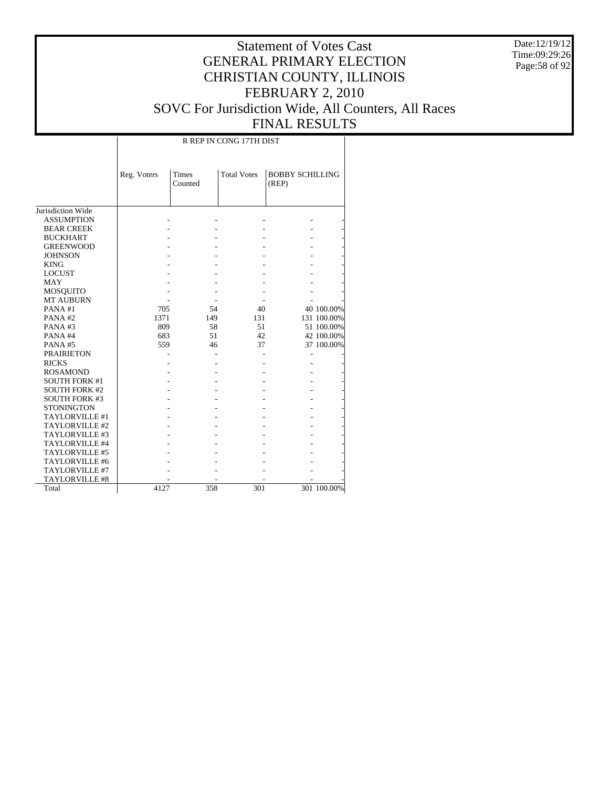Date:12/19/12 Time:09:29:26 Page:58 of 92

#### Statement of Votes Cast GENERAL PRIMARY ELECTION CHRISTIAN COUNTY, ILLINOIS FEBRUARY 2, 2010 SOVC For Jurisdiction Wide, All Counters, All Races FINAL RESULTS

Jurisdiction Wide ASSUMPTION BEAR CREEK BUCKHART GREENWOOD JOHNSON KING LOCUST MAY MOSQUITO MT AUBURN PANA #1 PANA #2 PANA #3 PANA #4 PANA #5 PRAIRIETON RICKS ROSAMOND SOUTH FORK #1 SOUTH FORK #2 SOUTH FORK #3 **STONINGTON**  TAYLORVILLE #1 TAYLORVILLE #2 TAYLORVILLE #3 TAYLORVILLE #4 TAYLORVILLE #5 TAYLORVILLE #6 TAYLORVILLE #7 TAYLORVILLE #8 Total Reg. Voters Times Counted Total Votes | BOBBY SCHILLING (REP) R REP IN CONG 17TH DIST - - - - - - - - - - - - - - - - - - - - - - - - - - - - - - - - - - - - - - - - - - - - - - - - - - 705 54 40 40 100.00% 1371 149 131 131 100.00%<br>
809 58 51 51 100.00% 809 58 51 51 100.00%<br>683 51 42 42 100.00% 683 51 42 42 100.00% 37 100.00% - - - - - - - - - - - - - - - - - - - - - - - - - - - - - - - - - - - - - - - - - - - - - - - - - - - - - - - - - - - - - - - - - - - - - - - - - - - 4127 358 301 301 100.00%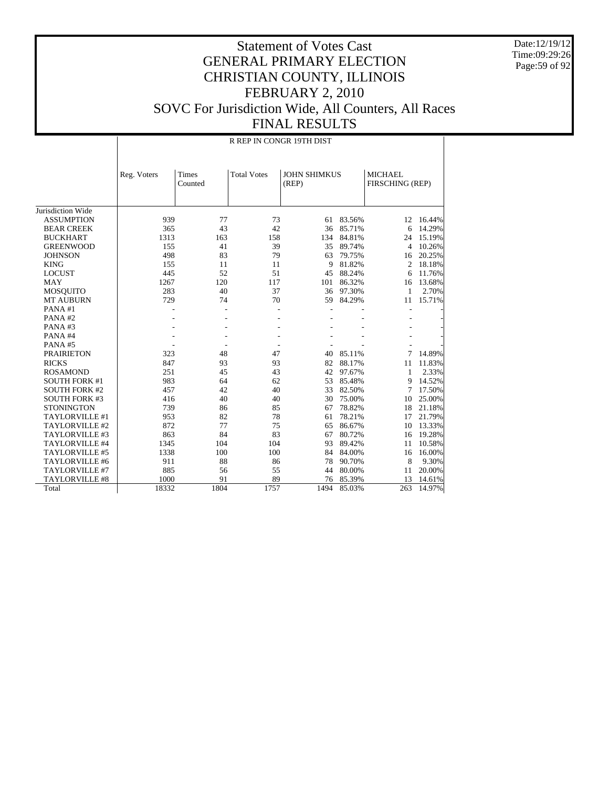Date:12/19/12 Time:09:29:26 Page:59 of 92

|                       |             |                  | R REP IN CONGR 19TH DIST |                              |        |                                   |           |
|-----------------------|-------------|------------------|--------------------------|------------------------------|--------|-----------------------------------|-----------|
|                       | Reg. Voters | Times<br>Counted | <b>Total Votes</b>       | <b>JOHN SHIMKUS</b><br>(REP) |        | <b>MICHAEL</b><br>FIRSCHING (REP) |           |
| Jurisdiction Wide     |             |                  |                          |                              |        |                                   |           |
| <b>ASSUMPTION</b>     | 939         | 77               | 73                       | 61                           | 83.56% |                                   | 12 16.44% |
| <b>BEAR CREEK</b>     | 365         | 43               | 42                       | 36                           | 85.71% | 6                                 | 14.29%    |
| <b>BUCKHART</b>       | 1313        | 163              | 158                      | 134                          | 84.81% | 24                                | 15.19%    |
| <b>GREENWOOD</b>      | 155         | 41               | 39                       | 35                           | 89.74% | 4                                 | 10.26%    |
| <b>JOHNSON</b>        | 498         | 83               | 79                       | 63                           | 79.75% | 16                                | 20.25%    |
| <b>KING</b>           | 155         | 11               | 11                       | 9                            | 81.82% | 2                                 | 18.18%    |
| <b>LOCUST</b>         | 445         | 52               | 51                       | 45                           | 88.24% | 6                                 | 11.76%    |
| <b>MAY</b>            | 1267        | 120              | 117                      | 101                          | 86.32% | 16                                | 13.68%    |
| <b>MOSQUITO</b>       | 283         | 40               | 37                       | 36                           | 97.30% | 1                                 | 2.70%     |
| <b>MT AUBURN</b>      | 729         | 74               | 70                       | 59                           | 84.29% | 11                                | 15.71%    |
| PANA#1                |             |                  |                          |                              |        |                                   |           |
| PANA#2                |             |                  |                          |                              |        |                                   |           |
| PANA#3                |             |                  |                          |                              |        |                                   |           |
| PANA#4                |             |                  |                          |                              |        |                                   |           |
| PANA#5                |             |                  |                          |                              |        |                                   |           |
| <b>PRAIRIETON</b>     | 323         | 48               | 47                       | 40                           | 85.11% | 7                                 | 14.89%    |
| <b>RICKS</b>          | 847         | 93               | 93                       | 82                           | 88.17% | 11                                | 11.83%    |
| <b>ROSAMOND</b>       | 251         | 45               | 43                       | 42                           | 97.67% | 1                                 | 2.33%     |
| <b>SOUTH FORK #1</b>  | 983         | 64               | 62                       | 53                           | 85.48% | 9                                 | 14.52%    |
| <b>SOUTH FORK #2</b>  | 457         | 42               | 40                       | 33                           | 82.50% | 7                                 | 17.50%    |
| <b>SOUTH FORK #3</b>  | 416         | 40               | 40                       | 30                           | 75.00% | 10                                | 25.00%    |
| <b>STONINGTON</b>     | 739         | 86               | 85                       | 67                           | 78.82% | 18                                | 21.18%    |
| TAYLORVILLE #1        | 953         | 82               | 78                       | 61                           | 78.21% | 17                                | 21.79%    |
| TAYLORVILLE #2        | 872         | 77               | 75                       | 65                           | 86.67% | 10                                | 13.33%    |
| TAYLORVILLE #3        | 863         | 84               | 83                       | 67                           | 80.72% | 16                                | 19.28%    |
| TAYLORVILLE #4        | 1345        | 104              | 104                      | 93                           | 89.42% | 11                                | 10.58%    |
| TAYLORVILLE #5        | 1338        | 100              | 100                      | 84                           | 84.00% | 16                                | 16.00%    |
| TAYLORVILLE #6        | 911         | 88               | 86                       | 78                           | 90.70% | 8                                 | 9.30%     |
| TAYLORVILLE #7        | 885         | 56               | 55                       | 44                           | 80.00% | 11                                | 20.00%    |
| <b>TAYLORVILLE #8</b> | 1000        | 91               | 89                       | 76                           | 85.39% | 13                                | 14.61%    |
| Total                 | 18332       | 1804             | 1757                     | 1494                         | 85.03% | 263                               | 14.97%    |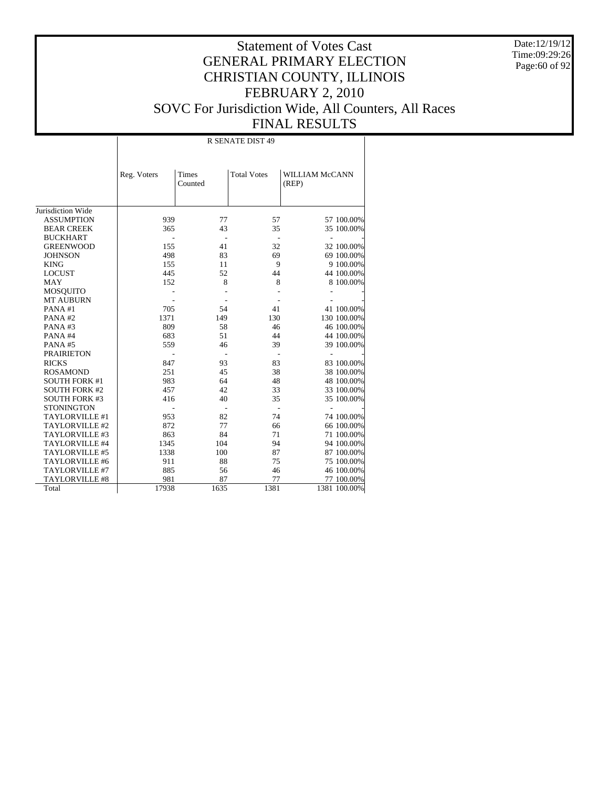Date:12/19/12 Time:09:29:26 Page:60 of 92

#### Statement of Votes Cast GENERAL PRIMARY ELECTION CHRISTIAN COUNTY, ILLINOIS FEBRUARY 2, 2010 SOVC For Jurisdiction Wide, All Counters, All Races FINAL RESULTS

Jurisdiction Wide ASSUMPTION BEAR CREEK BUCKHART GREENWOOD **JOHNSON**  KING LOCUST MAY MOSQUITO MT AUBURN PANA #1 PANA #2 PANA #3 PANA #4 PANA #5 PRAIRIETON RICKS ROSAMOND SOUTH FORK #1 SOUTH FORK #2 SOUTH FORK #3 **STONINGTON**  TAYLORVILLE #1 TAYLORVILLE #2 TAYLORVILLE #3 TAYLORVILLE #4 TAYLORVILLE #5 TAYLORVILLE #6 TAYLORVILLE #7 TAYLORVILLE #8 Total Reg. Voters | Times Counted Total Votes | WILLIAM McCANN (REP) R SENATE DIST 49 939 77 57 57 57 100.00%<br>365 43 35 35 100.00% 35 100.00% - - - - - 155 41 32 32 100.00%<br>498 83 69 69 100.00% 49 69 100.00%<br>9 100.00% 155 11 9 9 100.00%<br>445 52 44 44 100.00% 44 100.00% 152 8 8 8 100.00% - - - - - - - - - - 705 54 41 41 100.00% 1371 149 130 130 100.00% 809 58 46 46 100.00%<br>683 51 44 44 100.00% 683 51 44 44 100.00% 559 46 39 39 100.00% - - - - - 847 93 83 83 100.00%<br>251 45 38 38 100.00% 251 45 38 38 100.00% 64 <br>
48 <br>
48 <br>
48 <br>
48 <br>
33 <br>
33 <br>
48 <br>
33 <br>
33 <br>
400.00%  $\begin{array}{cccc} 457 & 42 & 33 & 33 & 100.00\% \\ 416 & 40 & 35 & 35 & 100.00\% \end{array}$ 35 100.00% - - - - - 953 82 74 74 100.00%<br>872 77 66 66 100.00% 77 66 66 66 100.00% 84 71 71 100.00% 863 84 71 71 100.00%<br>1345 104 94 94 100.00% 1345 104 94 94 100.00%<br>1338 100 87 87 100.00% 87 100.00% 911 88 75 75 75 100.00%<br>885 56 46 46 100.00% 46 46 100.00%<br>77 100 00% 17938 87 77 77 100.00%<br>17938 1635 1381 1381 100.00% 1381 100.00%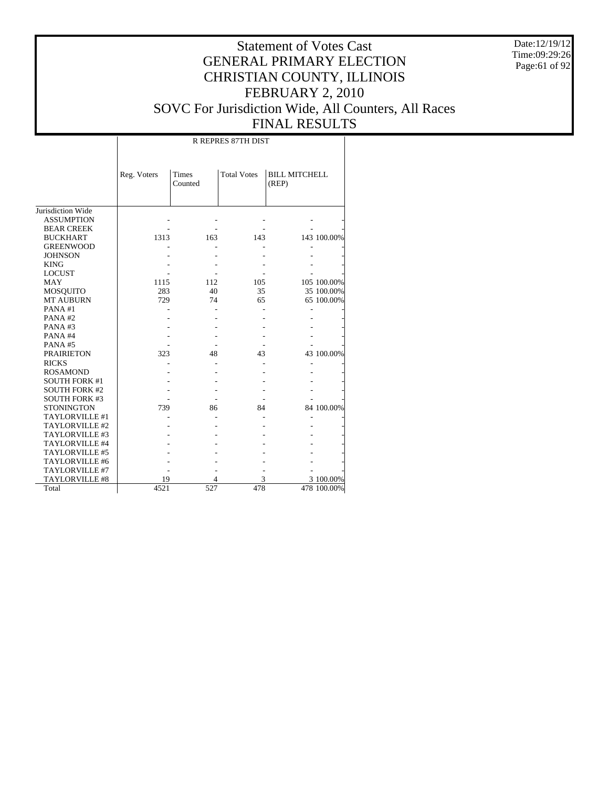Date:12/19/12 Time:09:29:26 Page:61 of 92

|                       |             |                  | <b>R REPRES 87TH DIST</b> |                               |             |
|-----------------------|-------------|------------------|---------------------------|-------------------------------|-------------|
|                       | Reg. Voters | Times<br>Counted | <b>Total Votes</b>        | <b>BILL MITCHELL</b><br>(REP) |             |
| Jurisdiction Wide     |             |                  |                           |                               |             |
| <b>ASSUMPTION</b>     |             |                  |                           |                               |             |
| <b>BEAR CREEK</b>     |             |                  |                           |                               |             |
| <b>BUCKHART</b>       | 1313        | 163              | 143                       |                               | 143 100.00% |
| <b>GREENWOOD</b>      |             |                  |                           |                               |             |
| <b>JOHNSON</b>        |             |                  |                           |                               |             |
| <b>KING</b>           |             |                  |                           |                               |             |
| <b>LOCUST</b>         |             |                  |                           |                               |             |
| <b>MAY</b>            | 1115        | 112              | 105                       |                               | 105 100.00% |
| <b>MOSQUITO</b>       | 283         | 40               | 35                        |                               | 35 100.00%  |
| <b>MT AUBURN</b>      | 729         | 74               | 65                        |                               | 65 100.00%  |
| PANA#1                |             |                  |                           |                               |             |
| PANA#2                |             |                  |                           |                               |             |
| PANA#3                |             |                  |                           |                               |             |
| PANA#4                |             |                  |                           |                               |             |
| PANA#5                |             |                  |                           |                               |             |
| <b>PRAIRIETON</b>     | 323         | 48               | 43                        |                               | 43 100.00%  |
| <b>RICKS</b>          |             |                  |                           |                               |             |
| <b>ROSAMOND</b>       |             |                  |                           |                               |             |
| <b>SOUTH FORK #1</b>  |             |                  |                           |                               |             |
| <b>SOUTH FORK #2</b>  |             |                  |                           |                               |             |
| <b>SOUTH FORK #3</b>  |             |                  |                           |                               |             |
| <b>STONINGTON</b>     | 739         | 86               | 84                        |                               | 84 100.00%  |
| TAYLORVILLE #1        |             |                  |                           |                               |             |
| TAYLORVILLE #2        |             |                  |                           |                               |             |
| TAYLORVILLE #3        |             |                  |                           |                               |             |
| TAYLORVILLE #4        |             |                  |                           |                               |             |
| TAYLORVILLE #5        |             |                  |                           |                               |             |
| TAYLORVILLE #6        |             |                  |                           |                               |             |
| TAYLORVILLE #7        |             |                  |                           |                               |             |
| <b>TAYLORVILLE #8</b> | 19          | 4                | 3                         |                               | 3 100.00%   |
| Total                 | 4521        | 527              | 478                       |                               | 478 100.00% |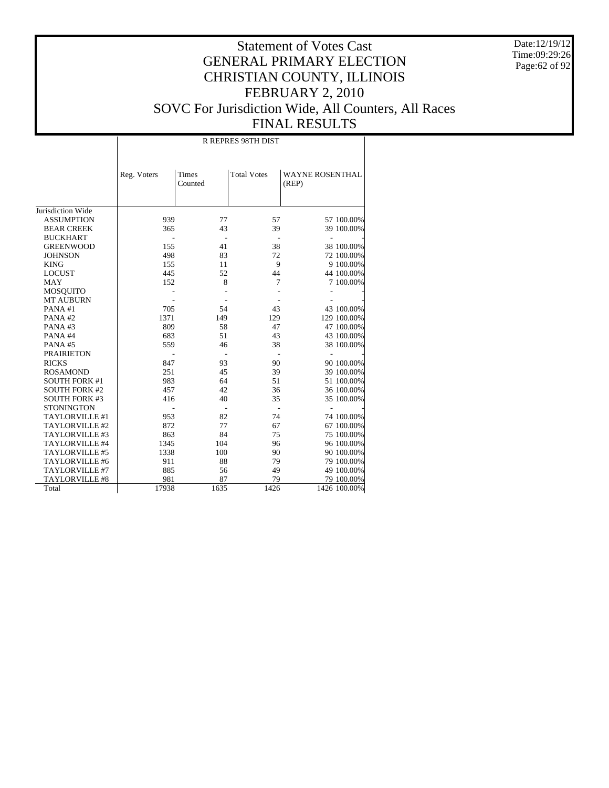Date:12/19/12 Time:09:29:26 Page:62 of 92

|                       |             |                  | <b>R REPRES 98TH DIST</b> |                                 |
|-----------------------|-------------|------------------|---------------------------|---------------------------------|
|                       | Reg. Voters | Times<br>Counted | <b>Total Votes</b>        | <b>WAYNE ROSENTHAL</b><br>(REP) |
| Jurisdiction Wide     |             |                  |                           |                                 |
| <b>ASSUMPTION</b>     | 939         | 77               | 57                        | 57 100.00%                      |
| <b>BEAR CREEK</b>     | 365         | 43               | 39                        | 39 100.00%                      |
| <b>BUCKHART</b>       |             |                  |                           | L.                              |
| <b>GREENWOOD</b>      | 155         | 41               | 38                        | 38 100.00%                      |
| <b>JOHNSON</b>        | 498         | 83               | 72                        | 72 100.00%                      |
| <b>KING</b>           | 155         | 11               | 9                         | 9 100.00%                       |
| <b>LOCUST</b>         | 445         | 52               | 44                        | 44 100.00%                      |
| <b>MAY</b>            | 152         | 8                | 7                         | 7 100.00%                       |
| <b>MOSQUITO</b>       |             |                  |                           |                                 |
| <b>MT AUBURN</b>      |             |                  |                           |                                 |
| PANA#1                | 705         | 54               | 43                        | 43 100.00%                      |
| PANA#2                | 1371        | 149              | 129                       | 129 100.00%                     |
| PANA#3                | 809         | 58               | 47                        | 47 100.00%                      |
| PANA#4                | 683         | 51               | 43                        | 43 100.00%                      |
| PANA#5                | 559         | 46               | 38                        | 38 100.00%                      |
| <b>PRAIRIETON</b>     |             |                  |                           | ÷,                              |
| <b>RICKS</b>          | 847         | 93               | 90                        | 90 100.00%                      |
| <b>ROSAMOND</b>       | 251         | 45               | 39                        | 39 100.00%                      |
| <b>SOUTH FORK #1</b>  | 983         | 64               | 51                        | 51 100.00%                      |
| <b>SOUTH FORK #2</b>  | 457         | 42               | 36                        | 36 100.00%                      |
| <b>SOUTH FORK #3</b>  | 416         | 40               | 35                        | 35 100.00%                      |
| <b>STONINGTON</b>     |             |                  |                           |                                 |
| TAYLORVILLE #1        | 953         | 82               | 74                        | 74 100.00%                      |
| TAYLORVILLE #2        | 872         | 77               | 67                        | 67 100.00%                      |
| TAYLORVILLE #3        | 863         | 84               | 75                        | 75 100.00%                      |
| TAYLORVILLE #4        | 1345        | 104              | 96                        | 96 100.00%                      |
| TAYLORVILLE #5        | 1338        | 100              | 90                        | 90 100.00%                      |
| TAYLORVILLE #6        | 911         | 88               | 79                        | 79 100.00%                      |
| TAYLORVILLE #7        | 885         | 56               | 49                        | 49 100.00%                      |
| <b>TAYLORVILLE #8</b> | 981         | 87               | 79                        | 79 100.00%                      |
| Total                 | 17938       | 1635             | 1426                      | 1426 100.00%                    |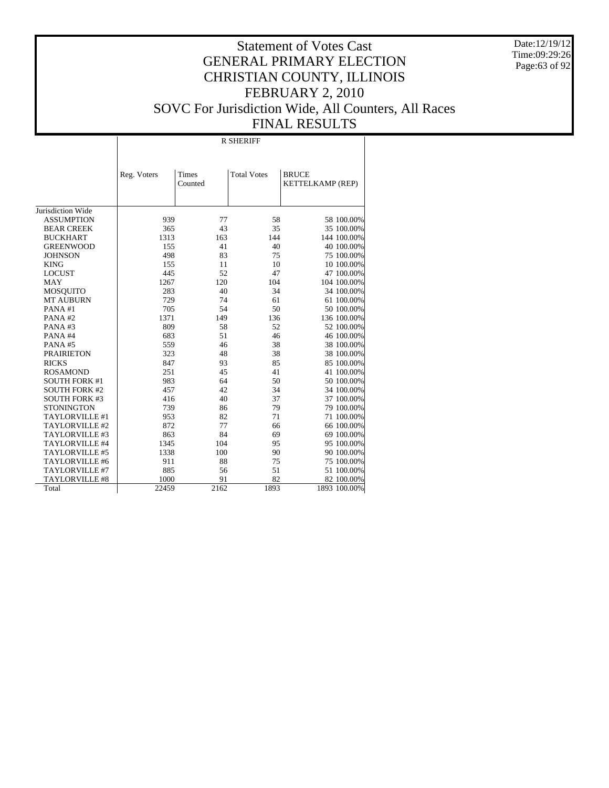Date:12/19/12 Time:09:29:26 Page:63 of 92

|                      |             |                  | <b>R SHERIFF</b>   |                                  |
|----------------------|-------------|------------------|--------------------|----------------------------------|
|                      | Reg. Voters | Times<br>Counted | <b>Total Votes</b> | <b>BRUCE</b><br>KETTELKAMP (REP) |
| Jurisdiction Wide    |             |                  |                    |                                  |
| <b>ASSUMPTION</b>    | 939         | 77               | 58                 | 58 100.00%                       |
| <b>BEAR CREEK</b>    | 365         | 43               | 35                 | 35 100.00%                       |
| <b>BUCKHART</b>      | 1313        | 163              | 144                | 144 100.00%                      |
| <b>GREENWOOD</b>     | 155         | 41               | 40                 | 40 100.00%                       |
| <b>JOHNSON</b>       | 498         | 83               | 75                 | 75 100.00%                       |
| <b>KING</b>          | 155         | 11               | 10                 | 10 100.00%                       |
| <b>LOCUST</b>        | 445         | 52               | 47                 | 47 100.00%                       |
| <b>MAY</b>           | 1267        | 120              | 104                | 104 100.00%                      |
| <b>MOSQUITO</b>      | 283         | 40               | 34                 | 34 100.00%                       |
| <b>MT AUBURN</b>     | 729         | 74               | 61                 | 61 100.00%                       |
| PANA#1               | 705         | 54               | 50                 | 50 100.00%                       |
| PANA#2               | 1371        | 149              | 136                | 136 100.00%                      |
| PANA#3               | 809         | 58               | 52                 | 52 100.00%                       |
| PANA#4               | 683         | 51               | 46                 | 46 100.00%                       |
| PANA#5               | 559         | 46               | 38                 | 38 100.00%                       |
| <b>PRAIRIETON</b>    | 323         | 48               | 38                 | 38 100.00%                       |
| <b>RICKS</b>         | 847         | 93               | 85                 | 85 100.00%                       |
| <b>ROSAMOND</b>      | 251         | 45               | 41                 | 41 100.00%                       |
| <b>SOUTH FORK #1</b> | 983         | 64               | 50                 | 50 100.00%                       |
| <b>SOUTH FORK #2</b> | 457         | 42               | 34                 | 34 100.00%                       |
| <b>SOUTH FORK #3</b> | 416         | 40               | 37                 | 37 100.00%                       |
| <b>STONINGTON</b>    | 739         | 86               | 79                 | 79 100.00%                       |
| TAYLORVILLE #1       | 953         | 82               | 71                 | 71 100.00%                       |
| TAYLORVILLE #2       | 872         | 77               | 66                 | 66 100.00%                       |
| TAYLORVILLE #3       | 863         | 84               | 69                 | 69 100.00%                       |
| TAYLORVILLE #4       | 1345        | 104              | 95                 | 95 100.00%                       |
| TAYLORVILLE #5       | 1338        | 100              | 90                 | 90 100.00%                       |
| TAYLORVILLE #6       | 911         | 88               | 75                 | 75 100.00%                       |
| TAYLORVILLE #7       | 885         | 56               | 51                 | 51 100.00%                       |
| TAYLORVILLE #8       | 1000        | 91               | 82                 | 82 100.00%                       |
| Total                | 22459       | 2162             | 1893               | 1893 100.00%                     |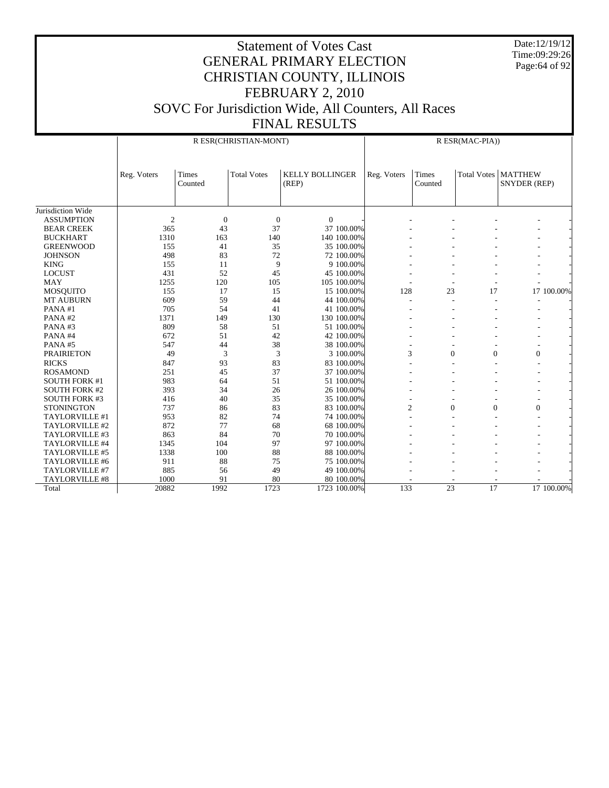Date:12/19/12 Time:09:29:26 Page:64 of 92

#### GENERAL PRIMARY ELECTION CHRISTIAN COUNTY, ILLINOIS FEBRUARY 2, 2010 SOVC For Jurisdiction Wide, All Counters, All Races FINAL RESULTS

Statement of Votes Cast

Jurisdiction Wide ASSUMPTION BEAR CREEK BUCKHART GREENWOOD **JOHNSON**  KING LOCUST MAY MOSQUITO MT AUBURN PANA #1 PANA #2 PANA #3 PANA #4 PANA #5 PRAIRIETON RICKS ROSAMOND SOUTH FORK #1 SOUTH FORK #2 SOUTH FORK #3 **STONINGTON**  TAYLORVILLE #1 TAYLORVILLE #2 TAYLORVILLE #3 TAYLORVILLE #4 TAYLORVILLE #5 TAYLORVILLE #6 TAYLORVILLE #7 TAYLORVILLE #8 Total Reg. Voters | Times Counted Total Votes | KELLY BOLLINGER (REP) R ESR(CHRISTIAN-MONT) Reg. Voters | Times Counted Total Votes | MATTHEW SNYDER (REP) R ESR(MAC-PIA)) 2 0 0 0 - - - - - - -365 43 37 37 37 100.00% - - - - - - - -1310 163 140 140 100.00% - - - - - - - - -155 41 35 35 100.00% - - - - - - - -498 83 72 72 100.00% - - - - - - - -155 11 9 9 100.00% - - - - - - - -431 52 45 45 100.00% - - - - - - - -1255 120 105 105 100.00% - - - - - - - - - -155 17 15 15 100.00% 128 23 17 17 100.00% 609 59 44 44 100.00% 128 23 17 100.000 1  $609$  59 44 44 100.00% - - - - - - - $705$  54 41 41 100.00% - - - - - - -1371 149 130 130 100.00% - - - - - - - - - $809$  58 51 51 100.00% - - - - - - - $672$  51 42 42 100.00% - - - - - - -547 44 38 38 100.00% - - - - - - - -49 3 3 3 100.00% 3 0 0 0 -847 93 83 83 100.00% - - - - - - - -251 45 37 37 37 100.00% - - - - - - - -983 64 51 51 100.00% - - - - - - - -393 34 26 26 100.00% - - - - - - - -416 40 35 35 300.00% - - - - - - - -737 86 83 83 100.00% 2 0 0 0 - 953 82 74 74 100.00% - - - - - - - - $872$   $77$   $68$   $68$   $100.00\%$  - - - - - - -863 84 70 70 100.00% - - - - - - - -1345 104 97 97 100.00% - - - - - - - - -1338 100 100 88 88 88 89 88 89 89 89 89 88 8 911 88 75 75 100.00% - - - - - - - -885 56 49 49 100.00% - - - - - - - -1000 91 80 80 100.00% - - - - - 20882 1992 1723 1723 100.00% 133 23 17 17 100.00%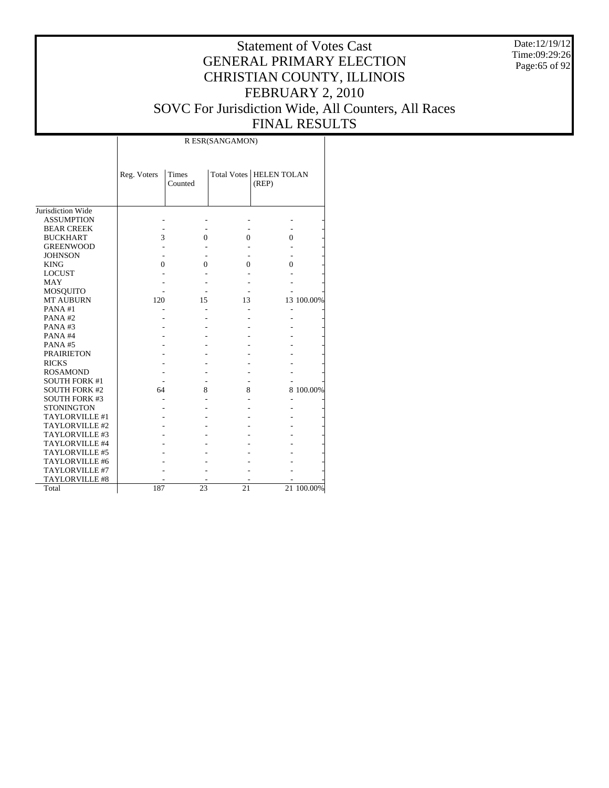Date:12/19/12 Time:09:29:26 Page:65 of 92

#### Statement of Votes Cast GENERAL PRIMARY ELECTION CHRISTIAN COUNTY, ILLINOIS FEBRUARY 2, 2010 SOVC For Jurisdiction Wide, All Counters, All Races FINAL RESULTS

Τ

|                      |             |                  | R ESR(SANGAMON) |                                    |            |
|----------------------|-------------|------------------|-----------------|------------------------------------|------------|
|                      | Reg. Voters | Times<br>Counted |                 | Total Votes   HELEN TOLAN<br>(REP) |            |
| Jurisdiction Wide    |             |                  |                 |                                    |            |
| <b>ASSUMPTION</b>    |             |                  |                 |                                    |            |
| <b>BEAR CREEK</b>    |             |                  |                 |                                    |            |
| <b>BUCKHART</b>      | 3           | $\mathbf{0}$     | 0               | 0                                  |            |
| <b>GREENWOOD</b>     |             |                  |                 |                                    |            |
| <b>JOHNSON</b>       |             |                  |                 |                                    |            |
| <b>KING</b>          | $\Omega$    | 0                | $\Omega$        | $\Omega$                           |            |
| <b>LOCUST</b>        |             |                  |                 |                                    |            |
| <b>MAY</b>           |             |                  |                 |                                    |            |
| <b>MOSQUITO</b>      |             |                  |                 |                                    |            |
| <b>MT AUBURN</b>     | 120         | 15               | 13              |                                    | 13 100.00% |
| PANA#1               |             |                  |                 |                                    |            |
| PANA#2               |             |                  |                 |                                    |            |
| PANA#3               |             |                  |                 |                                    |            |
| PANA#4               |             |                  |                 |                                    |            |
| PANA#5               |             |                  |                 |                                    |            |
| <b>PRAIRIETON</b>    |             |                  |                 |                                    |            |
| <b>RICKS</b>         |             |                  |                 |                                    |            |
| <b>ROSAMOND</b>      |             |                  |                 |                                    |            |
| <b>SOUTH FORK #1</b> |             |                  |                 |                                    |            |
| <b>SOUTH FORK #2</b> | 64          | 8                | 8               |                                    | 8 100.00%  |
| <b>SOUTH FORK #3</b> |             |                  |                 |                                    |            |
| <b>STONINGTON</b>    |             |                  |                 |                                    |            |
| TAYLORVILLE #1       |             |                  |                 |                                    |            |
| TAYLORVILLE #2       |             |                  |                 |                                    |            |
| TAYLORVILLE #3       |             |                  |                 |                                    |            |
| TAYLORVILLE #4       |             |                  |                 |                                    |            |
| TAYLORVILLE #5       |             |                  |                 |                                    |            |
| TAYLORVILLE #6       |             |                  |                 |                                    |            |
| TAYLORVILLE #7       |             |                  |                 |                                    |            |
| TAYLORVILLE #8       |             |                  |                 |                                    |            |
| Total                | 187         | 23               | 21              |                                    | 21 100.00% |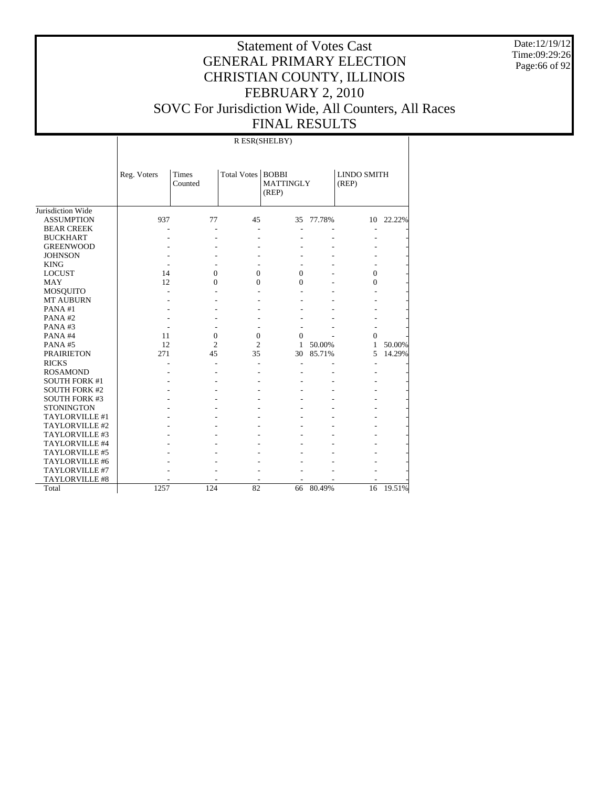Date:12/19/12 Time:09:29:26 Page:66 of 92

|                       |             |                         |                     | R ESR(SHELBY)             |        |                             |        |
|-----------------------|-------------|-------------------------|---------------------|---------------------------|--------|-----------------------------|--------|
|                       | Reg. Voters | <b>Times</b><br>Counted | Total Votes   BOBBI | <b>MATTINGLY</b><br>(REP) |        | <b>LINDO SMITH</b><br>(REP) |        |
| Jurisdiction Wide     |             |                         |                     |                           |        |                             |        |
| <b>ASSUMPTION</b>     | 937         | 77                      | 45                  | 35                        | 77.78% | 10                          | 22.22% |
| <b>BEAR CREEK</b>     |             |                         |                     |                           |        |                             |        |
| <b>BUCKHART</b>       |             |                         |                     |                           |        |                             |        |
| <b>GREENWOOD</b>      |             |                         |                     |                           |        |                             |        |
| <b>JOHNSON</b>        |             |                         |                     |                           |        |                             |        |
| <b>KING</b>           |             |                         |                     |                           |        |                             |        |
| <b>LOCUST</b>         | 14          | $\mathbf{0}$            | $\overline{0}$      | $\mathbf{0}$              |        | $\overline{0}$              |        |
| <b>MAY</b>            | 12          | $\mathbf{0}$            | 0                   | $\mathbf{0}$              |        | $\mathbf{0}$                |        |
| <b>MOSQUITO</b>       |             |                         |                     |                           |        |                             |        |
| MT AUBURN             |             |                         |                     |                           |        |                             |        |
| PANA#1                |             |                         |                     |                           |        |                             |        |
| PANA#2                |             |                         |                     |                           |        |                             |        |
| PANA#3                |             |                         |                     |                           |        |                             |        |
| PANA#4                | 11          | $\mathbf{0}$            | $\boldsymbol{0}$    | $\mathbf{0}$              |        | $\mathbf{0}$                |        |
| PANA#5                | 12          | $\overline{c}$          | $\overline{2}$      | 1                         | 50.00% | 1                           | 50.00% |
| <b>PRAIRIETON</b>     | 271         | 45                      | 35                  | 30                        | 85.71% | 5                           | 14.29% |
| <b>RICKS</b>          |             |                         |                     |                           |        | $\overline{a}$              |        |
| <b>ROSAMOND</b>       |             |                         |                     |                           |        |                             |        |
| <b>SOUTH FORK #1</b>  |             |                         |                     |                           |        |                             |        |
| <b>SOUTH FORK #2</b>  |             |                         |                     |                           |        |                             |        |
| SOUTH FORK #3         |             |                         |                     |                           |        |                             |        |
| <b>STONINGTON</b>     |             |                         |                     |                           |        |                             |        |
| TAYLORVILLE #1        |             |                         |                     |                           |        |                             |        |
| TAYLORVILLE #2        |             |                         |                     |                           |        |                             |        |
| TAYLORVILLE #3        |             |                         |                     |                           |        |                             |        |
| TAYLORVILLE #4        |             |                         |                     |                           |        |                             |        |
| TAYLORVILLE #5        |             |                         |                     |                           |        |                             |        |
| TAYLORVILLE #6        |             |                         |                     |                           |        |                             |        |
| TAYLORVILLE #7        |             |                         |                     |                           |        |                             |        |
| <b>TAYLORVILLE #8</b> |             |                         |                     |                           |        |                             |        |
| Total                 | 1257        | 124                     | 82                  | 66                        | 80.49% | 16                          | 19.51% |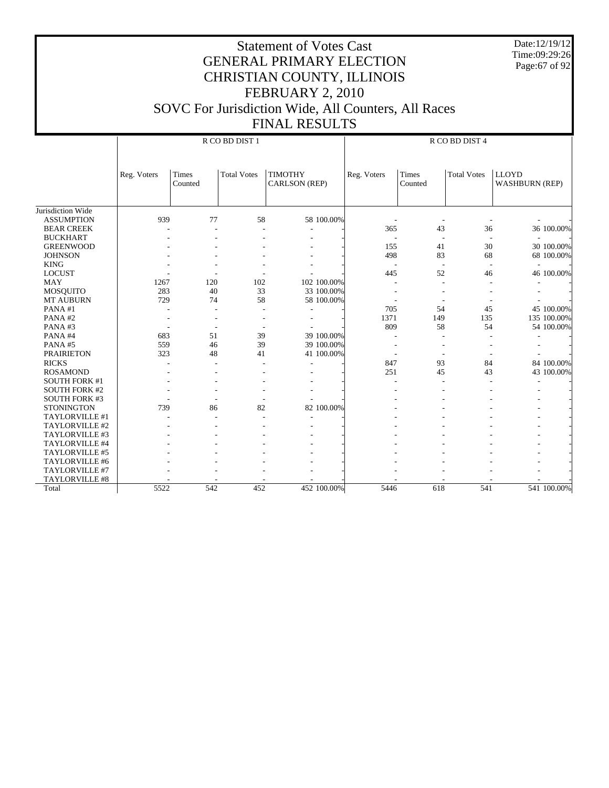Date:12/19/12 Time:09:29:26 Page:67 of 92

|                      |                      |         |                    | R CO BD DIST 4                |      |         |                    |                       |  |  |
|----------------------|----------------------|---------|--------------------|-------------------------------|------|---------|--------------------|-----------------------|--|--|
|                      | Times<br>Reg. Voters |         | <b>Total Votes</b> | <b>TIMOTHY</b><br>Reg. Voters |      | Times   | <b>Total Votes</b> | <b>LLOYD</b>          |  |  |
|                      |                      | Counted |                    | CARLSON (REP)                 |      | Counted |                    | <b>WASHBURN (REP)</b> |  |  |
|                      |                      |         |                    |                               |      |         |                    |                       |  |  |
| Jurisdiction Wide    |                      |         |                    |                               |      |         |                    |                       |  |  |
| <b>ASSUMPTION</b>    | 939                  | 77      | 58                 | 58 100.00%                    |      |         |                    |                       |  |  |
| <b>BEAR CREEK</b>    |                      |         |                    |                               | 365  | 43      | 36                 | 36 100.00%            |  |  |
| <b>BUCKHART</b>      |                      |         |                    |                               |      |         |                    |                       |  |  |
| <b>GREENWOOD</b>     |                      |         |                    | ٠                             | 155  | 41      | 30                 | 30 100.00%            |  |  |
| <b>JOHNSON</b>       |                      |         |                    |                               | 498  | 83      | 68                 |                       |  |  |
| <b>KING</b>          |                      |         |                    |                               |      |         |                    | 68 100.00%            |  |  |
| <b>LOCUST</b>        |                      |         |                    |                               | 445  | 52      | 46                 | 46 100.00%            |  |  |
| <b>MAY</b>           | 1267                 | 120     | 102                | 102 100.00%                   |      |         |                    |                       |  |  |
| MOSQUITO             | 283                  | 40      | 33                 | 33 100.00%                    |      |         |                    |                       |  |  |
| MT AUBURN            | 729                  | 74      | 58                 | 58 100.00%                    |      |         |                    |                       |  |  |
| PANA#1               |                      |         |                    |                               | 705  | 54      | 45                 | 45 100.00%            |  |  |
| PANA#2               |                      |         |                    |                               | 1371 | 149     | 135                | 135 100.00%           |  |  |
| PANA#3               |                      |         |                    |                               | 809  | 58      | 54                 | 54 100.00%            |  |  |
| PANA#4               | 683                  | 51      | 39                 | 39 100.00%                    |      |         |                    |                       |  |  |
| PANA#5               | 559                  | 46      | 39                 | 39 100.00%                    |      |         |                    |                       |  |  |
| <b>PRAIRIETON</b>    | 323                  | 48      | 41                 | 41 100.00%                    |      |         |                    |                       |  |  |
| <b>RICKS</b>         |                      |         |                    |                               | 847  | 93      | 84                 | 84 100.00%            |  |  |
| <b>ROSAMOND</b>      |                      |         |                    |                               | 251  | 45      | 43                 | 43 100.00%            |  |  |
| <b>SOUTH FORK #1</b> |                      |         |                    |                               |      |         |                    |                       |  |  |
| <b>SOUTH FORK #2</b> |                      |         |                    |                               |      |         |                    |                       |  |  |
| <b>SOUTH FORK #3</b> |                      |         |                    |                               |      |         |                    |                       |  |  |
| <b>STONINGTON</b>    | 739                  | 86      | 82                 | 82 100.00%                    |      |         |                    |                       |  |  |
| TAYLORVILLE #1       |                      |         |                    |                               |      |         |                    |                       |  |  |
| TAYLORVILLE #2       |                      |         |                    |                               |      |         |                    |                       |  |  |
| TAYLORVILLE #3       |                      |         |                    |                               |      |         |                    |                       |  |  |
| TAYLORVILLE #4       |                      |         |                    |                               |      |         |                    |                       |  |  |
| TAYLORVILLE #5       |                      |         |                    |                               |      |         |                    |                       |  |  |
| TAYLORVILLE #6       |                      |         |                    |                               |      |         |                    |                       |  |  |
| TAYLORVILLE #7       |                      |         |                    |                               |      |         |                    |                       |  |  |
| TAYLORVILLE #8       |                      |         |                    |                               |      |         |                    |                       |  |  |
| Total                | 5522                 | 542     | 452                | 452 100.00%                   | 5446 | 618     | 541                | 541 100.00%           |  |  |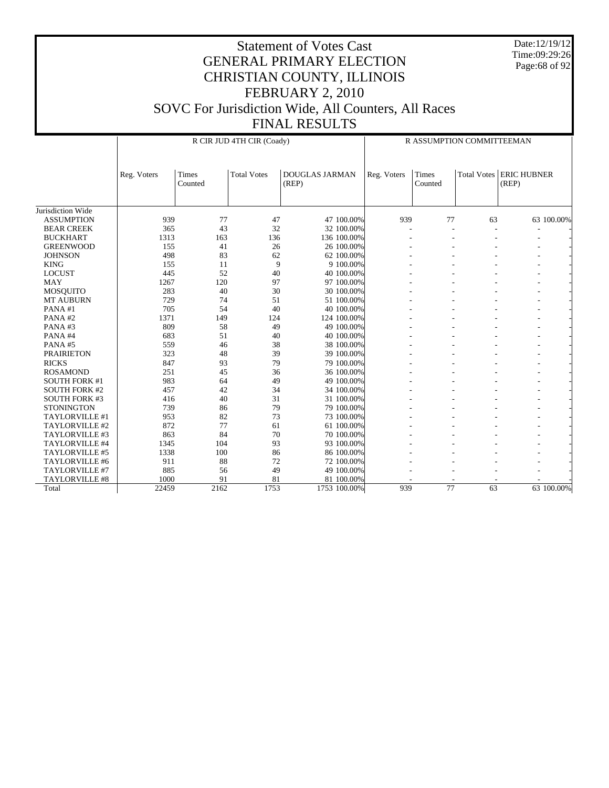Date:12/19/12 Time:09:29:26 Page:68 of 92

|                       |             |                  | R CIR JUD 4TH CIR (Coady) | R ASSUMPTION COMMITTEEMAN      |             |                  |                    |                             |
|-----------------------|-------------|------------------|---------------------------|--------------------------------|-------------|------------------|--------------------|-----------------------------|
|                       | Reg. Voters | Times<br>Counted | <b>Total Votes</b>        | <b>DOUGLAS JARMAN</b><br>(REP) | Reg. Voters | Times<br>Counted | <b>Total Votes</b> | <b>ERIC HUBNER</b><br>(REP) |
| Jurisdiction Wide     |             |                  |                           |                                |             |                  |                    |                             |
| <b>ASSUMPTION</b>     | 939         | 77               | 47                        | 47 100.00%                     | 939         | 77               | 63                 | 63 100.00%                  |
| <b>BEAR CREEK</b>     | 365         | 43               | 32                        | 32 100.00%                     |             |                  |                    |                             |
| <b>BUCKHART</b>       | 1313        | 163              | 136                       | 136 100.00%                    |             |                  |                    |                             |
| <b>GREENWOOD</b>      | 155         | 41               | 26                        | 26 100.00%                     |             |                  |                    |                             |
| <b>JOHNSON</b>        | 498         | 83               | 62                        | 62 100.00%                     |             |                  |                    |                             |
| <b>KING</b>           | 155         | 11               | 9                         | 9 100.00%                      |             |                  |                    |                             |
| <b>LOCUST</b>         | 445         | 52               | 40                        | 40 100,00%                     |             |                  |                    |                             |
| <b>MAY</b>            | 1267        | 120              | 97                        | 97 100.00%                     |             |                  |                    |                             |
| <b>MOSQUITO</b>       | 283         | 40               | 30                        | 30 100.00%                     |             |                  |                    |                             |
| <b>MT AUBURN</b>      | 729         | 74               | 51                        | 51 100.00%                     |             |                  |                    |                             |
| PANA#1                | 705         | 54               | 40                        | 40 100,00%                     |             |                  |                    |                             |
| PANA#2                | 1371        | 149              | 124                       | 124 100.00%                    |             |                  |                    |                             |
| PANA#3                | 809         | 58               | 49                        | 49 100.00%                     |             |                  |                    |                             |
| PANA#4                | 683         | 51               | 40                        | 40 100,00%                     |             |                  |                    |                             |
| PANA#5                | 559         | 46               | 38                        | 38 100,00%                     |             |                  |                    |                             |
| <b>PRAIRIETON</b>     | 323         | 48               | 39                        | 39 100.00%                     |             |                  |                    |                             |
| <b>RICKS</b>          | 847         | 93               | 79                        | 79 100.00%                     |             |                  |                    |                             |
| <b>ROSAMOND</b>       | 251         | 45               | 36                        | 36 100.00%                     |             |                  |                    |                             |
| <b>SOUTH FORK #1</b>  | 983         | 64               | 49                        | 49 100.00%                     |             |                  |                    |                             |
| <b>SOUTH FORK #2</b>  | 457         | 42               | 34                        | 34 100.00%                     |             |                  |                    |                             |
| <b>SOUTH FORK #3</b>  | 416         | 40               | 31                        | 31 100.00%                     |             |                  |                    |                             |
| <b>STONINGTON</b>     | 739         | 86               | 79                        | 79 100,00%                     |             |                  |                    |                             |
| TAYLORVILLE #1        | 953         | 82               | 73                        | 73 100.00%                     |             |                  |                    |                             |
| TAYLORVILLE #2        | 872         | 77               | 61                        | 61 100.00%                     |             |                  |                    |                             |
| TAYLORVILLE #3        | 863         | 84               | 70                        | 70 100,00%                     |             |                  |                    |                             |
| <b>TAYLORVILLE #4</b> | 1345        | 104              | 93                        | 93 100.00%                     |             |                  |                    |                             |
| TAYLORVILLE #5        | 1338        | 100              | 86                        | 86 100,00%                     |             |                  |                    |                             |
| TAYLORVILLE #6        | 911         | 88               | 72                        | 72 100.00%                     |             |                  |                    |                             |
| TAYLORVILLE #7        | 885         | 56               | 49                        | 49 100.00%                     |             |                  |                    |                             |
| TAYLORVILLE #8        | 1000        | 91               | 81                        | 81 100.00%                     |             |                  |                    |                             |
| Total                 | 22459       | 2162             | 1753                      | 1753 100.00%                   | 939         | 77               | 63                 | 63 100.00%                  |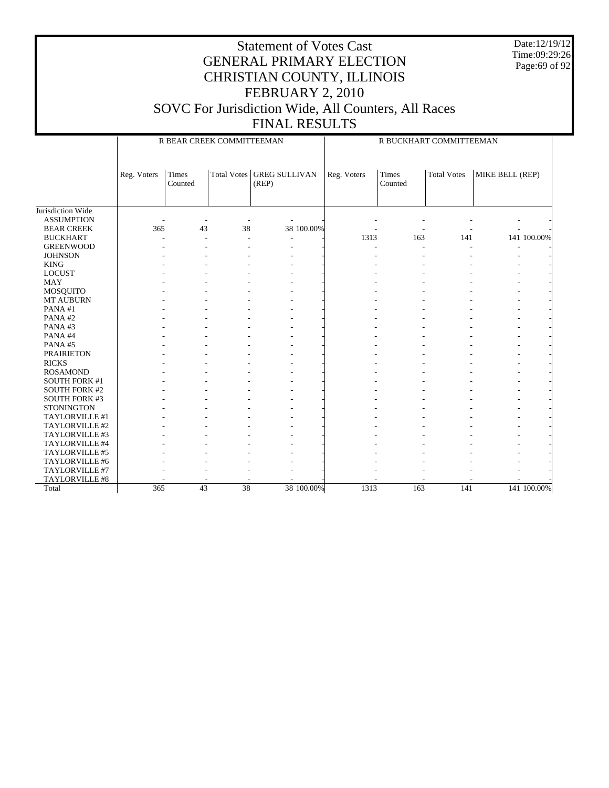Date:12/19/12 Time:09:29:26 Page:69 of 92

|                      |             | R BEAR CREEK COMMITTEEMAN |                    |                               | R BUCKHART COMMITTEEMAN |                          |                    |                 |             |  |
|----------------------|-------------|---------------------------|--------------------|-------------------------------|-------------------------|--------------------------|--------------------|-----------------|-------------|--|
|                      | Reg. Voters | Times<br>Counted          | <b>Total Votes</b> | <b>GREG SULLIVAN</b><br>(REP) | Reg. Voters             | Times<br>Counted         | <b>Total Votes</b> | MIKE BELL (REP) |             |  |
| Jurisdiction Wide    |             |                           |                    |                               |                         |                          |                    |                 |             |  |
| <b>ASSUMPTION</b>    |             |                           |                    |                               |                         |                          |                    |                 |             |  |
| <b>BEAR CREEK</b>    | 365         | 43                        | 38                 | 38 100.00%                    |                         |                          |                    |                 |             |  |
| <b>BUCKHART</b>      |             |                           |                    |                               | 1313                    | 163                      | 141                |                 | 141 100.00% |  |
| <b>GREENWOOD</b>     |             |                           |                    |                               |                         | $\overline{\phantom{a}}$ |                    |                 |             |  |
| <b>JOHNSON</b>       |             |                           |                    |                               |                         |                          |                    |                 |             |  |
| <b>KING</b>          |             |                           |                    |                               |                         |                          |                    |                 |             |  |
| <b>LOCUST</b>        |             |                           |                    |                               |                         |                          |                    |                 |             |  |
| <b>MAY</b>           |             |                           |                    |                               |                         |                          |                    |                 |             |  |
| <b>MOSQUITO</b>      |             |                           |                    |                               |                         |                          |                    |                 |             |  |
| <b>MT AUBURN</b>     |             |                           |                    |                               |                         |                          |                    |                 |             |  |
| PANA#1               |             |                           |                    |                               |                         |                          |                    |                 |             |  |
| PANA#2               |             |                           |                    |                               |                         |                          |                    |                 |             |  |
| PANA#3               |             |                           |                    |                               |                         |                          |                    |                 |             |  |
| PANA#4               |             |                           |                    |                               |                         |                          |                    |                 |             |  |
| PANA#5               |             |                           |                    |                               |                         |                          |                    |                 |             |  |
| <b>PRAIRIETON</b>    |             |                           |                    |                               |                         |                          |                    |                 |             |  |
| <b>RICKS</b>         |             |                           |                    |                               |                         |                          |                    |                 |             |  |
| <b>ROSAMOND</b>      |             |                           |                    |                               |                         |                          |                    |                 |             |  |
| <b>SOUTH FORK #1</b> |             |                           |                    |                               |                         |                          |                    |                 |             |  |
| <b>SOUTH FORK #2</b> |             |                           |                    |                               |                         |                          |                    |                 |             |  |
| <b>SOUTH FORK #3</b> |             |                           |                    |                               |                         |                          |                    |                 |             |  |
| <b>STONINGTON</b>    |             |                           |                    |                               |                         |                          |                    |                 |             |  |
| TAYLORVILLE #1       |             |                           |                    |                               |                         |                          |                    |                 |             |  |
| TAYLORVILLE #2       |             |                           |                    |                               |                         |                          |                    |                 |             |  |
| TAYLORVILLE #3       |             |                           |                    |                               |                         |                          |                    |                 |             |  |
| TAYLORVILLE #4       |             |                           |                    |                               |                         |                          |                    |                 |             |  |
| TAYLORVILLE #5       |             |                           |                    |                               |                         |                          |                    |                 |             |  |
| TAYLORVILLE #6       |             |                           |                    |                               |                         |                          |                    |                 |             |  |
| TAYLORVILLE #7       |             |                           |                    |                               |                         |                          |                    |                 |             |  |
| TAYLORVILLE #8       |             |                           |                    |                               |                         |                          |                    |                 |             |  |
| Total                | 365         | 43                        | 38                 | 38 100.00%                    | 1313                    | 163                      | 141                |                 | 141 100.00% |  |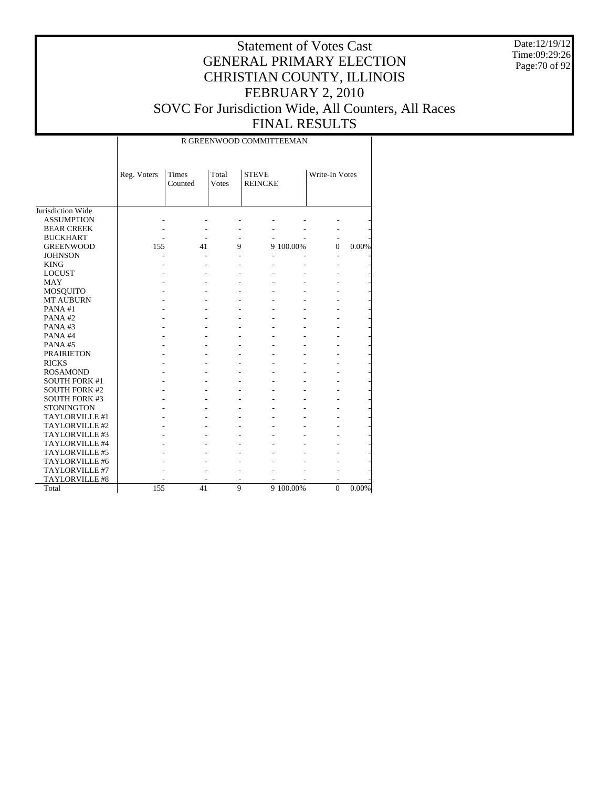Date:12/19/12 Time:09:29:26 Page:70 of 92

# Statement of Votes Cast GENERAL PRIMARY ELECTION CHRISTIAN COUNTY, ILLINOIS FEBRUARY 2, 2010 SOVC For Jurisdiction Wide, All Counters, All Races

FINAL RESULTS Τ

|                       | R GREENWOOD COMMITTEEMAN |                         |                |                                |           |                |          |  |  |  |
|-----------------------|--------------------------|-------------------------|----------------|--------------------------------|-----------|----------------|----------|--|--|--|
|                       | Reg. Voters              | <b>Times</b><br>Counted | Total<br>Votes | <b>STEVE</b><br><b>REINCKE</b> |           | Write-In Votes |          |  |  |  |
| Jurisdiction Wide     |                          |                         |                |                                |           |                |          |  |  |  |
| <b>ASSUMPTION</b>     |                          |                         |                |                                |           |                |          |  |  |  |
| <b>BEAR CREEK</b>     |                          |                         |                |                                |           |                |          |  |  |  |
| <b>BUCKHART</b>       |                          |                         | ٠              |                                |           |                |          |  |  |  |
| <b>GREENWOOD</b>      | 155                      | 41                      | 9              |                                | 9 100.00% | $\Omega$       | 0.00%    |  |  |  |
| <b>JOHNSON</b>        |                          |                         |                |                                |           |                |          |  |  |  |
| <b>KING</b>           |                          |                         |                |                                |           |                |          |  |  |  |
| <b>LOCUST</b>         |                          |                         |                |                                |           |                |          |  |  |  |
| <b>MAY</b>            |                          |                         |                |                                |           |                |          |  |  |  |
| MOSQUITO              |                          |                         |                |                                |           |                |          |  |  |  |
| <b>MT AUBURN</b>      |                          |                         |                |                                |           |                |          |  |  |  |
| PANA#1                |                          |                         |                |                                |           |                |          |  |  |  |
| PANA#2                |                          |                         |                |                                |           |                |          |  |  |  |
| PANA#3                |                          |                         |                |                                |           |                |          |  |  |  |
| PANA#4                |                          |                         |                |                                |           |                |          |  |  |  |
| PANA#5                |                          |                         |                |                                |           |                |          |  |  |  |
| <b>PRAIRIETON</b>     |                          |                         |                |                                |           |                |          |  |  |  |
| <b>RICKS</b>          |                          |                         |                |                                |           |                |          |  |  |  |
| <b>ROSAMOND</b>       |                          |                         |                |                                |           |                |          |  |  |  |
| <b>SOUTH FORK #1</b>  |                          |                         |                |                                |           |                |          |  |  |  |
| <b>SOUTH FORK #2</b>  |                          |                         |                |                                |           |                |          |  |  |  |
| <b>SOUTH FORK #3</b>  |                          |                         |                |                                |           |                |          |  |  |  |
| <b>STONINGTON</b>     |                          |                         |                |                                |           |                |          |  |  |  |
| TAYLORVILLE #1        |                          |                         |                |                                |           |                |          |  |  |  |
| TAYLORVILLE #2        |                          |                         |                |                                |           |                |          |  |  |  |
| TAYLORVILLE #3        |                          |                         |                |                                |           |                |          |  |  |  |
| TAYLORVILLE #4        |                          |                         |                |                                |           |                |          |  |  |  |
| TAYLORVILLE #5        |                          |                         |                |                                |           |                |          |  |  |  |
| TAYLORVILLE #6        |                          |                         |                |                                |           |                |          |  |  |  |
| TAYLORVILLE #7        |                          |                         |                |                                |           |                |          |  |  |  |
| <b>TAYLORVILLE #8</b> |                          |                         |                |                                |           |                |          |  |  |  |
| Total                 | 155                      | 41                      | 9              |                                | 9 100.00% | $\overline{0}$ | $0.00\%$ |  |  |  |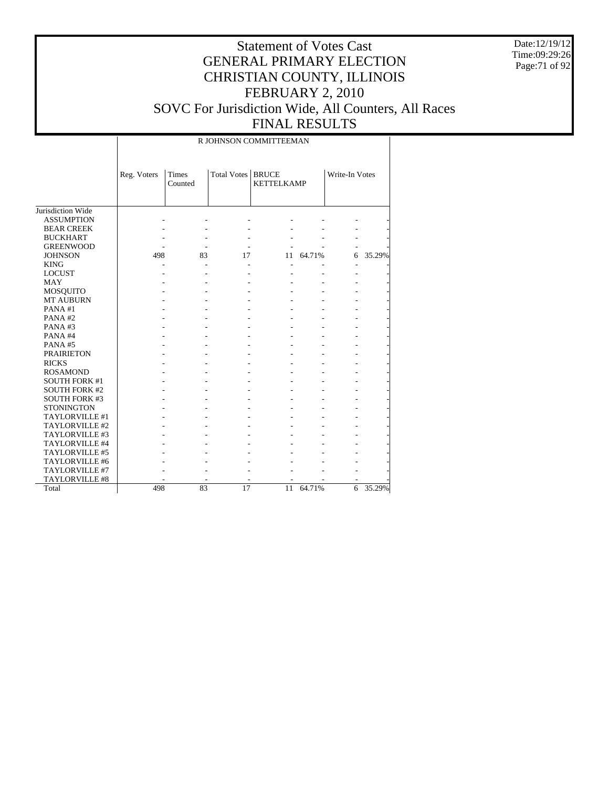Date:12/19/12 Time:09:29:26 Page:71 of 92

## Statement of Votes Cast GENERAL PRIMARY ELECTION CHRISTIAN COUNTY, ILLINOIS FEBRUARY 2, 2010 SOVC For Jurisdiction Wide, All Counters, All Races FINAL RESULTS

R JOHNSON COMMITTEEMAN

|                      | Reg. Voters | <b>Times</b> | <b>Total Votes</b> | <b>BRUCE</b>      |        | Write-In Votes |        |
|----------------------|-------------|--------------|--------------------|-------------------|--------|----------------|--------|
|                      |             | Counted      |                    | <b>KETTELKAMP</b> |        |                |        |
|                      |             |              |                    |                   |        |                |        |
| Jurisdiction Wide    |             |              |                    |                   |        |                |        |
| <b>ASSUMPTION</b>    |             |              |                    |                   |        |                |        |
| <b>BEAR CREEK</b>    |             |              |                    |                   |        |                |        |
|                      |             |              |                    |                   |        |                |        |
| <b>BUCKHART</b>      |             |              |                    |                   |        |                |        |
| <b>GREENWOOD</b>     |             |              |                    |                   |        |                |        |
| <b>JOHNSON</b>       | 498         | 83           | 17                 | 11                | 64.71% | 6              | 35.29% |
| <b>KING</b>          |             |              |                    |                   |        |                |        |
| <b>LOCUST</b>        |             |              |                    |                   |        |                |        |
| <b>MAY</b>           |             |              |                    |                   |        |                |        |
| MOSQUITO             |             |              |                    |                   |        |                |        |
| <b>MT AUBURN</b>     |             |              |                    |                   |        |                |        |
| PANA#1               |             |              |                    |                   |        |                |        |
| PANA#2               |             |              |                    |                   |        |                |        |
| PANA#3               |             |              |                    |                   |        |                |        |
| PANA#4               |             |              |                    |                   |        |                |        |
| PANA#5               |             |              |                    |                   |        |                |        |
| <b>PRAIRIETON</b>    |             |              |                    |                   |        |                |        |
| <b>RICKS</b>         |             |              |                    |                   |        |                |        |
| <b>ROSAMOND</b>      |             |              |                    |                   |        |                |        |
| <b>SOUTH FORK #1</b> |             |              |                    |                   |        |                |        |
| <b>SOUTH FORK #2</b> |             |              |                    |                   |        |                |        |
| <b>SOUTH FORK #3</b> |             |              |                    |                   |        |                |        |
| <b>STONINGTON</b>    |             |              |                    |                   |        |                |        |
| TAYLORVILLE#1        |             |              |                    |                   |        |                |        |
| TAYLORVILLE#2        |             |              |                    |                   |        |                |        |
| TAYLORVILLE#3        |             |              |                    |                   |        |                |        |
| TAYLORVILLE #4       |             |              |                    |                   |        |                |        |
| TAYLORVILLE #5       |             |              |                    |                   |        |                |        |
| TAYLORVILLE #6       |             |              |                    |                   |        |                |        |
| TAYLORVILLE #7       |             |              |                    |                   |        |                |        |
| TAYLORVILLE #8       |             |              |                    |                   |        |                |        |
| Total                | 498         | 83           | 17                 | 11                | 64.71% | 6              | 35.29% |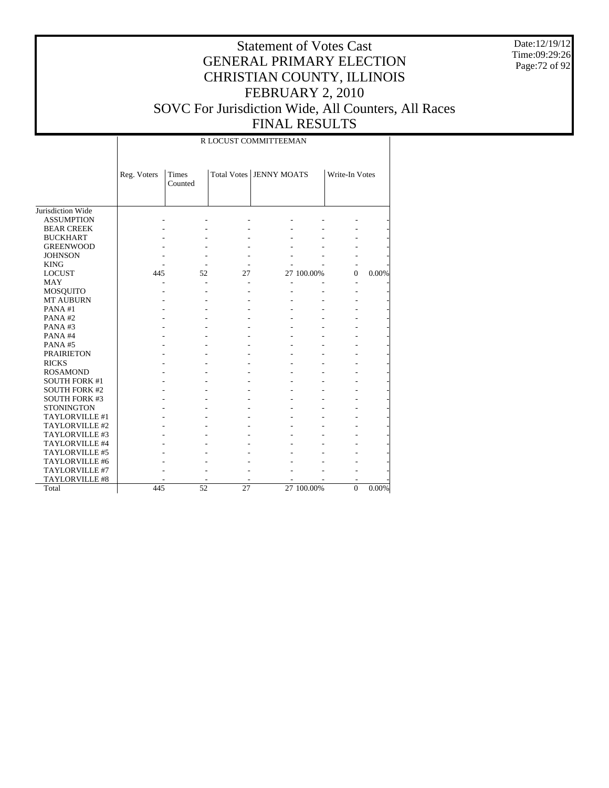Date:12/19/12 Time:09:29:26 Page:72 of 92

## Statement of Votes Cast GENERAL PRIMARY ELECTION CHRISTIAN COUNTY, ILLINOIS FEBRUARY 2, 2010 SOVC For Jurisdiction Wide, All Counters, All Races FINAL RESULTS

#### R LOCUST COMMITTEEMAN

|                      | Reg. Voters | <b>Times</b><br>Counted |    | Total Votes   JENNY MOATS |            | Write-In Votes |          |
|----------------------|-------------|-------------------------|----|---------------------------|------------|----------------|----------|
| Jurisdiction Wide    |             |                         |    |                           |            |                |          |
| <b>ASSUMPTION</b>    |             |                         |    |                           |            |                |          |
| <b>BEAR CREEK</b>    |             |                         |    |                           |            |                |          |
| <b>BUCKHART</b>      |             |                         |    |                           |            |                |          |
| <b>GREENWOOD</b>     |             |                         |    |                           |            |                |          |
| <b>JOHNSON</b>       |             |                         |    |                           |            |                |          |
| <b>KING</b>          |             |                         |    |                           |            |                |          |
| <b>LOCUST</b>        | 445         | 52                      | 27 |                           | 27 100.00% | $\Omega$       | 0.00%    |
| <b>MAY</b>           |             |                         |    |                           |            |                |          |
| MOSQUITO             |             |                         |    |                           |            |                |          |
| <b>MT AUBURN</b>     |             |                         |    |                           |            |                |          |
| PANA#1               |             |                         |    |                           |            |                |          |
| PANA#2               |             |                         |    |                           |            |                |          |
| PANA#3               |             |                         |    |                           |            |                |          |
| PANA#4               |             |                         |    |                           |            |                |          |
| PANA#5               |             |                         |    |                           |            |                |          |
| <b>PRAIRIETON</b>    |             |                         |    |                           |            |                |          |
| <b>RICKS</b>         |             |                         |    |                           |            |                |          |
| <b>ROSAMOND</b>      |             |                         |    |                           |            |                |          |
| <b>SOUTH FORK #1</b> |             |                         |    |                           |            |                |          |
| <b>SOUTH FORK #2</b> |             |                         |    |                           |            |                |          |
| <b>SOUTH FORK #3</b> |             |                         |    |                           |            |                |          |
| <b>STONINGTON</b>    |             |                         |    |                           |            |                |          |
| TAYLORVILLE #1       |             |                         |    |                           |            |                |          |
| TAYLORVILLE #2       |             |                         |    |                           |            |                |          |
| TAYLORVILLE #3       |             |                         |    |                           |            |                |          |
| TAYLORVILLE #4       |             |                         |    |                           |            |                |          |
| TAYLORVILLE #5       |             |                         |    |                           |            |                |          |
| TAYLORVILLE #6       |             |                         |    |                           |            |                |          |
| TAYLORVILLE #7       |             |                         |    |                           |            |                |          |
| TAYLORVILLE #8       |             |                         |    |                           |            |                |          |
| Total                | 445         | 52                      | 27 |                           | 27 100.00% | $\Omega$       | $0.00\%$ |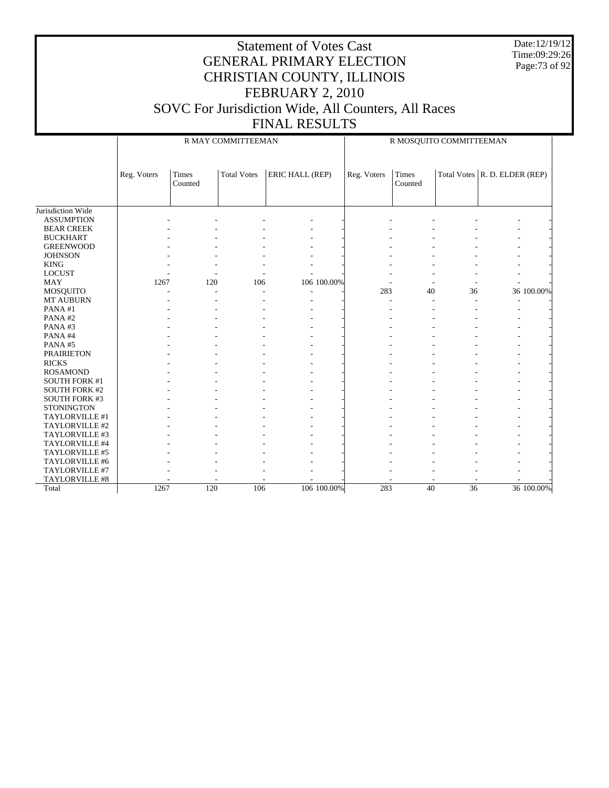Date:12/19/12 Time:09:29:26 Page:73 of 92

|                      |             |                  | R MAY COMMITTEEMAN |                 |             | R MOSQUITO COMMITTEEMAN |    |                                       |  |
|----------------------|-------------|------------------|--------------------|-----------------|-------------|-------------------------|----|---------------------------------------|--|
|                      | Reg. Voters | Times<br>Counted | <b>Total Votes</b> | ERIC HALL (REP) | Reg. Voters | Times<br>Counted        |    | Total Votes $\vert$ R. D. ELDER (REP) |  |
| Jurisdiction Wide    |             |                  |                    |                 |             |                         |    |                                       |  |
| <b>ASSUMPTION</b>    |             |                  |                    |                 |             |                         |    |                                       |  |
| <b>BEAR CREEK</b>    |             |                  |                    |                 |             |                         |    |                                       |  |
| <b>BUCKHART</b>      |             |                  |                    |                 |             |                         |    |                                       |  |
| <b>GREENWOOD</b>     |             |                  |                    |                 |             |                         |    |                                       |  |
| <b>JOHNSON</b>       |             |                  |                    |                 |             |                         |    |                                       |  |
| <b>KING</b>          |             |                  |                    |                 |             |                         |    |                                       |  |
| <b>LOCUST</b>        |             |                  |                    |                 |             |                         |    |                                       |  |
| <b>MAY</b>           | 1267        | 120              | 106                | 106 100.00%     |             |                         |    |                                       |  |
| MOSQUITO             |             |                  |                    |                 | 283         | 40                      | 36 | 36 100.00%                            |  |
| <b>MT AUBURN</b>     |             |                  |                    |                 |             |                         |    |                                       |  |
| PANA#1               |             |                  |                    |                 |             |                         |    |                                       |  |
| PANA#2               |             |                  |                    |                 |             |                         |    |                                       |  |
| PANA#3               |             |                  |                    |                 |             |                         |    |                                       |  |
| PANA#4               |             |                  |                    |                 |             |                         |    |                                       |  |
| PANA#5               |             |                  |                    |                 |             |                         |    |                                       |  |
| <b>PRAIRIETON</b>    |             |                  |                    |                 |             |                         |    |                                       |  |
| <b>RICKS</b>         |             |                  |                    |                 |             |                         |    |                                       |  |
| <b>ROSAMOND</b>      |             |                  |                    |                 |             |                         |    |                                       |  |
| <b>SOUTH FORK #1</b> |             |                  |                    |                 |             |                         |    |                                       |  |
| <b>SOUTH FORK #2</b> |             |                  |                    |                 |             |                         |    |                                       |  |
| <b>SOUTH FORK #3</b> |             |                  |                    |                 |             |                         |    |                                       |  |
| <b>STONINGTON</b>    |             |                  |                    |                 |             |                         |    |                                       |  |
| TAYLORVILLE #1       |             |                  |                    |                 |             |                         |    |                                       |  |
| TAYLORVILLE #2       |             |                  |                    |                 |             |                         |    |                                       |  |
| TAYLORVILLE #3       |             |                  |                    |                 |             |                         |    |                                       |  |
| TAYLORVILLE #4       |             |                  |                    |                 |             |                         |    |                                       |  |
| TAYLORVILLE #5       |             |                  |                    |                 |             |                         |    |                                       |  |
| TAYLORVILLE #6       |             |                  |                    |                 |             |                         |    |                                       |  |
| TAYLORVILLE #7       |             |                  |                    |                 |             |                         |    |                                       |  |
| TAYLORVILLE #8       |             |                  |                    |                 |             |                         |    |                                       |  |
| Total                | 1267        | 120              | 106                | 106 100.00%     | 283         | 40                      | 36 | 36 100.00%                            |  |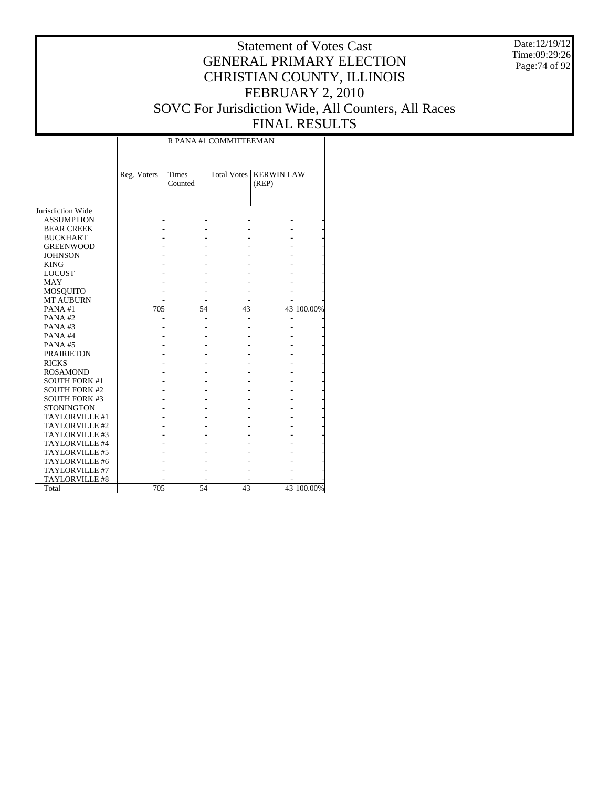Date:12/19/12 Time:09:29:26 Page:74 of 92

## Statement of Votes Cast GENERAL PRIMARY ELECTION CHRISTIAN COUNTY, ILLINOIS FEBRUARY 2, 2010 SOVC For Jurisdiction Wide, All Counters, All Races FINAL RESULTS

 $\top$ 

|                      |             |                         | R PANA #1 COMMITTEEMAN |                            |            |
|----------------------|-------------|-------------------------|------------------------|----------------------------|------------|
|                      | Reg. Voters | <b>Times</b><br>Counted | <b>Total Votes</b>     | <b>KERWIN LAW</b><br>(REP) |            |
| Jurisdiction Wide    |             |                         |                        |                            |            |
| <b>ASSUMPTION</b>    |             |                         |                        |                            |            |
| <b>BEAR CREEK</b>    |             |                         |                        |                            |            |
| <b>BUCKHART</b>      |             |                         |                        |                            |            |
| <b>GREENWOOD</b>     |             |                         |                        |                            |            |
| <b>JOHNSON</b>       |             |                         |                        |                            |            |
| <b>KING</b>          |             |                         |                        |                            |            |
| <b>LOCUST</b>        |             |                         |                        |                            |            |
| <b>MAY</b>           |             |                         |                        |                            |            |
| <b>MOSQUITO</b>      |             |                         |                        |                            |            |
| <b>MT AUBURN</b>     |             |                         |                        |                            |            |
| PANA#1               | 705         | 54                      | 43                     |                            | 43 100.00% |
| PANA#2               |             |                         |                        |                            |            |
| PANA#3               |             |                         |                        |                            |            |
| PANA#4               |             |                         |                        |                            |            |
| PANA#5               |             |                         |                        |                            |            |
| <b>PRAIRIETON</b>    |             |                         |                        |                            |            |
| <b>RICKS</b>         |             |                         |                        |                            |            |
| <b>ROSAMOND</b>      |             |                         |                        |                            |            |
| <b>SOUTH FORK #1</b> |             |                         |                        |                            |            |
| <b>SOUTH FORK #2</b> |             |                         |                        |                            |            |
| <b>SOUTH FORK #3</b> |             |                         |                        |                            |            |
| <b>STONINGTON</b>    |             |                         |                        |                            |            |
| TAYLORVILLE #1       |             |                         |                        |                            |            |
| TAYLORVILLE #2       |             |                         |                        |                            |            |
| TAYLORVILLE #3       |             |                         |                        |                            |            |
| TAYLORVILLE #4       |             |                         |                        |                            |            |
| TAYLORVILLE #5       |             |                         |                        |                            |            |
| TAYLORVILLE #6       |             |                         |                        |                            |            |
| TAYLORVILLE #7       |             |                         |                        |                            |            |
| TAYLORVILLE #8       |             |                         |                        |                            |            |
| Total                | 705         | 54                      | 43                     |                            | 43 100.00% |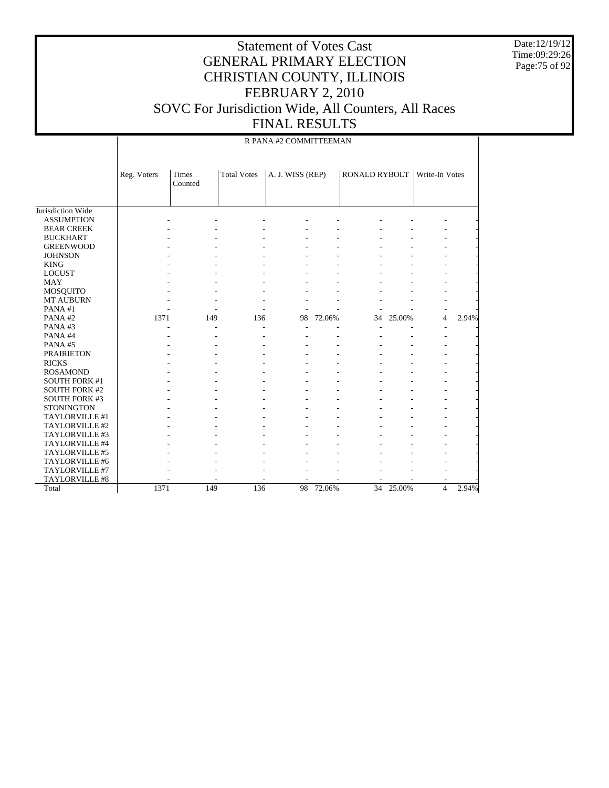Date:12/19/12 Time:09:29:26 Page:75 of 92

| R PANA #2 COMMITTEEMAN |
|------------------------|
|------------------------|

|                      | Reg. Voters | Times<br>Counted | <b>Total Votes</b> | A. J. WISS (REP) |        | <b>RONALD RYBOLT</b> |           | Write-In Votes |       |
|----------------------|-------------|------------------|--------------------|------------------|--------|----------------------|-----------|----------------|-------|
|                      |             |                  |                    |                  |        |                      |           |                |       |
|                      |             |                  |                    |                  |        |                      |           |                |       |
| Jurisdiction Wide    |             |                  |                    |                  |        |                      |           |                |       |
| <b>ASSUMPTION</b>    |             |                  |                    |                  |        |                      |           |                |       |
| <b>BEAR CREEK</b>    |             |                  |                    |                  |        |                      |           |                |       |
| <b>BUCKHART</b>      |             |                  |                    |                  |        |                      |           |                |       |
| <b>GREENWOOD</b>     |             |                  |                    |                  |        |                      |           |                |       |
| <b>JOHNSON</b>       |             |                  |                    |                  |        |                      |           |                |       |
| <b>KING</b>          |             |                  |                    |                  |        |                      |           |                |       |
| <b>LOCUST</b>        |             |                  |                    |                  |        |                      |           |                |       |
| <b>MAY</b>           |             |                  |                    |                  |        |                      |           |                |       |
| <b>MOSQUITO</b>      |             |                  |                    |                  |        |                      |           |                |       |
| <b>MT AUBURN</b>     |             |                  |                    |                  |        |                      |           |                |       |
| PANA#1               |             |                  |                    |                  |        |                      |           |                |       |
| PANA#2               | 1371        | 149              | 136                | 98               | 72.06% | 34                   | 25.00%    | $\overline{4}$ | 2.94% |
| PANA#3               |             |                  |                    |                  |        |                      |           |                |       |
| PANA#4               |             |                  |                    |                  |        |                      |           |                |       |
| PANA#5               |             |                  |                    |                  |        |                      |           |                |       |
| <b>PRAIRIETON</b>    |             |                  |                    |                  |        |                      |           |                |       |
| <b>RICKS</b>         |             |                  |                    |                  |        |                      |           |                |       |
| <b>ROSAMOND</b>      |             |                  |                    |                  |        |                      |           |                |       |
| <b>SOUTH FORK #1</b> |             |                  |                    |                  |        |                      |           |                |       |
| <b>SOUTH FORK #2</b> |             |                  |                    |                  |        |                      |           |                |       |
| <b>SOUTH FORK #3</b> |             |                  |                    |                  |        |                      |           |                |       |
| <b>STONINGTON</b>    |             |                  |                    |                  |        |                      |           |                |       |
| TAYLORVILLE #1       |             |                  |                    |                  |        |                      |           |                |       |
| TAYLORVILLE #2       |             |                  |                    |                  |        |                      |           |                |       |
| TAYLORVILLE #3       |             |                  |                    |                  |        |                      |           |                |       |
| TAYLORVILLE #4       |             |                  |                    |                  |        |                      |           |                |       |
| TAYLORVILLE #5       |             |                  |                    |                  |        |                      |           |                |       |
| TAYLORVILLE #6       |             |                  |                    |                  |        |                      |           |                |       |
| TAYLORVILLE #7       |             |                  |                    |                  |        |                      |           |                |       |
| TAYLORVILLE #8       |             |                  |                    |                  |        |                      |           | ٠              |       |
| Total                | 1371        | 149              | 136                | 98               | 72.06% |                      | 34 25.00% | $\overline{4}$ | 2.94% |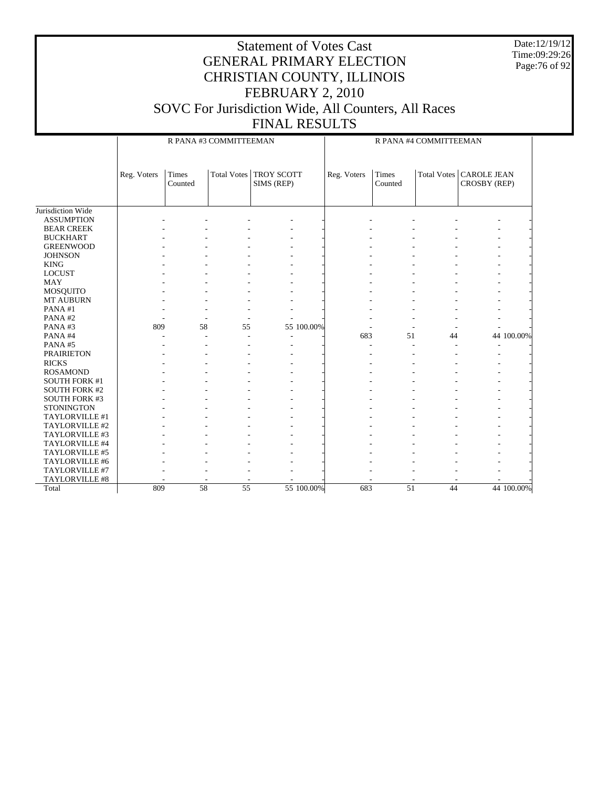Date:12/19/12 Time:09:29:26 Page:76 of 92

|                      |             |                         | R PANA #3 COMMITTEEMAN |                          |            | R PANA #4 COMMITTEEMAN |                         |    |                                                  |            |
|----------------------|-------------|-------------------------|------------------------|--------------------------|------------|------------------------|-------------------------|----|--------------------------------------------------|------------|
|                      | Reg. Voters | <b>Times</b><br>Counted | <b>Total Votes</b>     | TROY SCOTT<br>SIMS (REP) |            | Reg. Voters            | <b>Times</b><br>Counted |    | Total Votes   CAROLE JEAN<br><b>CROSBY (REP)</b> |            |
| Jurisdiction Wide    |             |                         |                        |                          |            |                        |                         |    |                                                  |            |
| <b>ASSUMPTION</b>    |             |                         |                        |                          |            |                        |                         |    |                                                  |            |
| <b>BEAR CREEK</b>    |             |                         |                        |                          |            |                        |                         |    |                                                  |            |
| <b>BUCKHART</b>      |             |                         |                        |                          |            |                        |                         |    |                                                  |            |
| <b>GREENWOOD</b>     |             |                         |                        |                          |            |                        |                         |    |                                                  |            |
| <b>JOHNSON</b>       |             |                         |                        |                          |            |                        |                         |    |                                                  |            |
| <b>KING</b>          |             |                         |                        |                          |            |                        |                         |    |                                                  |            |
| <b>LOCUST</b>        |             |                         |                        |                          |            |                        |                         |    |                                                  |            |
| <b>MAY</b>           |             |                         |                        |                          |            |                        |                         |    |                                                  |            |
| MOSQUITO             |             |                         |                        |                          |            |                        |                         |    |                                                  |            |
| MT AUBURN            |             |                         |                        |                          |            |                        |                         |    |                                                  |            |
| PANA#1               |             |                         |                        |                          |            |                        |                         |    |                                                  |            |
| PANA#2               |             |                         |                        |                          |            |                        |                         |    |                                                  |            |
| PANA#3               | 809         | 58                      | 55                     |                          | 55 100.00% |                        |                         |    |                                                  |            |
| PANA#4               |             | ÷                       |                        |                          |            | 683                    | 51                      | 44 |                                                  | 44 100.00% |
| PANA#5               |             |                         |                        |                          |            |                        |                         |    | ÷,                                               |            |
| <b>PRAIRIETON</b>    |             |                         |                        |                          |            |                        |                         |    |                                                  |            |
| <b>RICKS</b>         |             |                         |                        |                          |            |                        |                         |    |                                                  |            |
| <b>ROSAMOND</b>      |             |                         |                        |                          |            |                        |                         |    |                                                  |            |
| <b>SOUTH FORK #1</b> |             |                         |                        |                          |            |                        |                         |    |                                                  |            |
| <b>SOUTH FORK #2</b> |             |                         |                        |                          |            |                        |                         |    |                                                  |            |
| <b>SOUTH FORK #3</b> |             |                         |                        |                          |            |                        |                         |    |                                                  |            |
| <b>STONINGTON</b>    |             |                         |                        |                          |            |                        |                         |    |                                                  |            |
| TAYLORVILLE #1       |             |                         |                        |                          |            |                        |                         |    |                                                  |            |
| TAYLORVILLE #2       |             |                         |                        |                          |            |                        |                         |    |                                                  |            |
| TAYLORVILLE #3       |             |                         |                        |                          |            |                        |                         |    |                                                  |            |
| TAYLORVILLE #4       |             |                         |                        |                          |            |                        |                         |    |                                                  |            |
| TAYLORVILLE #5       |             |                         |                        |                          |            |                        |                         |    |                                                  |            |
| TAYLORVILLE #6       |             |                         |                        |                          |            |                        |                         |    |                                                  |            |
| TAYLORVILLE #7       |             |                         |                        |                          |            |                        |                         |    |                                                  |            |
| TAYLORVILLE #8       |             |                         |                        |                          |            |                        |                         |    |                                                  |            |
| Total                | 809         | 58                      | 55                     |                          | 55 100.00% | 683                    | 51                      | 44 |                                                  | 44 100.00% |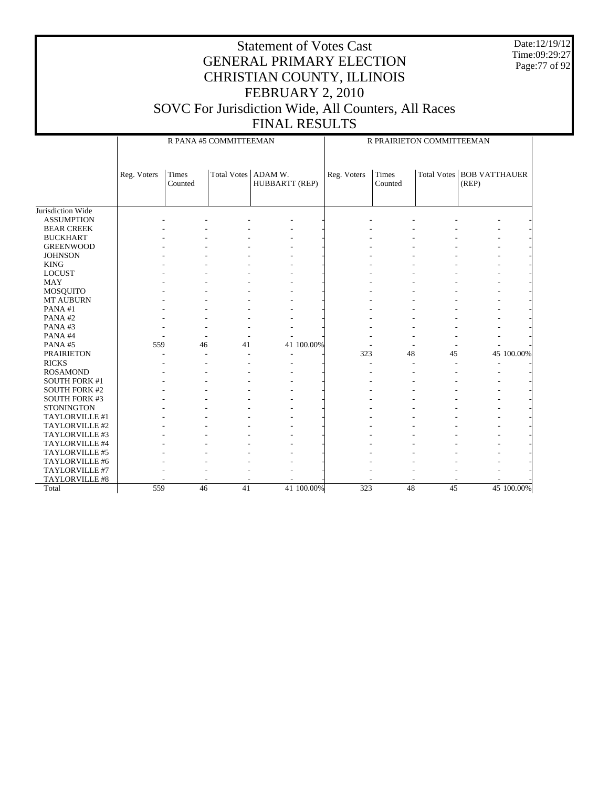Date:12/19/12 Time:09:29:27 Page:77 of 92

|                      |             |                  | R PANA #5 COMMITTEEMAN |                           |            |             | R PRAIRIETON COMMITTEEMAN |    |                                           |            |
|----------------------|-------------|------------------|------------------------|---------------------------|------------|-------------|---------------------------|----|-------------------------------------------|------------|
|                      | Reg. Voters | Times<br>Counted | <b>Total Votes</b>     | ADAM W.<br>HUBBARTT (REP) |            | Reg. Voters | Times<br>Counted          |    | <b>Total Votes BOB VATTHAUER</b><br>(REP) |            |
| Jurisdiction Wide    |             |                  |                        |                           |            |             |                           |    |                                           |            |
| <b>ASSUMPTION</b>    |             |                  |                        |                           |            |             |                           |    |                                           |            |
| <b>BEAR CREEK</b>    |             |                  |                        |                           |            |             |                           |    |                                           |            |
| <b>BUCKHART</b>      |             |                  |                        |                           |            |             |                           |    |                                           |            |
| <b>GREENWOOD</b>     |             |                  |                        |                           |            |             |                           |    |                                           |            |
| <b>JOHNSON</b>       |             |                  |                        |                           |            |             |                           |    |                                           |            |
| <b>KING</b>          |             |                  |                        |                           |            |             |                           |    |                                           |            |
| <b>LOCUST</b>        |             |                  |                        |                           |            |             |                           |    |                                           |            |
| <b>MAY</b>           |             |                  |                        |                           |            |             |                           |    |                                           |            |
| MOSQUITO             |             |                  |                        |                           |            |             |                           |    |                                           |            |
| MT AUBURN            |             |                  |                        |                           |            |             |                           |    |                                           |            |
| PANA#1               |             |                  |                        |                           |            |             |                           |    |                                           |            |
| PANA#2               |             |                  |                        |                           |            |             |                           |    |                                           |            |
| PANA#3               |             |                  |                        |                           |            |             |                           |    |                                           |            |
| PANA#4               |             |                  |                        |                           |            |             |                           |    |                                           |            |
| PANA#5               | 559         | 46               | 41                     |                           | 41 100.00% |             |                           |    |                                           |            |
| <b>PRAIRIETON</b>    |             |                  |                        | $\overline{\phantom{a}}$  |            | 323         | 48                        | 45 |                                           | 45 100.00% |
| <b>RICKS</b>         |             |                  |                        |                           |            |             |                           |    | ٠                                         |            |
| <b>ROSAMOND</b>      |             |                  |                        |                           |            |             |                           |    |                                           |            |
| <b>SOUTH FORK #1</b> |             |                  |                        |                           |            |             |                           |    |                                           |            |
| <b>SOUTH FORK #2</b> |             |                  |                        |                           |            |             |                           |    |                                           |            |
| <b>SOUTH FORK #3</b> |             |                  |                        |                           |            |             |                           |    |                                           |            |
| <b>STONINGTON</b>    |             |                  |                        |                           |            |             |                           |    |                                           |            |
| TAYLORVILLE #1       |             |                  |                        |                           |            |             |                           |    |                                           |            |
| TAYLORVILLE #2       |             |                  |                        |                           |            |             |                           |    |                                           |            |
| TAYLORVILLE #3       |             |                  |                        |                           |            |             |                           |    |                                           |            |
| TAYLORVILLE #4       |             |                  |                        |                           |            |             |                           |    |                                           |            |
| TAYLORVILLE #5       |             |                  |                        |                           |            |             |                           |    |                                           |            |
| TAYLORVILLE #6       |             |                  |                        |                           |            |             |                           |    |                                           |            |
| TAYLORVILLE #7       |             |                  |                        |                           |            |             |                           |    |                                           |            |
| TAYLORVILLE #8       |             |                  |                        |                           |            |             |                           |    |                                           |            |
| Total                | 559         | 46               | 41                     |                           | 41 100.00% | 323         | $\overline{48}$           | 45 |                                           | 45 100.00% |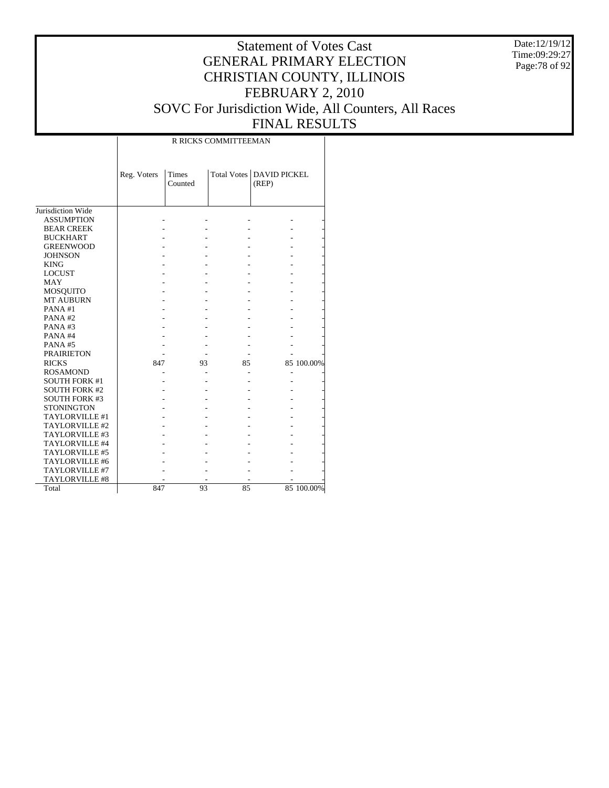Date:12/19/12 Time:09:29:27 Page:78 of 92

#### Statement of Votes Cast GENERAL PRIMARY ELECTION CHRISTIAN COUNTY, ILLINOIS FEBRUARY 2, 2010 SOVC For Jurisdiction Wide, All Counters, All Races FINAL RESULTS

|                      |             |                  | R RICKS COMMITTEEMAN |                                     |            |
|----------------------|-------------|------------------|----------------------|-------------------------------------|------------|
|                      | Reg. Voters | Times<br>Counted |                      | Total Votes   DAVID PICKEL<br>(REP) |            |
| Jurisdiction Wide    |             |                  |                      |                                     |            |
| <b>ASSUMPTION</b>    |             |                  |                      |                                     |            |
| <b>BEAR CREEK</b>    |             |                  |                      |                                     |            |
| <b>BUCKHART</b>      |             |                  |                      |                                     |            |
| <b>GREENWOOD</b>     |             |                  |                      |                                     |            |
| <b>JOHNSON</b>       |             |                  |                      |                                     |            |
| <b>KING</b>          |             |                  |                      |                                     |            |
| <b>LOCUST</b>        |             |                  |                      |                                     |            |
| <b>MAY</b>           |             |                  |                      |                                     |            |
| MOSQUITO             |             |                  |                      |                                     |            |
| <b>MT AUBURN</b>     |             |                  |                      |                                     |            |
| PANA#1               |             |                  |                      |                                     |            |
| PANA#2               |             |                  |                      |                                     |            |
| PANA#3               |             |                  |                      |                                     |            |
| PANA#4               |             |                  |                      |                                     |            |
| PANA#5               |             |                  |                      |                                     |            |
| <b>PRAIRIETON</b>    |             |                  |                      |                                     |            |
| <b>RICKS</b>         | 847         | 93               | 85                   |                                     | 85 100.00% |
| <b>ROSAMOND</b>      |             |                  |                      |                                     |            |
| <b>SOUTH FORK #1</b> |             |                  |                      |                                     |            |
| <b>SOUTH FORK #2</b> |             |                  |                      |                                     |            |
| <b>SOUTH FORK #3</b> |             |                  |                      |                                     |            |
| <b>STONINGTON</b>    |             |                  |                      |                                     |            |
| TAYLORVILLE #1       |             |                  |                      |                                     |            |
| TAYLORVILLE #2       |             |                  |                      |                                     |            |
| TAYLORVILLE #3       |             |                  |                      |                                     |            |
| TAYLORVILLE #4       |             |                  |                      |                                     |            |
| TAYLORVILLE #5       |             |                  |                      |                                     |            |
| TAYLORVILLE #6       |             |                  |                      |                                     |            |
| TAYLORVILLE #7       |             |                  |                      |                                     |            |
| TAYLORVILLE #8       |             |                  |                      |                                     |            |
| Total                | 847         | 93               | 85                   |                                     | 85 100.00% |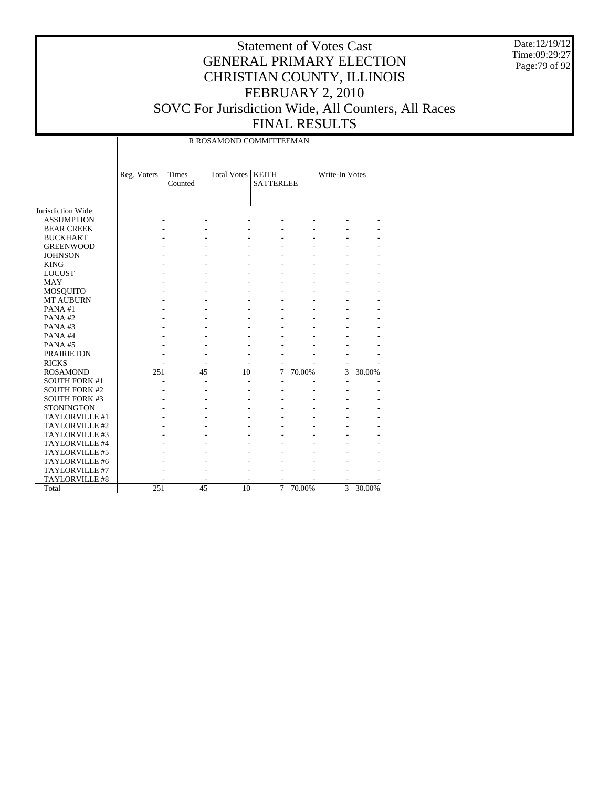Date:12/19/12 Time:09:29:27 Page:79 of 92

# Statement of Votes Cast GENERAL PRIMARY ELECTION CHRISTIAN COUNTY, ILLINOIS FEBRUARY 2, 2010 SOVC For Jurisdiction Wide, All Counters, All Races

Τ

FINAL RESULTS

|                      |             |                         | R ROSAMOND COMMITTEEMAN |                                  |        |                |        |
|----------------------|-------------|-------------------------|-------------------------|----------------------------------|--------|----------------|--------|
|                      | Reg. Voters | <b>Times</b><br>Counted | <b>Total Votes</b>      | <b>KEITH</b><br><b>SATTERLEE</b> |        | Write-In Votes |        |
| Jurisdiction Wide    |             |                         |                         |                                  |        |                |        |
| <b>ASSUMPTION</b>    |             |                         |                         |                                  |        |                |        |
| <b>BEAR CREEK</b>    |             |                         |                         |                                  |        |                |        |
| <b>BUCKHART</b>      |             |                         |                         |                                  |        |                |        |
| <b>GREENWOOD</b>     |             |                         |                         |                                  |        |                |        |
| <b>JOHNSON</b>       |             |                         |                         |                                  |        |                |        |
| <b>KING</b>          |             |                         |                         |                                  |        |                |        |
| <b>LOCUST</b>        |             |                         |                         |                                  |        |                |        |
| MAY                  |             |                         |                         |                                  |        |                |        |
| MOSQUITO             |             |                         |                         |                                  |        |                |        |
| <b>MT AUBURN</b>     |             |                         |                         |                                  |        |                |        |
| PANA#1               |             |                         |                         |                                  |        |                |        |
| PANA#2               |             |                         |                         |                                  |        |                |        |
| PANA#3               |             |                         |                         |                                  |        |                |        |
| PANA#4               |             |                         |                         |                                  |        |                |        |
| PANA#5               |             |                         |                         |                                  |        |                |        |
| <b>PRAIRIETON</b>    |             |                         |                         |                                  |        |                |        |
| <b>RICKS</b>         |             |                         |                         |                                  |        |                |        |
| <b>ROSAMOND</b>      | 251         | 45                      | 10                      | 7                                | 70.00% | 3              | 30.00% |
| <b>SOUTH FORK #1</b> |             |                         |                         |                                  |        | Ē,             |        |
| <b>SOUTH FORK #2</b> |             |                         |                         |                                  |        |                |        |
| <b>SOUTH FORK #3</b> |             |                         |                         |                                  |        |                |        |
| <b>STONINGTON</b>    |             |                         |                         |                                  |        |                |        |
| TAYLORVILLE #1       |             |                         |                         |                                  |        |                |        |
| TAYLORVILLE #2       |             |                         |                         |                                  |        |                |        |
| TAYLORVILLE #3       |             |                         |                         |                                  |        |                |        |
| TAYLORVILLE #4       |             |                         |                         |                                  |        |                |        |
| TAYLORVILLE #5       |             |                         |                         |                                  |        |                |        |
| TAYLORVILLE #6       |             |                         |                         |                                  |        |                |        |
| TAYLORVILLE #7       |             |                         |                         |                                  |        |                |        |
| TAYLORVILLE #8       |             |                         |                         |                                  |        |                |        |
| Total                | 251         | 45                      | 10                      | $\overline{7}$                   | 70.00% | $\overline{3}$ | 30.00% |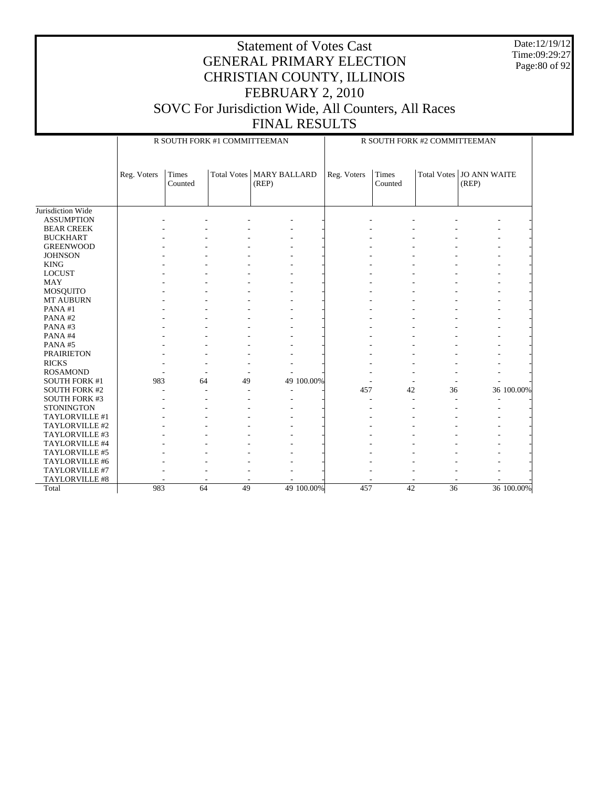Date:12/19/12 Time:09:29:27 Page:80 of 92

|                      |             |                         | R SOUTH FORK #1 COMMITTEEMAN |                              |            |             |                  | R SOUTH FORK #2 COMMITTEEMAN |                                     |            |
|----------------------|-------------|-------------------------|------------------------------|------------------------------|------------|-------------|------------------|------------------------------|-------------------------------------|------------|
|                      | Reg. Voters | <b>Times</b><br>Counted | Total Votes                  | <b>MARY BALLARD</b><br>(REP) |            | Reg. Voters | Times<br>Counted |                              | Total Votes   JO ANN WAITE<br>(REP) |            |
| Jurisdiction Wide    |             |                         |                              |                              |            |             |                  |                              |                                     |            |
| <b>ASSUMPTION</b>    |             |                         |                              |                              |            |             |                  |                              |                                     |            |
| <b>BEAR CREEK</b>    |             |                         |                              |                              |            |             |                  |                              |                                     |            |
| <b>BUCKHART</b>      |             |                         |                              |                              |            |             |                  |                              |                                     |            |
| <b>GREENWOOD</b>     |             |                         |                              |                              |            |             |                  |                              |                                     |            |
| <b>JOHNSON</b>       |             |                         |                              |                              |            |             |                  |                              |                                     |            |
| <b>KING</b>          |             |                         |                              |                              |            |             |                  |                              |                                     |            |
| <b>LOCUST</b>        |             |                         |                              |                              |            |             |                  |                              |                                     |            |
| <b>MAY</b>           |             |                         |                              |                              |            |             |                  |                              |                                     |            |
| MOSQUITO             |             |                         |                              |                              |            |             |                  |                              |                                     |            |
| MT AUBURN            |             |                         |                              |                              |            |             |                  |                              |                                     |            |
| PANA#1               |             |                         |                              |                              |            |             |                  |                              |                                     |            |
| PANA#2               |             |                         |                              |                              |            |             |                  |                              |                                     |            |
| PANA#3               |             |                         |                              |                              |            |             |                  |                              |                                     |            |
| PANA#4               |             |                         |                              |                              |            |             |                  |                              |                                     |            |
| PANA#5               |             |                         |                              |                              |            |             |                  |                              |                                     |            |
| <b>PRAIRIETON</b>    |             |                         |                              |                              |            |             |                  |                              |                                     |            |
| <b>RICKS</b>         |             |                         |                              |                              |            |             |                  |                              |                                     |            |
| <b>ROSAMOND</b>      |             |                         |                              |                              |            |             |                  |                              |                                     |            |
| <b>SOUTH FORK #1</b> | 983         |                         | 49<br>64                     |                              | 49 100.00% |             |                  |                              |                                     |            |
| <b>SOUTH FORK #2</b> |             |                         |                              |                              |            | 457         | 42               | 36                           |                                     | 36 100.00% |
| <b>SOUTH FORK #3</b> |             |                         |                              |                              |            |             |                  |                              |                                     |            |
| <b>STONINGTON</b>    |             |                         |                              |                              |            |             |                  |                              |                                     |            |
| TAYLORVILLE #1       |             |                         |                              |                              |            |             |                  |                              |                                     |            |
| TAYLORVILLE #2       |             |                         |                              |                              |            |             |                  |                              |                                     |            |
| TAYLORVILLE #3       |             |                         |                              |                              |            |             |                  |                              |                                     |            |
| TAYLORVILLE #4       |             |                         |                              |                              |            |             |                  |                              |                                     |            |
| TAYLORVILLE #5       |             |                         |                              |                              |            |             |                  |                              |                                     |            |
| TAYLORVILLE #6       |             |                         |                              |                              |            |             |                  |                              |                                     |            |
| TAYLORVILLE #7       |             |                         |                              |                              |            |             |                  |                              |                                     |            |
| TAYLORVILLE #8       |             |                         |                              |                              |            |             |                  |                              |                                     |            |
| Total                | 983         |                         | 64<br>49                     |                              | 49 100.00% | 457         | $\overline{42}$  | 36                           |                                     | 36 100.00% |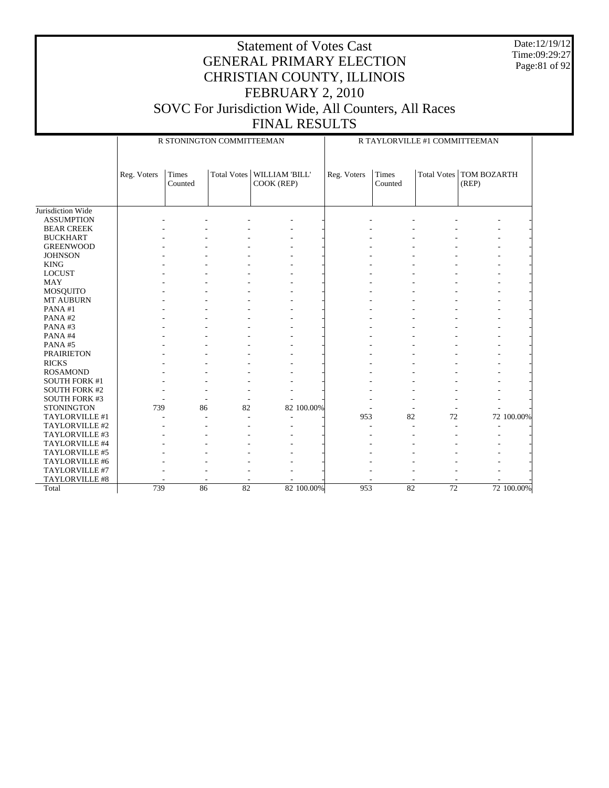Date:12/19/12 Time:09:29:27 Page:81 of 92

|                                              |             |                         | R STONINGTON COMMITTEEMAN |                              |             |                         | R TAYLORVILLE #1 COMMITTEEMAN |                                    |            |
|----------------------------------------------|-------------|-------------------------|---------------------------|------------------------------|-------------|-------------------------|-------------------------------|------------------------------------|------------|
|                                              | Reg. Voters | <b>Times</b><br>Counted | <b>Total Votes</b>        | WILLIAM 'BILL'<br>COOK (REP) | Reg. Voters | <b>Times</b><br>Counted |                               | Total Votes   TOM BOZARTH<br>(REP) |            |
| Jurisdiction Wide                            |             |                         |                           |                              |             |                         |                               |                                    |            |
| <b>ASSUMPTION</b>                            |             |                         |                           |                              |             |                         |                               |                                    |            |
| <b>BEAR CREEK</b>                            |             |                         |                           |                              |             |                         |                               |                                    |            |
| <b>BUCKHART</b>                              |             |                         |                           |                              |             |                         |                               |                                    |            |
| <b>GREENWOOD</b>                             |             |                         |                           |                              |             |                         |                               |                                    |            |
| <b>JOHNSON</b>                               |             |                         |                           |                              |             |                         |                               |                                    |            |
| <b>KING</b>                                  |             |                         |                           |                              |             |                         |                               |                                    |            |
| <b>LOCUST</b>                                |             |                         |                           |                              |             |                         |                               |                                    |            |
| <b>MAY</b>                                   |             |                         |                           |                              |             |                         |                               |                                    |            |
|                                              |             |                         |                           |                              |             |                         |                               |                                    |            |
| MOSQUITO<br><b>MT AUBURN</b>                 |             |                         |                           |                              |             |                         |                               |                                    |            |
| PANA#1                                       |             |                         |                           |                              |             |                         |                               |                                    |            |
| PANA#2                                       |             |                         |                           |                              |             |                         |                               |                                    |            |
| PANA#3                                       |             |                         |                           |                              |             |                         |                               |                                    |            |
| PANA#4                                       |             |                         |                           |                              |             |                         |                               |                                    |            |
| PANA#5                                       |             |                         |                           |                              |             |                         |                               |                                    |            |
|                                              |             |                         |                           |                              |             |                         |                               |                                    |            |
| <b>PRAIRIETON</b>                            |             |                         |                           |                              |             |                         |                               |                                    |            |
| <b>RICKS</b>                                 |             |                         |                           |                              |             |                         |                               |                                    |            |
| <b>ROSAMOND</b>                              |             |                         |                           |                              |             |                         |                               |                                    |            |
| <b>SOUTH FORK #1</b><br><b>SOUTH FORK #2</b> |             |                         |                           |                              |             |                         |                               |                                    |            |
| <b>SOUTH FORK #3</b>                         |             |                         |                           |                              |             |                         |                               |                                    |            |
| <b>STONINGTON</b>                            | 739         | 86                      | ٠<br>82                   | 82 100.00%                   |             |                         |                               |                                    |            |
|                                              |             |                         |                           |                              | 953         | 82                      | 72                            |                                    | 72 100.00% |
| TAYLORVILLE #1<br>TAYLORVILLE #2             |             |                         |                           |                              |             |                         | ÷.                            |                                    |            |
| TAYLORVILLE #3                               |             |                         |                           |                              |             |                         |                               |                                    |            |
| TAYLORVILLE #4                               |             |                         |                           |                              |             |                         |                               |                                    |            |
| TAYLORVILLE #5                               |             |                         |                           |                              |             |                         |                               |                                    |            |
| TAYLORVILLE #6                               |             |                         |                           |                              |             |                         |                               |                                    |            |
| TAYLORVILLE #7                               |             |                         |                           |                              |             |                         |                               |                                    |            |
|                                              |             |                         |                           |                              |             |                         |                               |                                    |            |
| TAYLORVILLE #8<br>Total                      | 739         | 86                      | $\overline{82}$           |                              | 953         | $\overline{82}$         | 72                            |                                    |            |
|                                              |             |                         |                           | 82 100.00%                   |             |                         |                               |                                    | 72 100.00% |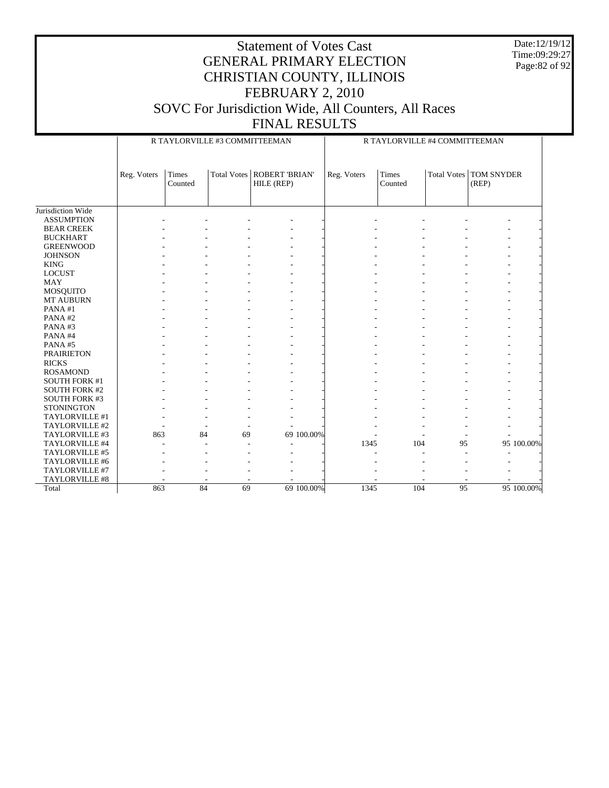Date:12/19/12 Time:09:29:27 Page:82 of 92

|                      |             | R TAYLORVILLE #3 COMMITTEEMAN |    |                                            |            |             | R TAYLORVILLE #4 COMMITTEEMAN |             |                            |            |
|----------------------|-------------|-------------------------------|----|--------------------------------------------|------------|-------------|-------------------------------|-------------|----------------------------|------------|
|                      | Reg. Voters | Times<br>Counted              |    | Total Votes   ROBERT 'BRIAN'<br>HILE (REP) |            | Reg. Voters | Times<br>Counted              | Total Votes | <b>TOM SNYDER</b><br>(REP) |            |
| Jurisdiction Wide    |             |                               |    |                                            |            |             |                               |             |                            |            |
| <b>ASSUMPTION</b>    |             |                               |    |                                            |            |             |                               |             |                            |            |
| <b>BEAR CREEK</b>    |             |                               |    |                                            |            |             |                               |             |                            |            |
| <b>BUCKHART</b>      |             |                               |    |                                            |            |             |                               |             |                            |            |
| <b>GREENWOOD</b>     |             |                               |    |                                            |            |             |                               |             |                            |            |
| <b>JOHNSON</b>       |             |                               |    |                                            |            |             |                               |             |                            |            |
| <b>KING</b>          |             |                               |    |                                            |            |             |                               |             |                            |            |
| <b>LOCUST</b>        |             |                               |    |                                            |            |             |                               |             |                            |            |
| <b>MAY</b>           |             |                               |    |                                            |            |             |                               |             |                            |            |
| <b>MOSQUITO</b>      |             |                               |    |                                            |            |             |                               |             |                            |            |
| MT AUBURN            |             |                               |    |                                            |            |             |                               |             |                            |            |
| PANA#1               |             |                               |    |                                            |            |             |                               |             |                            |            |
| PANA#2               |             |                               |    |                                            |            |             |                               |             |                            |            |
| PANA#3               |             |                               |    |                                            |            |             |                               |             |                            |            |
| PANA#4               |             |                               |    |                                            |            |             |                               |             |                            |            |
| PANA#5               |             |                               |    |                                            |            |             |                               |             |                            |            |
| <b>PRAIRIETON</b>    |             |                               |    |                                            |            |             |                               |             |                            |            |
| <b>RICKS</b>         |             |                               |    |                                            |            |             |                               |             |                            |            |
| <b>ROSAMOND</b>      |             |                               |    |                                            |            |             |                               |             |                            |            |
| <b>SOUTH FORK #1</b> |             |                               |    |                                            |            |             |                               |             |                            |            |
| <b>SOUTH FORK #2</b> |             |                               |    |                                            |            |             |                               |             |                            |            |
| <b>SOUTH FORK #3</b> |             |                               |    |                                            |            |             |                               |             |                            |            |
| <b>STONINGTON</b>    |             |                               |    |                                            |            |             |                               |             |                            |            |
| TAYLORVILLE #1       |             |                               |    |                                            |            |             |                               |             |                            |            |
| TAYLORVILLE #2       |             |                               |    |                                            |            |             |                               |             |                            |            |
| TAYLORVILLE #3       | 863         | 84                            | 69 |                                            | 69 100,00% |             |                               |             |                            |            |
| TAYLORVILLE #4       |             |                               |    |                                            |            | 1345        | 104                           | 95          |                            | 95 100.00% |
| TAYLORVILLE #5       |             |                               |    |                                            |            |             |                               |             |                            |            |
| TAYLORVILLE #6       |             |                               |    |                                            |            |             |                               |             |                            |            |
| TAYLORVILLE #7       |             |                               |    |                                            |            |             |                               |             |                            |            |
| TAYLORVILLE #8       |             |                               |    |                                            |            |             |                               |             |                            |            |
| Total                | 863         | 84                            | 69 |                                            | 69 100.00% | 1345        | 104                           | 95          |                            | 95 100.00% |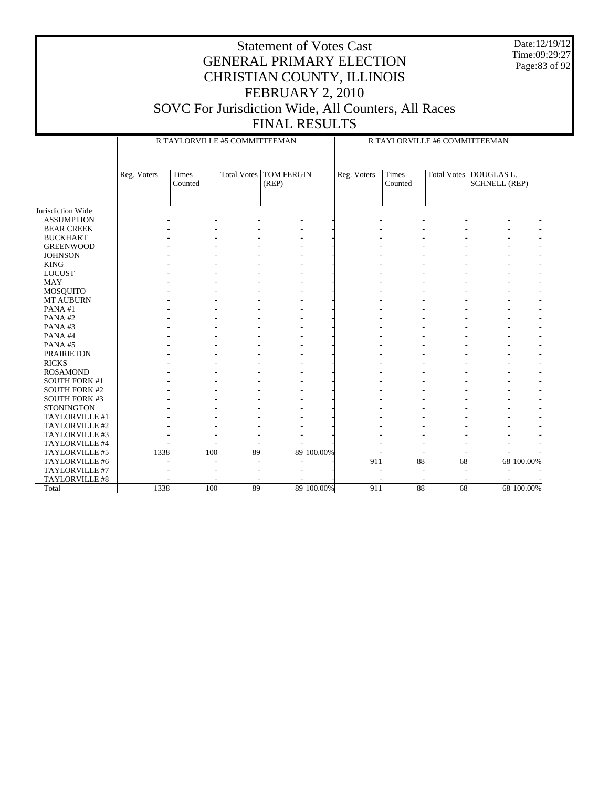Date:12/19/12 Time:09:29:27 Page:83 of 92

|                       |             | R TAYLORVILLE #5 COMMITTEEMAN |    |                                   |            |             |                  |    | R TAYLORVILLE #6 COMMITTEEMAN                    |            |
|-----------------------|-------------|-------------------------------|----|-----------------------------------|------------|-------------|------------------|----|--------------------------------------------------|------------|
|                       | Reg. Voters | <b>Times</b><br>Counted       |    | Total Votes   TOM FERGIN<br>(REP) |            | Reg. Voters | Times<br>Counted |    | Total Votes   DOUGLAS L.<br><b>SCHNELL (REP)</b> |            |
| Jurisdiction Wide     |             |                               |    |                                   |            |             |                  |    |                                                  |            |
| <b>ASSUMPTION</b>     |             |                               |    |                                   |            |             |                  |    |                                                  |            |
| <b>BEAR CREEK</b>     |             |                               |    |                                   |            |             |                  |    |                                                  |            |
| <b>BUCKHART</b>       |             |                               |    |                                   |            |             |                  |    |                                                  |            |
| <b>GREENWOOD</b>      |             |                               |    |                                   |            |             |                  |    |                                                  |            |
| <b>JOHNSON</b>        |             |                               |    |                                   |            |             |                  |    |                                                  |            |
| <b>KING</b>           |             |                               |    |                                   |            |             |                  |    |                                                  |            |
| <b>LOCUST</b>         |             |                               |    |                                   |            |             |                  |    |                                                  |            |
| <b>MAY</b>            |             |                               |    |                                   |            |             |                  |    |                                                  |            |
|                       |             |                               |    |                                   |            |             |                  |    |                                                  |            |
| MOSQUITO<br>MT AUBURN |             |                               |    |                                   |            |             |                  |    |                                                  |            |
| PANA#1                |             |                               |    |                                   |            |             |                  |    |                                                  |            |
| PANA#2                |             |                               |    |                                   |            |             |                  |    |                                                  |            |
| PANA#3                |             |                               |    |                                   |            |             |                  |    |                                                  |            |
|                       |             |                               |    |                                   |            |             |                  |    |                                                  |            |
| PANA#4                |             |                               |    |                                   |            |             |                  |    |                                                  |            |
| PANA#5                |             |                               |    |                                   |            |             |                  |    |                                                  |            |
| <b>PRAIRIETON</b>     |             |                               |    |                                   |            |             |                  |    |                                                  |            |
| <b>RICKS</b>          |             |                               |    |                                   |            |             |                  |    |                                                  |            |
| <b>ROSAMOND</b>       |             |                               |    |                                   |            |             |                  |    |                                                  |            |
| <b>SOUTH FORK #1</b>  |             |                               |    |                                   |            |             |                  |    |                                                  |            |
| <b>SOUTH FORK #2</b>  |             |                               |    |                                   |            |             |                  |    |                                                  |            |
| SOUTH FORK #3         |             |                               |    |                                   |            |             |                  |    |                                                  |            |
| <b>STONINGTON</b>     |             |                               |    |                                   |            |             |                  |    |                                                  |            |
| TAYLORVILLE #1        |             |                               |    |                                   |            |             |                  |    |                                                  |            |
| TAYLORVILLE #2        |             |                               |    |                                   |            |             |                  |    |                                                  |            |
| TAYLORVILLE #3        |             |                               |    |                                   |            |             |                  |    |                                                  |            |
| TAYLORVILLE #4        |             |                               |    |                                   |            |             |                  |    |                                                  |            |
| TAYLORVILLE #5        | 1338        | 100                           | 89 |                                   | 89 100.00% |             |                  |    |                                                  |            |
| TAYLORVILLE #6        |             |                               |    |                                   |            | 911         | 88               | 68 |                                                  | 68 100.00% |
| TAYLORVILLE #7        |             |                               |    |                                   |            |             |                  |    | ٠                                                |            |
| TAYLORVILLE #8        |             |                               |    |                                   |            |             |                  |    |                                                  |            |
| Total                 | 1338        | 100                           | 89 |                                   | 89 100.00% | 911         | 88               | 68 |                                                  | 68 100.00% |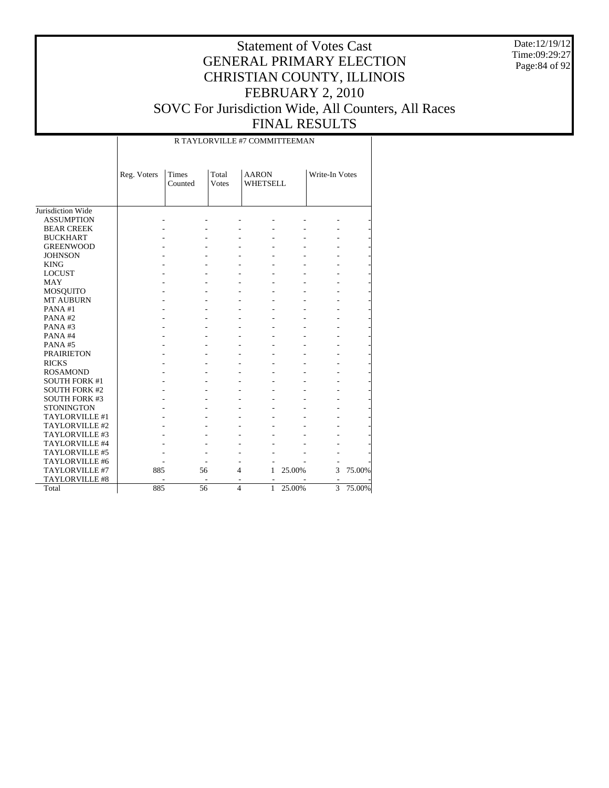Date:12/19/12 Time:09:29:27 Page:84 of 92

| R TAYLORVILLE #7 COMMITTEEMAN |  |
|-------------------------------|--|

|                              | Reg. Voters | Times<br>Counted | Total<br>Votes | <b>AARON</b><br><b>WHETSELL</b> |        | Write-In Votes |        |
|------------------------------|-------------|------------------|----------------|---------------------------------|--------|----------------|--------|
| Jurisdiction Wide            |             |                  |                |                                 |        |                |        |
| <b>ASSUMPTION</b>            |             |                  |                |                                 |        |                |        |
| <b>BEAR CREEK</b>            |             |                  |                |                                 |        |                |        |
| <b>BUCKHART</b>              |             |                  |                |                                 |        |                |        |
| <b>GREENWOOD</b>             |             |                  |                |                                 |        |                |        |
| <b>JOHNSON</b>               |             |                  |                |                                 |        |                |        |
| <b>KING</b>                  |             |                  |                |                                 |        |                |        |
| <b>LOCUST</b>                |             |                  |                |                                 |        |                |        |
| <b>MAY</b>                   |             |                  |                |                                 |        |                |        |
|                              |             |                  |                |                                 |        |                |        |
| MOSQUITO<br><b>MT AUBURN</b> |             |                  |                |                                 |        |                |        |
| PANA#1                       |             |                  |                |                                 |        |                |        |
| PANA#2                       |             |                  |                |                                 |        |                |        |
| PANA#3                       |             |                  |                |                                 |        |                |        |
| PANA#4                       |             |                  |                |                                 |        |                |        |
|                              |             |                  |                |                                 |        |                |        |
| PANA#5                       |             |                  |                |                                 |        |                |        |
| <b>PRAIRIETON</b>            |             |                  |                |                                 |        |                |        |
| <b>RICKS</b>                 |             |                  |                |                                 |        |                |        |
| <b>ROSAMOND</b>              |             |                  |                |                                 |        |                |        |
| <b>SOUTH FORK #1</b>         |             |                  |                |                                 |        |                |        |
| <b>SOUTH FORK #2</b>         |             |                  |                |                                 |        |                |        |
| <b>SOUTH FORK #3</b>         |             |                  |                |                                 |        |                |        |
| <b>STONINGTON</b>            |             |                  |                |                                 |        |                |        |
| TAYLORVILLE #1               |             |                  |                |                                 |        |                |        |
| TAYLORVILLE #2               |             |                  |                |                                 |        |                |        |
| TAYLORVILLE #3               |             |                  |                |                                 |        |                |        |
| TAYLORVILLE #4               |             |                  |                |                                 |        |                |        |
| TAYLORVILLE #5               |             |                  |                |                                 |        |                |        |
| TAYLORVILLE #6               |             |                  |                |                                 |        |                |        |
| TAYLORVILLE #7               | 885         |                  | 56             | 4<br>1                          | 25.00% | 3              | 75.00% |
| TAYLORVILLE #8               |             |                  | ٠              |                                 |        |                |        |
| Total                        | 885         |                  | 56             | $\overline{4}$<br>$\mathbf{1}$  | 25.00% | 3              | 75.00% |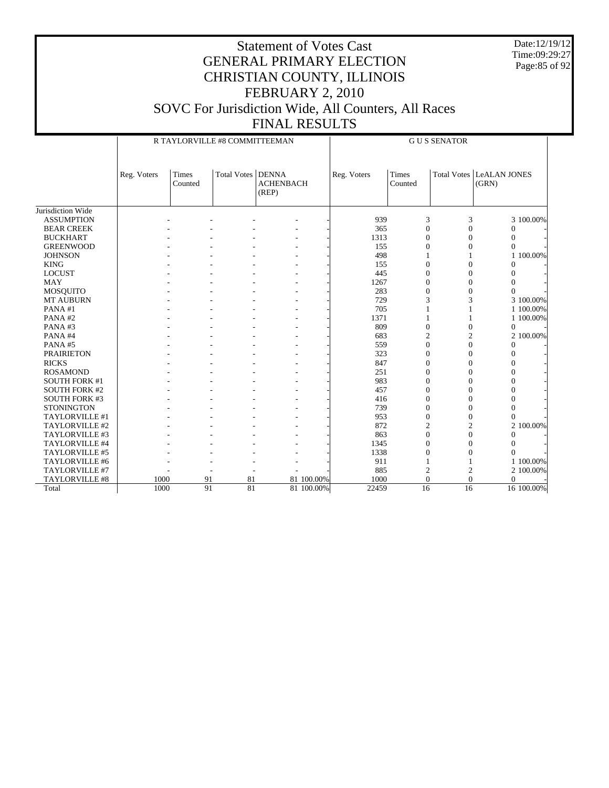Date:12/19/12 Time:09:29:27 Page:85 of 92

|                      |                                                                        |  | R TAYLORVILLE #8 COMMITTEEMAN |  | <b>GUS SENATOR</b> |                  |                |                                          |                |  |
|----------------------|------------------------------------------------------------------------|--|-------------------------------|--|--------------------|------------------|----------------|------------------------------------------|----------------|--|
|                      | <b>Total Votes   DENNA</b><br>Times<br>Reg. Voters<br>Counted<br>(REP) |  | <b>ACHENBACH</b>              |  | Reg. Voters        | Times<br>Counted |                | <b>Total Votes LeALAN JONES</b><br>(GRN) |                |  |
| Jurisdiction Wide    |                                                                        |  |                               |  |                    |                  |                |                                          |                |  |
| <b>ASSUMPTION</b>    |                                                                        |  |                               |  |                    | 939              | 3              | 3                                        | 3 100.00%      |  |
| <b>BEAR CREEK</b>    |                                                                        |  |                               |  |                    | 365              | $\theta$       | $\overline{0}$                           | $\overline{0}$ |  |
| <b>BUCKHART</b>      |                                                                        |  |                               |  |                    | 1313             | $\theta$       | $\theta$                                 | $\overline{0}$ |  |
| <b>GREENWOOD</b>     |                                                                        |  |                               |  |                    | 155              | $\Omega$       | $\theta$                                 | $\overline{0}$ |  |
| <b>JOHNSON</b>       |                                                                        |  |                               |  |                    | 498              |                |                                          | 1 100.00%      |  |
| <b>KING</b>          |                                                                        |  |                               |  |                    | 155              | $\theta$       | $\overline{0}$                           | $\overline{0}$ |  |
| <b>LOCUST</b>        |                                                                        |  |                               |  |                    | 445              | $\overline{0}$ | $\overline{0}$                           | $\overline{0}$ |  |
| <b>MAY</b>           |                                                                        |  |                               |  |                    | 1267             | $\theta$       | $\overline{0}$                           | $\overline{0}$ |  |
| <b>MOSQUITO</b>      |                                                                        |  |                               |  |                    | 283              | $\Omega$       | $\theta$                                 | $\theta$       |  |
| <b>MT AUBURN</b>     |                                                                        |  |                               |  |                    | 729              | 3              | 3                                        | 3 100.00%      |  |
| PANA#1               |                                                                        |  |                               |  |                    | 705              |                |                                          | 1 100.00%      |  |
| PANA#2               |                                                                        |  |                               |  |                    | 1371             |                |                                          | 1 100,00%      |  |
| PANA#3               |                                                                        |  |                               |  |                    | 809              | $\theta$       | $\overline{0}$                           | $\mathbf{0}$   |  |
| PANA#4               |                                                                        |  |                               |  |                    | 683              | $\overline{c}$ | $\overline{c}$                           | 2 100.00%      |  |
| PANA#5               |                                                                        |  |                               |  |                    | 559              | $\overline{0}$ | $\overline{0}$                           | $\mathbf{0}$   |  |
| <b>PRAIRIETON</b>    |                                                                        |  |                               |  |                    | 323              | $\overline{0}$ | $\overline{0}$                           | $\overline{0}$ |  |
| <b>RICKS</b>         |                                                                        |  |                               |  |                    | 847              | $\theta$       | $\overline{0}$                           | $\overline{0}$ |  |
| <b>ROSAMOND</b>      |                                                                        |  |                               |  |                    | 251              | $\theta$       | $\overline{0}$                           | $\theta$       |  |
| <b>SOUTH FORK #1</b> |                                                                        |  |                               |  |                    | 983              | $\theta$       | $\theta$                                 | $\theta$       |  |
| <b>SOUTH FORK #2</b> |                                                                        |  |                               |  |                    | 457              | $\Omega$       | $\theta$                                 | $\theta$       |  |
| <b>SOUTH FORK #3</b> |                                                                        |  |                               |  |                    | 416              | $\Omega$       | $\theta$                                 | $\Omega$       |  |
| <b>STONINGTON</b>    |                                                                        |  |                               |  |                    | 739              | $\theta$       | $\overline{0}$                           | $\Omega$       |  |
| TAYLORVILLE #1       |                                                                        |  |                               |  |                    | 953              | $\overline{0}$ | $\overline{0}$                           | $\Omega$       |  |
| TAYLORVILLE #2       |                                                                        |  |                               |  |                    | 872              | $\overline{c}$ | $\overline{c}$                           | 2 100.00%      |  |
| TAYLORVILLE #3       |                                                                        |  |                               |  |                    | 863              | $\theta$       | $\overline{0}$                           | $\Omega$       |  |
| TAYLORVILLE #4       |                                                                        |  |                               |  |                    | 1345             | $\theta$       | $\theta$                                 | $\Omega$       |  |
| TAYLORVILLE #5       |                                                                        |  |                               |  |                    | 1338             | $\Omega$       | $\theta$                                 | $\theta$       |  |
| TAYLORVILLE #6       |                                                                        |  |                               |  |                    | 911              |                |                                          | 1 100.00%      |  |
| TAYLORVILLE #7       |                                                                        |  |                               |  |                    | 885              | $\overline{c}$ | $\overline{c}$                           | 2 100,00%      |  |
| TAYLORVILLE #8       | 1000                                                                   |  | 91<br>81                      |  | 81 100.00%         | 1000             | $\theta$       | $\overline{0}$                           | $\mathbf{0}$   |  |
| Total                | 1000                                                                   |  | 91<br>81                      |  | 81 100.00%         | 22459            | 16             | 16                                       | 16 100.00%     |  |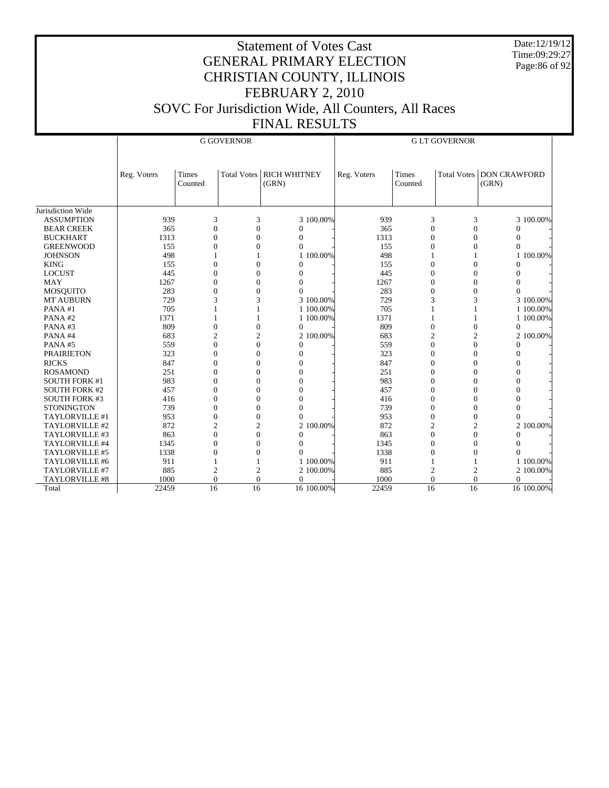Date:12/19/12 Time:09:29:27 Page:86 of 92

|                      |             |                  | <b>G GOVERNOR</b> |                                   | <b>GLT GOVERNOR</b> |                  |                |                                   |  |
|----------------------|-------------|------------------|-------------------|-----------------------------------|---------------------|------------------|----------------|-----------------------------------|--|
|                      |             |                  |                   |                                   |                     |                  |                |                                   |  |
|                      | Reg. Voters | Times<br>Counted |                   | Total Votes RICH WHITNEY<br>(GRN) | Reg. Voters         | Times<br>Counted |                | Total Votes DON CRAWFORD<br>(GRN) |  |
|                      |             |                  |                   |                                   |                     |                  |                |                                   |  |
| Jurisdiction Wide    |             |                  |                   |                                   |                     |                  |                |                                   |  |
| <b>ASSUMPTION</b>    | 939         | 3                | 3                 | 3 100.00%                         | 939                 | 3                | 3              | 3 100.00%                         |  |
| <b>BEAR CREEK</b>    | 365         | $\overline{0}$   | $\overline{0}$    | $\Omega$                          | 365                 | $\overline{0}$   | $\overline{0}$ | $\mathbf{0}$                      |  |
| <b>BUCKHART</b>      | 1313        | $\overline{0}$   | $\overline{0}$    | $\Omega$                          | 1313                | $\theta$         | $\Omega$       | $\Omega$                          |  |
| <b>GREENWOOD</b>     | 155         | $\theta$         | $\overline{0}$    | $\Omega$                          | 155                 | $\Omega$         | $\Omega$       | $\Omega$                          |  |
| <b>JOHNSON</b>       | 498         |                  |                   | 1 100.00%                         | 498                 |                  |                | 1 100.00%                         |  |
| <b>KING</b>          | 155         | $\overline{0}$   | $\overline{0}$    | 0                                 | 155                 | $\overline{0}$   | $\overline{0}$ | $\mathbf{0}$                      |  |
| <b>LOCUST</b>        | 445         | $\theta$         | $\overline{0}$    | $\theta$                          | 445                 | $\theta$         | $\theta$       | $\Omega$                          |  |
| <b>MAY</b>           | 1267        | $\overline{0}$   | $\overline{0}$    | $\Omega$                          | 1267                | $\theta$         | $\theta$       | $\mathbf{0}$                      |  |
| <b>MOSQUITO</b>      | 283         | $\overline{0}$   | $\overline{0}$    | $\Omega$                          | 283                 | $\overline{0}$   | $\theta$       | $\mathbf{0}$                      |  |
| <b>MT AUBURN</b>     | 729         | 3                | 3                 | 3 100.00%                         | 729                 | 3                | 3              | 3 100.00%                         |  |
| PANA#1               | 705         | 1                | 1                 | 1 100,00%                         | 705                 |                  | 1              | 1 100,00%                         |  |
| PANA#2               | 1371        |                  | 1                 | 1 100.00%                         | 1371                |                  | 1              | 1 100.00%                         |  |
| PANA#3               | 809         | $\boldsymbol{0}$ | $\boldsymbol{0}$  | $\mathbf{0}$                      | 809                 | $\boldsymbol{0}$ | $\overline{0}$ | $\mathbf{0}$                      |  |
| PANA#4               | 683         | $\overline{c}$   | $\overline{2}$    | 2 100.00%                         | 683                 | $\overline{2}$   | $\mathfrak{2}$ | 2 100.00%                         |  |
| PANA#5               | 559         | $\overline{0}$   | $\overline{0}$    | $\mathbf{0}$                      | 559                 | $\theta$         | $\theta$       | $\mathbf{0}$                      |  |
| <b>PRAIRIETON</b>    | 323         | $\overline{0}$   | $\overline{0}$    | $\Omega$                          | 323                 | $\theta$         | $\theta$       | $\mathbf{0}$                      |  |
| <b>RICKS</b>         | 847         | $\theta$         | $\theta$          | $\theta$                          | 847                 | $\theta$         | $\theta$       | $\Omega$                          |  |
| <b>ROSAMOND</b>      | 251         | $\overline{0}$   | $\overline{0}$    | $\theta$                          | 251                 | $\Omega$         | $\Omega$       | $\Omega$                          |  |
| <b>SOUTH FORK #1</b> | 983         | $\overline{0}$   | $\overline{0}$    | $\theta$                          | 983                 | $\mathbf{0}$     | $\Omega$       | $\mathbf{0}$                      |  |
| <b>SOUTH FORK #2</b> | 457         | $\overline{0}$   | $\overline{0}$    | $\theta$                          | 457                 | $\mathbf{0}$     | $\Omega$       | $\mathbf{0}$                      |  |
| <b>SOUTH FORK #3</b> | 416         | $\mathbf{0}$     | $\mathbf{0}$      | $\theta$                          | 416                 | $\overline{0}$   | $\overline{0}$ | $\mathbf{0}$                      |  |
| <b>STONINGTON</b>    | 739         | $\theta$         | $\overline{0}$    | $\Omega$                          | 739                 | $\theta$         | $\theta$       | $\Omega$                          |  |
| TAYLORVILLE #1       | 953         | $\overline{0}$   | $\overline{0}$    | $\Omega$                          | 953                 | $\theta$         | $\theta$       | $\Omega$                          |  |
| TAYLORVILLE #2       | 872         | $\overline{2}$   | $\overline{2}$    | 2 100,00%                         | 872                 | $\overline{2}$   | $\overline{2}$ | 2 100,00%                         |  |
| TAYLORVILLE #3       | 863         | $\overline{0}$   | $\overline{0}$    | $\Omega$                          | 863                 | $\Omega$         | $\theta$       | $\Omega$                          |  |
| TAYLORVILLE #4       | 1345        | $\theta$         | $\overline{0}$    | $\Omega$                          | 1345                | $\Omega$         | $\Omega$       | $\Omega$                          |  |
| TAYLORVILLE #5       | 1338        | $\overline{0}$   | $\overline{0}$    | $\Omega$                          | 1338                | $\overline{0}$   | $\Omega$       | $\Omega$                          |  |
| TAYLORVILLE #6       | 911         |                  |                   | 1 100.00%                         | 911                 |                  | 1              | 1 100.00%                         |  |
| TAYLORVILLE #7       | 885         | $\overline{c}$   | $\overline{2}$    | 2 100.00%                         | 885                 | $\overline{2}$   | $\overline{c}$ | 2 100.00%                         |  |
| TAYLORVILLE #8       | 1000        | $\overline{0}$   | $\overline{0}$    | $\Omega$                          | 1000                | $\mathbf{0}$     | $\theta$       | $\Omega$                          |  |
| Total                | 22459       | 16               | 16                | 16 100.00%                        | 22459               | 16               | 16             | 16 100.00%                        |  |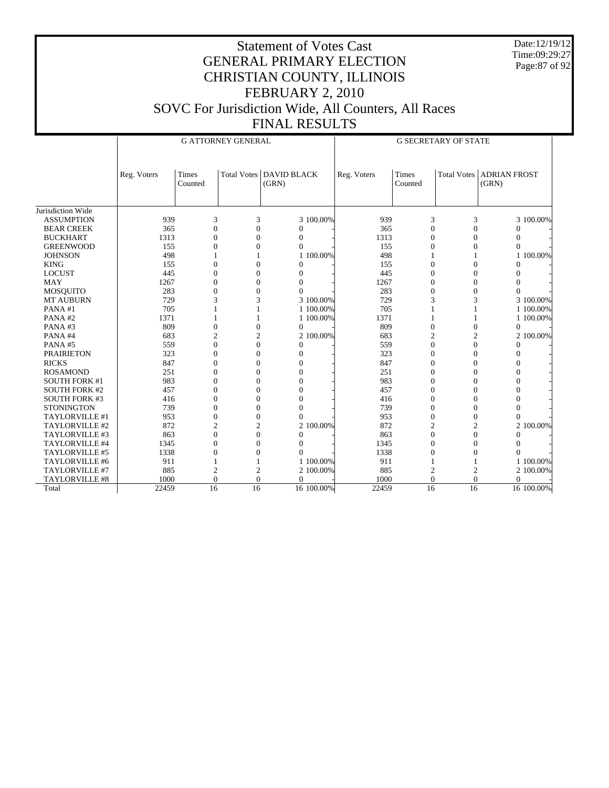Date:12/19/12 Time:09:29:27 Page:87 of 92

|                       |             |                  | <b>G ATTORNEY GENERAL</b> |                                    | <b>G SECRETARY OF STATE</b> |                         |                |                                     |  |
|-----------------------|-------------|------------------|---------------------------|------------------------------------|-----------------------------|-------------------------|----------------|-------------------------------------|--|
|                       |             |                  |                           |                                    |                             |                         |                |                                     |  |
|                       | Reg. Voters | Times<br>Counted |                           | Total Votes   DAVID BLACK<br>(GRN) | Reg. Voters                 | <b>Times</b><br>Counted |                | Total Votes   ADRIAN FROST<br>(GRN) |  |
|                       |             |                  |                           |                                    |                             |                         |                |                                     |  |
| Jurisdiction Wide     |             |                  |                           |                                    |                             |                         |                |                                     |  |
| <b>ASSUMPTION</b>     | 939         | 3                | 3                         | 3 100.00%                          | 939                         | 3                       | 3              | 3 100.00%                           |  |
| <b>BEAR CREEK</b>     | 365         | $\overline{0}$   | $\overline{0}$            | $\Omega$                           | 365                         | $\Omega$                | $\mathbf{0}$   | $\overline{0}$                      |  |
| <b>BUCKHART</b>       | 1313        | $\mathbf{0}$     | $\Omega$                  | $\Omega$                           | 1313                        | $\Omega$                | $\Omega$       | $\Omega$                            |  |
| <b>GREENWOOD</b>      | 155         | $\overline{0}$   | $\overline{0}$            | $\Omega$                           | 155                         | $\Omega$                | $\Omega$       | $\overline{0}$                      |  |
| <b>JOHNSON</b>        | 498         | 1                | $\mathbf{1}$              | 1 100,00%                          | 498                         | 1                       |                | 1 100,00%                           |  |
| <b>KING</b>           | 155         | $\mathbf{0}$     | $\Omega$                  | $\Omega$                           | 155                         | $\Omega$                | $\Omega$       | $\Omega$                            |  |
| <b>LOCUST</b>         | 445         | $\mathbf{0}$     | $\Omega$                  | $\theta$                           | 445                         | $\Omega$                | $\Omega$       | $\Omega$                            |  |
| <b>MAY</b>            | 1267        | $\overline{0}$   | $\overline{0}$            | $\Omega$                           | 1267                        | $\overline{0}$          | $\overline{0}$ | $\mathbf{0}$                        |  |
| <b>MOSQUITO</b>       | 283         | $\overline{0}$   | $\theta$                  | $\Omega$                           | 283                         | $\Omega$                | $\theta$       | $\theta$                            |  |
| <b>MT AUBURN</b>      | 729         | 3                | 3                         | 3 100.00%                          | 729                         | 3                       | 3              | 3 100.00%                           |  |
| PANA#1                | 705         |                  |                           | 1 100,00%                          | 705                         |                         |                | 1 100.00%                           |  |
| PANA#2                | 1371        | 1                |                           | 1 100.00%                          | 1371                        |                         |                | 1 100.00%                           |  |
| PANA#3                | 809         | $\mathbf{0}$     | $\Omega$                  | $\mathbf{0}$                       | 809                         | $\Omega$                | $\mathbf{0}$   | $\mathbf{0}$                        |  |
| PANA#4                | 683         | $\overline{c}$   | $\overline{2}$            | 2 100.00%                          | 683                         | $\overline{2}$          | $\overline{c}$ | 2 100.00%                           |  |
| PANA#5                | 559         | $\boldsymbol{0}$ | $\overline{0}$            | $\overline{0}$                     | 559                         | $\mathbf{0}$            | $\overline{0}$ | $\mathbf{0}$                        |  |
| <b>PRAIRIETON</b>     | 323         | $\theta$         | $\Omega$                  | $\Omega$                           | 323                         | $\Omega$                | $\Omega$       | $\Omega$                            |  |
| <b>RICKS</b>          | 847         | $\mathbf{0}$     | $\overline{0}$            | $\Omega$                           | 847                         | $\Omega$                | $\Omega$       | $\mathbf{0}$                        |  |
| <b>ROSAMOND</b>       | 251         | $\theta$         | $\Omega$                  | $\theta$                           | 251                         | $\Omega$                | $\Omega$       | $\theta$                            |  |
| <b>SOUTH FORK #1</b>  | 983         | $\Omega$         | $\Omega$                  | $\Omega$                           | 983                         | $\Omega$                | $\Omega$       | $\Omega$                            |  |
| <b>SOUTH FORK #2</b>  | 457         | $\Omega$         | $\Omega$                  | $\Omega$                           | 457                         | $\Omega$                | $\Omega$       | $\Omega$                            |  |
| <b>SOUTH FORK #3</b>  | 416         | $\mathbf{0}$     | $\overline{0}$            | $\theta$                           | 416                         | $\mathbf{0}$            | $\theta$       | $\mathbf{0}$                        |  |
| <b>STONINGTON</b>     | 739         | $\overline{0}$   | $\Omega$                  | $\Omega$                           | 739                         | $\Omega$                | $\Omega$       | $\Omega$                            |  |
| TAYLORVILLE #1        | 953         | $\overline{0}$   | $\Omega$                  | $\Omega$                           | 953                         | $\Omega$                | $\theta$       | $\Omega$                            |  |
| TAYLORVILLE #2        | 872         | $\overline{2}$   | $\overline{2}$            | 2 100.00%                          | 872                         | $\overline{c}$          | $\overline{2}$ | 2 100.00%                           |  |
| TAYLORVILLE #3        | 863         | $\mathbf{0}$     | $\Omega$                  | $\Omega$                           | 863                         | $\Omega$                | $\Omega$       | $\Omega$                            |  |
| TAYLORVILLE #4        | 1345        | $\Omega$         | $\Omega$                  | $\Omega$                           | 1345                        | $\Omega$                | $\Omega$       | $\Omega$                            |  |
| TAYLORVILLE #5        | 1338        | $\overline{0}$   | $\overline{0}$            | $\Omega$                           | 1338                        | $\overline{0}$          | $\mathbf{0}$   | $\Omega$                            |  |
| TAYLORVILLE #6        | 911         | $\mathbf{1}$     | 1                         | 1 100.00%                          | 911                         | 1                       |                | 1 100.00%                           |  |
| TAYLORVILLE #7        | 885         | $\overline{c}$   | $\overline{2}$            | 2 100.00%                          | 885                         | $\mathbf{2}$            | $\mathfrak{2}$ | 2 100.00%                           |  |
| <b>TAYLORVILLE #8</b> | 1000        | $\mathbf{0}$     | $\overline{0}$            | $\Omega$                           | 1000                        | $\theta$                | $\Omega$       | $\theta$                            |  |
| Total                 | 22459       | 16               | 16                        | 16 100.00%                         | 22459                       | 16                      | 16             | 16 100.00%                          |  |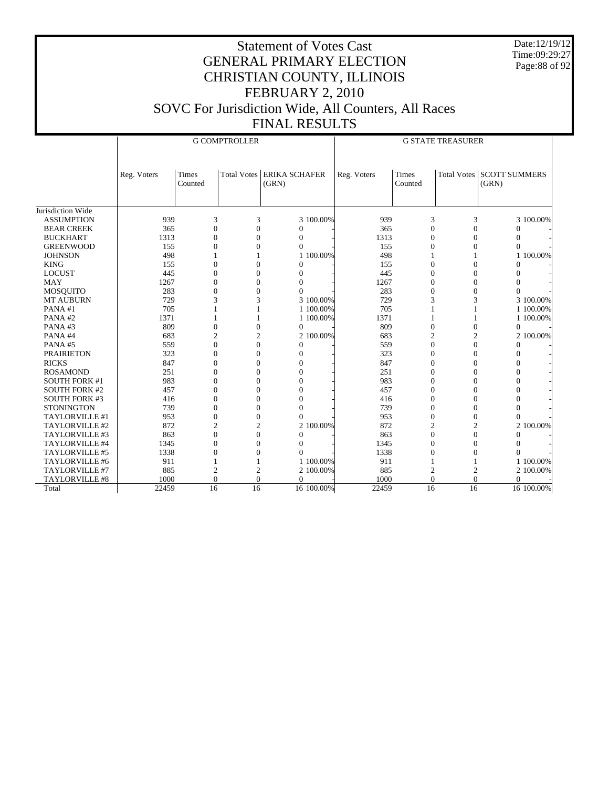Date:12/19/12 Time:09:29:27 Page:88 of 92

|                      |             |                  | <b>G COMPTROLLER</b> |                                      | <b>G STATE TREASURER</b> |                         |                  |                                    |  |  |  |
|----------------------|-------------|------------------|----------------------|--------------------------------------|--------------------------|-------------------------|------------------|------------------------------------|--|--|--|
|                      |             |                  |                      |                                      |                          |                         |                  |                                    |  |  |  |
|                      |             |                  |                      |                                      |                          |                         |                  |                                    |  |  |  |
|                      | Reg. Voters | Times<br>Counted |                      | Total Votes   ERIKA SCHAFER<br>(GRN) | Reg. Voters              | <b>Times</b><br>Counted |                  | Total Votes SCOTT SUMMERS<br>(GRN) |  |  |  |
|                      |             |                  |                      |                                      |                          |                         |                  |                                    |  |  |  |
|                      |             |                  |                      |                                      |                          |                         |                  |                                    |  |  |  |
| Jurisdiction Wide    |             |                  |                      |                                      |                          |                         |                  |                                    |  |  |  |
| <b>ASSUMPTION</b>    | 939         | 3                | 3                    | 3 100.00%                            | 939                      | 3                       | 3                | 3 100.00%                          |  |  |  |
| <b>BEAR CREEK</b>    | 365         | $\overline{0}$   | $\overline{0}$       | $\Omega$                             | 365                      | $\overline{0}$          | $\Omega$         | $\mathbf{0}$                       |  |  |  |
| <b>BUCKHART</b>      | 1313        | $\theta$         | $\Omega$             | 0                                    | 1313                     | $\theta$                | $\theta$         | $\Omega$                           |  |  |  |
| <b>GREENWOOD</b>     | 155         | $\Omega$         | $\Omega$             | $\Omega$                             | 155                      | $\Omega$                | $\Omega$         | $\Omega$                           |  |  |  |
| <b>JOHNSON</b>       | 498         |                  |                      | 1 100.00%                            | 498                      |                         |                  | 100.00%<br>1                       |  |  |  |
| <b>KING</b>          | 155         | $\theta$         | $\overline{0}$       | $\Omega$                             | 155                      | $\theta$                | $\Omega$         | $\Omega$                           |  |  |  |
| <b>LOCUST</b>        | 445         | $\mathbf{0}$     | $\overline{0}$       | $\Omega$                             | 445                      | $\overline{0}$          | $\overline{0}$   | $\mathbf{0}$                       |  |  |  |
| <b>MAY</b>           | 1267        | $\theta$         | $\overline{0}$       | $\Omega$                             | 1267                     | $\theta$                | $\Omega$         | $\mathbf{0}$                       |  |  |  |
| <b>MOSQUITO</b>      | 283         | $\theta$         | $\theta$             | $\Omega$                             | 283                      | $\theta$                | $\Omega$         | $\theta$                           |  |  |  |
| <b>MT AUBURN</b>     | 729         | 3                | 3                    | 3 100.00%                            | 729                      | 3                       | 3                | 3 100.00%                          |  |  |  |
| PANA#1               | 705         |                  | 1                    | 1 100,00%                            | 705                      |                         |                  | 1 100,00%                          |  |  |  |
| PANA#2               | 1371        |                  | 1                    | 1 100.00%                            | 1371                     | 1                       | 1                | 1 100.00%                          |  |  |  |
| PANA#3               | 809         | $\boldsymbol{0}$ | $\mathbf{0}$         | $\overline{0}$                       | 809                      | $\boldsymbol{0}$        | $\boldsymbol{0}$ | $\boldsymbol{0}$                   |  |  |  |
| PANA#4               | 683         | $\overline{c}$   | $\overline{2}$       | 2 100.00%                            | 683                      | $\overline{2}$          | $\mathfrak{2}$   | 2 100.00%                          |  |  |  |
| PANA#5               | 559         | $\theta$         | $\theta$             | $\Omega$                             | 559                      | $\theta$                | $\Omega$         | $\mathbf{0}$                       |  |  |  |
| <b>PRAIRIETON</b>    | 323         | $\mathbf{0}$     | $\theta$             | $\Omega$                             | 323                      | $\theta$                | $\Omega$         | $\mathbf{0}$                       |  |  |  |
| <b>RICKS</b>         | 847         | $\theta$         | $\theta$             | $\Omega$                             | 847                      | $\theta$                | $\Omega$         | $\mathbf{0}$                       |  |  |  |
| <b>ROSAMOND</b>      | 251         | $\theta$         | $\Omega$             | $\Omega$                             | 251                      | $\Omega$                | $\Omega$         | $\Omega$                           |  |  |  |
| <b>SOUTH FORK #1</b> | 983         | $\Omega$         | $\Omega$             | $\Omega$                             | 983                      | $\Omega$                | $\Omega$         | $\Omega$                           |  |  |  |
| <b>SOUTH FORK #2</b> | 457         | $\mathbf{0}$     | $\overline{0}$       | $\Omega$                             | 457                      | $\theta$                | $\Omega$         | $\mathbf{0}$                       |  |  |  |
| <b>SOUTH FORK #3</b> | 416         | $\mathbf{0}$     | $\overline{0}$       | $\theta$                             | 416                      | $\overline{0}$          | $\mathbf{0}$     | $\mathbf{0}$                       |  |  |  |
| <b>STONINGTON</b>    | 739         | $\mathbf{0}$     | $\overline{0}$       | $\Omega$                             | 739                      | $\theta$                | $\Omega$         | $\Omega$                           |  |  |  |
| TAYLORVILLE #1       | 953         | $\overline{0}$   | $\overline{0}$       | $\Omega$                             | 953                      | $\theta$                | $\Omega$         | $\Omega$                           |  |  |  |
| TAYLORVILLE #2       | 872         | $\overline{2}$   | $\overline{2}$       | 2 100.00%                            | 872                      | $\overline{2}$          | $\overline{2}$   | 2 100.00%                          |  |  |  |
| TAYLORVILLE #3       | 863         | $\overline{0}$   | $\overline{0}$       | $\Omega$                             | 863                      | $\Omega$                | $\Omega$         | $\Omega$                           |  |  |  |
| TAYLORVILLE #4       | 1345        | $\theta$         | $\Omega$             | $\Omega$                             | 1345                     | $\Omega$                | $\Omega$         | $\Omega$                           |  |  |  |
| TAYLORVILLE #5       | 1338        | $\mathbf{0}$     | $\mathbf{0}$         | $\Omega$                             | 1338                     | $\Omega$                | $\Omega$         | $\Omega$                           |  |  |  |
| TAYLORVILLE #6       | 911         |                  |                      | 1 100.00%                            | 911                      | 1                       |                  | 1 100.00%                          |  |  |  |
| TAYLORVILLE #7       | 885         | $\overline{c}$   | $\overline{2}$       | 2 100.00%                            | 885                      | $\overline{2}$          | $\overline{c}$   | 2 100.00%                          |  |  |  |
| TAYLORVILLE #8       | 1000        | $\overline{0}$   | $\overline{0}$       | $\Omega$                             | 1000                     | $\Omega$                | $\Omega$         | $\theta$                           |  |  |  |
| Total                | 22459       | 16               | 16                   | 16 100.00%                           | 22459                    | 16                      | 16               | 16 100.00%                         |  |  |  |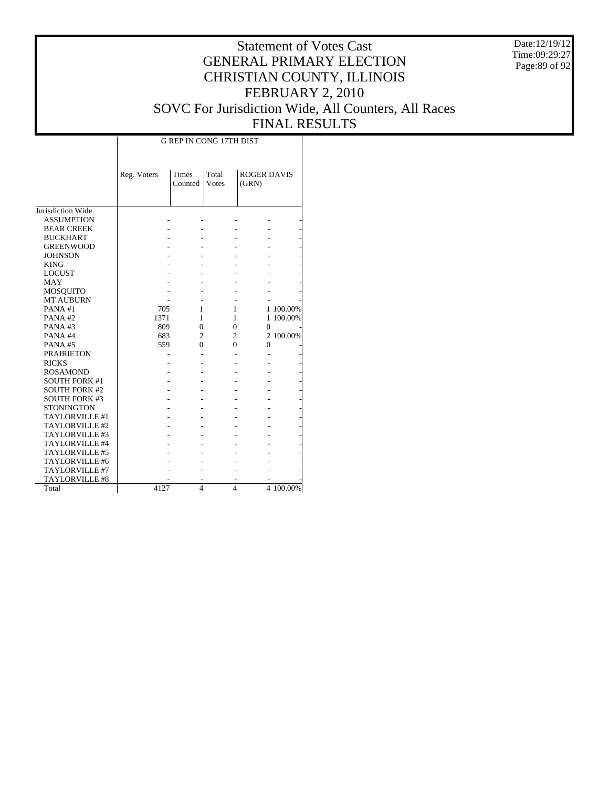Date:12/19/12 Time:09:29:27 Page:89 of 92

## Statement of Votes Cast GENERAL PRIMARY ELECTION CHRISTIAN COUNTY, ILLINOIS FEBRUARY 2, 2010 SOVC For Jurisdiction Wide, All Counters, All Races FINAL RESULTS

Τ

|                              |             |                | <b>G REP IN CONG 17TH DIST</b> |                    |           |
|------------------------------|-------------|----------------|--------------------------------|--------------------|-----------|
|                              |             |                |                                |                    |           |
|                              | Reg. Voters | Times          | Total                          | <b>ROGER DAVIS</b> |           |
|                              |             | Counted        | Votes                          | (GRN)              |           |
|                              |             |                |                                |                    |           |
| Jurisdiction Wide            |             |                |                                |                    |           |
| <b>ASSUMPTION</b>            |             |                |                                |                    |           |
| <b>BEAR CREEK</b>            |             |                |                                |                    |           |
| <b>BUCKHART</b>              |             |                |                                |                    |           |
|                              |             |                |                                |                    |           |
| <b>GREENWOOD</b>             |             |                |                                |                    |           |
| <b>JOHNSON</b>               |             |                |                                |                    |           |
| <b>KING</b><br><b>LOCUST</b> |             |                |                                |                    |           |
| <b>MAY</b>                   |             |                |                                |                    |           |
|                              |             |                |                                |                    |           |
| MOSQUITO                     |             |                |                                |                    |           |
| <b>MT AUBURN</b>             |             |                |                                |                    |           |
| PANA#1                       | 705         | 1              | 1                              |                    | 1 100.00% |
| PANA#2                       | 1371        | 1              | $\mathbf{1}$                   |                    | 1 100.00% |
| PANA#3                       | 809         | $\theta$       | $\overline{0}$                 | $\overline{0}$     |           |
| PANA#4                       | 683         | $\overline{2}$ | $\overline{2}$                 |                    | 2 100.00% |
| PANA#5                       | 559         | 0              | $\theta$                       | $\theta$           |           |
| <b>PRAIRIETON</b>            |             |                |                                |                    |           |
| <b>RICKS</b>                 |             |                |                                |                    |           |
| <b>ROSAMOND</b>              |             |                |                                |                    |           |
| <b>SOUTH FORK #1</b>         |             |                |                                |                    |           |
| <b>SOUTH FORK #2</b>         |             |                |                                |                    |           |
| <b>SOUTH FORK #3</b>         |             |                |                                |                    |           |
| <b>STONINGTON</b>            |             |                |                                |                    |           |
| TAYLORVILLE #1               |             |                |                                |                    |           |
| TAYLORVILLE #2               |             |                |                                |                    |           |
| TAYLORVILLE #3               |             |                |                                |                    |           |
| TAYLORVILLE #4               |             |                |                                |                    |           |
| TAYLORVILLE #5               |             |                |                                |                    |           |
| TAYLORVILLE #6               |             |                |                                |                    |           |
| TAYLORVILLE #7               |             |                |                                |                    |           |
| TAYLORVILLE #8               |             |                |                                |                    |           |
| Total                        | 4127        | $\overline{4}$ | $\overline{\mathbf{4}}$        |                    | 4 100.00% |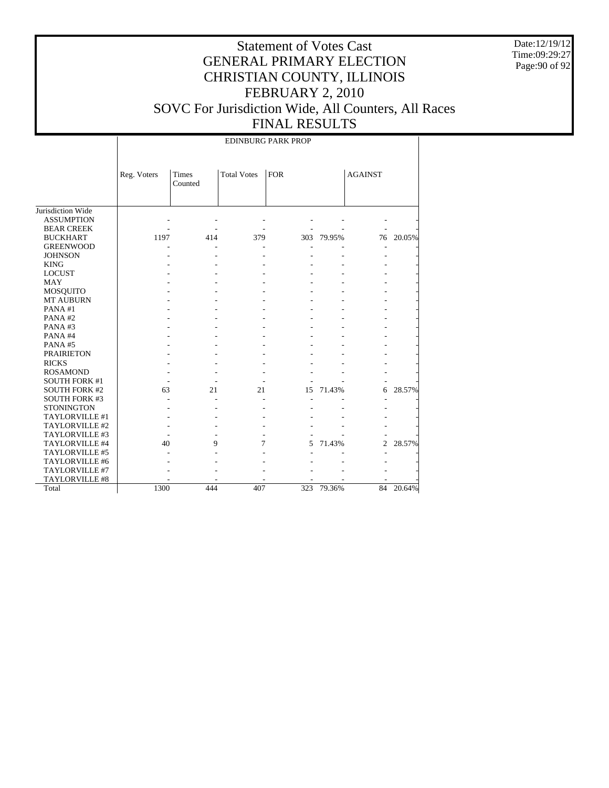Date:12/19/12 Time:09:29:27 Page:90 of 92

#### Statement of Votes Cast GENERAL PRIMARY ELECTION CHRISTIAN COUNTY, ILLINOIS FEBRUARY 2, 2010 SOVC For Jurisdiction Wide, All Counters, All Races FINAL RESULTS

Jurisdiction Wide ASSUMPTION BEAR CREEK BUCKHART GREENWOOD JOHNSON KING LOCUST MAY MOSQUITO MT AUBURN PANA #1 PANA #2 PANA #3 PANA #4 PANA #5 PRAIRIETON RICKS ROSAMOND SOUTH FORK #1 SOUTH FORK #2 SOUTH FORK #3 **STONINGTON**  TAYLORVILLE #1 TAYLORVILLE #2 TAYLORVILLE #3 TAYLORVILLE #4 TAYLORVILLE #5 TAYLORVILLE #6 TAYLORVILLE #7 TAYLORVILLE #8 Total Reg. Voters Times Counted Total Votes | FOR | AGAINST EDINBURG PARK PROP - - - - - - - - - - - - - - 1197 414 379 303 79.95% 76 20.05% - - - - - - - - - - - - - - - - - - - - - - - - - - - - - - - - - - - - - - - - - - - - - - - - - - - - - - - - - - - - - - - - - - - - - - - - - - - - - - - - - - - - - - - - - - - - - - - - - - - - - - - - - - - - - - - - 63 21 21 15 71.43% 6 28.57% - - - - - - - - - - - - - - - - - - - - - - - - - - - - - - - - - - - 40 9 7 5 71.43% 2 28.57% - - - - - - - - - - - - - - - - - - - - - - - - - - - - 1300 444 407 323 79.36% 84 20.64%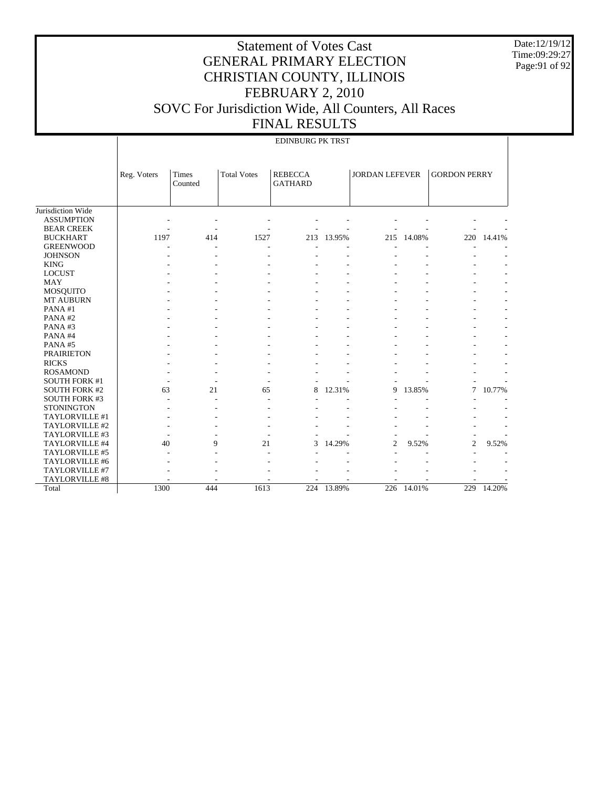Date:12/19/12 Time:09:29:27 Page:91 of 92

|                      |             |                  |                    | <b>EDINBURG PK TRST</b>          |        |                       |        |                     |        |
|----------------------|-------------|------------------|--------------------|----------------------------------|--------|-----------------------|--------|---------------------|--------|
|                      | Reg. Voters | Times<br>Counted | <b>Total Votes</b> | <b>REBECCA</b><br><b>GATHARD</b> |        | <b>JORDAN LEFEVER</b> |        | <b>GORDON PERRY</b> |        |
| Jurisdiction Wide    |             |                  |                    |                                  |        |                       |        |                     |        |
| <b>ASSUMPTION</b>    |             |                  |                    |                                  |        |                       |        |                     |        |
| <b>BEAR CREEK</b>    |             |                  |                    |                                  |        |                       |        |                     |        |
| <b>BUCKHART</b>      | 1197        | 414              | 1527               | 213                              | 13.95% | 215                   | 14.08% | 220                 | 14.41% |
| <b>GREENWOOD</b>     |             |                  |                    |                                  |        |                       |        |                     |        |
| <b>JOHNSON</b>       |             |                  |                    |                                  |        |                       |        |                     |        |
| <b>KING</b>          |             |                  |                    |                                  |        |                       |        |                     |        |
| <b>LOCUST</b>        |             |                  |                    |                                  |        |                       |        |                     |        |
| <b>MAY</b>           |             |                  |                    |                                  |        |                       |        |                     |        |
| <b>MOSQUITO</b>      |             |                  |                    |                                  |        |                       |        |                     |        |
| MT AUBURN            |             |                  |                    |                                  |        |                       |        |                     |        |
| PANA#1               |             |                  |                    |                                  |        |                       |        |                     |        |
| PANA#2               |             |                  |                    |                                  |        |                       |        |                     |        |
| PANA#3               |             |                  |                    |                                  |        |                       |        |                     |        |
| PANA#4               |             |                  |                    |                                  |        |                       |        |                     |        |
| PANA#5               |             |                  |                    |                                  |        |                       |        |                     |        |
| <b>PRAIRIETON</b>    |             |                  |                    |                                  |        |                       |        |                     |        |
| <b>RICKS</b>         |             |                  |                    |                                  |        |                       |        |                     |        |
| <b>ROSAMOND</b>      |             |                  |                    |                                  |        |                       |        |                     |        |
| <b>SOUTH FORK #1</b> |             |                  |                    |                                  |        |                       |        |                     |        |
| <b>SOUTH FORK #2</b> | 63          | 21               | 65                 | 8                                | 12.31% | 9                     | 13.85% | 7                   | 10.77% |
| <b>SOUTH FORK #3</b> |             |                  |                    |                                  |        |                       |        |                     |        |
| <b>STONINGTON</b>    |             |                  |                    |                                  |        |                       |        |                     |        |
| TAYLORVILLE #1       |             |                  |                    |                                  |        |                       |        |                     |        |
| TAYLORVILLE #2       |             |                  |                    |                                  |        |                       |        |                     |        |
| TAYLORVILLE #3       |             |                  |                    |                                  |        |                       |        |                     |        |
| TAYLORVILLE #4       | 40          | 9                | 21                 | 3                                | 14.29% | 2                     | 9.52%  | $\overline{c}$      | 9.52%  |
| TAYLORVILLE #5       |             |                  |                    |                                  |        |                       |        |                     |        |
| TAYLORVILLE #6       |             |                  |                    |                                  |        |                       |        |                     |        |
| TAYLORVILLE #7       |             |                  |                    |                                  |        |                       |        |                     |        |
| TAYLORVILLE #8       |             |                  |                    |                                  |        |                       |        |                     |        |
| Total                | 1300        | 444              | 1613               | $\overline{224}$                 | 13.89% | 226                   | 14.01% | 229                 | 14.20% |